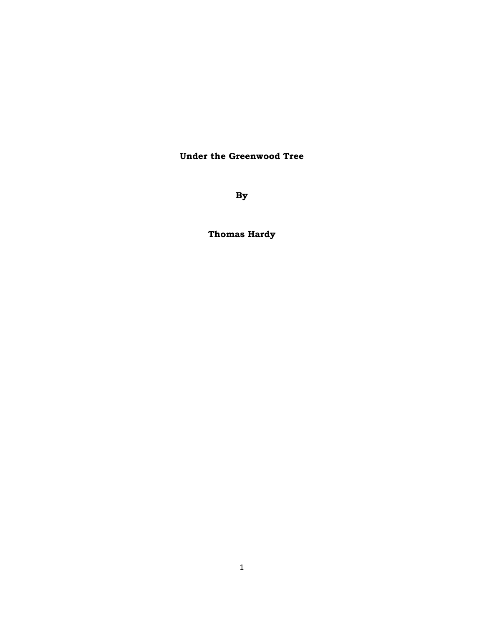**Under the Greenwood Tree** 

**By** 

**Thomas Hardy**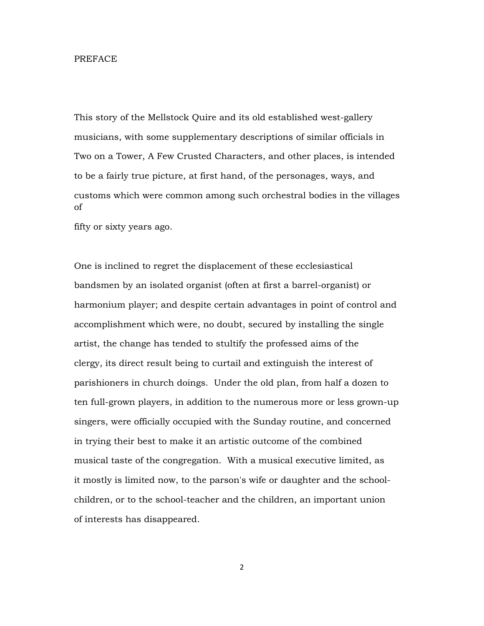#### PREFACE

This story of the Mellstock Quire and its old established west-gallery musicians, with some supplementary descriptions of similar officials in Two on a Tower, A Few Crusted Characters, and other places, is intended to be a fairly true picture, at first hand, of the personages, ways, and customs which were common among such orchestral bodies in the villages of

fifty or sixty years ago.

One is inclined to regret the displacement of these ecclesiastical bandsmen by an isolated organist (often at first a barrel-organist) or harmonium player; and despite certain advantages in point of control and accomplishment which were, no doubt, secured by installing the single artist, the change has tended to stultify the professed aims of the clergy, its direct result being to curtail and extinguish the interest of parishioners in church doings. Under the old plan, from half a dozen to ten full-grown players, in addition to the numerous more or less grown-up singers, were officially occupied with the Sunday routine, and concerned in trying their best to make it an artistic outcome of the combined musical taste of the congregation. With a musical executive limited, as it mostly is limited now, to the parson's wife or daughter and the schoolchildren, or to the school-teacher and the children, an important union of interests has disappeared.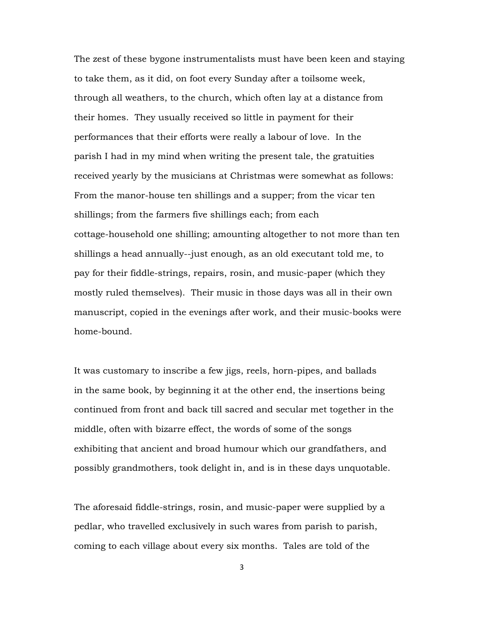The zest of these bygone instrumentalists must have been keen and staying to take them, as it did, on foot every Sunday after a toilsome week, through all weathers, to the church, which often lay at a distance from their homes. They usually received so little in payment for their performances that their efforts were really a labour of love. In the parish I had in my mind when writing the present tale, the gratuities received yearly by the musicians at Christmas were somewhat as follows: From the manor-house ten shillings and a supper; from the vicar ten shillings; from the farmers five shillings each; from each cottage-household one shilling; amounting altogether to not more than ten shillings a head annually--just enough, as an old executant told me, to pay for their fiddle-strings, repairs, rosin, and music-paper (which they mostly ruled themselves). Their music in those days was all in their own manuscript, copied in the evenings after work, and their music-books were home-bound.

It was customary to inscribe a few jigs, reels, horn-pipes, and ballads in the same book, by beginning it at the other end, the insertions being continued from front and back till sacred and secular met together in the middle, often with bizarre effect, the words of some of the songs exhibiting that ancient and broad humour which our grandfathers, and possibly grandmothers, took delight in, and is in these days unquotable.

The aforesaid fiddle-strings, rosin, and music-paper were supplied by a pedlar, who travelled exclusively in such wares from parish to parish, coming to each village about every six months. Tales are told of the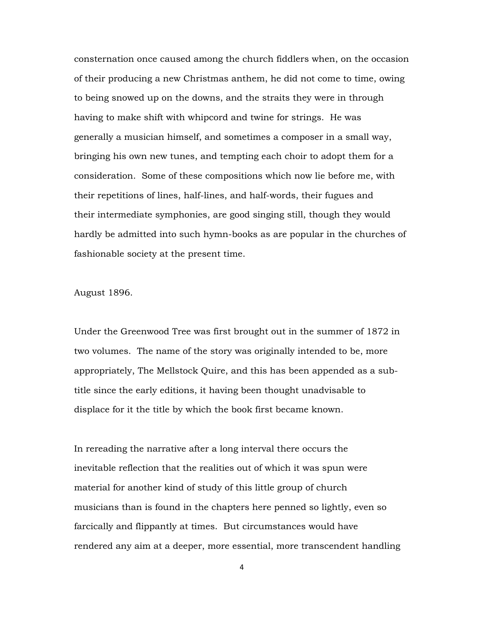consternation once caused among the church fiddlers when, on the occasion of their producing a new Christmas anthem, he did not come to time, owing to being snowed up on the downs, and the straits they were in through having to make shift with whipcord and twine for strings. He was generally a musician himself, and sometimes a composer in a small way, bringing his own new tunes, and tempting each choir to adopt them for a consideration. Some of these compositions which now lie before me, with their repetitions of lines, half-lines, and half-words, their fugues and their intermediate symphonies, are good singing still, though they would hardly be admitted into such hymn-books as are popular in the churches of fashionable society at the present time.

August 1896.

Under the Greenwood Tree was first brought out in the summer of 1872 in two volumes. The name of the story was originally intended to be, more appropriately, The Mellstock Quire, and this has been appended as a subtitle since the early editions, it having been thought unadvisable to displace for it the title by which the book first became known.

In rereading the narrative after a long interval there occurs the inevitable reflection that the realities out of which it was spun were material for another kind of study of this little group of church musicians than is found in the chapters here penned so lightly, even so farcically and flippantly at times. But circumstances would have rendered any aim at a deeper, more essential, more transcendent handling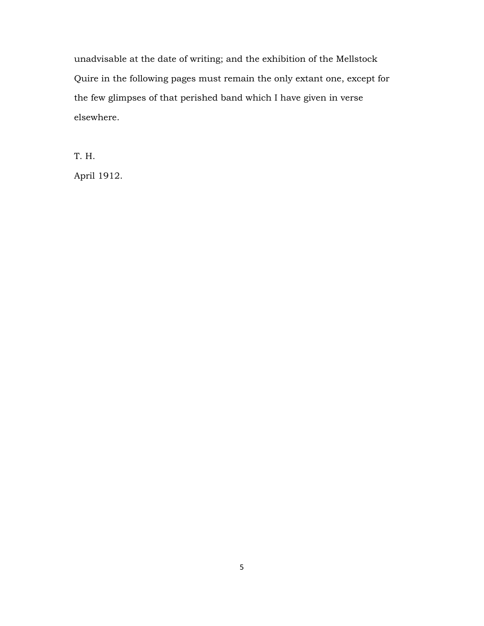unadvisable at the date of writing; and the exhibition of the Mellstock Quire in the following pages must remain the only extant one, except for the few glimpses of that perished band which I have given in verse elsewhere.

T. H. April 1912.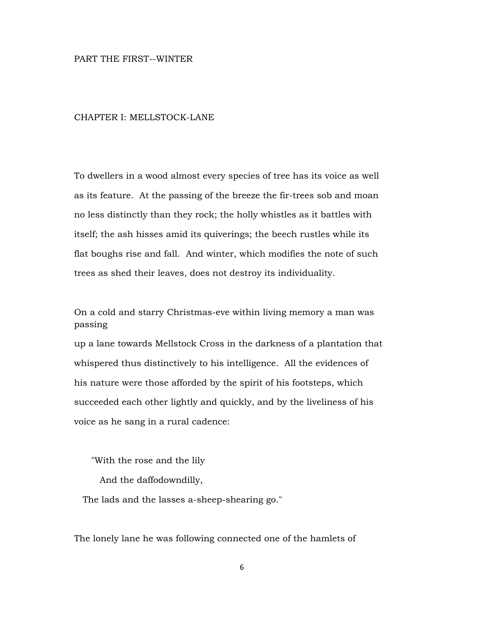## PART THE FIRST--WINTER

## CHAPTER I: MELLSTOCK-LANE

To dwellers in a wood almost every species of tree has its voice as well as its feature. At the passing of the breeze the fir-trees sob and moan no less distinctly than they rock; the holly whistles as it battles with itself; the ash hisses amid its quiverings; the beech rustles while its flat boughs rise and fall. And winter, which modifies the note of such trees as shed their leaves, does not destroy its individuality.

On a cold and starry Christmas-eve within living memory a man was passing

up a lane towards Mellstock Cross in the darkness of a plantation that whispered thus distinctively to his intelligence. All the evidences of his nature were those afforded by the spirit of his footsteps, which succeeded each other lightly and quickly, and by the liveliness of his voice as he sang in a rural cadence:

"With the rose and the lily

And the daffodowndilly,

The lads and the lasses a-sheep-shearing go."

The lonely lane he was following connected one of the hamlets of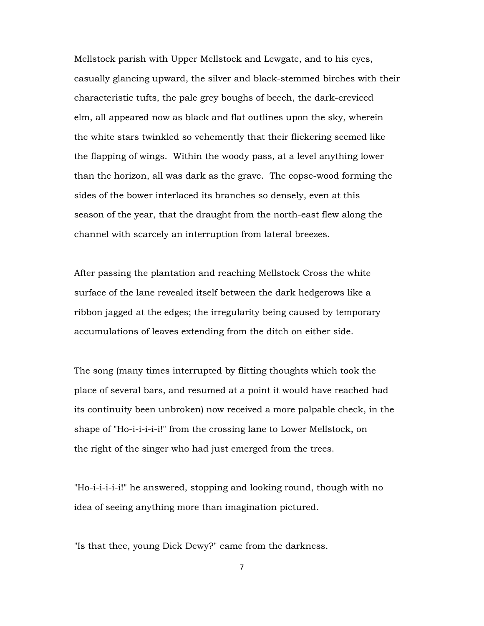Mellstock parish with Upper Mellstock and Lewgate, and to his eyes, casually glancing upward, the silver and black-stemmed birches with their characteristic tufts, the pale grey boughs of beech, the dark-creviced elm, all appeared now as black and flat outlines upon the sky, wherein the white stars twinkled so vehemently that their flickering seemed like the flapping of wings. Within the woody pass, at a level anything lower than the horizon, all was dark as the grave. The copse-wood forming the sides of the bower interlaced its branches so densely, even at this season of the year, that the draught from the north-east flew along the channel with scarcely an interruption from lateral breezes.

After passing the plantation and reaching Mellstock Cross the white surface of the lane revealed itself between the dark hedgerows like a ribbon jagged at the edges; the irregularity being caused by temporary accumulations of leaves extending from the ditch on either side.

The song (many times interrupted by flitting thoughts which took the place of several bars, and resumed at a point it would have reached had its continuity been unbroken) now received a more palpable check, in the shape of "Ho-i-i-i-i-i!" from the crossing lane to Lower Mellstock, on the right of the singer who had just emerged from the trees.

"Ho-i-i-i-i-i!" he answered, stopping and looking round, though with no idea of seeing anything more than imagination pictured.

"Is that thee, young Dick Dewy?" came from the darkness.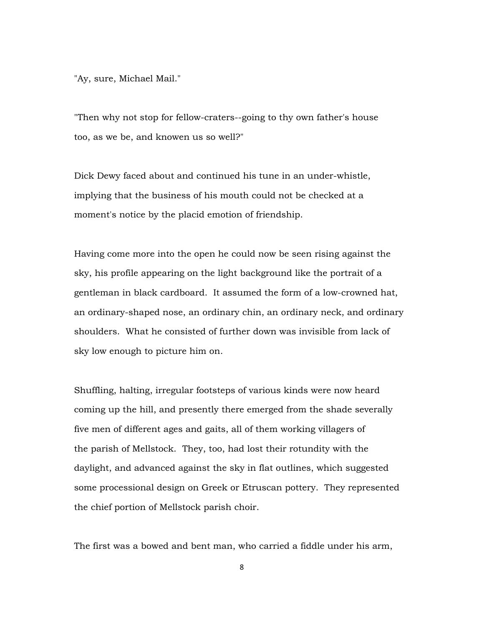"Ay, sure, Michael Mail."

"Then why not stop for fellow-craters--going to thy own father's house too, as we be, and knowen us so well?"

Dick Dewy faced about and continued his tune in an under-whistle, implying that the business of his mouth could not be checked at a moment's notice by the placid emotion of friendship.

Having come more into the open he could now be seen rising against the sky, his profile appearing on the light background like the portrait of a gentleman in black cardboard. It assumed the form of a low-crowned hat, an ordinary-shaped nose, an ordinary chin, an ordinary neck, and ordinary shoulders. What he consisted of further down was invisible from lack of sky low enough to picture him on.

Shuffling, halting, irregular footsteps of various kinds were now heard coming up the hill, and presently there emerged from the shade severally five men of different ages and gaits, all of them working villagers of the parish of Mellstock. They, too, had lost their rotundity with the daylight, and advanced against the sky in flat outlines, which suggested some processional design on Greek or Etruscan pottery. They represented the chief portion of Mellstock parish choir.

The first was a bowed and bent man, who carried a fiddle under his arm,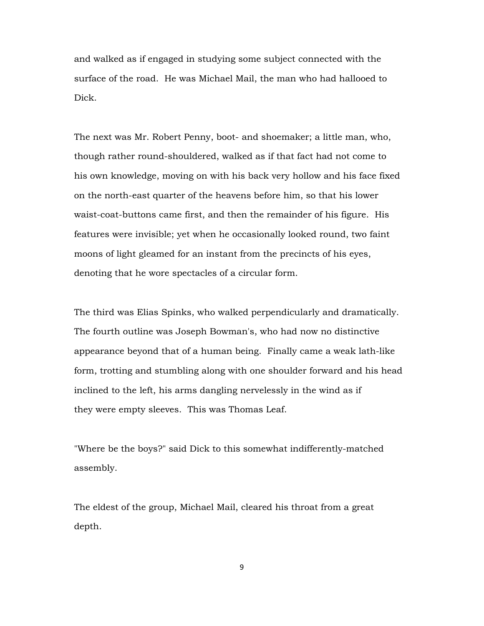and walked as if engaged in studying some subject connected with the surface of the road. He was Michael Mail, the man who had hallooed to Dick.

The next was Mr. Robert Penny, boot- and shoemaker; a little man, who, though rather round-shouldered, walked as if that fact had not come to his own knowledge, moving on with his back very hollow and his face fixed on the north-east quarter of the heavens before him, so that his lower waist-coat-buttons came first, and then the remainder of his figure. His features were invisible; yet when he occasionally looked round, two faint moons of light gleamed for an instant from the precincts of his eyes, denoting that he wore spectacles of a circular form.

The third was Elias Spinks, who walked perpendicularly and dramatically. The fourth outline was Joseph Bowman's, who had now no distinctive appearance beyond that of a human being. Finally came a weak lath-like form, trotting and stumbling along with one shoulder forward and his head inclined to the left, his arms dangling nervelessly in the wind as if they were empty sleeves. This was Thomas Leaf.

"Where be the boys?" said Dick to this somewhat indifferently-matched assembly.

The eldest of the group, Michael Mail, cleared his throat from a great depth.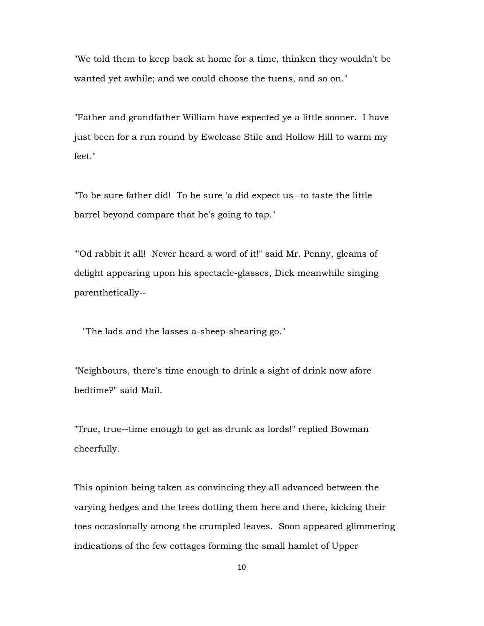"We told them to keep back at home for a time, thinken they wouldn't be wanted yet awhile; and we could choose the tuens, and so on."

"Father and grandfather William have expected ye a little sooner. I have just been for a run round by Ewelease Stile and Hollow Hill to warm my feet."

"To be sure father did! To be sure 'a did expect us--to taste the little barrel beyond compare that he's going to tap."

"'Od rabbit it all! Never heard a word of it!" said Mr. Penny, gleams of delight appearing upon his spectacle-glasses, Dick meanwhile singing parenthetically--

"The lads and the lasses a-sheep-shearing go."

"Neighbours, there's time enough to drink a sight of drink now afore bedtime?" said Mail.

"True, true--time enough to get as drunk as lords!" replied Bowman cheerfully.

This opinion being taken as convincing they all advanced between the varying hedges and the trees dotting them here and there, kicking their toes occasionally among the crumpled leaves. Soon appeared glimmering indications of the few cottages forming the small hamlet of Upper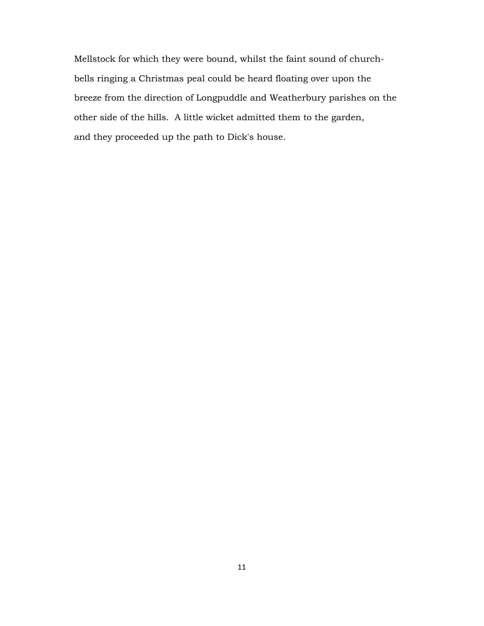Mellstock for which they were bound, whilst the faint sound of churchbells ringing a Christmas peal could be heard floating over upon the breeze from the direction of Longpuddle and Weatherbury parishes on the other side of the hills. A little wicket admitted them to the garden, and they proceeded up the path to Dick's house.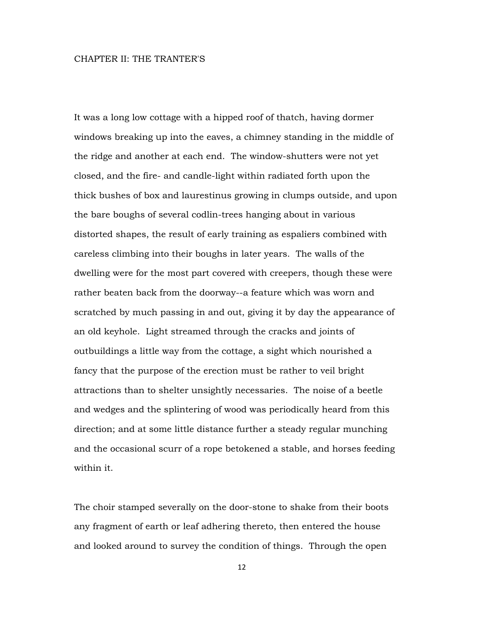## CHAPTER II: THE TRANTER'S

It was a long low cottage with a hipped roof of thatch, having dormer windows breaking up into the eaves, a chimney standing in the middle of the ridge and another at each end. The window-shutters were not yet closed, and the fire- and candle-light within radiated forth upon the thick bushes of box and laurestinus growing in clumps outside, and upon the bare boughs of several codlin-trees hanging about in various distorted shapes, the result of early training as espaliers combined with careless climbing into their boughs in later years. The walls of the dwelling were for the most part covered with creepers, though these were rather beaten back from the doorway--a feature which was worn and scratched by much passing in and out, giving it by day the appearance of an old keyhole. Light streamed through the cracks and joints of outbuildings a little way from the cottage, a sight which nourished a fancy that the purpose of the erection must be rather to veil bright attractions than to shelter unsightly necessaries. The noise of a beetle and wedges and the splintering of wood was periodically heard from this direction; and at some little distance further a steady regular munching and the occasional scurr of a rope betokened a stable, and horses feeding within it.

The choir stamped severally on the door-stone to shake from their boots any fragment of earth or leaf adhering thereto, then entered the house and looked around to survey the condition of things. Through the open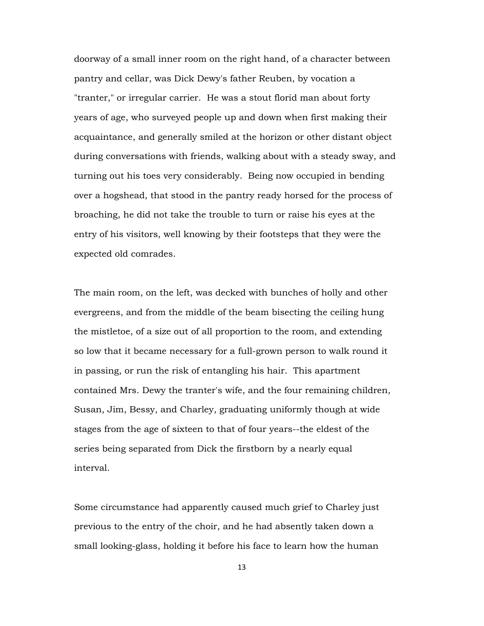doorway of a small inner room on the right hand, of a character between pantry and cellar, was Dick Dewy's father Reuben, by vocation a "tranter," or irregular carrier. He was a stout florid man about forty years of age, who surveyed people up and down when first making their acquaintance, and generally smiled at the horizon or other distant object during conversations with friends, walking about with a steady sway, and turning out his toes very considerably. Being now occupied in bending over a hogshead, that stood in the pantry ready horsed for the process of broaching, he did not take the trouble to turn or raise his eyes at the entry of his visitors, well knowing by their footsteps that they were the expected old comrades.

The main room, on the left, was decked with bunches of holly and other evergreens, and from the middle of the beam bisecting the ceiling hung the mistletoe, of a size out of all proportion to the room, and extending so low that it became necessary for a full-grown person to walk round it in passing, or run the risk of entangling his hair. This apartment contained Mrs. Dewy the tranter's wife, and the four remaining children, Susan, Jim, Bessy, and Charley, graduating uniformly though at wide stages from the age of sixteen to that of four years--the eldest of the series being separated from Dick the firstborn by a nearly equal interval.

Some circumstance had apparently caused much grief to Charley just previous to the entry of the choir, and he had absently taken down a small looking-glass, holding it before his face to learn how the human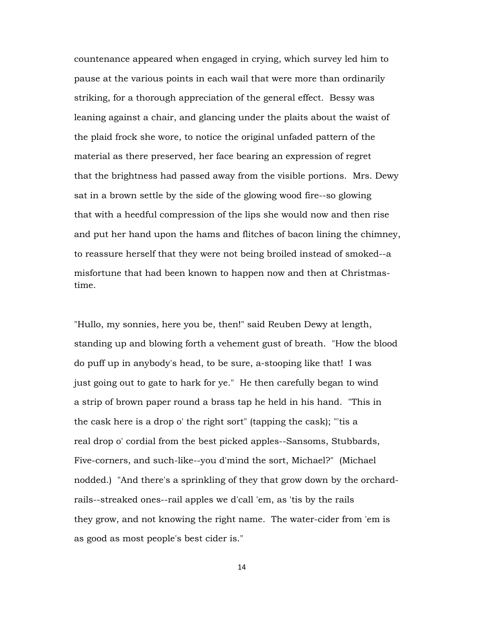countenance appeared when engaged in crying, which survey led him to pause at the various points in each wail that were more than ordinarily striking, for a thorough appreciation of the general effect. Bessy was leaning against a chair, and glancing under the plaits about the waist of the plaid frock she wore, to notice the original unfaded pattern of the material as there preserved, her face bearing an expression of regret that the brightness had passed away from the visible portions. Mrs. Dewy sat in a brown settle by the side of the glowing wood fire--so glowing that with a heedful compression of the lips she would now and then rise and put her hand upon the hams and flitches of bacon lining the chimney, to reassure herself that they were not being broiled instead of smoked--a misfortune that had been known to happen now and then at Christmastime.

"Hullo, my sonnies, here you be, then!" said Reuben Dewy at length, standing up and blowing forth a vehement gust of breath. "How the blood do puff up in anybody's head, to be sure, a-stooping like that! I was just going out to gate to hark for ye." He then carefully began to wind a strip of brown paper round a brass tap he held in his hand. "This in the cask here is a drop o' the right sort" (tapping the cask); "'tis a real drop o' cordial from the best picked apples--Sansoms, Stubbards, Five-corners, and such-like--you d'mind the sort, Michael?" (Michael nodded.) "And there's a sprinkling of they that grow down by the orchardrails--streaked ones--rail apples we d'call 'em, as 'tis by the rails they grow, and not knowing the right name. The water-cider from 'em is as good as most people's best cider is."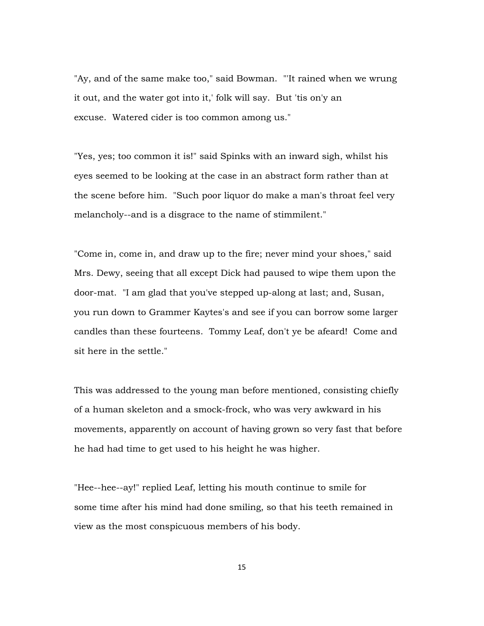"Ay, and of the same make too," said Bowman. "'It rained when we wrung it out, and the water got into it,' folk will say. But 'tis on'y an excuse. Watered cider is too common among us."

"Yes, yes; too common it is!" said Spinks with an inward sigh, whilst his eyes seemed to be looking at the case in an abstract form rather than at the scene before him. "Such poor liquor do make a man's throat feel very melancholy--and is a disgrace to the name of stimmilent."

"Come in, come in, and draw up to the fire; never mind your shoes," said Mrs. Dewy, seeing that all except Dick had paused to wipe them upon the door-mat. "I am glad that you've stepped up-along at last; and, Susan, you run down to Grammer Kaytes's and see if you can borrow some larger candles than these fourteens. Tommy Leaf, don't ye be afeard! Come and sit here in the settle."

This was addressed to the young man before mentioned, consisting chiefly of a human skeleton and a smock-frock, who was very awkward in his movements, apparently on account of having grown so very fast that before he had had time to get used to his height he was higher.

"Hee--hee--ay!" replied Leaf, letting his mouth continue to smile for some time after his mind had done smiling, so that his teeth remained in view as the most conspicuous members of his body.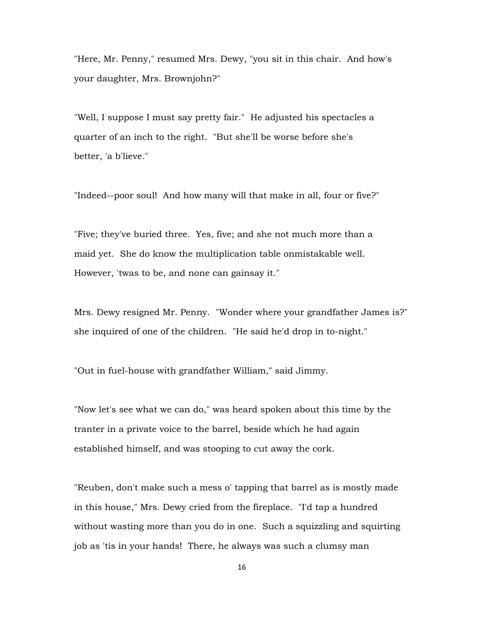"Here, Mr. Penny," resumed Mrs. Dewy, "you sit in this chair. And how's your daughter, Mrs. Brownjohn?"

"Well, I suppose I must say pretty fair." He adjusted his spectacles a quarter of an inch to the right. "But she'll be worse before she's better, 'a b'lieve."

"Indeed--poor soul! And how many will that make in all, four or five?"

"Five; they've buried three. Yes, five; and she not much more than a maid yet. She do know the multiplication table onmistakable well. However, 'twas to be, and none can gainsay it."

Mrs. Dewy resigned Mr. Penny. "Wonder where your grandfather James is?" she inquired of one of the children. "He said he'd drop in to-night."

"Out in fuel-house with grandfather William," said Jimmy.

"Now let's see what we can do," was heard spoken about this time by the tranter in a private voice to the barrel, beside which he had again established himself, and was stooping to cut away the cork.

"Reuben, don't make such a mess o' tapping that barrel as is mostly made in this house," Mrs. Dewy cried from the fireplace. "I'd tap a hundred without wasting more than you do in one. Such a squizzling and squirting job as 'tis in your hands! There, he always was such a clumsy man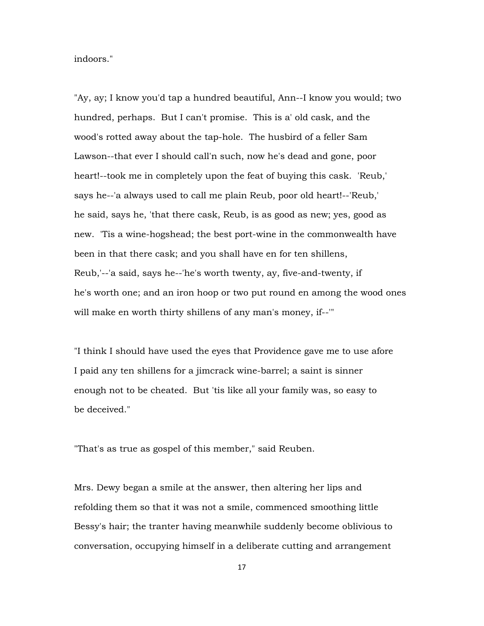indoors."

"Ay, ay; I know you'd tap a hundred beautiful, Ann--I know you would; two hundred, perhaps. But I can't promise. This is a' old cask, and the wood's rotted away about the tap-hole. The husbird of a feller Sam Lawson--that ever I should call'n such, now he's dead and gone, poor heart!--took me in completely upon the feat of buying this cask. 'Reub,' says he--'a always used to call me plain Reub, poor old heart!--'Reub,' he said, says he, 'that there cask, Reub, is as good as new; yes, good as new. 'Tis a wine-hogshead; the best port-wine in the commonwealth have been in that there cask; and you shall have en for ten shillens, Reub,'--'a said, says he--'he's worth twenty, ay, five-and-twenty, if he's worth one; and an iron hoop or two put round en among the wood ones will make en worth thirty shillens of any man's money, if--'"

"I think I should have used the eyes that Providence gave me to use afore I paid any ten shillens for a jimcrack wine-barrel; a saint is sinner enough not to be cheated. But 'tis like all your family was, so easy to be deceived."

"That's as true as gospel of this member," said Reuben.

Mrs. Dewy began a smile at the answer, then altering her lips and refolding them so that it was not a smile, commenced smoothing little Bessy's hair; the tranter having meanwhile suddenly become oblivious to conversation, occupying himself in a deliberate cutting and arrangement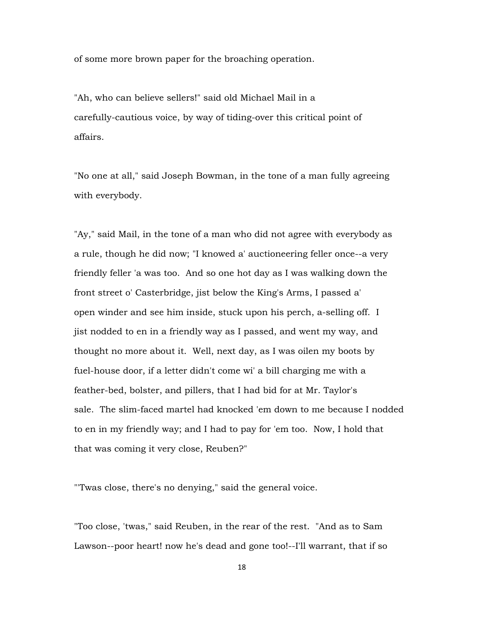of some more brown paper for the broaching operation.

"Ah, who can believe sellers!" said old Michael Mail in a carefully-cautious voice, by way of tiding-over this critical point of affairs.

"No one at all," said Joseph Bowman, in the tone of a man fully agreeing with everybody.

"Ay," said Mail, in the tone of a man who did not agree with everybody as a rule, though he did now; "I knowed a' auctioneering feller once--a very friendly feller 'a was too. And so one hot day as I was walking down the front street o' Casterbridge, jist below the King's Arms, I passed a' open winder and see him inside, stuck upon his perch, a-selling off. I jist nodded to en in a friendly way as I passed, and went my way, and thought no more about it. Well, next day, as I was oilen my boots by fuel-house door, if a letter didn't come wi' a bill charging me with a feather-bed, bolster, and pillers, that I had bid for at Mr. Taylor's sale. The slim-faced martel had knocked 'em down to me because I nodded to en in my friendly way; and I had to pay for 'em too. Now, I hold that that was coming it very close, Reuben?"

"'Twas close, there's no denying," said the general voice.

"Too close, 'twas," said Reuben, in the rear of the rest. "And as to Sam Lawson--poor heart! now he's dead and gone too!--I'll warrant, that if so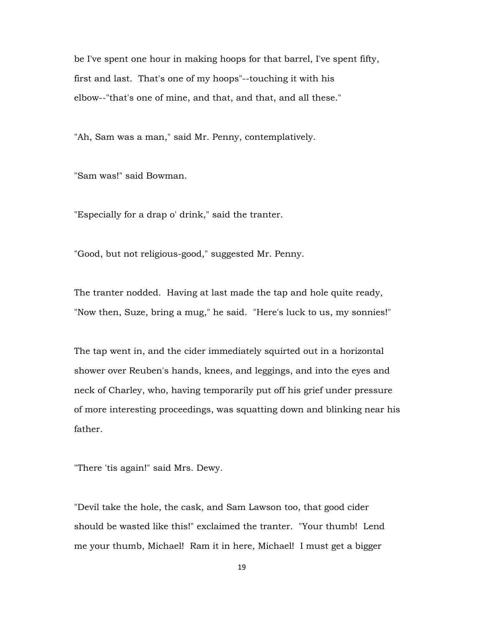be I've spent one hour in making hoops for that barrel, I've spent fifty, first and last. That's one of my hoops"--touching it with his elbow--"that's one of mine, and that, and that, and all these."

"Ah, Sam was a man," said Mr. Penny, contemplatively.

"Sam was!" said Bowman.

"Especially for a drap o' drink," said the tranter.

"Good, but not religious-good," suggested Mr. Penny.

The tranter nodded. Having at last made the tap and hole quite ready, "Now then, Suze, bring a mug," he said. "Here's luck to us, my sonnies!"

The tap went in, and the cider immediately squirted out in a horizontal shower over Reuben's hands, knees, and leggings, and into the eyes and neck of Charley, who, having temporarily put off his grief under pressure of more interesting proceedings, was squatting down and blinking near his father.

"There 'tis again!" said Mrs. Dewy.

"Devil take the hole, the cask, and Sam Lawson too, that good cider should be wasted like this!" exclaimed the tranter. "Your thumb! Lend me your thumb, Michael! Ram it in here, Michael! I must get a bigger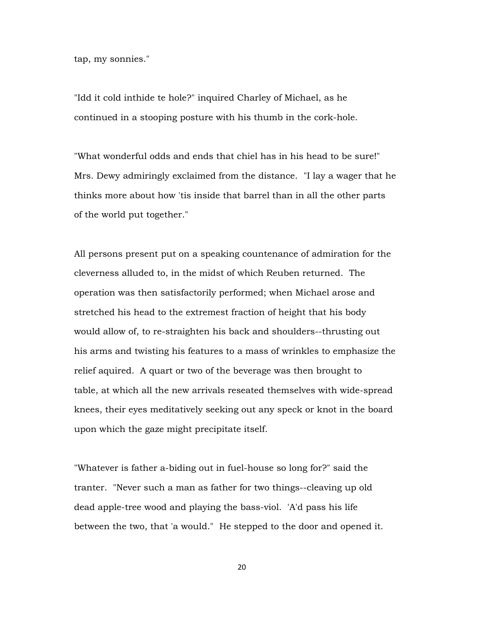tap, my sonnies."

"Idd it cold inthide te hole?" inquired Charley of Michael, as he continued in a stooping posture with his thumb in the cork-hole.

"What wonderful odds and ends that chiel has in his head to be sure!" Mrs. Dewy admiringly exclaimed from the distance. "I lay a wager that he thinks more about how 'tis inside that barrel than in all the other parts of the world put together."

All persons present put on a speaking countenance of admiration for the cleverness alluded to, in the midst of which Reuben returned. The operation was then satisfactorily performed; when Michael arose and stretched his head to the extremest fraction of height that his body would allow of, to re-straighten his back and shoulders--thrusting out his arms and twisting his features to a mass of wrinkles to emphasize the relief aquired. A quart or two of the beverage was then brought to table, at which all the new arrivals reseated themselves with wide-spread knees, their eyes meditatively seeking out any speck or knot in the board upon which the gaze might precipitate itself.

"Whatever is father a-biding out in fuel-house so long for?" said the tranter. "Never such a man as father for two things--cleaving up old dead apple-tree wood and playing the bass-viol. 'A'd pass his life between the two, that 'a would." He stepped to the door and opened it.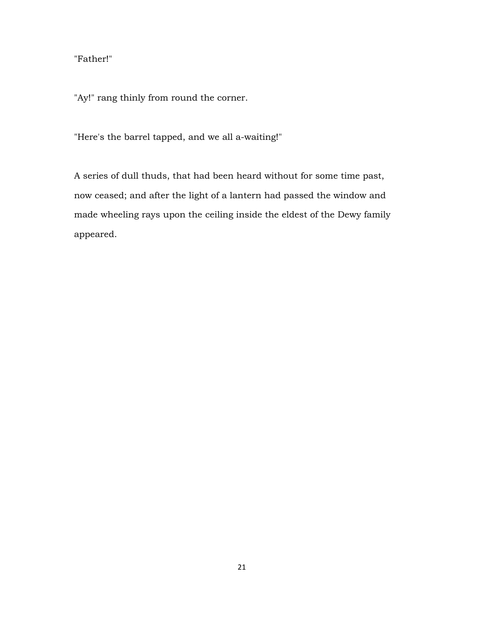# "Father!"

"Ay!" rang thinly from round the corner.

"Here's the barrel tapped, and we all a-waiting!"

A series of dull thuds, that had been heard without for some time past, now ceased; and after the light of a lantern had passed the window and made wheeling rays upon the ceiling inside the eldest of the Dewy family appeared.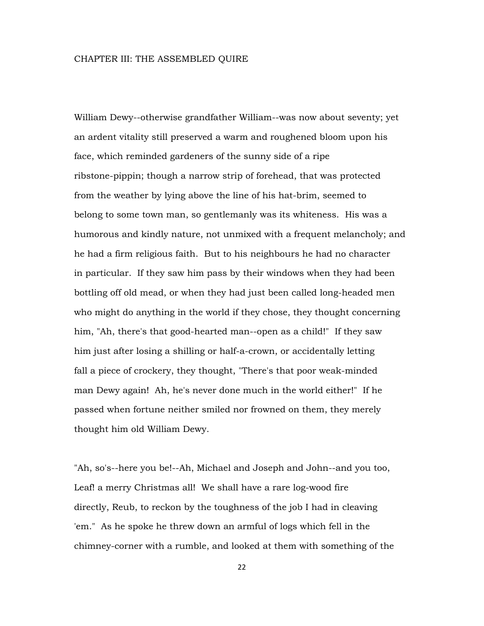## CHAPTER III: THE ASSEMBLED QUIRE

William Dewy--otherwise grandfather William--was now about seventy; yet an ardent vitality still preserved a warm and roughened bloom upon his face, which reminded gardeners of the sunny side of a ripe ribstone-pippin; though a narrow strip of forehead, that was protected from the weather by lying above the line of his hat-brim, seemed to belong to some town man, so gentlemanly was its whiteness. His was a humorous and kindly nature, not unmixed with a frequent melancholy; and he had a firm religious faith. But to his neighbours he had no character in particular. If they saw him pass by their windows when they had been bottling off old mead, or when they had just been called long-headed men who might do anything in the world if they chose, they thought concerning him, "Ah, there's that good-hearted man--open as a child!" If they saw him just after losing a shilling or half-a-crown, or accidentally letting fall a piece of crockery, they thought, "There's that poor weak-minded man Dewy again! Ah, he's never done much in the world either!" If he passed when fortune neither smiled nor frowned on them, they merely thought him old William Dewy.

"Ah, so's--here you be!--Ah, Michael and Joseph and John--and you too, Leaf! a merry Christmas all! We shall have a rare log-wood fire directly, Reub, to reckon by the toughness of the job I had in cleaving 'em." As he spoke he threw down an armful of logs which fell in the chimney-corner with a rumble, and looked at them with something of the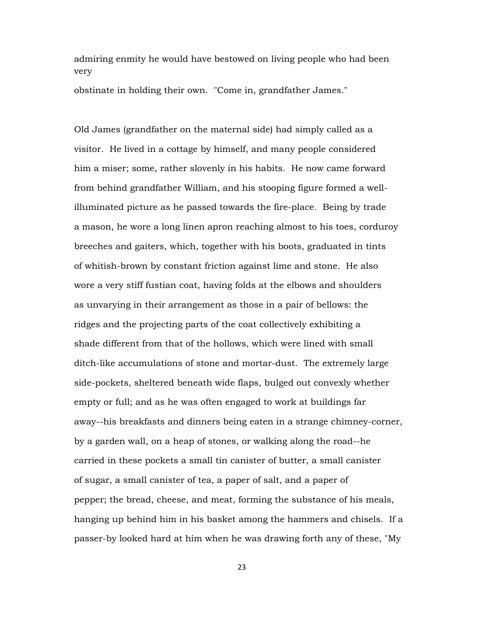admiring enmity he would have bestowed on living people who had been very

obstinate in holding their own. "Come in, grandfather James."

Old James (grandfather on the maternal side) had simply called as a visitor. He lived in a cottage by himself, and many people considered him a miser; some, rather slovenly in his habits. He now came forward from behind grandfather William, and his stooping figure formed a wellilluminated picture as he passed towards the fire-place. Being by trade a mason, he wore a long linen apron reaching almost to his toes, corduroy breeches and gaiters, which, together with his boots, graduated in tints of whitish-brown by constant friction against lime and stone. He also wore a very stiff fustian coat, having folds at the elbows and shoulders as unvarying in their arrangement as those in a pair of bellows: the ridges and the projecting parts of the coat collectively exhibiting a shade different from that of the hollows, which were lined with small ditch-like accumulations of stone and mortar-dust. The extremely large side-pockets, sheltered beneath wide flaps, bulged out convexly whether empty or full; and as he was often engaged to work at buildings far away--his breakfasts and dinners being eaten in a strange chimney-corner, by a garden wall, on a heap of stones, or walking along the road--he carried in these pockets a small tin canister of butter, a small canister of sugar, a small canister of tea, a paper of salt, and a paper of pepper; the bread, cheese, and meat, forming the substance of his meals, hanging up behind him in his basket among the hammers and chisels. If a passer-by looked hard at him when he was drawing forth any of these, "My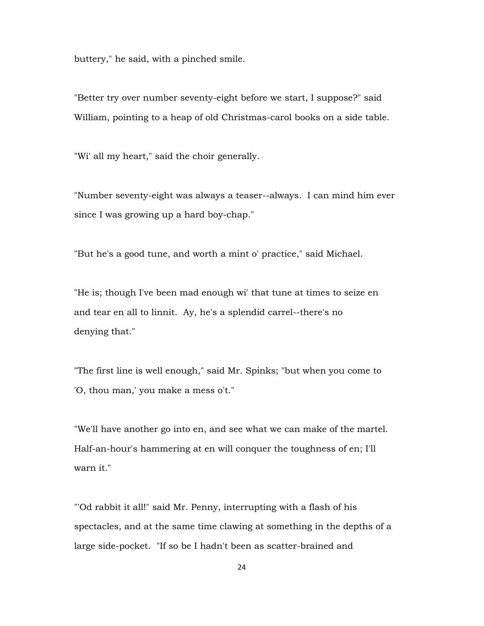buttery," he said, with a pinched smile.

"Better try over number seventy-eight before we start, I suppose?" said William, pointing to a heap of old Christmas-carol books on a side table.

"Wi' all my heart," said the choir generally.

"Number seventy-eight was always a teaser--always. I can mind him ever since I was growing up a hard boy-chap."

"But he's a good tune, and worth a mint o' practice," said Michael.

"He is; though I've been mad enough wi' that tune at times to seize en and tear en all to linnit. Ay, he's a splendid carrel--there's no denying that."

"The first line is well enough," said Mr. Spinks; "but when you come to 'O, thou man,' you make a mess o't."

"We'll have another go into en, and see what we can make of the martel. Half-an-hour's hammering at en will conquer the toughness of en; I'll warn it."

"'Od rabbit it all!" said Mr. Penny, interrupting with a flash of his spectacles, and at the same time clawing at something in the depths of a large side-pocket. "If so be I hadn't been as scatter-brained and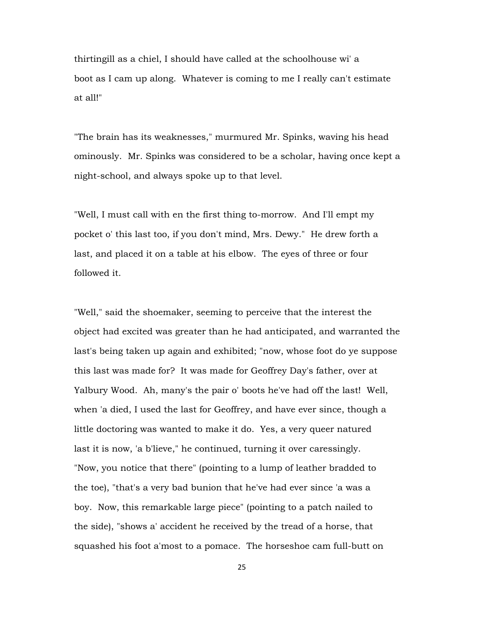thirtingill as a chiel, I should have called at the schoolhouse wi' a boot as I cam up along. Whatever is coming to me I really can't estimate at all!"

"The brain has its weaknesses," murmured Mr. Spinks, waving his head ominously. Mr. Spinks was considered to be a scholar, having once kept a night-school, and always spoke up to that level.

"Well, I must call with en the first thing to-morrow. And I'll empt my pocket o' this last too, if you don't mind, Mrs. Dewy." He drew forth a last, and placed it on a table at his elbow. The eyes of three or four followed it.

"Well," said the shoemaker, seeming to perceive that the interest the object had excited was greater than he had anticipated, and warranted the last's being taken up again and exhibited; "now, whose foot do ye suppose this last was made for? It was made for Geoffrey Day's father, over at Yalbury Wood. Ah, many's the pair o' boots he've had off the last! Well, when 'a died, I used the last for Geoffrey, and have ever since, though a little doctoring was wanted to make it do. Yes, a very queer natured last it is now, 'a b'lieve," he continued, turning it over caressingly. "Now, you notice that there" (pointing to a lump of leather bradded to the toe), "that's a very bad bunion that he've had ever since 'a was a boy. Now, this remarkable large piece" (pointing to a patch nailed to the side), "shows a' accident he received by the tread of a horse, that squashed his foot a'most to a pomace. The horseshoe cam full-butt on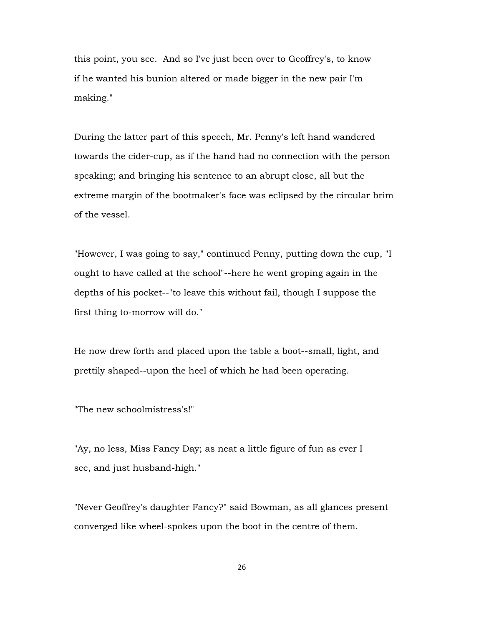this point, you see. And so I've just been over to Geoffrey's, to know if he wanted his bunion altered or made bigger in the new pair I'm making."

During the latter part of this speech, Mr. Penny's left hand wandered towards the cider-cup, as if the hand had no connection with the person speaking; and bringing his sentence to an abrupt close, all but the extreme margin of the bootmaker's face was eclipsed by the circular brim of the vessel.

"However, I was going to say," continued Penny, putting down the cup, "I ought to have called at the school"--here he went groping again in the depths of his pocket--"to leave this without fail, though I suppose the first thing to-morrow will do."

He now drew forth and placed upon the table a boot--small, light, and prettily shaped--upon the heel of which he had been operating.

"The new schoolmistress's!"

"Ay, no less, Miss Fancy Day; as neat a little figure of fun as ever I see, and just husband-high."

"Never Geoffrey's daughter Fancy?" said Bowman, as all glances present converged like wheel-spokes upon the boot in the centre of them.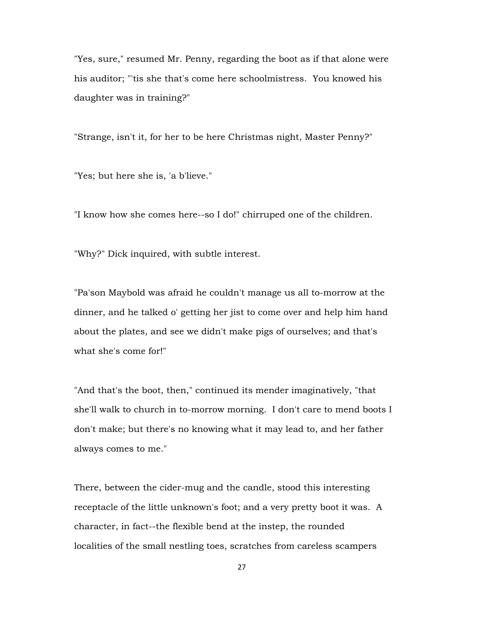"Yes, sure," resumed Mr. Penny, regarding the boot as if that alone were his auditor; "'tis she that's come here schoolmistress. You knowed his daughter was in training?"

"Strange, isn't it, for her to be here Christmas night, Master Penny?"

"Yes; but here she is, 'a b'lieve."

"I know how she comes here--so I do!" chirruped one of the children.

"Why?" Dick inquired, with subtle interest.

"Pa'son Maybold was afraid he couldn't manage us all to-morrow at the dinner, and he talked o' getting her jist to come over and help him hand about the plates, and see we didn't make pigs of ourselves; and that's what she's come for!"

"And that's the boot, then," continued its mender imaginatively, "that she'll walk to church in to-morrow morning. I don't care to mend boots I don't make; but there's no knowing what it may lead to, and her father always comes to me."

There, between the cider-mug and the candle, stood this interesting receptacle of the little unknown's foot; and a very pretty boot it was. A character, in fact--the flexible bend at the instep, the rounded localities of the small nestling toes, scratches from careless scampers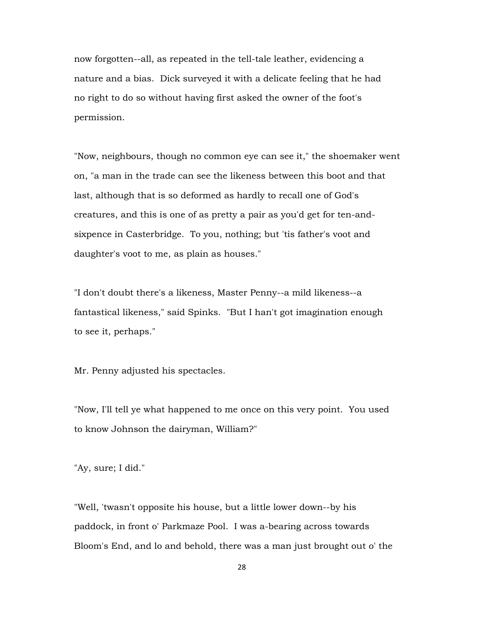now forgotten--all, as repeated in the tell-tale leather, evidencing a nature and a bias. Dick surveyed it with a delicate feeling that he had no right to do so without having first asked the owner of the foot's permission.

"Now, neighbours, though no common eye can see it," the shoemaker went on, "a man in the trade can see the likeness between this boot and that last, although that is so deformed as hardly to recall one of God's creatures, and this is one of as pretty a pair as you'd get for ten-andsixpence in Casterbridge. To you, nothing; but 'tis father's voot and daughter's voot to me, as plain as houses."

"I don't doubt there's a likeness, Master Penny--a mild likeness--a fantastical likeness," said Spinks. "But I han't got imagination enough to see it, perhaps."

Mr. Penny adjusted his spectacles.

"Now, I'll tell ye what happened to me once on this very point. You used to know Johnson the dairyman, William?"

"Ay, sure; I did."

"Well, 'twasn't opposite his house, but a little lower down--by his paddock, in front o' Parkmaze Pool. I was a-bearing across towards Bloom's End, and lo and behold, there was a man just brought out o' the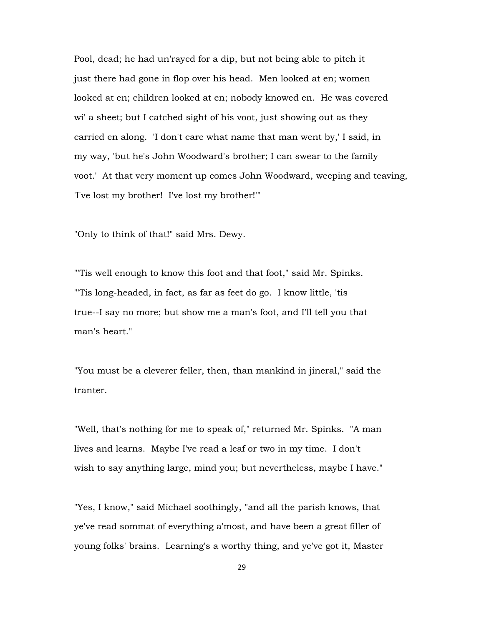Pool, dead; he had un'rayed for a dip, but not being able to pitch it just there had gone in flop over his head. Men looked at en; women looked at en; children looked at en; nobody knowed en. He was covered wi' a sheet; but I catched sight of his voot, just showing out as they carried en along. 'I don't care what name that man went by,' I said, in my way, 'but he's John Woodward's brother; I can swear to the family voot.' At that very moment up comes John Woodward, weeping and teaving, 'I've lost my brother! I've lost my brother!'"

"Only to think of that!" said Mrs. Dewy.

"'Tis well enough to know this foot and that foot," said Mr. Spinks. "'Tis long-headed, in fact, as far as feet do go. I know little, 'tis true--I say no more; but show me a man's foot, and I'll tell you that man's heart."

"You must be a cleverer feller, then, than mankind in jineral," said the tranter.

"Well, that's nothing for me to speak of," returned Mr. Spinks. "A man lives and learns. Maybe I've read a leaf or two in my time. I don't wish to say anything large, mind you; but nevertheless, maybe I have."

"Yes, I know," said Michael soothingly, "and all the parish knows, that ye've read sommat of everything a'most, and have been a great filler of young folks' brains. Learning's a worthy thing, and ye've got it, Master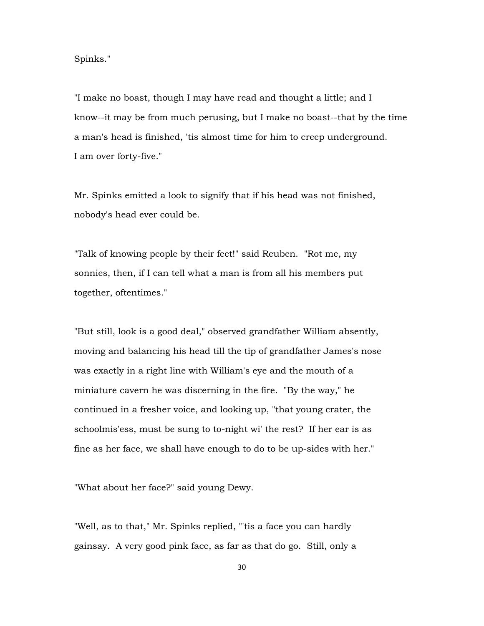Spinks."

"I make no boast, though I may have read and thought a little; and I know--it may be from much perusing, but I make no boast--that by the time a man's head is finished, 'tis almost time for him to creep underground. I am over forty-five."

Mr. Spinks emitted a look to signify that if his head was not finished, nobody's head ever could be.

"Talk of knowing people by their feet!" said Reuben. "Rot me, my sonnies, then, if I can tell what a man is from all his members put together, oftentimes."

"But still, look is a good deal," observed grandfather William absently, moving and balancing his head till the tip of grandfather James's nose was exactly in a right line with William's eye and the mouth of a miniature cavern he was discerning in the fire. "By the way," he continued in a fresher voice, and looking up, "that young crater, the schoolmis'ess, must be sung to to-night wi' the rest? If her ear is as fine as her face, we shall have enough to do to be up-sides with her."

"What about her face?" said young Dewy.

"Well, as to that," Mr. Spinks replied, "'tis a face you can hardly gainsay. A very good pink face, as far as that do go. Still, only a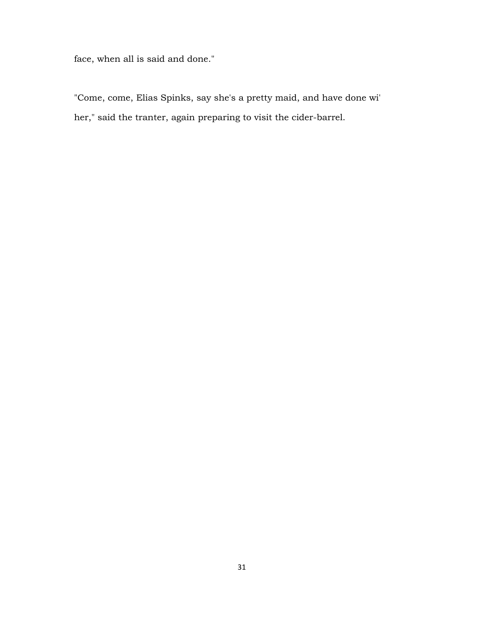face, when all is said and done."

"Come, come, Elias Spinks, say she's a pretty maid, and have done wi' her," said the tranter, again preparing to visit the cider-barrel.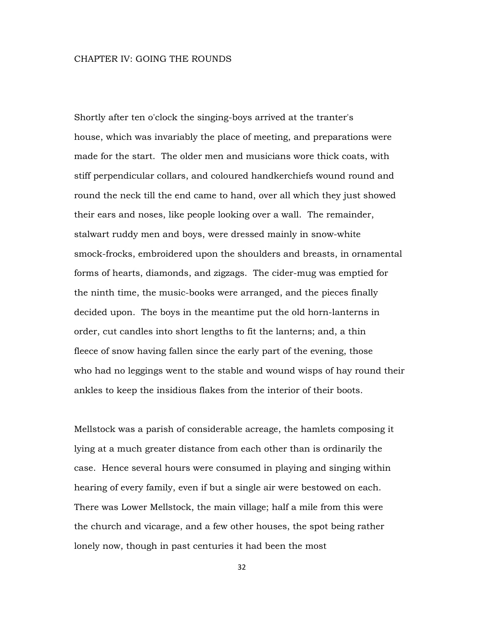## CHAPTER IV: GOING THE ROUNDS

Shortly after ten o'clock the singing-boys arrived at the tranter's house, which was invariably the place of meeting, and preparations were made for the start. The older men and musicians wore thick coats, with stiff perpendicular collars, and coloured handkerchiefs wound round and round the neck till the end came to hand, over all which they just showed their ears and noses, like people looking over a wall. The remainder, stalwart ruddy men and boys, were dressed mainly in snow-white smock-frocks, embroidered upon the shoulders and breasts, in ornamental forms of hearts, diamonds, and zigzags. The cider-mug was emptied for the ninth time, the music-books were arranged, and the pieces finally decided upon. The boys in the meantime put the old horn-lanterns in order, cut candles into short lengths to fit the lanterns; and, a thin fleece of snow having fallen since the early part of the evening, those who had no leggings went to the stable and wound wisps of hay round their ankles to keep the insidious flakes from the interior of their boots.

Mellstock was a parish of considerable acreage, the hamlets composing it lying at a much greater distance from each other than is ordinarily the case. Hence several hours were consumed in playing and singing within hearing of every family, even if but a single air were bestowed on each. There was Lower Mellstock, the main village; half a mile from this were the church and vicarage, and a few other houses, the spot being rather lonely now, though in past centuries it had been the most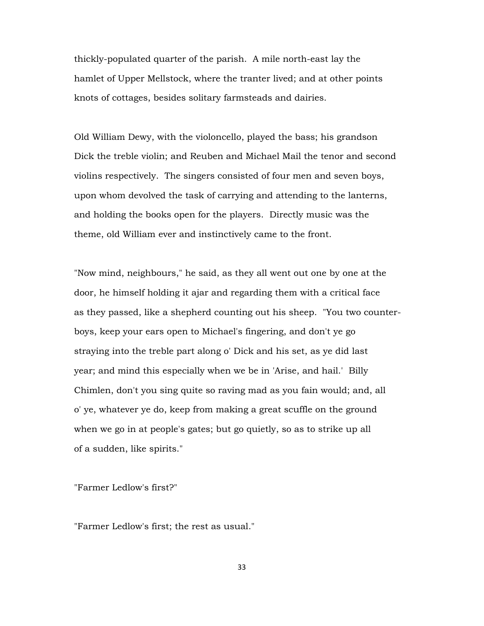thickly-populated quarter of the parish. A mile north-east lay the hamlet of Upper Mellstock, where the tranter lived; and at other points knots of cottages, besides solitary farmsteads and dairies.

Old William Dewy, with the violoncello, played the bass; his grandson Dick the treble violin; and Reuben and Michael Mail the tenor and second violins respectively. The singers consisted of four men and seven boys, upon whom devolved the task of carrying and attending to the lanterns, and holding the books open for the players. Directly music was the theme, old William ever and instinctively came to the front.

"Now mind, neighbours," he said, as they all went out one by one at the door, he himself holding it ajar and regarding them with a critical face as they passed, like a shepherd counting out his sheep. "You two counterboys, keep your ears open to Michael's fingering, and don't ye go straying into the treble part along o' Dick and his set, as ye did last year; and mind this especially when we be in 'Arise, and hail.' Billy Chimlen, don't you sing quite so raving mad as you fain would; and, all o' ye, whatever ye do, keep from making a great scuffle on the ground when we go in at people's gates; but go quietly, so as to strike up all of a sudden, like spirits."

"Farmer Ledlow's first?"

"Farmer Ledlow's first; the rest as usual."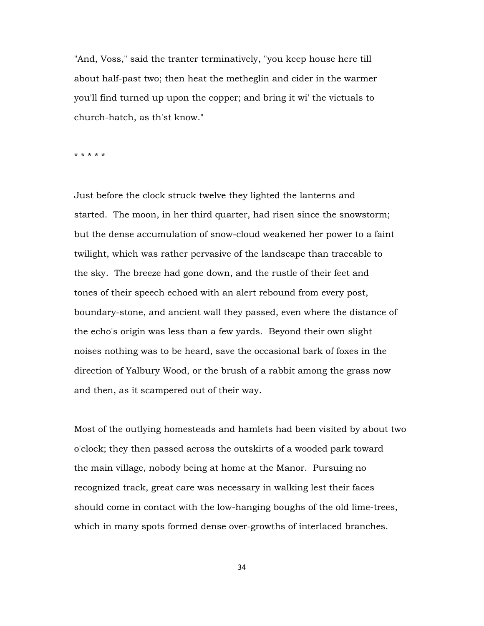"And, Voss," said the tranter terminatively, "you keep house here till about half-past two; then heat the metheglin and cider in the warmer you'll find turned up upon the copper; and bring it wi' the victuals to church-hatch, as th'st know."

\* \* \* \* \*

Just before the clock struck twelve they lighted the lanterns and started. The moon, in her third quarter, had risen since the snowstorm; but the dense accumulation of snow-cloud weakened her power to a faint twilight, which was rather pervasive of the landscape than traceable to the sky. The breeze had gone down, and the rustle of their feet and tones of their speech echoed with an alert rebound from every post, boundary-stone, and ancient wall they passed, even where the distance of the echo's origin was less than a few yards. Beyond their own slight noises nothing was to be heard, save the occasional bark of foxes in the direction of Yalbury Wood, or the brush of a rabbit among the grass now and then, as it scampered out of their way.

Most of the outlying homesteads and hamlets had been visited by about two o'clock; they then passed across the outskirts of a wooded park toward the main village, nobody being at home at the Manor. Pursuing no recognized track, great care was necessary in walking lest their faces should come in contact with the low-hanging boughs of the old lime-trees, which in many spots formed dense over-growths of interlaced branches.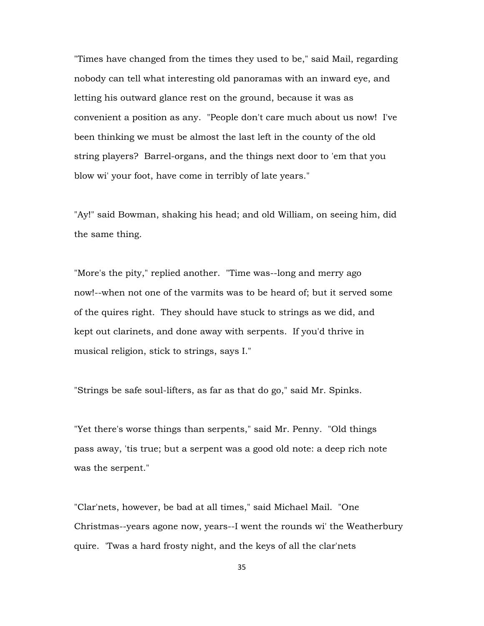"Times have changed from the times they used to be," said Mail, regarding nobody can tell what interesting old panoramas with an inward eye, and letting his outward glance rest on the ground, because it was as convenient a position as any. "People don't care much about us now! I've been thinking we must be almost the last left in the county of the old string players? Barrel-organs, and the things next door to 'em that you blow wi' your foot, have come in terribly of late years."

"Ay!" said Bowman, shaking his head; and old William, on seeing him, did the same thing.

"More's the pity," replied another. "Time was--long and merry ago now!--when not one of the varmits was to be heard of; but it served some of the quires right. They should have stuck to strings as we did, and kept out clarinets, and done away with serpents. If you'd thrive in musical religion, stick to strings, says I."

"Strings be safe soul-lifters, as far as that do go," said Mr. Spinks.

"Yet there's worse things than serpents," said Mr. Penny. "Old things pass away, 'tis true; but a serpent was a good old note: a deep rich note was the serpent."

"Clar'nets, however, be bad at all times," said Michael Mail. "One Christmas--years agone now, years--I went the rounds wi' the Weatherbury quire. 'Twas a hard frosty night, and the keys of all the clar'nets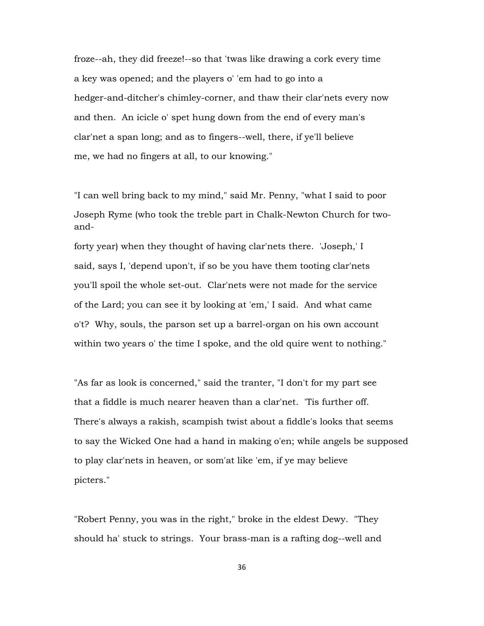froze--ah, they did freeze!--so that 'twas like drawing a cork every time a key was opened; and the players o' 'em had to go into a hedger-and-ditcher's chimley-corner, and thaw their clar'nets every now and then. An icicle o' spet hung down from the end of every man's clar'net a span long; and as to fingers--well, there, if ye'll believe me, we had no fingers at all, to our knowing."

"I can well bring back to my mind," said Mr. Penny, "what I said to poor Joseph Ryme (who took the treble part in Chalk-Newton Church for twoand-

forty year) when they thought of having clar'nets there. 'Joseph,' I said, says I, 'depend upon't, if so be you have them tooting clar'nets you'll spoil the whole set-out. Clar'nets were not made for the service of the Lard; you can see it by looking at 'em,' I said. And what came o't? Why, souls, the parson set up a barrel-organ on his own account within two years o' the time I spoke, and the old quire went to nothing."

"As far as look is concerned," said the tranter, "I don't for my part see that a fiddle is much nearer heaven than a clar'net. 'Tis further off. There's always a rakish, scampish twist about a fiddle's looks that seems to say the Wicked One had a hand in making o'en; while angels be supposed to play clar'nets in heaven, or som'at like 'em, if ye may believe picters."

"Robert Penny, you was in the right," broke in the eldest Dewy. "They should ha' stuck to strings. Your brass-man is a rafting dog--well and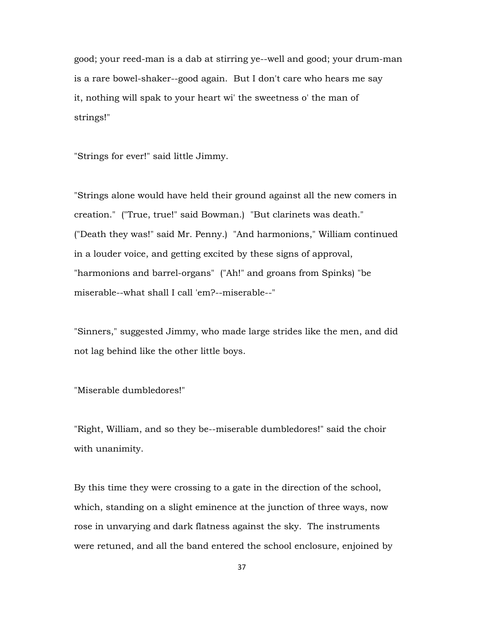good; your reed-man is a dab at stirring ye--well and good; your drum-man is a rare bowel-shaker--good again. But I don't care who hears me say it, nothing will spak to your heart wi' the sweetness o' the man of strings!"

"Strings for ever!" said little Jimmy.

"Strings alone would have held their ground against all the new comers in creation." ("True, true!" said Bowman.) "But clarinets was death." ("Death they was!" said Mr. Penny.) "And harmonions," William continued in a louder voice, and getting excited by these signs of approval, "harmonions and barrel-organs" ("Ah!" and groans from Spinks) "be miserable--what shall I call 'em?--miserable--"

"Sinners," suggested Jimmy, who made large strides like the men, and did not lag behind like the other little boys.

"Miserable dumbledores!"

"Right, William, and so they be--miserable dumbledores!" said the choir with unanimity.

By this time they were crossing to a gate in the direction of the school, which, standing on a slight eminence at the junction of three ways, now rose in unvarying and dark flatness against the sky. The instruments were retuned, and all the band entered the school enclosure, enjoined by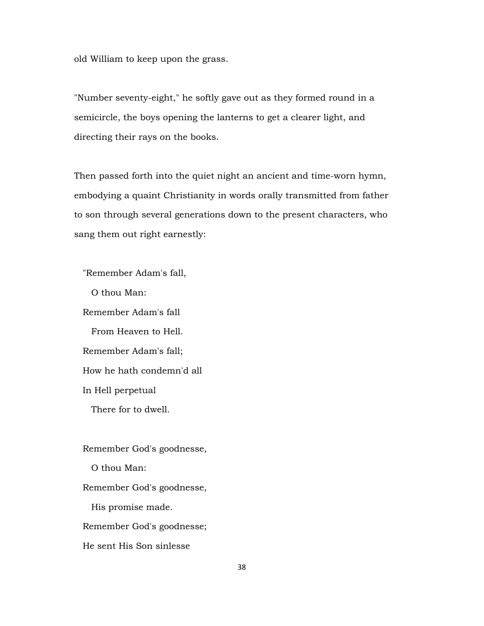old William to keep upon the grass.

"Number seventy-eight," he softly gave out as they formed round in a semicircle, the boys opening the lanterns to get a clearer light, and directing their rays on the books.

Then passed forth into the quiet night an ancient and time-worn hymn, embodying a quaint Christianity in words orally transmitted from father to son through several generations down to the present characters, who sang them out right earnestly:

"Remember Adam's fall,

O thou Man:

 Remember Adam's fall From Heaven to Hell. Remember Adam's fall; How he hath condemn'd all In Hell perpetual There for to dwell.

Remember God's goodnesse,

O thou Man:

Remember God's goodnesse,

His promise made.

Remember God's goodnesse;

He sent His Son sinlesse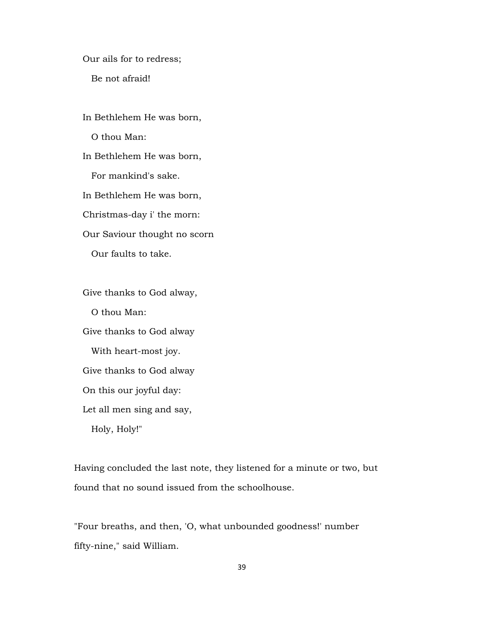Our ails for to redress;

Be not afraid!

 In Bethlehem He was born, O thou Man: In Bethlehem He was born, For mankind's sake. In Bethlehem He was born, Christmas-day i' the morn: Our Saviour thought no scorn Our faults to take.

 Give thanks to God alway, O thou Man: Give thanks to God alway With heart-most joy. Give thanks to God alway On this our joyful day: Let all men sing and say, Holy, Holy!"

Having concluded the last note, they listened for a minute or two, but found that no sound issued from the schoolhouse.

"Four breaths, and then, 'O, what unbounded goodness!' number fifty-nine," said William.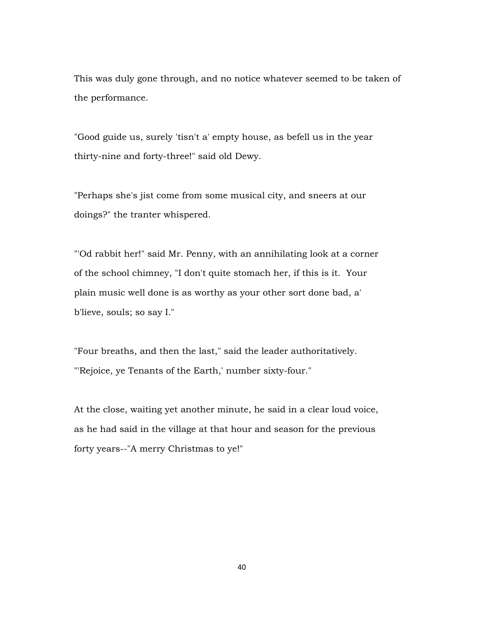This was duly gone through, and no notice whatever seemed to be taken of the performance.

"Good guide us, surely 'tisn't a' empty house, as befell us in the year thirty-nine and forty-three!" said old Dewy.

"Perhaps she's jist come from some musical city, and sneers at our doings?" the tranter whispered.

"'Od rabbit her!" said Mr. Penny, with an annihilating look at a corner of the school chimney, "I don't quite stomach her, if this is it. Your plain music well done is as worthy as your other sort done bad, a' b'lieve, souls; so say I."

"Four breaths, and then the last," said the leader authoritatively. "'Rejoice, ye Tenants of the Earth,' number sixty-four."

At the close, waiting yet another minute, he said in a clear loud voice, as he had said in the village at that hour and season for the previous forty years--"A merry Christmas to ye!"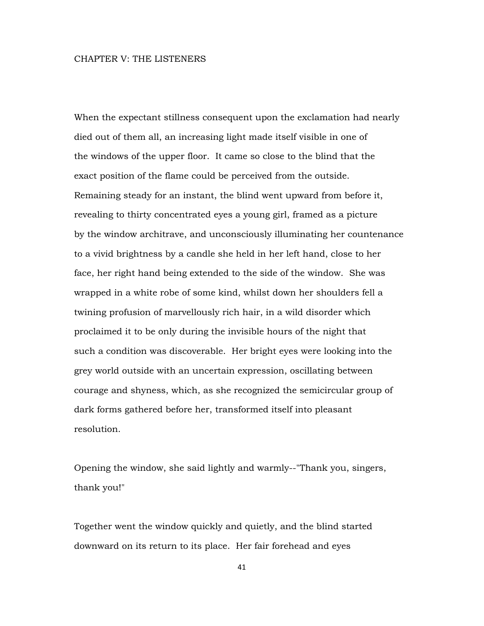#### CHAPTER V: THE LISTENERS

When the expectant stillness consequent upon the exclamation had nearly died out of them all, an increasing light made itself visible in one of the windows of the upper floor. It came so close to the blind that the exact position of the flame could be perceived from the outside. Remaining steady for an instant, the blind went upward from before it, revealing to thirty concentrated eyes a young girl, framed as a picture by the window architrave, and unconsciously illuminating her countenance to a vivid brightness by a candle she held in her left hand, close to her face, her right hand being extended to the side of the window. She was wrapped in a white robe of some kind, whilst down her shoulders fell a twining profusion of marvellously rich hair, in a wild disorder which proclaimed it to be only during the invisible hours of the night that such a condition was discoverable. Her bright eyes were looking into the grey world outside with an uncertain expression, oscillating between courage and shyness, which, as she recognized the semicircular group of dark forms gathered before her, transformed itself into pleasant resolution.

Opening the window, she said lightly and warmly--"Thank you, singers, thank you!"

Together went the window quickly and quietly, and the blind started downward on its return to its place. Her fair forehead and eyes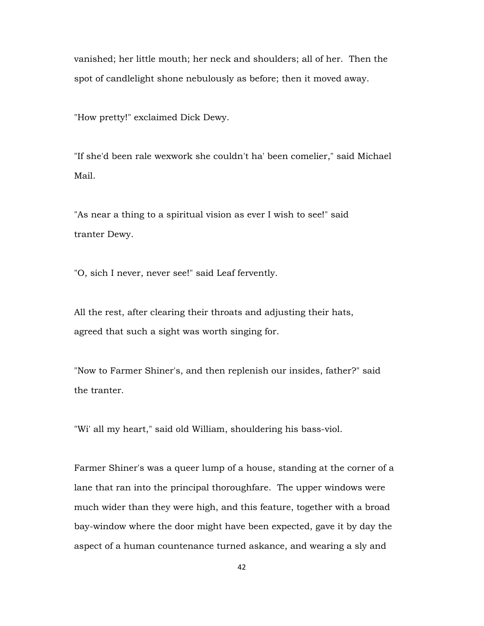vanished; her little mouth; her neck and shoulders; all of her. Then the spot of candlelight shone nebulously as before; then it moved away.

"How pretty!" exclaimed Dick Dewy.

"If she'd been rale wexwork she couldn't ha' been comelier," said Michael Mail.

"As near a thing to a spiritual vision as ever I wish to see!" said tranter Dewy.

"O, sich I never, never see!" said Leaf fervently.

All the rest, after clearing their throats and adjusting their hats, agreed that such a sight was worth singing for.

"Now to Farmer Shiner's, and then replenish our insides, father?" said the tranter.

"Wi' all my heart," said old William, shouldering his bass-viol.

Farmer Shiner's was a queer lump of a house, standing at the corner of a lane that ran into the principal thoroughfare. The upper windows were much wider than they were high, and this feature, together with a broad bay-window where the door might have been expected, gave it by day the aspect of a human countenance turned askance, and wearing a sly and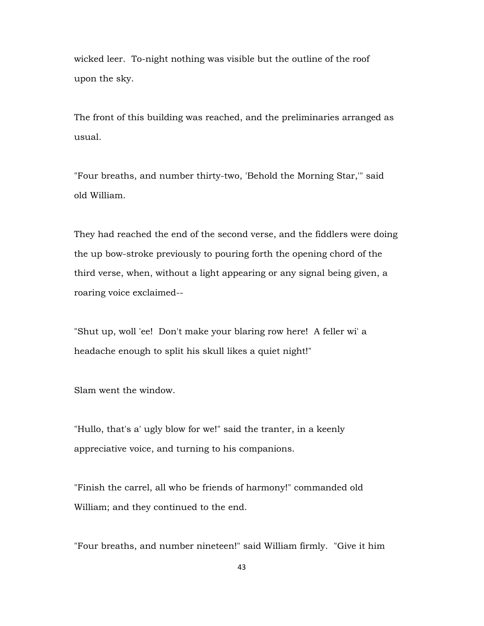wicked leer. To-night nothing was visible but the outline of the roof upon the sky.

The front of this building was reached, and the preliminaries arranged as usual.

"Four breaths, and number thirty-two, 'Behold the Morning Star,'" said old William.

They had reached the end of the second verse, and the fiddlers were doing the up bow-stroke previously to pouring forth the opening chord of the third verse, when, without a light appearing or any signal being given, a roaring voice exclaimed--

"Shut up, woll 'ee! Don't make your blaring row here! A feller wi' a headache enough to split his skull likes a quiet night!"

Slam went the window.

"Hullo, that's a' ugly blow for we!" said the tranter, in a keenly appreciative voice, and turning to his companions.

"Finish the carrel, all who be friends of harmony!" commanded old William; and they continued to the end.

"Four breaths, and number nineteen!" said William firmly. "Give it him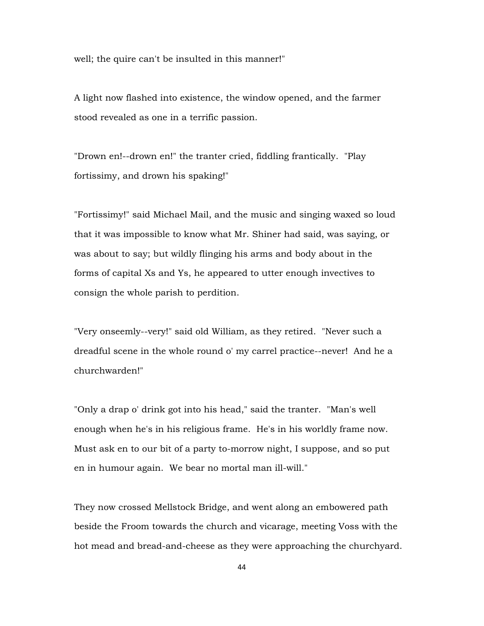well; the quire can't be insulted in this manner!"

A light now flashed into existence, the window opened, and the farmer stood revealed as one in a terrific passion.

"Drown en!--drown en!" the tranter cried, fiddling frantically. "Play fortissimy, and drown his spaking!"

"Fortissimy!" said Michael Mail, and the music and singing waxed so loud that it was impossible to know what Mr. Shiner had said, was saying, or was about to say; but wildly flinging his arms and body about in the forms of capital Xs and Ys, he appeared to utter enough invectives to consign the whole parish to perdition.

"Very onseemly--very!" said old William, as they retired. "Never such a dreadful scene in the whole round o' my carrel practice--never! And he a churchwarden!"

"Only a drap o' drink got into his head," said the tranter. "Man's well enough when he's in his religious frame. He's in his worldly frame now. Must ask en to our bit of a party to-morrow night, I suppose, and so put en in humour again. We bear no mortal man ill-will."

They now crossed Mellstock Bridge, and went along an embowered path beside the Froom towards the church and vicarage, meeting Voss with the hot mead and bread-and-cheese as they were approaching the churchyard.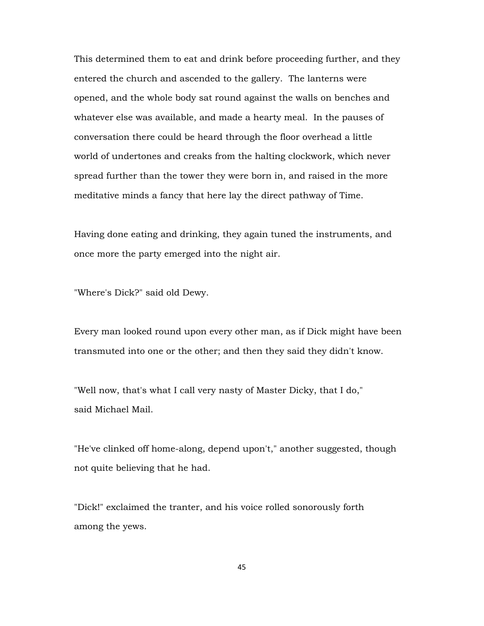This determined them to eat and drink before proceeding further, and they entered the church and ascended to the gallery. The lanterns were opened, and the whole body sat round against the walls on benches and whatever else was available, and made a hearty meal. In the pauses of conversation there could be heard through the floor overhead a little world of undertones and creaks from the halting clockwork, which never spread further than the tower they were born in, and raised in the more meditative minds a fancy that here lay the direct pathway of Time.

Having done eating and drinking, they again tuned the instruments, and once more the party emerged into the night air.

"Where's Dick?" said old Dewy.

Every man looked round upon every other man, as if Dick might have been transmuted into one or the other; and then they said they didn't know.

"Well now, that's what I call very nasty of Master Dicky, that I do," said Michael Mail.

"He've clinked off home-along, depend upon't," another suggested, though not quite believing that he had.

"Dick!" exclaimed the tranter, and his voice rolled sonorously forth among the yews.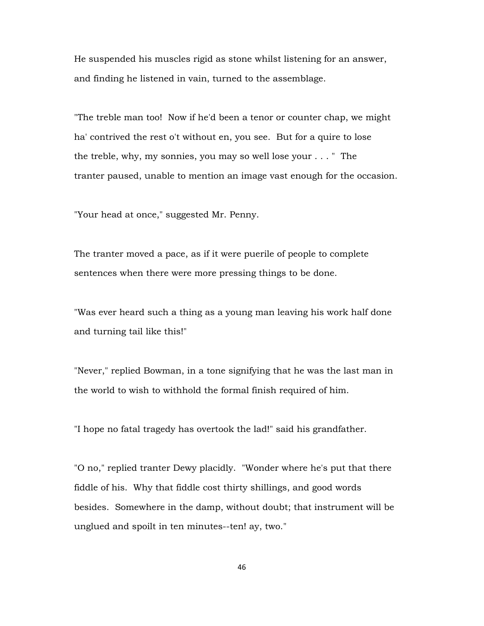He suspended his muscles rigid as stone whilst listening for an answer, and finding he listened in vain, turned to the assemblage.

"The treble man too! Now if he'd been a tenor or counter chap, we might ha' contrived the rest o't without en, you see. But for a quire to lose the treble, why, my sonnies, you may so well lose your . . . " The tranter paused, unable to mention an image vast enough for the occasion.

"Your head at once," suggested Mr. Penny.

The tranter moved a pace, as if it were puerile of people to complete sentences when there were more pressing things to be done.

"Was ever heard such a thing as a young man leaving his work half done and turning tail like this!"

"Never," replied Bowman, in a tone signifying that he was the last man in the world to wish to withhold the formal finish required of him.

"I hope no fatal tragedy has overtook the lad!" said his grandfather.

"O no," replied tranter Dewy placidly. "Wonder where he's put that there fiddle of his. Why that fiddle cost thirty shillings, and good words besides. Somewhere in the damp, without doubt; that instrument will be unglued and spoilt in ten minutes--ten! ay, two."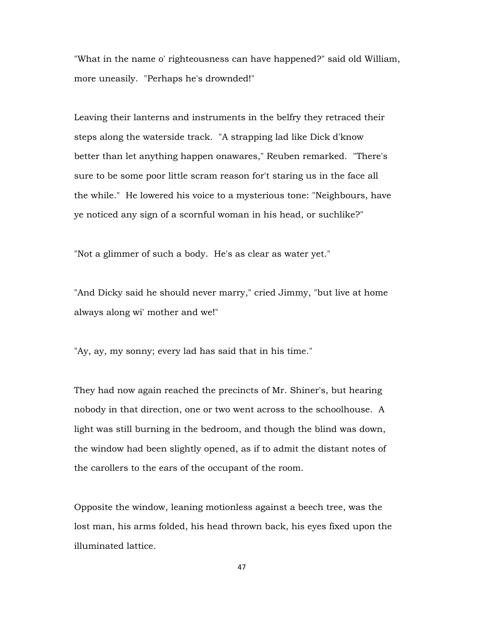"What in the name o' righteousness can have happened?" said old William, more uneasily. "Perhaps he's drownded!"

Leaving their lanterns and instruments in the belfry they retraced their steps along the waterside track. "A strapping lad like Dick d'know better than let anything happen onawares," Reuben remarked. "There's sure to be some poor little scram reason for't staring us in the face all the while." He lowered his voice to a mysterious tone: "Neighbours, have ye noticed any sign of a scornful woman in his head, or suchlike?"

"Not a glimmer of such a body. He's as clear as water yet."

"And Dicky said he should never marry," cried Jimmy, "but live at home always along wi' mother and we!"

"Ay, ay, my sonny; every lad has said that in his time."

They had now again reached the precincts of Mr. Shiner's, but hearing nobody in that direction, one or two went across to the schoolhouse. A light was still burning in the bedroom, and though the blind was down, the window had been slightly opened, as if to admit the distant notes of the carollers to the ears of the occupant of the room.

Opposite the window, leaning motionless against a beech tree, was the lost man, his arms folded, his head thrown back, his eyes fixed upon the illuminated lattice.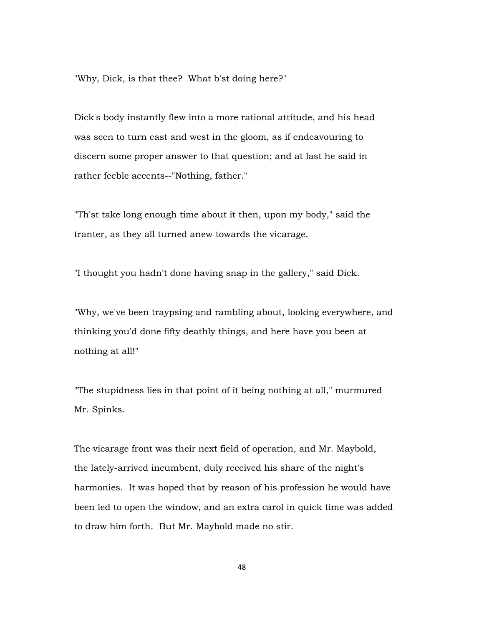"Why, Dick, is that thee? What b'st doing here?"

Dick's body instantly flew into a more rational attitude, and his head was seen to turn east and west in the gloom, as if endeavouring to discern some proper answer to that question; and at last he said in rather feeble accents--"Nothing, father."

"Th'st take long enough time about it then, upon my body," said the tranter, as they all turned anew towards the vicarage.

"I thought you hadn't done having snap in the gallery," said Dick.

"Why, we've been traypsing and rambling about, looking everywhere, and thinking you'd done fifty deathly things, and here have you been at nothing at all!"

"The stupidness lies in that point of it being nothing at all," murmured Mr. Spinks.

The vicarage front was their next field of operation, and Mr. Maybold, the lately-arrived incumbent, duly received his share of the night's harmonies. It was hoped that by reason of his profession he would have been led to open the window, and an extra carol in quick time was added to draw him forth. But Mr. Maybold made no stir.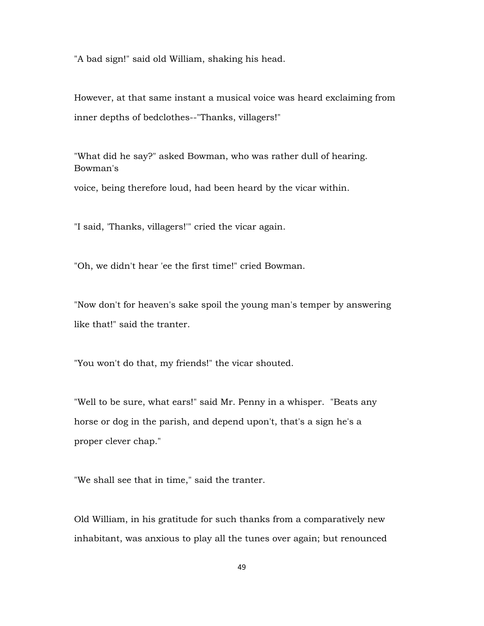"A bad sign!" said old William, shaking his head.

However, at that same instant a musical voice was heard exclaiming from inner depths of bedclothes--"Thanks, villagers!"

"What did he say?" asked Bowman, who was rather dull of hearing. Bowman's

voice, being therefore loud, had been heard by the vicar within.

"I said, 'Thanks, villagers!'" cried the vicar again.

"Oh, we didn't hear 'ee the first time!" cried Bowman.

"Now don't for heaven's sake spoil the young man's temper by answering like that!" said the tranter.

"You won't do that, my friends!" the vicar shouted.

"Well to be sure, what ears!" said Mr. Penny in a whisper. "Beats any horse or dog in the parish, and depend upon't, that's a sign he's a proper clever chap."

"We shall see that in time," said the tranter.

Old William, in his gratitude for such thanks from a comparatively new inhabitant, was anxious to play all the tunes over again; but renounced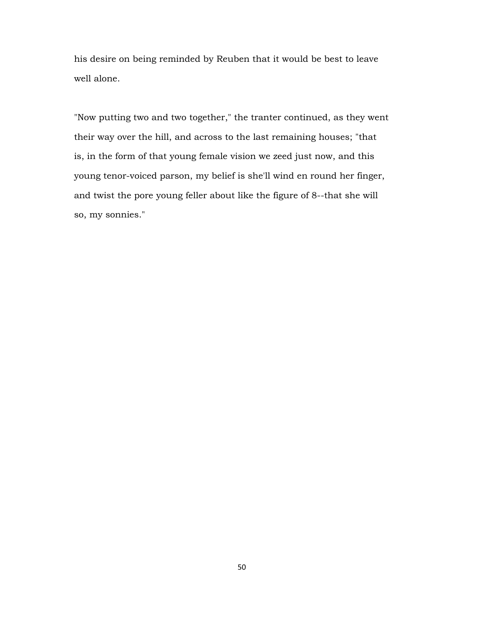his desire on being reminded by Reuben that it would be best to leave well alone.

"Now putting two and two together," the tranter continued, as they went their way over the hill, and across to the last remaining houses; "that is, in the form of that young female vision we zeed just now, and this young tenor-voiced parson, my belief is she'll wind en round her finger, and twist the pore young feller about like the figure of 8--that she will so, my sonnies."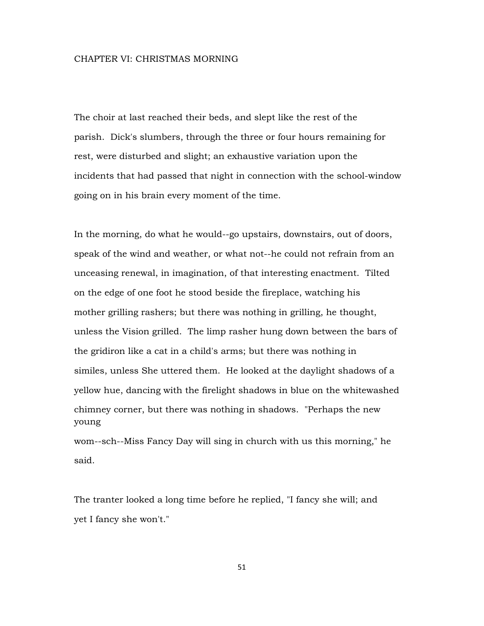## CHAPTER VI: CHRISTMAS MORNING

The choir at last reached their beds, and slept like the rest of the parish. Dick's slumbers, through the three or four hours remaining for rest, were disturbed and slight; an exhaustive variation upon the incidents that had passed that night in connection with the school-window going on in his brain every moment of the time.

In the morning, do what he would--go upstairs, downstairs, out of doors, speak of the wind and weather, or what not--he could not refrain from an unceasing renewal, in imagination, of that interesting enactment. Tilted on the edge of one foot he stood beside the fireplace, watching his mother grilling rashers; but there was nothing in grilling, he thought, unless the Vision grilled. The limp rasher hung down between the bars of the gridiron like a cat in a child's arms; but there was nothing in similes, unless She uttered them. He looked at the daylight shadows of a yellow hue, dancing with the firelight shadows in blue on the whitewashed chimney corner, but there was nothing in shadows. "Perhaps the new young

wom--sch--Miss Fancy Day will sing in church with us this morning," he said.

The tranter looked a long time before he replied, "I fancy she will; and yet I fancy she won't."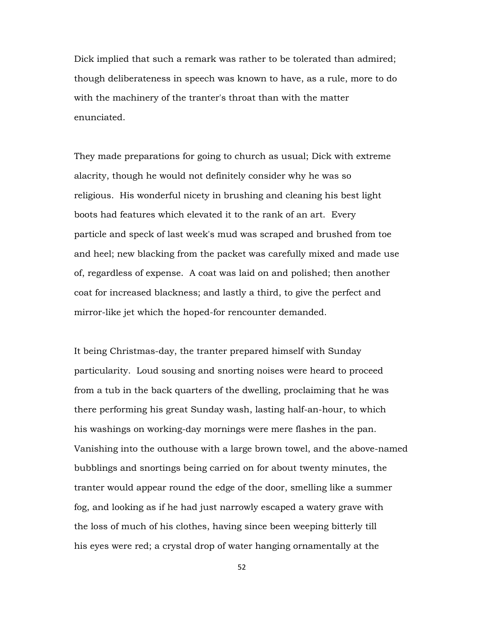Dick implied that such a remark was rather to be tolerated than admired; though deliberateness in speech was known to have, as a rule, more to do with the machinery of the tranter's throat than with the matter enunciated.

They made preparations for going to church as usual; Dick with extreme alacrity, though he would not definitely consider why he was so religious. His wonderful nicety in brushing and cleaning his best light boots had features which elevated it to the rank of an art. Every particle and speck of last week's mud was scraped and brushed from toe and heel; new blacking from the packet was carefully mixed and made use of, regardless of expense. A coat was laid on and polished; then another coat for increased blackness; and lastly a third, to give the perfect and mirror-like jet which the hoped-for rencounter demanded.

It being Christmas-day, the tranter prepared himself with Sunday particularity. Loud sousing and snorting noises were heard to proceed from a tub in the back quarters of the dwelling, proclaiming that he was there performing his great Sunday wash, lasting half-an-hour, to which his washings on working-day mornings were mere flashes in the pan. Vanishing into the outhouse with a large brown towel, and the above-named bubblings and snortings being carried on for about twenty minutes, the tranter would appear round the edge of the door, smelling like a summer fog, and looking as if he had just narrowly escaped a watery grave with the loss of much of his clothes, having since been weeping bitterly till his eyes were red; a crystal drop of water hanging ornamentally at the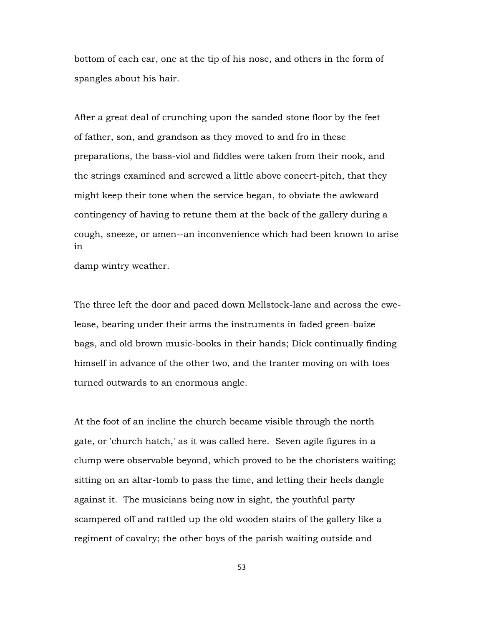bottom of each ear, one at the tip of his nose, and others in the form of spangles about his hair.

After a great deal of crunching upon the sanded stone floor by the feet of father, son, and grandson as they moved to and fro in these preparations, the bass-viol and fiddles were taken from their nook, and the strings examined and screwed a little above concert-pitch, that they might keep their tone when the service began, to obviate the awkward contingency of having to retune them at the back of the gallery during a cough, sneeze, or amen--an inconvenience which had been known to arise in

damp wintry weather.

The three left the door and paced down Mellstock-lane and across the ewelease, bearing under their arms the instruments in faded green-baize bags, and old brown music-books in their hands; Dick continually finding himself in advance of the other two, and the tranter moving on with toes turned outwards to an enormous angle.

At the foot of an incline the church became visible through the north gate, or 'church hatch,' as it was called here. Seven agile figures in a clump were observable beyond, which proved to be the choristers waiting; sitting on an altar-tomb to pass the time, and letting their heels dangle against it. The musicians being now in sight, the youthful party scampered off and rattled up the old wooden stairs of the gallery like a regiment of cavalry; the other boys of the parish waiting outside and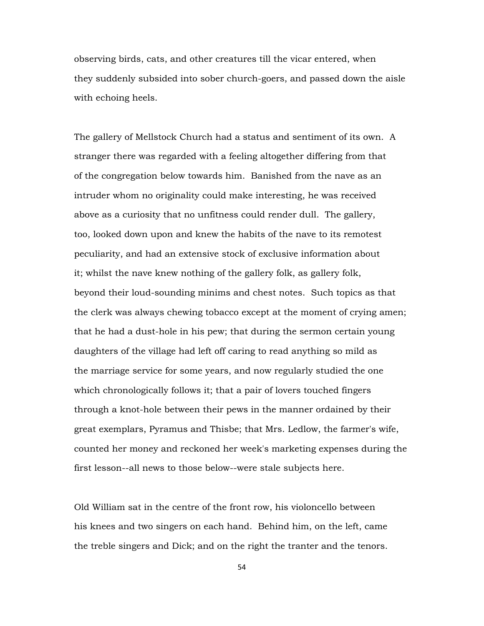observing birds, cats, and other creatures till the vicar entered, when they suddenly subsided into sober church-goers, and passed down the aisle with echoing heels.

The gallery of Mellstock Church had a status and sentiment of its own. A stranger there was regarded with a feeling altogether differing from that of the congregation below towards him. Banished from the nave as an intruder whom no originality could make interesting, he was received above as a curiosity that no unfitness could render dull. The gallery, too, looked down upon and knew the habits of the nave to its remotest peculiarity, and had an extensive stock of exclusive information about it; whilst the nave knew nothing of the gallery folk, as gallery folk, beyond their loud-sounding minims and chest notes. Such topics as that the clerk was always chewing tobacco except at the moment of crying amen; that he had a dust-hole in his pew; that during the sermon certain young daughters of the village had left off caring to read anything so mild as the marriage service for some years, and now regularly studied the one which chronologically follows it; that a pair of lovers touched fingers through a knot-hole between their pews in the manner ordained by their great exemplars, Pyramus and Thisbe; that Mrs. Ledlow, the farmer's wife, counted her money and reckoned her week's marketing expenses during the first lesson--all news to those below--were stale subjects here.

Old William sat in the centre of the front row, his violoncello between his knees and two singers on each hand. Behind him, on the left, came the treble singers and Dick; and on the right the tranter and the tenors.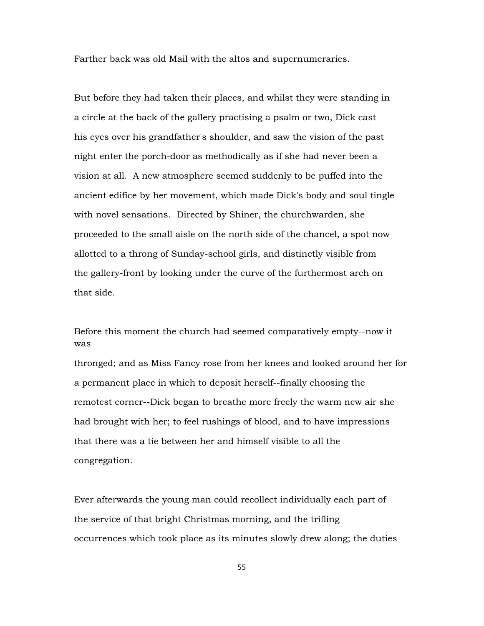Farther back was old Mail with the altos and supernumeraries.

But before they had taken their places, and whilst they were standing in a circle at the back of the gallery practising a psalm or two, Dick cast his eyes over his grandfather's shoulder, and saw the vision of the past night enter the porch-door as methodically as if she had never been a vision at all. A new atmosphere seemed suddenly to be puffed into the ancient edifice by her movement, which made Dick's body and soul tingle with novel sensations. Directed by Shiner, the churchwarden, she proceeded to the small aisle on the north side of the chancel, a spot now allotted to a throng of Sunday-school girls, and distinctly visible from the gallery-front by looking under the curve of the furthermost arch on that side.

Before this moment the church had seemed comparatively empty--now it was

thronged; and as Miss Fancy rose from her knees and looked around her for a permanent place in which to deposit herself--finally choosing the remotest corner--Dick began to breathe more freely the warm new air she had brought with her; to feel rushings of blood, and to have impressions that there was a tie between her and himself visible to all the congregation.

Ever afterwards the young man could recollect individually each part of the service of that bright Christmas morning, and the trifling occurrences which took place as its minutes slowly drew along; the duties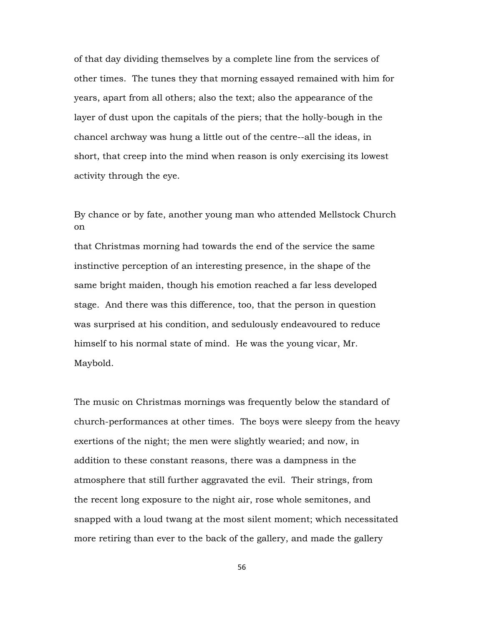of that day dividing themselves by a complete line from the services of other times. The tunes they that morning essayed remained with him for years, apart from all others; also the text; also the appearance of the layer of dust upon the capitals of the piers; that the holly-bough in the chancel archway was hung a little out of the centre--all the ideas, in short, that creep into the mind when reason is only exercising its lowest activity through the eye.

# By chance or by fate, another young man who attended Mellstock Church on

that Christmas morning had towards the end of the service the same instinctive perception of an interesting presence, in the shape of the same bright maiden, though his emotion reached a far less developed stage. And there was this difference, too, that the person in question was surprised at his condition, and sedulously endeavoured to reduce himself to his normal state of mind. He was the young vicar, Mr. Maybold.

The music on Christmas mornings was frequently below the standard of church-performances at other times. The boys were sleepy from the heavy exertions of the night; the men were slightly wearied; and now, in addition to these constant reasons, there was a dampness in the atmosphere that still further aggravated the evil. Their strings, from the recent long exposure to the night air, rose whole semitones, and snapped with a loud twang at the most silent moment; which necessitated more retiring than ever to the back of the gallery, and made the gallery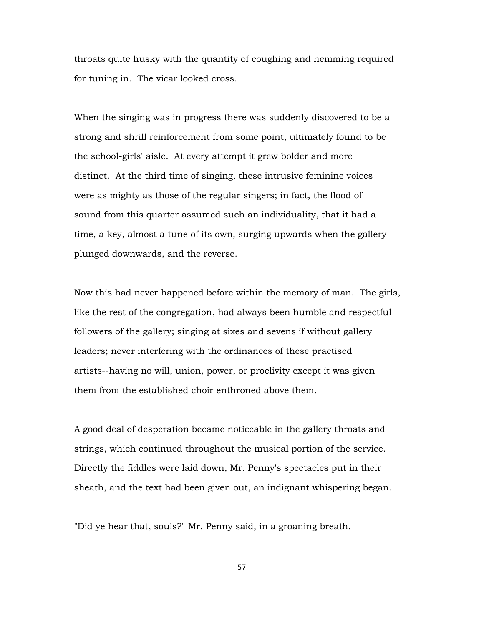throats quite husky with the quantity of coughing and hemming required for tuning in. The vicar looked cross.

When the singing was in progress there was suddenly discovered to be a strong and shrill reinforcement from some point, ultimately found to be the school-girls' aisle. At every attempt it grew bolder and more distinct. At the third time of singing, these intrusive feminine voices were as mighty as those of the regular singers; in fact, the flood of sound from this quarter assumed such an individuality, that it had a time, a key, almost a tune of its own, surging upwards when the gallery plunged downwards, and the reverse.

Now this had never happened before within the memory of man. The girls, like the rest of the congregation, had always been humble and respectful followers of the gallery; singing at sixes and sevens if without gallery leaders; never interfering with the ordinances of these practised artists--having no will, union, power, or proclivity except it was given them from the established choir enthroned above them.

A good deal of desperation became noticeable in the gallery throats and strings, which continued throughout the musical portion of the service. Directly the fiddles were laid down, Mr. Penny's spectacles put in their sheath, and the text had been given out, an indignant whispering began.

"Did ye hear that, souls?" Mr. Penny said, in a groaning breath.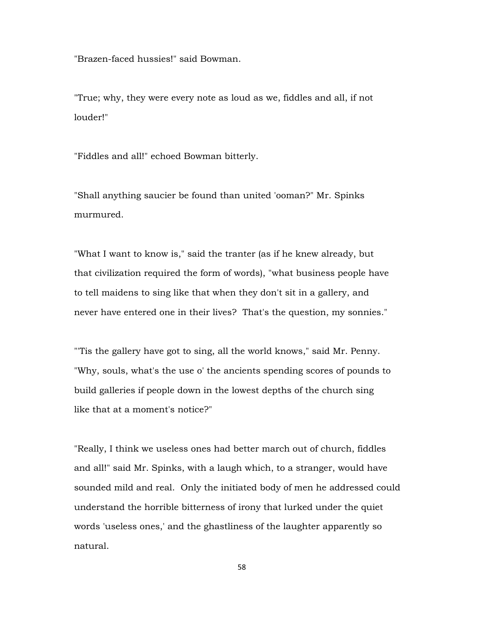"Brazen-faced hussies!" said Bowman.

"True; why, they were every note as loud as we, fiddles and all, if not louder!"

"Fiddles and all!" echoed Bowman bitterly.

"Shall anything saucier be found than united 'ooman?" Mr. Spinks murmured.

"What I want to know is," said the tranter (as if he knew already, but that civilization required the form of words), "what business people have to tell maidens to sing like that when they don't sit in a gallery, and never have entered one in their lives? That's the question, my sonnies."

"'Tis the gallery have got to sing, all the world knows," said Mr. Penny. "Why, souls, what's the use o' the ancients spending scores of pounds to build galleries if people down in the lowest depths of the church sing like that at a moment's notice?"

"Really, I think we useless ones had better march out of church, fiddles and all!" said Mr. Spinks, with a laugh which, to a stranger, would have sounded mild and real. Only the initiated body of men he addressed could understand the horrible bitterness of irony that lurked under the quiet words 'useless ones,' and the ghastliness of the laughter apparently so natural.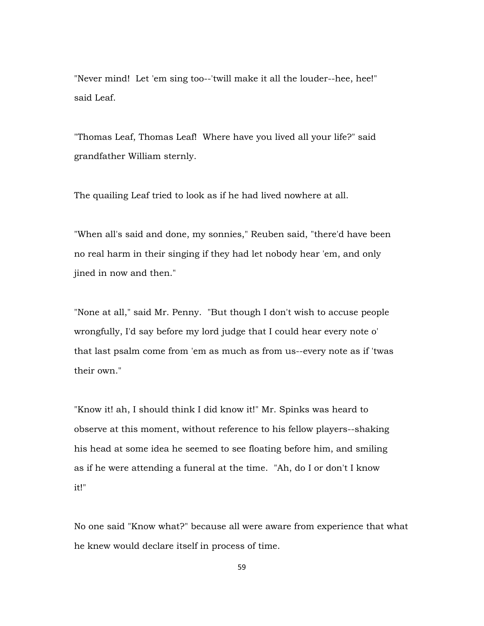"Never mind! Let 'em sing too--'twill make it all the louder--hee, hee!" said Leaf.

"Thomas Leaf, Thomas Leaf! Where have you lived all your life?" said grandfather William sternly.

The quailing Leaf tried to look as if he had lived nowhere at all.

"When all's said and done, my sonnies," Reuben said, "there'd have been no real harm in their singing if they had let nobody hear 'em, and only jined in now and then."

"None at all," said Mr. Penny. "But though I don't wish to accuse people wrongfully, I'd say before my lord judge that I could hear every note o' that last psalm come from 'em as much as from us--every note as if 'twas their own."

"Know it! ah, I should think I did know it!" Mr. Spinks was heard to observe at this moment, without reference to his fellow players--shaking his head at some idea he seemed to see floating before him, and smiling as if he were attending a funeral at the time. "Ah, do I or don't I know it!"

No one said "Know what?" because all were aware from experience that what he knew would declare itself in process of time.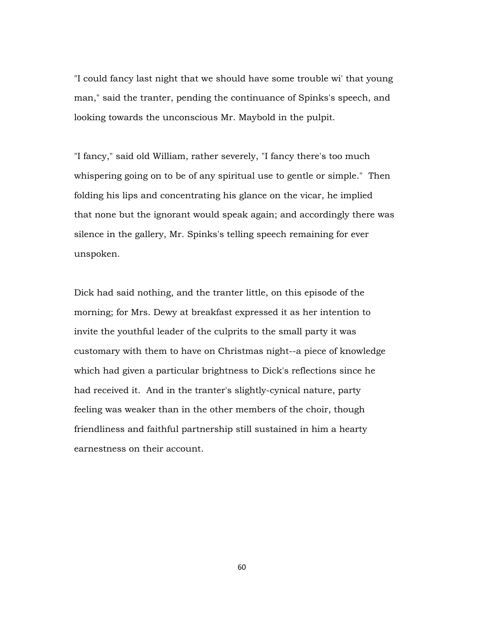"I could fancy last night that we should have some trouble wi' that young man," said the tranter, pending the continuance of Spinks's speech, and looking towards the unconscious Mr. Maybold in the pulpit.

"I fancy," said old William, rather severely, "I fancy there's too much whispering going on to be of any spiritual use to gentle or simple." Then folding his lips and concentrating his glance on the vicar, he implied that none but the ignorant would speak again; and accordingly there was silence in the gallery, Mr. Spinks's telling speech remaining for ever unspoken.

Dick had said nothing, and the tranter little, on this episode of the morning; for Mrs. Dewy at breakfast expressed it as her intention to invite the youthful leader of the culprits to the small party it was customary with them to have on Christmas night--a piece of knowledge which had given a particular brightness to Dick's reflections since he had received it. And in the tranter's slightly-cynical nature, party feeling was weaker than in the other members of the choir, though friendliness and faithful partnership still sustained in him a hearty earnestness on their account.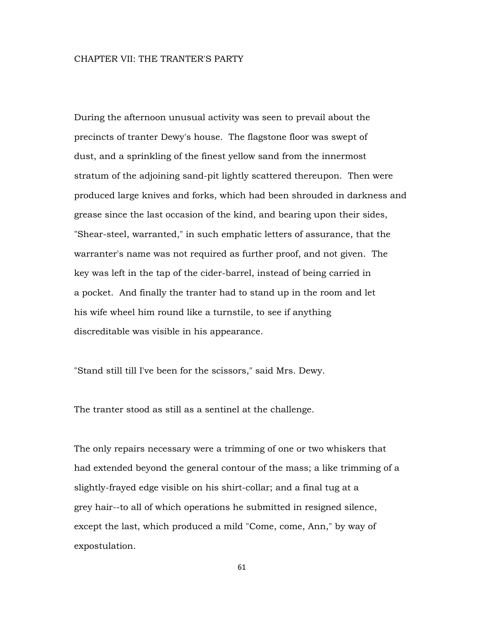### CHAPTER VII: THE TRANTER'S PARTY

During the afternoon unusual activity was seen to prevail about the precincts of tranter Dewy's house. The flagstone floor was swept of dust, and a sprinkling of the finest yellow sand from the innermost stratum of the adjoining sand-pit lightly scattered thereupon. Then were produced large knives and forks, which had been shrouded in darkness and grease since the last occasion of the kind, and bearing upon their sides, "Shear-steel, warranted," in such emphatic letters of assurance, that the warranter's name was not required as further proof, and not given. The key was left in the tap of the cider-barrel, instead of being carried in a pocket. And finally the tranter had to stand up in the room and let his wife wheel him round like a turnstile, to see if anything discreditable was visible in his appearance.

"Stand still till I've been for the scissors," said Mrs. Dewy.

The tranter stood as still as a sentinel at the challenge.

The only repairs necessary were a trimming of one or two whiskers that had extended beyond the general contour of the mass; a like trimming of a slightly-frayed edge visible on his shirt-collar; and a final tug at a grey hair--to all of which operations he submitted in resigned silence, except the last, which produced a mild "Come, come, Ann," by way of expostulation.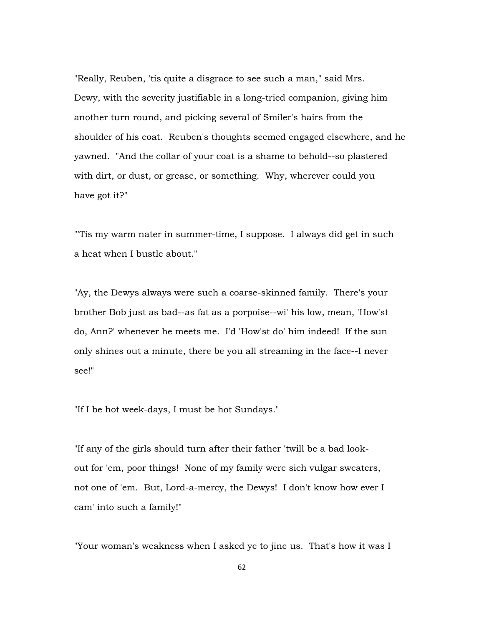"Really, Reuben, 'tis quite a disgrace to see such a man," said Mrs. Dewy, with the severity justifiable in a long-tried companion, giving him another turn round, and picking several of Smiler's hairs from the shoulder of his coat. Reuben's thoughts seemed engaged elsewhere, and he yawned. "And the collar of your coat is a shame to behold--so plastered with dirt, or dust, or grease, or something. Why, wherever could you have got it?"

"'Tis my warm nater in summer-time, I suppose. I always did get in such a heat when I bustle about."

"Ay, the Dewys always were such a coarse-skinned family. There's your brother Bob just as bad--as fat as a porpoise--wi' his low, mean, 'How'st do, Ann?' whenever he meets me. I'd 'How'st do' him indeed! If the sun only shines out a minute, there be you all streaming in the face--I never see!"

"If I be hot week-days, I must be hot Sundays."

"If any of the girls should turn after their father 'twill be a bad lookout for 'em, poor things! None of my family were sich vulgar sweaters, not one of 'em. But, Lord-a-mercy, the Dewys! I don't know how ever I cam' into such a family!"

"Your woman's weakness when I asked ye to jine us. That's how it was I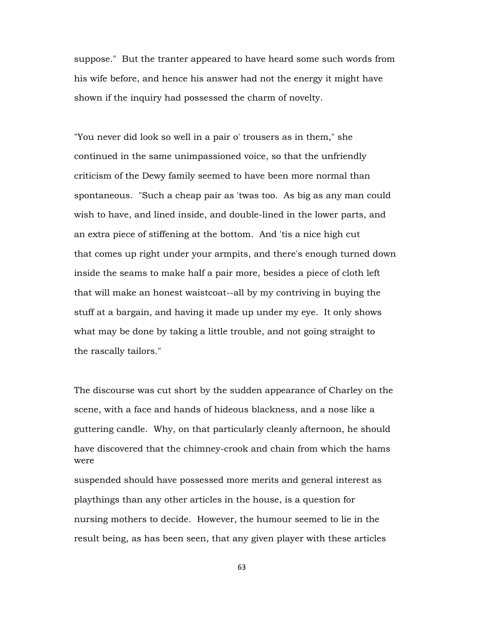suppose." But the tranter appeared to have heard some such words from his wife before, and hence his answer had not the energy it might have shown if the inquiry had possessed the charm of novelty.

"You never did look so well in a pair o' trousers as in them," she continued in the same unimpassioned voice, so that the unfriendly criticism of the Dewy family seemed to have been more normal than spontaneous. "Such a cheap pair as 'twas too. As big as any man could wish to have, and lined inside, and double-lined in the lower parts, and an extra piece of stiffening at the bottom. And 'tis a nice high cut that comes up right under your armpits, and there's enough turned down inside the seams to make half a pair more, besides a piece of cloth left that will make an honest waistcoat--all by my contriving in buying the stuff at a bargain, and having it made up under my eye. It only shows what may be done by taking a little trouble, and not going straight to the rascally tailors."

The discourse was cut short by the sudden appearance of Charley on the scene, with a face and hands of hideous blackness, and a nose like a guttering candle. Why, on that particularly cleanly afternoon, he should have discovered that the chimney-crook and chain from which the hams were

suspended should have possessed more merits and general interest as playthings than any other articles in the house, is a question for nursing mothers to decide. However, the humour seemed to lie in the result being, as has been seen, that any given player with these articles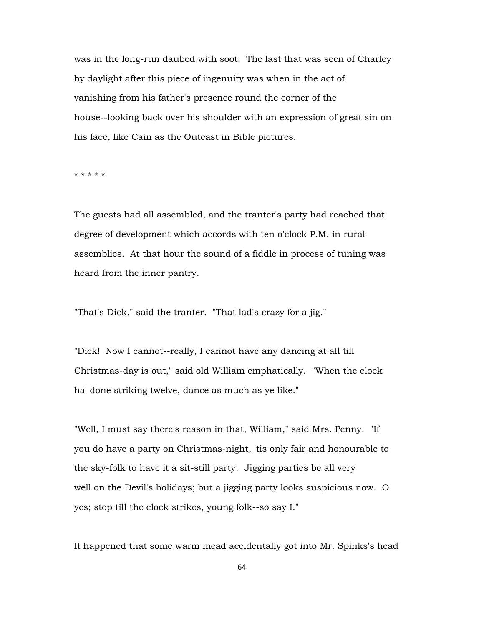was in the long-run daubed with soot. The last that was seen of Charley by daylight after this piece of ingenuity was when in the act of vanishing from his father's presence round the corner of the house--looking back over his shoulder with an expression of great sin on his face, like Cain as the Outcast in Bible pictures.

\* \* \* \* \*

The guests had all assembled, and the tranter's party had reached that degree of development which accords with ten o'clock P.M. in rural assemblies. At that hour the sound of a fiddle in process of tuning was heard from the inner pantry.

"That's Dick," said the tranter. "That lad's crazy for a jig."

"Dick! Now I cannot--really, I cannot have any dancing at all till Christmas-day is out," said old William emphatically. "When the clock ha' done striking twelve, dance as much as ye like."

"Well, I must say there's reason in that, William," said Mrs. Penny. "If you do have a party on Christmas-night, 'tis only fair and honourable to the sky-folk to have it a sit-still party. Jigging parties be all very well on the Devil's holidays; but a jigging party looks suspicious now. O yes; stop till the clock strikes, young folk--so say I."

It happened that some warm mead accidentally got into Mr. Spinks's head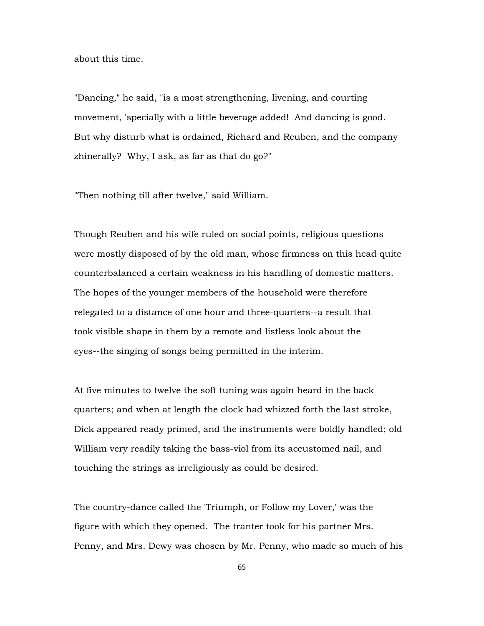about this time.

"Dancing," he said, "is a most strengthening, livening, and courting movement, 'specially with a little beverage added! And dancing is good. But why disturb what is ordained, Richard and Reuben, and the company zhinerally? Why, I ask, as far as that do go?"

"Then nothing till after twelve," said William.

Though Reuben and his wife ruled on social points, religious questions were mostly disposed of by the old man, whose firmness on this head quite counterbalanced a certain weakness in his handling of domestic matters. The hopes of the younger members of the household were therefore relegated to a distance of one hour and three-quarters--a result that took visible shape in them by a remote and listless look about the eyes--the singing of songs being permitted in the interim.

At five minutes to twelve the soft tuning was again heard in the back quarters; and when at length the clock had whizzed forth the last stroke, Dick appeared ready primed, and the instruments were boldly handled; old William very readily taking the bass-viol from its accustomed nail, and touching the strings as irreligiously as could be desired.

The country-dance called the 'Triumph, or Follow my Lover,' was the figure with which they opened. The tranter took for his partner Mrs. Penny, and Mrs. Dewy was chosen by Mr. Penny, who made so much of his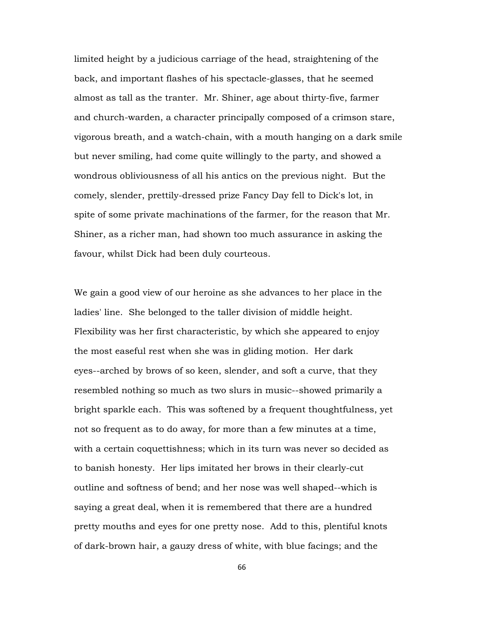limited height by a judicious carriage of the head, straightening of the back, and important flashes of his spectacle-glasses, that he seemed almost as tall as the tranter. Mr. Shiner, age about thirty-five, farmer and church-warden, a character principally composed of a crimson stare, vigorous breath, and a watch-chain, with a mouth hanging on a dark smile but never smiling, had come quite willingly to the party, and showed a wondrous obliviousness of all his antics on the previous night. But the comely, slender, prettily-dressed prize Fancy Day fell to Dick's lot, in spite of some private machinations of the farmer, for the reason that Mr. Shiner, as a richer man, had shown too much assurance in asking the favour, whilst Dick had been duly courteous.

We gain a good view of our heroine as she advances to her place in the ladies' line. She belonged to the taller division of middle height. Flexibility was her first characteristic, by which she appeared to enjoy the most easeful rest when she was in gliding motion. Her dark eyes--arched by brows of so keen, slender, and soft a curve, that they resembled nothing so much as two slurs in music--showed primarily a bright sparkle each. This was softened by a frequent thoughtfulness, yet not so frequent as to do away, for more than a few minutes at a time, with a certain coquettishness; which in its turn was never so decided as to banish honesty. Her lips imitated her brows in their clearly-cut outline and softness of bend; and her nose was well shaped--which is saying a great deal, when it is remembered that there are a hundred pretty mouths and eyes for one pretty nose. Add to this, plentiful knots of dark-brown hair, a gauzy dress of white, with blue facings; and the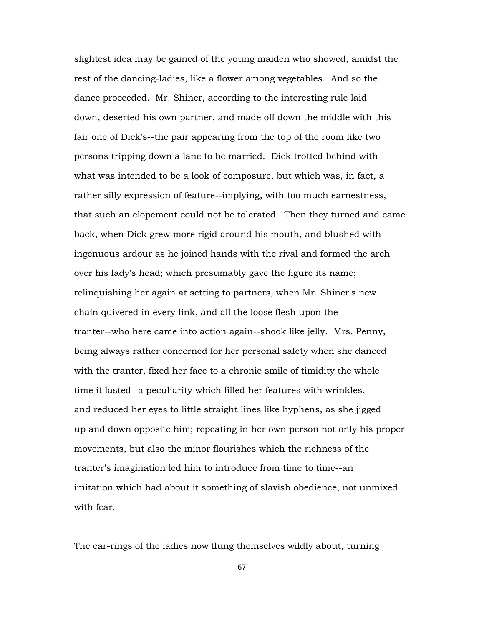slightest idea may be gained of the young maiden who showed, amidst the rest of the dancing-ladies, like a flower among vegetables. And so the dance proceeded. Mr. Shiner, according to the interesting rule laid down, deserted his own partner, and made off down the middle with this fair one of Dick's--the pair appearing from the top of the room like two persons tripping down a lane to be married. Dick trotted behind with what was intended to be a look of composure, but which was, in fact, a rather silly expression of feature--implying, with too much earnestness, that such an elopement could not be tolerated. Then they turned and came back, when Dick grew more rigid around his mouth, and blushed with ingenuous ardour as he joined hands with the rival and formed the arch over his lady's head; which presumably gave the figure its name; relinquishing her again at setting to partners, when Mr. Shiner's new chain quivered in every link, and all the loose flesh upon the tranter--who here came into action again--shook like jelly. Mrs. Penny, being always rather concerned for her personal safety when she danced with the tranter, fixed her face to a chronic smile of timidity the whole time it lasted--a peculiarity which filled her features with wrinkles, and reduced her eyes to little straight lines like hyphens, as she jigged up and down opposite him; repeating in her own person not only his proper movements, but also the minor flourishes which the richness of the tranter's imagination led him to introduce from time to time--an imitation which had about it something of slavish obedience, not unmixed with fear.

The ear-rings of the ladies now flung themselves wildly about, turning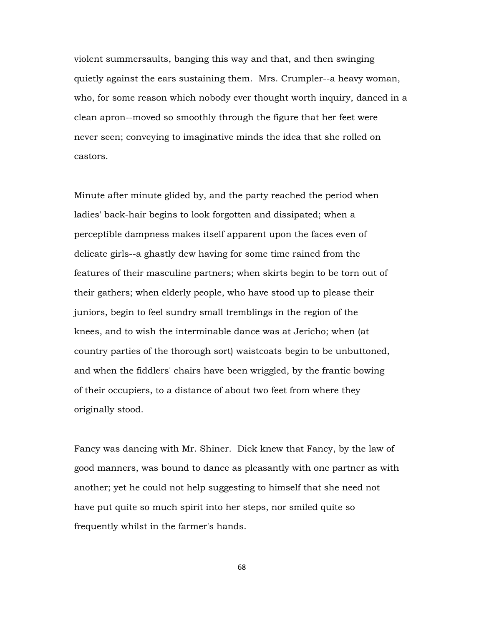violent summersaults, banging this way and that, and then swinging quietly against the ears sustaining them. Mrs. Crumpler--a heavy woman, who, for some reason which nobody ever thought worth inquiry, danced in a clean apron--moved so smoothly through the figure that her feet were never seen; conveying to imaginative minds the idea that she rolled on castors.

Minute after minute glided by, and the party reached the period when ladies' back-hair begins to look forgotten and dissipated; when a perceptible dampness makes itself apparent upon the faces even of delicate girls--a ghastly dew having for some time rained from the features of their masculine partners; when skirts begin to be torn out of their gathers; when elderly people, who have stood up to please their juniors, begin to feel sundry small tremblings in the region of the knees, and to wish the interminable dance was at Jericho; when (at country parties of the thorough sort) waistcoats begin to be unbuttoned, and when the fiddlers' chairs have been wriggled, by the frantic bowing of their occupiers, to a distance of about two feet from where they originally stood.

Fancy was dancing with Mr. Shiner. Dick knew that Fancy, by the law of good manners, was bound to dance as pleasantly with one partner as with another; yet he could not help suggesting to himself that she need not have put quite so much spirit into her steps, nor smiled quite so frequently whilst in the farmer's hands.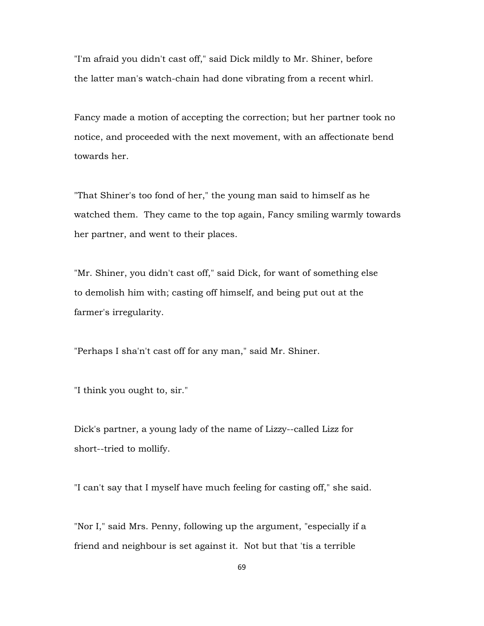"I'm afraid you didn't cast off," said Dick mildly to Mr. Shiner, before the latter man's watch-chain had done vibrating from a recent whirl.

Fancy made a motion of accepting the correction; but her partner took no notice, and proceeded with the next movement, with an affectionate bend towards her.

"That Shiner's too fond of her," the young man said to himself as he watched them. They came to the top again, Fancy smiling warmly towards her partner, and went to their places.

"Mr. Shiner, you didn't cast off," said Dick, for want of something else to demolish him with; casting off himself, and being put out at the farmer's irregularity.

"Perhaps I sha'n't cast off for any man," said Mr. Shiner.

"I think you ought to, sir."

Dick's partner, a young lady of the name of Lizzy--called Lizz for short--tried to mollify.

"I can't say that I myself have much feeling for casting off," she said.

"Nor I," said Mrs. Penny, following up the argument, "especially if a friend and neighbour is set against it. Not but that 'tis a terrible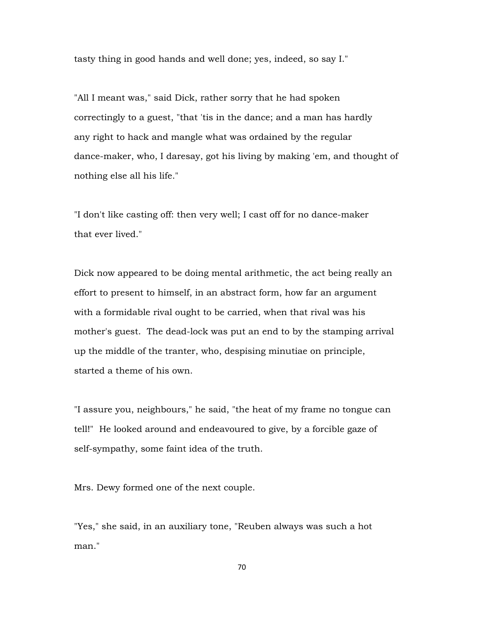tasty thing in good hands and well done; yes, indeed, so say I."

"All I meant was," said Dick, rather sorry that he had spoken correctingly to a guest, "that 'tis in the dance; and a man has hardly any right to hack and mangle what was ordained by the regular dance-maker, who, I daresay, got his living by making 'em, and thought of nothing else all his life."

"I don't like casting off: then very well; I cast off for no dance-maker that ever lived."

Dick now appeared to be doing mental arithmetic, the act being really an effort to present to himself, in an abstract form, how far an argument with a formidable rival ought to be carried, when that rival was his mother's guest. The dead-lock was put an end to by the stamping arrival up the middle of the tranter, who, despising minutiae on principle, started a theme of his own.

"I assure you, neighbours," he said, "the heat of my frame no tongue can tell!" He looked around and endeavoured to give, by a forcible gaze of self-sympathy, some faint idea of the truth.

Mrs. Dewy formed one of the next couple.

"Yes," she said, in an auxiliary tone, "Reuben always was such a hot man."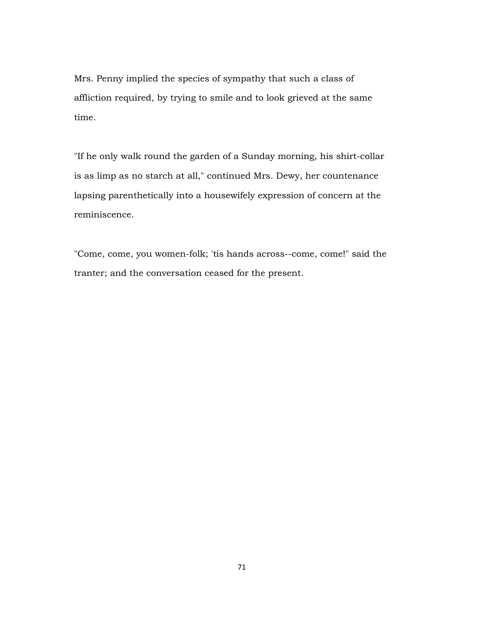Mrs. Penny implied the species of sympathy that such a class of affliction required, by trying to smile and to look grieved at the same time.

"If he only walk round the garden of a Sunday morning, his shirt-collar is as limp as no starch at all," continued Mrs. Dewy, her countenance lapsing parenthetically into a housewifely expression of concern at the reminiscence.

"Come, come, you women-folk; 'tis hands across--come, come!" said the tranter; and the conversation ceased for the present.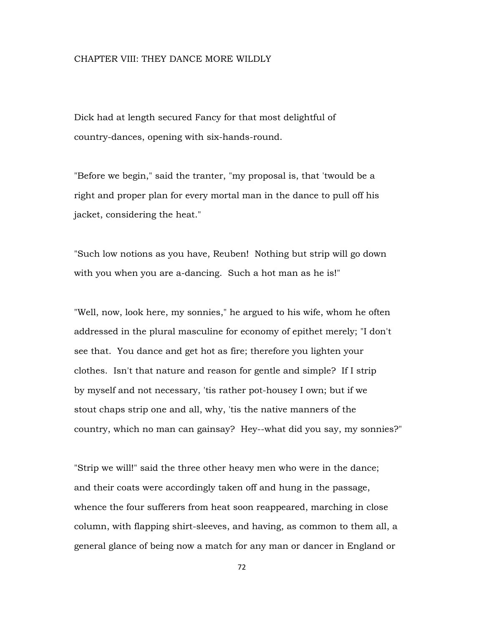### CHAPTER VIII: THEY DANCE MORE WILDLY

Dick had at length secured Fancy for that most delightful of country-dances, opening with six-hands-round.

"Before we begin," said the tranter, "my proposal is, that 'twould be a right and proper plan for every mortal man in the dance to pull off his jacket, considering the heat."

"Such low notions as you have, Reuben! Nothing but strip will go down with you when you are a-dancing. Such a hot man as he is!"

"Well, now, look here, my sonnies," he argued to his wife, whom he often addressed in the plural masculine for economy of epithet merely; "I don't see that. You dance and get hot as fire; therefore you lighten your clothes. Isn't that nature and reason for gentle and simple? If I strip by myself and not necessary, 'tis rather pot-housey I own; but if we stout chaps strip one and all, why, 'tis the native manners of the country, which no man can gainsay? Hey--what did you say, my sonnies?"

"Strip we will!" said the three other heavy men who were in the dance; and their coats were accordingly taken off and hung in the passage, whence the four sufferers from heat soon reappeared, marching in close column, with flapping shirt-sleeves, and having, as common to them all, a general glance of being now a match for any man or dancer in England or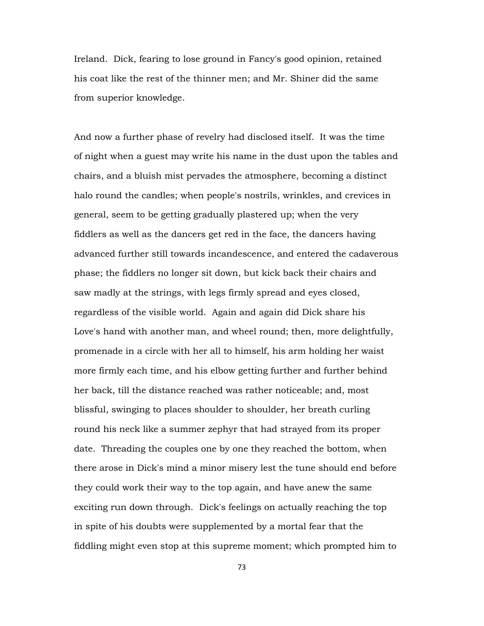Ireland. Dick, fearing to lose ground in Fancy's good opinion, retained his coat like the rest of the thinner men; and Mr. Shiner did the same from superior knowledge.

And now a further phase of revelry had disclosed itself. It was the time of night when a guest may write his name in the dust upon the tables and chairs, and a bluish mist pervades the atmosphere, becoming a distinct halo round the candles; when people's nostrils, wrinkles, and crevices in general, seem to be getting gradually plastered up; when the very fiddlers as well as the dancers get red in the face, the dancers having advanced further still towards incandescence, and entered the cadaverous phase; the fiddlers no longer sit down, but kick back their chairs and saw madly at the strings, with legs firmly spread and eyes closed, regardless of the visible world. Again and again did Dick share his Love's hand with another man, and wheel round; then, more delightfully, promenade in a circle with her all to himself, his arm holding her waist more firmly each time, and his elbow getting further and further behind her back, till the distance reached was rather noticeable; and, most blissful, swinging to places shoulder to shoulder, her breath curling round his neck like a summer zephyr that had strayed from its proper date. Threading the couples one by one they reached the bottom, when there arose in Dick's mind a minor misery lest the tune should end before they could work their way to the top again, and have anew the same exciting run down through. Dick's feelings on actually reaching the top in spite of his doubts were supplemented by a mortal fear that the fiddling might even stop at this supreme moment; which prompted him to

73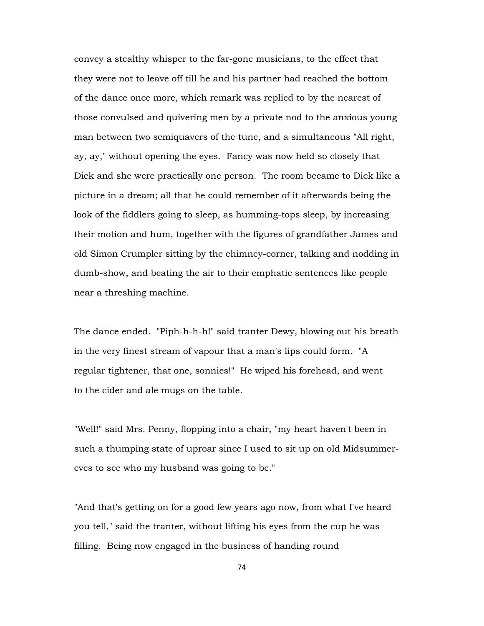convey a stealthy whisper to the far-gone musicians, to the effect that they were not to leave off till he and his partner had reached the bottom of the dance once more, which remark was replied to by the nearest of those convulsed and quivering men by a private nod to the anxious young man between two semiquavers of the tune, and a simultaneous "All right, ay, ay," without opening the eyes. Fancy was now held so closely that Dick and she were practically one person. The room became to Dick like a picture in a dream; all that he could remember of it afterwards being the look of the fiddlers going to sleep, as humming-tops sleep, by increasing their motion and hum, together with the figures of grandfather James and old Simon Crumpler sitting by the chimney-corner, talking and nodding in dumb-show, and beating the air to their emphatic sentences like people near a threshing machine.

The dance ended. "Piph-h-h-h!" said tranter Dewy, blowing out his breath in the very finest stream of vapour that a man's lips could form. "A regular tightener, that one, sonnies!" He wiped his forehead, and went to the cider and ale mugs on the table.

"Well!" said Mrs. Penny, flopping into a chair, "my heart haven't been in such a thumping state of uproar since I used to sit up on old Midsummereves to see who my husband was going to be."

"And that's getting on for a good few years ago now, from what I've heard you tell," said the tranter, without lifting his eyes from the cup he was filling. Being now engaged in the business of handing round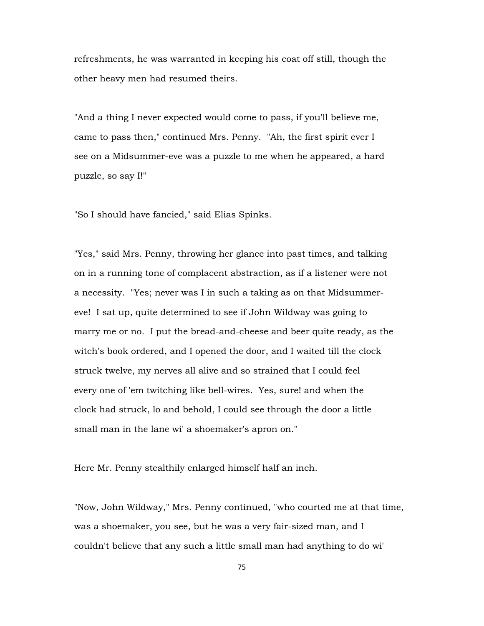refreshments, he was warranted in keeping his coat off still, though the other heavy men had resumed theirs.

"And a thing I never expected would come to pass, if you'll believe me, came to pass then," continued Mrs. Penny. "Ah, the first spirit ever I see on a Midsummer-eve was a puzzle to me when he appeared, a hard puzzle, so say I!"

"So I should have fancied," said Elias Spinks.

"Yes," said Mrs. Penny, throwing her glance into past times, and talking on in a running tone of complacent abstraction, as if a listener were not a necessity. "Yes; never was I in such a taking as on that Midsummereve! I sat up, quite determined to see if John Wildway was going to marry me or no. I put the bread-and-cheese and beer quite ready, as the witch's book ordered, and I opened the door, and I waited till the clock struck twelve, my nerves all alive and so strained that I could feel every one of 'em twitching like bell-wires. Yes, sure! and when the clock had struck, lo and behold, I could see through the door a little small man in the lane wi' a shoemaker's apron on."

Here Mr. Penny stealthily enlarged himself half an inch.

"Now, John Wildway," Mrs. Penny continued, "who courted me at that time, was a shoemaker, you see, but he was a very fair-sized man, and I couldn't believe that any such a little small man had anything to do wi'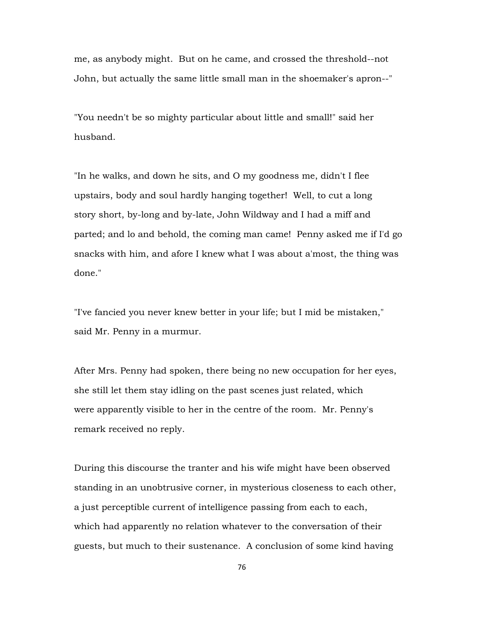me, as anybody might. But on he came, and crossed the threshold--not John, but actually the same little small man in the shoemaker's apron--"

"You needn't be so mighty particular about little and small!" said her husband.

"In he walks, and down he sits, and O my goodness me, didn't I flee upstairs, body and soul hardly hanging together! Well, to cut a long story short, by-long and by-late, John Wildway and I had a miff and parted; and lo and behold, the coming man came! Penny asked me if I'd go snacks with him, and afore I knew what I was about a'most, the thing was done."

"I've fancied you never knew better in your life; but I mid be mistaken," said Mr. Penny in a murmur.

After Mrs. Penny had spoken, there being no new occupation for her eyes, she still let them stay idling on the past scenes just related, which were apparently visible to her in the centre of the room. Mr. Penny's remark received no reply.

During this discourse the tranter and his wife might have been observed standing in an unobtrusive corner, in mysterious closeness to each other, a just perceptible current of intelligence passing from each to each, which had apparently no relation whatever to the conversation of their guests, but much to their sustenance. A conclusion of some kind having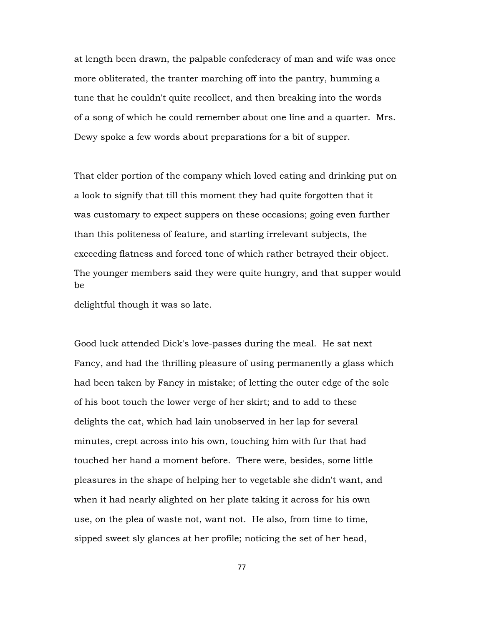at length been drawn, the palpable confederacy of man and wife was once more obliterated, the tranter marching off into the pantry, humming a tune that he couldn't quite recollect, and then breaking into the words of a song of which he could remember about one line and a quarter. Mrs. Dewy spoke a few words about preparations for a bit of supper.

That elder portion of the company which loved eating and drinking put on a look to signify that till this moment they had quite forgotten that it was customary to expect suppers on these occasions; going even further than this politeness of feature, and starting irrelevant subjects, the exceeding flatness and forced tone of which rather betrayed their object. The younger members said they were quite hungry, and that supper would be

delightful though it was so late.

Good luck attended Dick's love-passes during the meal. He sat next Fancy, and had the thrilling pleasure of using permanently a glass which had been taken by Fancy in mistake; of letting the outer edge of the sole of his boot touch the lower verge of her skirt; and to add to these delights the cat, which had lain unobserved in her lap for several minutes, crept across into his own, touching him with fur that had touched her hand a moment before. There were, besides, some little pleasures in the shape of helping her to vegetable she didn't want, and when it had nearly alighted on her plate taking it across for his own use, on the plea of waste not, want not. He also, from time to time, sipped sweet sly glances at her profile; noticing the set of her head,

77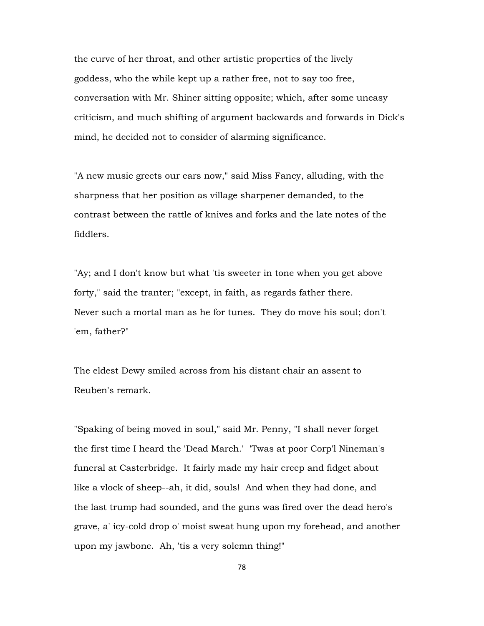the curve of her throat, and other artistic properties of the lively goddess, who the while kept up a rather free, not to say too free, conversation with Mr. Shiner sitting opposite; which, after some uneasy criticism, and much shifting of argument backwards and forwards in Dick's mind, he decided not to consider of alarming significance.

"A new music greets our ears now," said Miss Fancy, alluding, with the sharpness that her position as village sharpener demanded, to the contrast between the rattle of knives and forks and the late notes of the fiddlers.

"Ay; and I don't know but what 'tis sweeter in tone when you get above forty," said the tranter; "except, in faith, as regards father there. Never such a mortal man as he for tunes. They do move his soul; don't 'em, father?"

The eldest Dewy smiled across from his distant chair an assent to Reuben's remark.

"Spaking of being moved in soul," said Mr. Penny, "I shall never forget the first time I heard the 'Dead March.' 'Twas at poor Corp'l Nineman's funeral at Casterbridge. It fairly made my hair creep and fidget about like a vlock of sheep--ah, it did, souls! And when they had done, and the last trump had sounded, and the guns was fired over the dead hero's grave, a' icy-cold drop o' moist sweat hung upon my forehead, and another upon my jawbone. Ah, 'tis a very solemn thing!"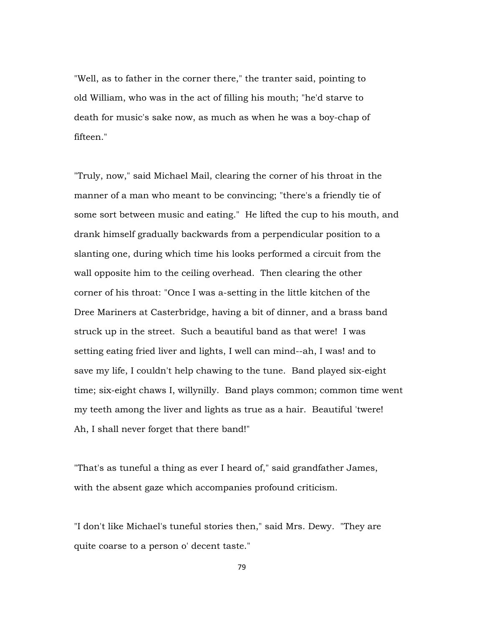"Well, as to father in the corner there," the tranter said, pointing to old William, who was in the act of filling his mouth; "he'd starve to death for music's sake now, as much as when he was a boy-chap of fifteen."

"Truly, now," said Michael Mail, clearing the corner of his throat in the manner of a man who meant to be convincing; "there's a friendly tie of some sort between music and eating." He lifted the cup to his mouth, and drank himself gradually backwards from a perpendicular position to a slanting one, during which time his looks performed a circuit from the wall opposite him to the ceiling overhead. Then clearing the other corner of his throat: "Once I was a-setting in the little kitchen of the Dree Mariners at Casterbridge, having a bit of dinner, and a brass band struck up in the street. Such a beautiful band as that were! I was setting eating fried liver and lights, I well can mind--ah, I was! and to save my life, I couldn't help chawing to the tune. Band played six-eight time; six-eight chaws I, willynilly. Band plays common; common time went my teeth among the liver and lights as true as a hair. Beautiful 'twere! Ah, I shall never forget that there band!"

"That's as tuneful a thing as ever I heard of," said grandfather James, with the absent gaze which accompanies profound criticism.

"I don't like Michael's tuneful stories then," said Mrs. Dewy. "They are quite coarse to a person o' decent taste."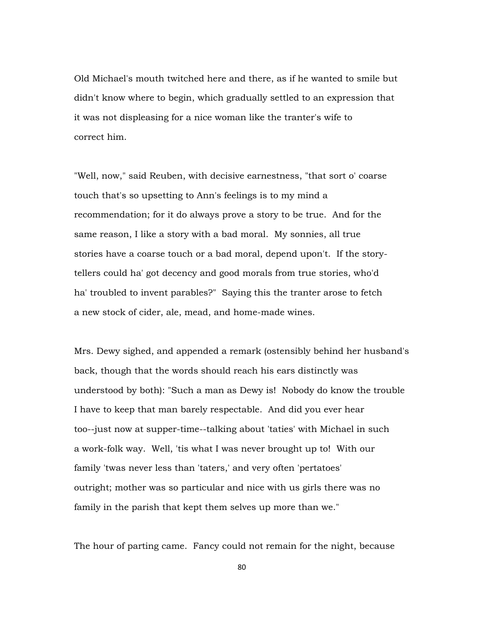Old Michael's mouth twitched here and there, as if he wanted to smile but didn't know where to begin, which gradually settled to an expression that it was not displeasing for a nice woman like the tranter's wife to correct him.

"Well, now," said Reuben, with decisive earnestness, "that sort o' coarse touch that's so upsetting to Ann's feelings is to my mind a recommendation; for it do always prove a story to be true. And for the same reason, I like a story with a bad moral. My sonnies, all true stories have a coarse touch or a bad moral, depend upon't. If the storytellers could ha' got decency and good morals from true stories, who'd ha' troubled to invent parables?" Saying this the tranter arose to fetch a new stock of cider, ale, mead, and home-made wines.

Mrs. Dewy sighed, and appended a remark (ostensibly behind her husband's back, though that the words should reach his ears distinctly was understood by both): "Such a man as Dewy is! Nobody do know the trouble I have to keep that man barely respectable. And did you ever hear too--just now at supper-time--talking about 'taties' with Michael in such a work-folk way. Well, 'tis what I was never brought up to! With our family 'twas never less than 'taters,' and very often 'pertatoes' outright; mother was so particular and nice with us girls there was no family in the parish that kept them selves up more than we."

The hour of parting came. Fancy could not remain for the night, because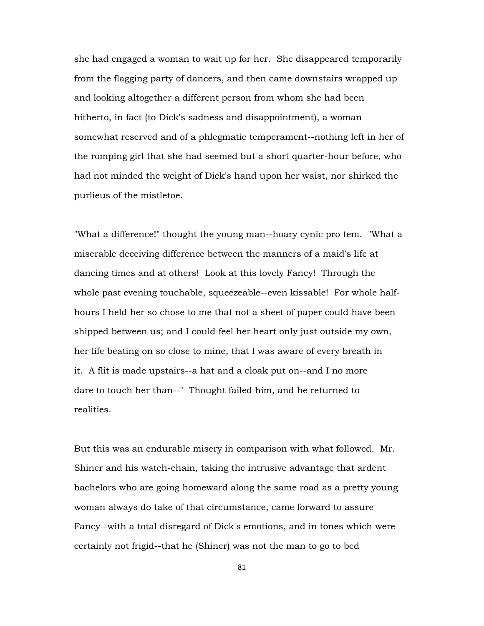she had engaged a woman to wait up for her. She disappeared temporarily from the flagging party of dancers, and then came downstairs wrapped up and looking altogether a different person from whom she had been hitherto, in fact (to Dick's sadness and disappointment), a woman somewhat reserved and of a phlegmatic temperament--nothing left in her of the romping girl that she had seemed but a short quarter-hour before, who had not minded the weight of Dick's hand upon her waist, nor shirked the purlieus of the mistletoe.

"What a difference!" thought the young man--hoary cynic pro tem. "What a miserable deceiving difference between the manners of a maid's life at dancing times and at others! Look at this lovely Fancy! Through the whole past evening touchable, squeezeable--even kissable! For whole halfhours I held her so chose to me that not a sheet of paper could have been shipped between us; and I could feel her heart only just outside my own, her life beating on so close to mine, that I was aware of every breath in it. A flit is made upstairs--a hat and a cloak put on--and I no more dare to touch her than--" Thought failed him, and he returned to realities.

But this was an endurable misery in comparison with what followed. Mr. Shiner and his watch-chain, taking the intrusive advantage that ardent bachelors who are going homeward along the same road as a pretty young woman always do take of that circumstance, came forward to assure Fancy--with a total disregard of Dick's emotions, and in tones which were certainly not frigid--that he (Shiner) was not the man to go to bed

81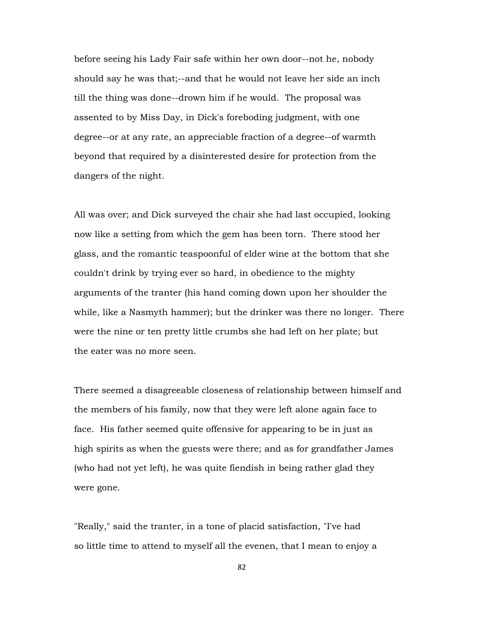before seeing his Lady Fair safe within her own door--not he, nobody should say he was that;--and that he would not leave her side an inch till the thing was done--drown him if he would. The proposal was assented to by Miss Day, in Dick's foreboding judgment, with one degree--or at any rate, an appreciable fraction of a degree--of warmth beyond that required by a disinterested desire for protection from the dangers of the night.

All was over; and Dick surveyed the chair she had last occupied, looking now like a setting from which the gem has been torn. There stood her glass, and the romantic teaspoonful of elder wine at the bottom that she couldn't drink by trying ever so hard, in obedience to the mighty arguments of the tranter (his hand coming down upon her shoulder the while, like a Nasmyth hammer); but the drinker was there no longer. There were the nine or ten pretty little crumbs she had left on her plate; but the eater was no more seen.

There seemed a disagreeable closeness of relationship between himself and the members of his family, now that they were left alone again face to face. His father seemed quite offensive for appearing to be in just as high spirits as when the guests were there; and as for grandfather James (who had not yet left), he was quite fiendish in being rather glad they were gone.

"Really," said the tranter, in a tone of placid satisfaction, "I've had so little time to attend to myself all the evenen, that I mean to enjoy a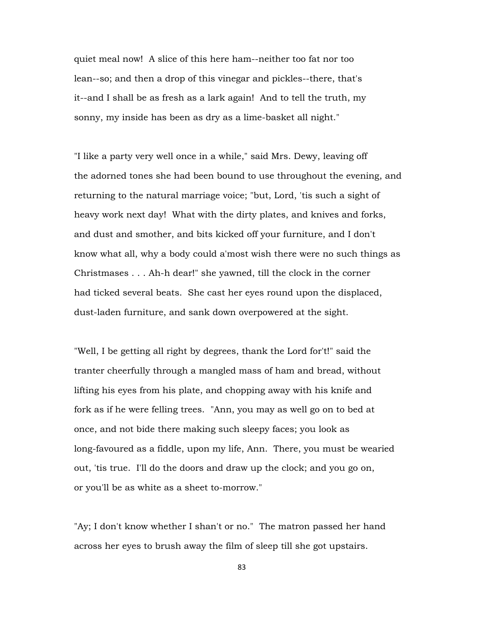quiet meal now! A slice of this here ham--neither too fat nor too lean--so; and then a drop of this vinegar and pickles--there, that's it--and I shall be as fresh as a lark again! And to tell the truth, my sonny, my inside has been as dry as a lime-basket all night."

"I like a party very well once in a while," said Mrs. Dewy, leaving off the adorned tones she had been bound to use throughout the evening, and returning to the natural marriage voice; "but, Lord, 'tis such a sight of heavy work next day! What with the dirty plates, and knives and forks, and dust and smother, and bits kicked off your furniture, and I don't know what all, why a body could a'most wish there were no such things as Christmases . . . Ah-h dear!" she yawned, till the clock in the corner had ticked several beats. She cast her eyes round upon the displaced, dust-laden furniture, and sank down overpowered at the sight.

"Well, I be getting all right by degrees, thank the Lord for't!" said the tranter cheerfully through a mangled mass of ham and bread, without lifting his eyes from his plate, and chopping away with his knife and fork as if he were felling trees. "Ann, you may as well go on to bed at once, and not bide there making such sleepy faces; you look as long-favoured as a fiddle, upon my life, Ann. There, you must be wearied out, 'tis true. I'll do the doors and draw up the clock; and you go on, or you'll be as white as a sheet to-morrow."

"Ay; I don't know whether I shan't or no." The matron passed her hand across her eyes to brush away the film of sleep till she got upstairs.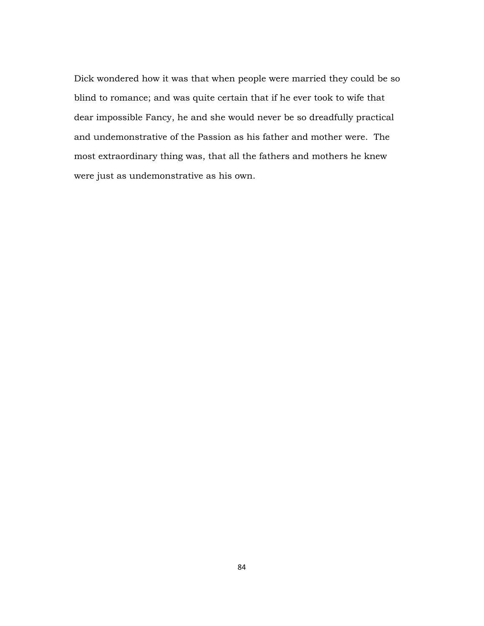Dick wondered how it was that when people were married they could be so blind to romance; and was quite certain that if he ever took to wife that dear impossible Fancy, he and she would never be so dreadfully practical and undemonstrative of the Passion as his father and mother were. The most extraordinary thing was, that all the fathers and mothers he knew were just as undemonstrative as his own.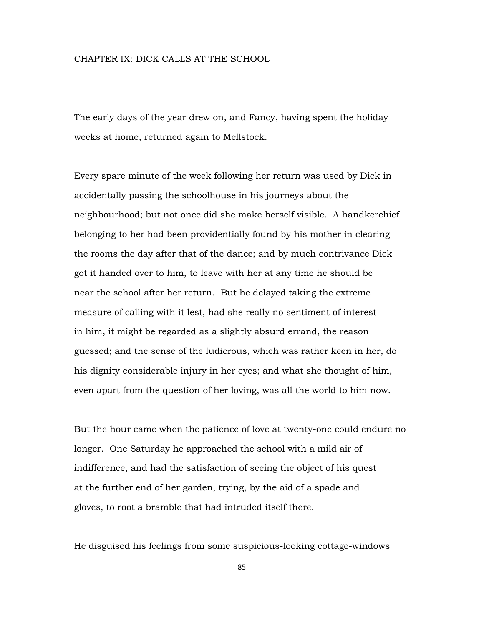# CHAPTER IX: DICK CALLS AT THE SCHOOL

The early days of the year drew on, and Fancy, having spent the holiday weeks at home, returned again to Mellstock.

Every spare minute of the week following her return was used by Dick in accidentally passing the schoolhouse in his journeys about the neighbourhood; but not once did she make herself visible. A handkerchief belonging to her had been providentially found by his mother in clearing the rooms the day after that of the dance; and by much contrivance Dick got it handed over to him, to leave with her at any time he should be near the school after her return. But he delayed taking the extreme measure of calling with it lest, had she really no sentiment of interest in him, it might be regarded as a slightly absurd errand, the reason guessed; and the sense of the ludicrous, which was rather keen in her, do his dignity considerable injury in her eyes; and what she thought of him, even apart from the question of her loving, was all the world to him now.

But the hour came when the patience of love at twenty-one could endure no longer. One Saturday he approached the school with a mild air of indifference, and had the satisfaction of seeing the object of his quest at the further end of her garden, trying, by the aid of a spade and gloves, to root a bramble that had intruded itself there.

He disguised his feelings from some suspicious-looking cottage-windows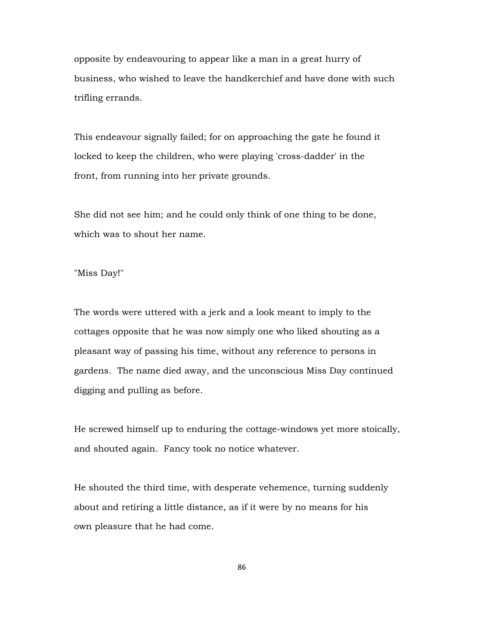opposite by endeavouring to appear like a man in a great hurry of business, who wished to leave the handkerchief and have done with such trifling errands.

This endeavour signally failed; for on approaching the gate he found it locked to keep the children, who were playing 'cross-dadder' in the front, from running into her private grounds.

She did not see him; and he could only think of one thing to be done, which was to shout her name.

# "Miss Day!"

The words were uttered with a jerk and a look meant to imply to the cottages opposite that he was now simply one who liked shouting as a pleasant way of passing his time, without any reference to persons in gardens. The name died away, and the unconscious Miss Day continued digging and pulling as before.

He screwed himself up to enduring the cottage-windows yet more stoically, and shouted again. Fancy took no notice whatever.

He shouted the third time, with desperate vehemence, turning suddenly about and retiring a little distance, as if it were by no means for his own pleasure that he had come.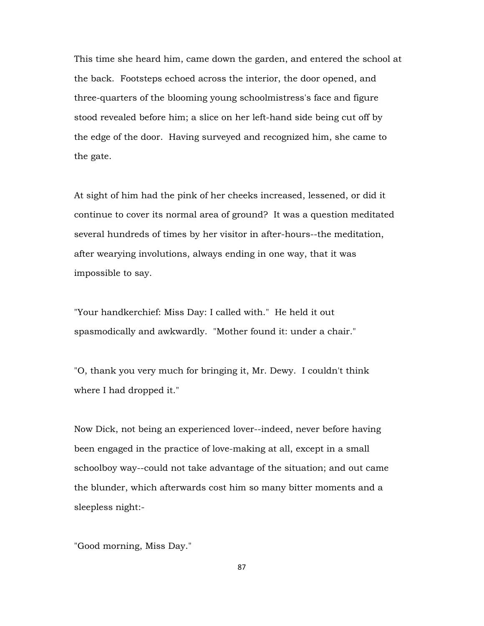This time she heard him, came down the garden, and entered the school at the back. Footsteps echoed across the interior, the door opened, and three-quarters of the blooming young schoolmistress's face and figure stood revealed before him; a slice on her left-hand side being cut off by the edge of the door. Having surveyed and recognized him, she came to the gate.

At sight of him had the pink of her cheeks increased, lessened, or did it continue to cover its normal area of ground? It was a question meditated several hundreds of times by her visitor in after-hours--the meditation, after wearying involutions, always ending in one way, that it was impossible to say.

"Your handkerchief: Miss Day: I called with." He held it out spasmodically and awkwardly. "Mother found it: under a chair."

"O, thank you very much for bringing it, Mr. Dewy. I couldn't think where I had dropped it."

Now Dick, not being an experienced lover--indeed, never before having been engaged in the practice of love-making at all, except in a small schoolboy way--could not take advantage of the situation; and out came the blunder, which afterwards cost him so many bitter moments and a sleepless night:-

"Good morning, Miss Day."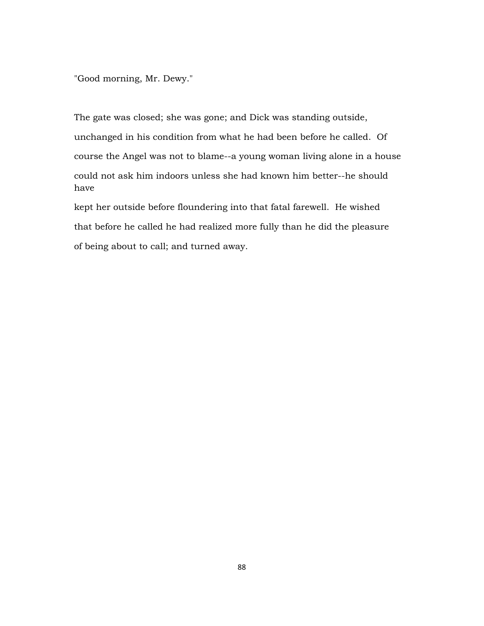"Good morning, Mr. Dewy."

The gate was closed; she was gone; and Dick was standing outside, unchanged in his condition from what he had been before he called. Of course the Angel was not to blame--a young woman living alone in a house could not ask him indoors unless she had known him better--he should have

kept her outside before floundering into that fatal farewell. He wished that before he called he had realized more fully than he did the pleasure of being about to call; and turned away.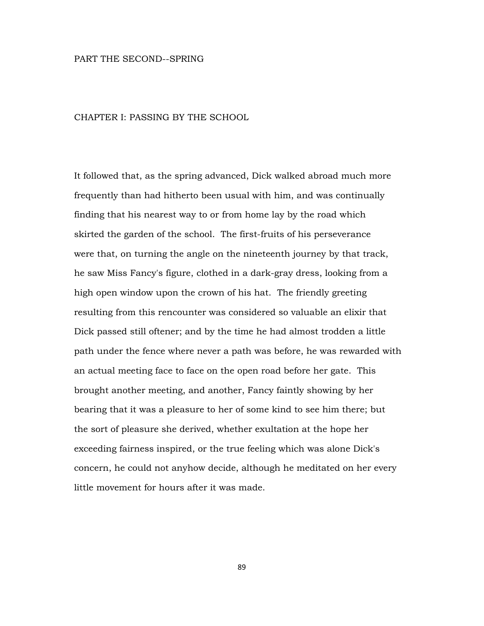### PART THE SECOND--SPRING

### CHAPTER I: PASSING BY THE SCHOOL

It followed that, as the spring advanced, Dick walked abroad much more frequently than had hitherto been usual with him, and was continually finding that his nearest way to or from home lay by the road which skirted the garden of the school. The first-fruits of his perseverance were that, on turning the angle on the nineteenth journey by that track, he saw Miss Fancy's figure, clothed in a dark-gray dress, looking from a high open window upon the crown of his hat. The friendly greeting resulting from this rencounter was considered so valuable an elixir that Dick passed still oftener; and by the time he had almost trodden a little path under the fence where never a path was before, he was rewarded with an actual meeting face to face on the open road before her gate. This brought another meeting, and another, Fancy faintly showing by her bearing that it was a pleasure to her of some kind to see him there; but the sort of pleasure she derived, whether exultation at the hope her exceeding fairness inspired, or the true feeling which was alone Dick's concern, he could not anyhow decide, although he meditated on her every little movement for hours after it was made.

89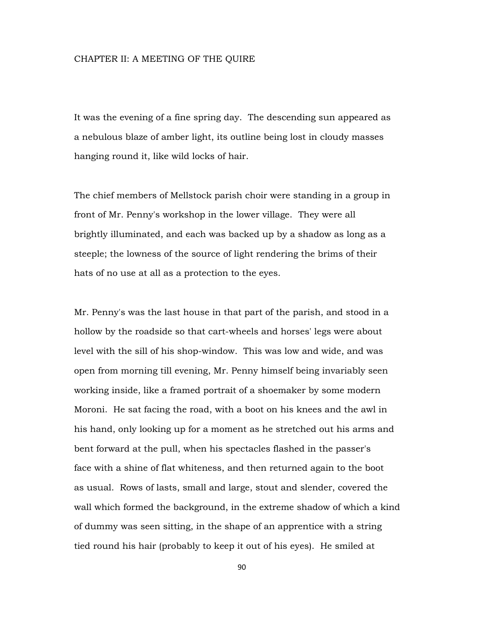#### CHAPTER II: A MEETING OF THE QUIRE

It was the evening of a fine spring day. The descending sun appeared as a nebulous blaze of amber light, its outline being lost in cloudy masses hanging round it, like wild locks of hair.

The chief members of Mellstock parish choir were standing in a group in front of Mr. Penny's workshop in the lower village. They were all brightly illuminated, and each was backed up by a shadow as long as a steeple; the lowness of the source of light rendering the brims of their hats of no use at all as a protection to the eyes.

Mr. Penny's was the last house in that part of the parish, and stood in a hollow by the roadside so that cart-wheels and horses' legs were about level with the sill of his shop-window. This was low and wide, and was open from morning till evening, Mr. Penny himself being invariably seen working inside, like a framed portrait of a shoemaker by some modern Moroni. He sat facing the road, with a boot on his knees and the awl in his hand, only looking up for a moment as he stretched out his arms and bent forward at the pull, when his spectacles flashed in the passer's face with a shine of flat whiteness, and then returned again to the boot as usual. Rows of lasts, small and large, stout and slender, covered the wall which formed the background, in the extreme shadow of which a kind of dummy was seen sitting, in the shape of an apprentice with a string tied round his hair (probably to keep it out of his eyes). He smiled at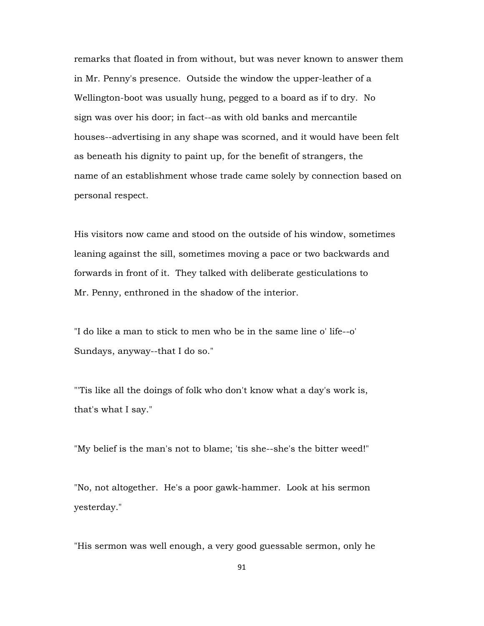remarks that floated in from without, but was never known to answer them in Mr. Penny's presence. Outside the window the upper-leather of a Wellington-boot was usually hung, pegged to a board as if to dry. No sign was over his door; in fact--as with old banks and mercantile houses--advertising in any shape was scorned, and it would have been felt as beneath his dignity to paint up, for the benefit of strangers, the name of an establishment whose trade came solely by connection based on personal respect.

His visitors now came and stood on the outside of his window, sometimes leaning against the sill, sometimes moving a pace or two backwards and forwards in front of it. They talked with deliberate gesticulations to Mr. Penny, enthroned in the shadow of the interior.

"I do like a man to stick to men who be in the same line o' life--o' Sundays, anyway--that I do so."

"'Tis like all the doings of folk who don't know what a day's work is, that's what I say."

"My belief is the man's not to blame; 'tis she--she's the bitter weed!"

"No, not altogether. He's a poor gawk-hammer. Look at his sermon yesterday."

"His sermon was well enough, a very good guessable sermon, only he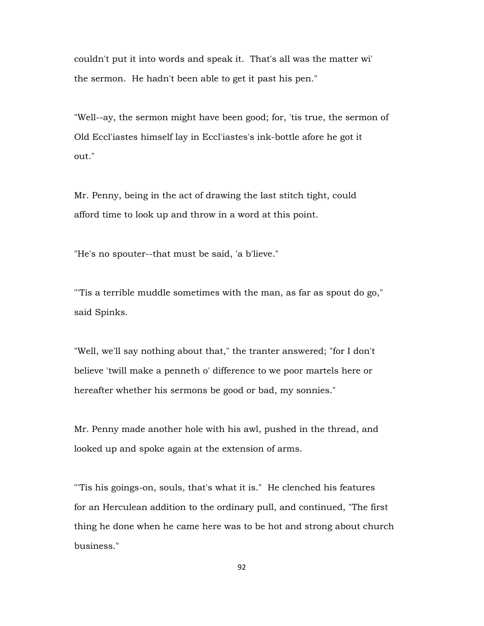couldn't put it into words and speak it. That's all was the matter wi' the sermon. He hadn't been able to get it past his pen."

"Well--ay, the sermon might have been good; for, 'tis true, the sermon of Old Eccl'iastes himself lay in Eccl'iastes's ink-bottle afore he got it out."

Mr. Penny, being in the act of drawing the last stitch tight, could afford time to look up and throw in a word at this point.

"He's no spouter--that must be said, 'a b'lieve."

"'Tis a terrible muddle sometimes with the man, as far as spout do go," said Spinks.

"Well, we'll say nothing about that," the tranter answered; "for I don't believe 'twill make a penneth o' difference to we poor martels here or hereafter whether his sermons be good or bad, my sonnies."

Mr. Penny made another hole with his awl, pushed in the thread, and looked up and spoke again at the extension of arms.

"'Tis his goings-on, souls, that's what it is." He clenched his features for an Herculean addition to the ordinary pull, and continued, "The first thing he done when he came here was to be hot and strong about church business."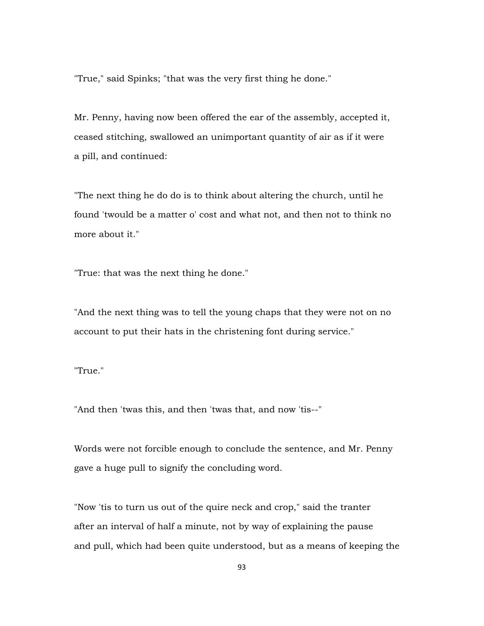"True," said Spinks; "that was the very first thing he done."

Mr. Penny, having now been offered the ear of the assembly, accepted it, ceased stitching, swallowed an unimportant quantity of air as if it were a pill, and continued:

"The next thing he do do is to think about altering the church, until he found 'twould be a matter o' cost and what not, and then not to think no more about it."

"True: that was the next thing he done."

"And the next thing was to tell the young chaps that they were not on no account to put their hats in the christening font during service."

"True."

"And then 'twas this, and then 'twas that, and now 'tis--"

Words were not forcible enough to conclude the sentence, and Mr. Penny gave a huge pull to signify the concluding word.

"Now 'tis to turn us out of the quire neck and crop," said the tranter after an interval of half a minute, not by way of explaining the pause and pull, which had been quite understood, but as a means of keeping the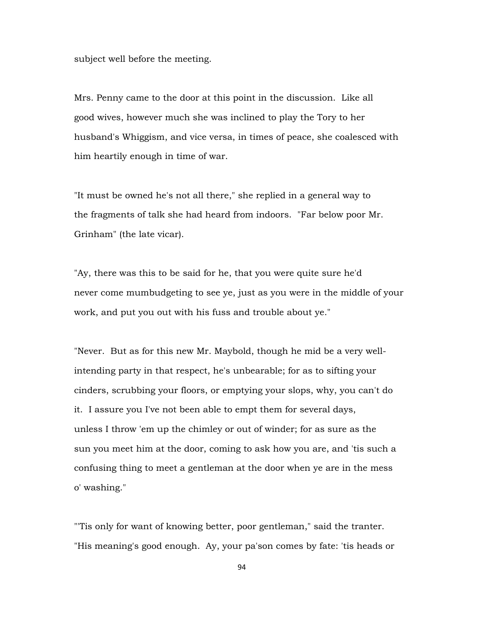# subject well before the meeting.

Mrs. Penny came to the door at this point in the discussion. Like all good wives, however much she was inclined to play the Tory to her husband's Whiggism, and vice versa, in times of peace, she coalesced with him heartily enough in time of war.

"It must be owned he's not all there," she replied in a general way to the fragments of talk she had heard from indoors. "Far below poor Mr. Grinham" (the late vicar).

"Ay, there was this to be said for he, that you were quite sure he'd never come mumbudgeting to see ye, just as you were in the middle of your work, and put you out with his fuss and trouble about ye."

"Never. But as for this new Mr. Maybold, though he mid be a very wellintending party in that respect, he's unbearable; for as to sifting your cinders, scrubbing your floors, or emptying your slops, why, you can't do it. I assure you I've not been able to empt them for several days, unless I throw 'em up the chimley or out of winder; for as sure as the sun you meet him at the door, coming to ask how you are, and 'tis such a confusing thing to meet a gentleman at the door when ye are in the mess o' washing."

"'Tis only for want of knowing better, poor gentleman," said the tranter. "His meaning's good enough. Ay, your pa'son comes by fate: 'tis heads or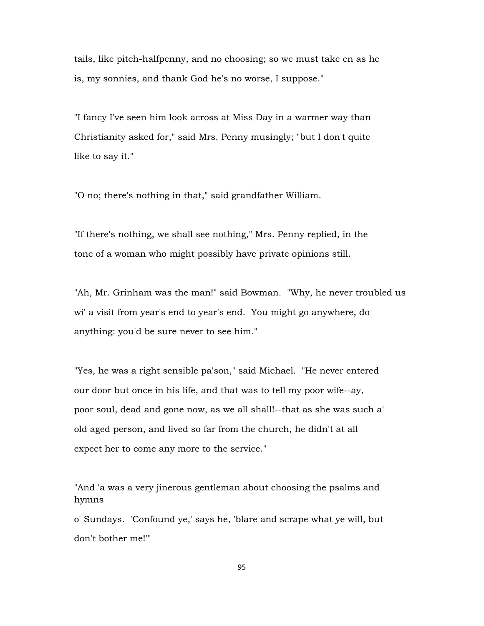tails, like pitch-halfpenny, and no choosing; so we must take en as he is, my sonnies, and thank God he's no worse, I suppose."

"I fancy I've seen him look across at Miss Day in a warmer way than Christianity asked for," said Mrs. Penny musingly; "but I don't quite like to say it."

"O no; there's nothing in that," said grandfather William.

"If there's nothing, we shall see nothing," Mrs. Penny replied, in the tone of a woman who might possibly have private opinions still.

"Ah, Mr. Grinham was the man!" said Bowman. "Why, he never troubled us wi' a visit from year's end to year's end. You might go anywhere, do anything: you'd be sure never to see him."

"Yes, he was a right sensible pa'son," said Michael. "He never entered our door but once in his life, and that was to tell my poor wife--ay, poor soul, dead and gone now, as we all shall!--that as she was such a' old aged person, and lived so far from the church, he didn't at all expect her to come any more to the service."

"And 'a was a very jinerous gentleman about choosing the psalms and hymns

o' Sundays. 'Confound ye,' says he, 'blare and scrape what ye will, but don't bother me!'"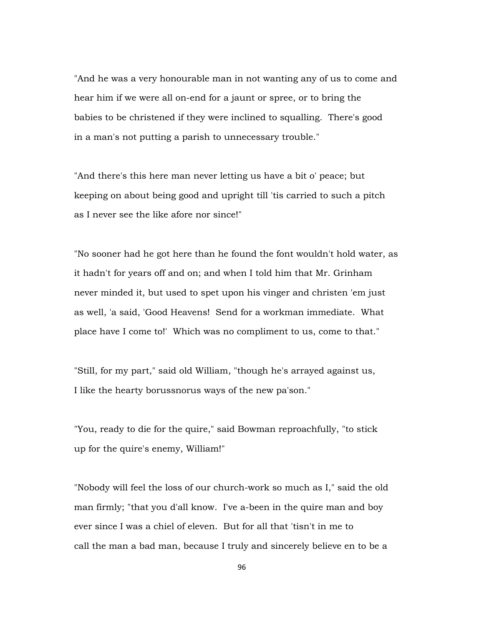"And he was a very honourable man in not wanting any of us to come and hear him if we were all on-end for a jaunt or spree, or to bring the babies to be christened if they were inclined to squalling. There's good in a man's not putting a parish to unnecessary trouble."

"And there's this here man never letting us have a bit o' peace; but keeping on about being good and upright till 'tis carried to such a pitch as I never see the like afore nor since!"

"No sooner had he got here than he found the font wouldn't hold water, as it hadn't for years off and on; and when I told him that Mr. Grinham never minded it, but used to spet upon his vinger and christen 'em just as well, 'a said, 'Good Heavens! Send for a workman immediate. What place have I come to!' Which was no compliment to us, come to that."

"Still, for my part," said old William, "though he's arrayed against us, I like the hearty borussnorus ways of the new pa'son."

"You, ready to die for the quire," said Bowman reproachfully, "to stick up for the quire's enemy, William!"

"Nobody will feel the loss of our church-work so much as I," said the old man firmly; "that you d'all know. I've a-been in the quire man and boy ever since I was a chiel of eleven. But for all that 'tisn't in me to call the man a bad man, because I truly and sincerely believe en to be a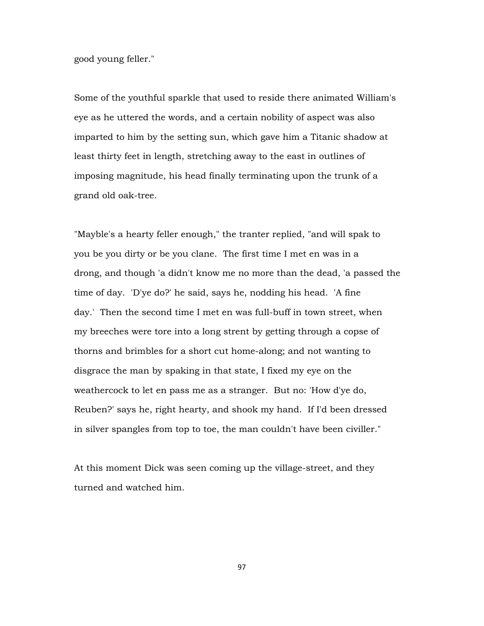good young feller."

Some of the youthful sparkle that used to reside there animated William's eye as he uttered the words, and a certain nobility of aspect was also imparted to him by the setting sun, which gave him a Titanic shadow at least thirty feet in length, stretching away to the east in outlines of imposing magnitude, his head finally terminating upon the trunk of a grand old oak-tree.

"Mayble's a hearty feller enough," the tranter replied, "and will spak to you be you dirty or be you clane. The first time I met en was in a drong, and though 'a didn't know me no more than the dead, 'a passed the time of day. 'D'ye do?' he said, says he, nodding his head. 'A fine day.' Then the second time I met en was full-buff in town street, when my breeches were tore into a long strent by getting through a copse of thorns and brimbles for a short cut home-along; and not wanting to disgrace the man by spaking in that state, I fixed my eye on the weathercock to let en pass me as a stranger. But no: 'How d'ye do, Reuben?' says he, right hearty, and shook my hand. If I'd been dressed in silver spangles from top to toe, the man couldn't have been civiller."

At this moment Dick was seen coming up the village-street, and they turned and watched him.

97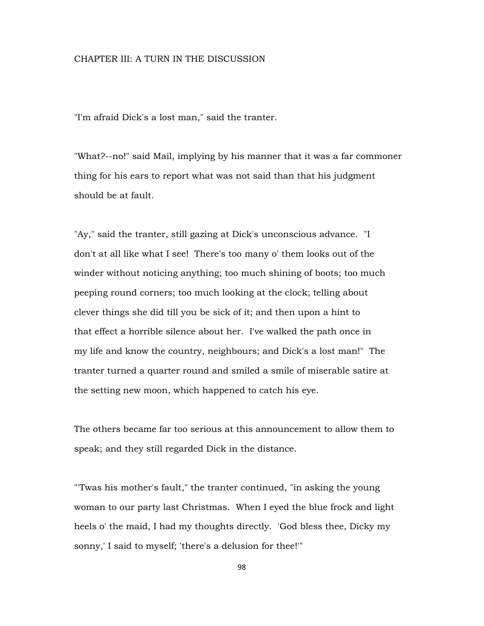# CHAPTER III: A TURN IN THE DISCUSSION

"I'm afraid Dick's a lost man," said the tranter.

"What?--no!" said Mail, implying by his manner that it was a far commoner thing for his ears to report what was not said than that his judgment should be at fault.

"Ay," said the tranter, still gazing at Dick's unconscious advance. "I don't at all like what I see! There's too many o' them looks out of the winder without noticing anything; too much shining of boots; too much peeping round corners; too much looking at the clock; telling about clever things she did till you be sick of it; and then upon a hint to that effect a horrible silence about her. I've walked the path once in my life and know the country, neighbours; and Dick's a lost man!" The tranter turned a quarter round and smiled a smile of miserable satire at the setting new moon, which happened to catch his eye.

The others became far too serious at this announcement to allow them to speak; and they still regarded Dick in the distance.

"'Twas his mother's fault," the tranter continued, "in asking the young woman to our party last Christmas. When I eyed the blue frock and light heels o' the maid, I had my thoughts directly. 'God bless thee, Dicky my sonny,' I said to myself; 'there's a delusion for thee!'"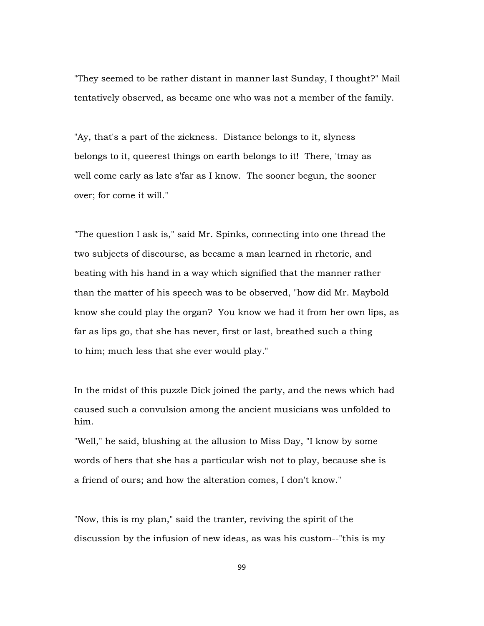"They seemed to be rather distant in manner last Sunday, I thought?" Mail tentatively observed, as became one who was not a member of the family.

"Ay, that's a part of the zickness. Distance belongs to it, slyness belongs to it, queerest things on earth belongs to it! There, 'tmay as well come early as late s'far as I know. The sooner begun, the sooner over; for come it will."

"The question I ask is," said Mr. Spinks, connecting into one thread the two subjects of discourse, as became a man learned in rhetoric, and beating with his hand in a way which signified that the manner rather than the matter of his speech was to be observed, "how did Mr. Maybold know she could play the organ? You know we had it from her own lips, as far as lips go, that she has never, first or last, breathed such a thing to him; much less that she ever would play."

In the midst of this puzzle Dick joined the party, and the news which had caused such a convulsion among the ancient musicians was unfolded to him.

"Well," he said, blushing at the allusion to Miss Day, "I know by some words of hers that she has a particular wish not to play, because she is a friend of ours; and how the alteration comes, I don't know."

"Now, this is my plan," said the tranter, reviving the spirit of the discussion by the infusion of new ideas, as was his custom--"this is my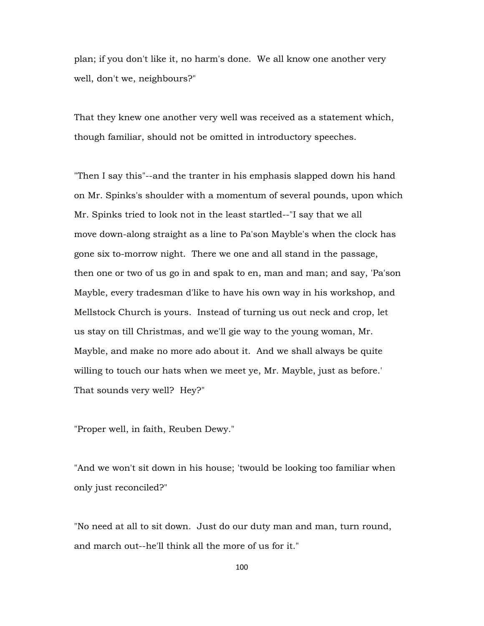plan; if you don't like it, no harm's done. We all know one another very well, don't we, neighbours?"

That they knew one another very well was received as a statement which, though familiar, should not be omitted in introductory speeches.

"Then I say this"--and the tranter in his emphasis slapped down his hand on Mr. Spinks's shoulder with a momentum of several pounds, upon which Mr. Spinks tried to look not in the least startled--"I say that we all move down-along straight as a line to Pa'son Mayble's when the clock has gone six to-morrow night. There we one and all stand in the passage, then one or two of us go in and spak to en, man and man; and say, 'Pa'son Mayble, every tradesman d'like to have his own way in his workshop, and Mellstock Church is yours. Instead of turning us out neck and crop, let us stay on till Christmas, and we'll gie way to the young woman, Mr. Mayble, and make no more ado about it. And we shall always be quite willing to touch our hats when we meet ye, Mr. Mayble, just as before.' That sounds very well? Hey?"

"Proper well, in faith, Reuben Dewy."

"And we won't sit down in his house; 'twould be looking too familiar when only just reconciled?"

"No need at all to sit down. Just do our duty man and man, turn round, and march out--he'll think all the more of us for it."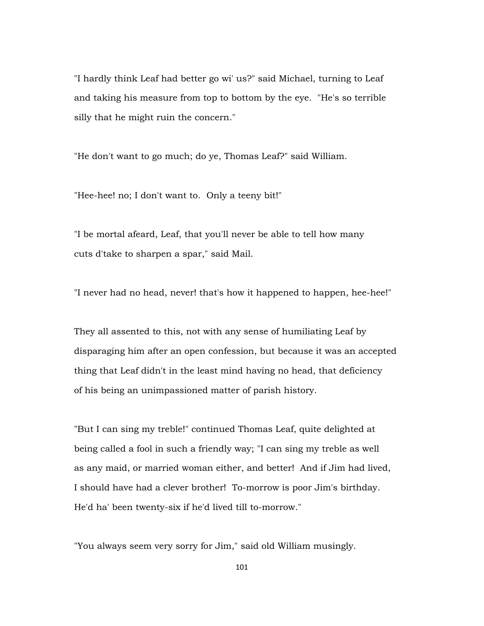"I hardly think Leaf had better go wi' us?" said Michael, turning to Leaf and taking his measure from top to bottom by the eye. "He's so terrible silly that he might ruin the concern."

"He don't want to go much; do ye, Thomas Leaf?" said William.

"Hee-hee! no; I don't want to. Only a teeny bit!"

"I be mortal afeard, Leaf, that you'll never be able to tell how many cuts d'take to sharpen a spar," said Mail.

"I never had no head, never! that's how it happened to happen, hee-hee!"

They all assented to this, not with any sense of humiliating Leaf by disparaging him after an open confession, but because it was an accepted thing that Leaf didn't in the least mind having no head, that deficiency of his being an unimpassioned matter of parish history.

"But I can sing my treble!" continued Thomas Leaf, quite delighted at being called a fool in such a friendly way; "I can sing my treble as well as any maid, or married woman either, and better! And if Jim had lived, I should have had a clever brother! To-morrow is poor Jim's birthday. He'd ha' been twenty-six if he'd lived till to-morrow."

"You always seem very sorry for Jim," said old William musingly.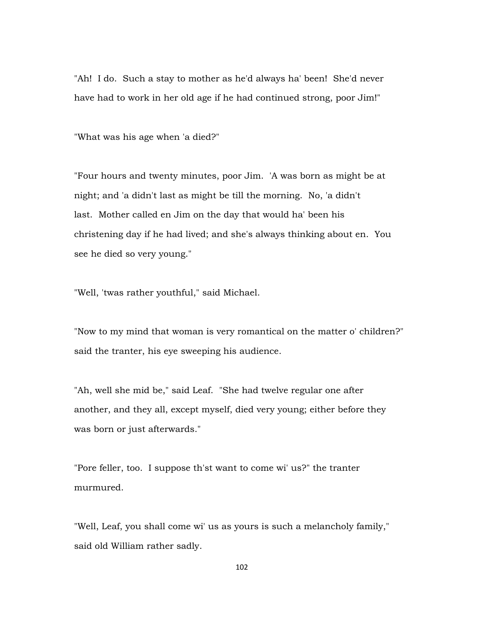"Ah! I do. Such a stay to mother as he'd always ha' been! She'd never have had to work in her old age if he had continued strong, poor Jim!"

"What was his age when 'a died?"

"Four hours and twenty minutes, poor Jim. 'A was born as might be at night; and 'a didn't last as might be till the morning. No, 'a didn't last. Mother called en Jim on the day that would ha' been his christening day if he had lived; and she's always thinking about en. You see he died so very young."

"Well, 'twas rather youthful," said Michael.

"Now to my mind that woman is very romantical on the matter o' children?" said the tranter, his eye sweeping his audience.

"Ah, well she mid be," said Leaf. "She had twelve regular one after another, and they all, except myself, died very young; either before they was born or just afterwards."

"Pore feller, too. I suppose th'st want to come wi' us?" the tranter murmured.

"Well, Leaf, you shall come wi' us as yours is such a melancholy family," said old William rather sadly.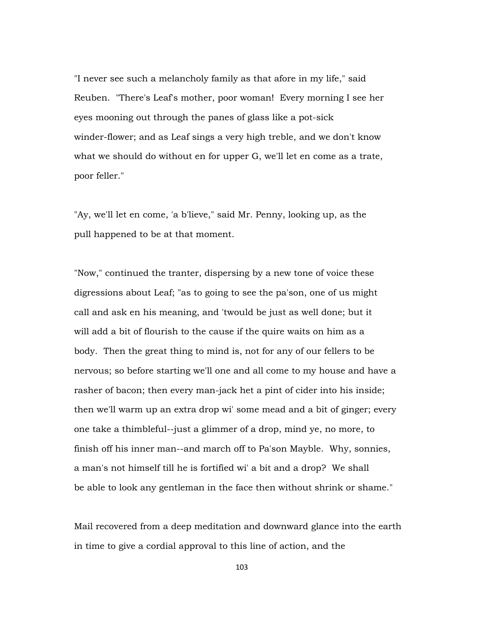"I never see such a melancholy family as that afore in my life," said Reuben. "There's Leaf's mother, poor woman! Every morning I see her eyes mooning out through the panes of glass like a pot-sick winder-flower; and as Leaf sings a very high treble, and we don't know what we should do without en for upper G, we'll let en come as a trate, poor feller."

"Ay, we'll let en come, 'a b'lieve," said Mr. Penny, looking up, as the pull happened to be at that moment.

"Now," continued the tranter, dispersing by a new tone of voice these digressions about Leaf; "as to going to see the pa'son, one of us might call and ask en his meaning, and 'twould be just as well done; but it will add a bit of flourish to the cause if the quire waits on him as a body. Then the great thing to mind is, not for any of our fellers to be nervous; so before starting we'll one and all come to my house and have a rasher of bacon; then every man-jack het a pint of cider into his inside; then we'll warm up an extra drop wi' some mead and a bit of ginger; every one take a thimbleful--just a glimmer of a drop, mind ye, no more, to finish off his inner man--and march off to Pa'son Mayble. Why, sonnies, a man's not himself till he is fortified wi' a bit and a drop? We shall be able to look any gentleman in the face then without shrink or shame."

Mail recovered from a deep meditation and downward glance into the earth in time to give a cordial approval to this line of action, and the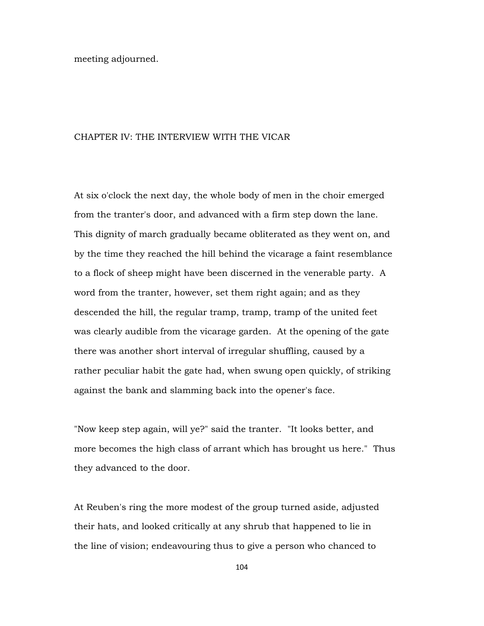meeting adjourned.

### CHAPTER IV: THE INTERVIEW WITH THE VICAR

At six o'clock the next day, the whole body of men in the choir emerged from the tranter's door, and advanced with a firm step down the lane. This dignity of march gradually became obliterated as they went on, and by the time they reached the hill behind the vicarage a faint resemblance to a flock of sheep might have been discerned in the venerable party. A word from the tranter, however, set them right again; and as they descended the hill, the regular tramp, tramp, tramp of the united feet was clearly audible from the vicarage garden. At the opening of the gate there was another short interval of irregular shuffling, caused by a rather peculiar habit the gate had, when swung open quickly, of striking against the bank and slamming back into the opener's face.

"Now keep step again, will ye?" said the tranter. "It looks better, and more becomes the high class of arrant which has brought us here." Thus they advanced to the door.

At Reuben's ring the more modest of the group turned aside, adjusted their hats, and looked critically at any shrub that happened to lie in the line of vision; endeavouring thus to give a person who chanced to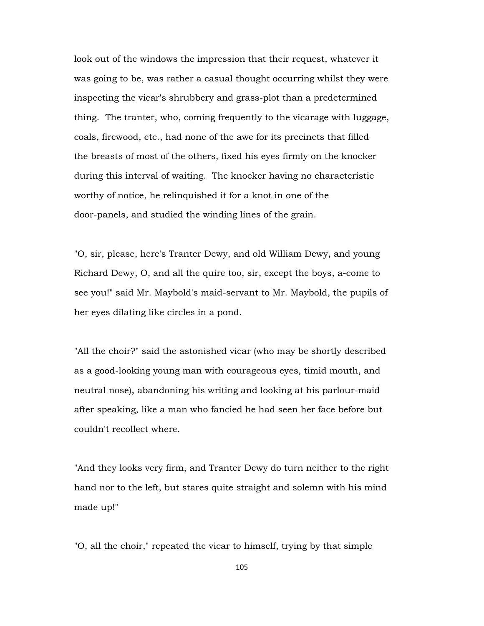look out of the windows the impression that their request, whatever it was going to be, was rather a casual thought occurring whilst they were inspecting the vicar's shrubbery and grass-plot than a predetermined thing. The tranter, who, coming frequently to the vicarage with luggage, coals, firewood, etc., had none of the awe for its precincts that filled the breasts of most of the others, fixed his eyes firmly on the knocker during this interval of waiting. The knocker having no characteristic worthy of notice, he relinquished it for a knot in one of the door-panels, and studied the winding lines of the grain.

"O, sir, please, here's Tranter Dewy, and old William Dewy, and young Richard Dewy, O, and all the quire too, sir, except the boys, a-come to see you!" said Mr. Maybold's maid-servant to Mr. Maybold, the pupils of her eyes dilating like circles in a pond.

"All the choir?" said the astonished vicar (who may be shortly described as a good-looking young man with courageous eyes, timid mouth, and neutral nose), abandoning his writing and looking at his parlour-maid after speaking, like a man who fancied he had seen her face before but couldn't recollect where.

"And they looks very firm, and Tranter Dewy do turn neither to the right hand nor to the left, but stares quite straight and solemn with his mind made up!"

"O, all the choir," repeated the vicar to himself, trying by that simple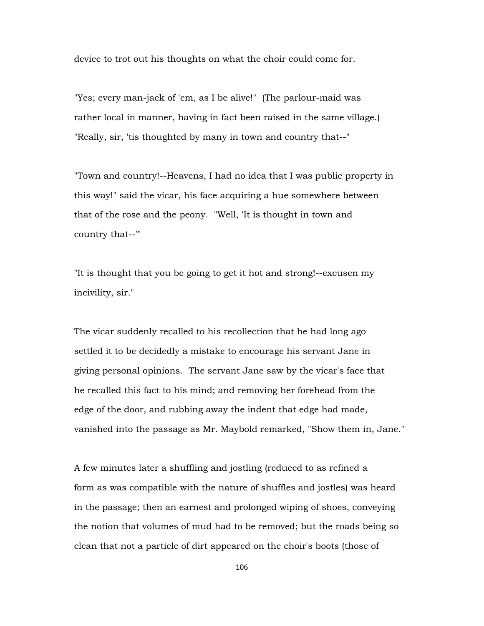device to trot out his thoughts on what the choir could come for.

"Yes; every man-jack of 'em, as I be alive!" (The parlour-maid was rather local in manner, having in fact been raised in the same village.) "Really, sir, 'tis thoughted by many in town and country that--"

"Town and country!--Heavens, I had no idea that I was public property in this way!" said the vicar, his face acquiring a hue somewhere between that of the rose and the peony. "Well, 'It is thought in town and country that--'"

"It is thought that you be going to get it hot and strong!--excusen my incivility, sir."

The vicar suddenly recalled to his recollection that he had long ago settled it to be decidedly a mistake to encourage his servant Jane in giving personal opinions. The servant Jane saw by the vicar's face that he recalled this fact to his mind; and removing her forehead from the edge of the door, and rubbing away the indent that edge had made, vanished into the passage as Mr. Maybold remarked, "Show them in, Jane."

A few minutes later a shuffling and jostling (reduced to as refined a form as was compatible with the nature of shuffles and jostles) was heard in the passage; then an earnest and prolonged wiping of shoes, conveying the notion that volumes of mud had to be removed; but the roads being so clean that not a particle of dirt appeared on the choir's boots (those of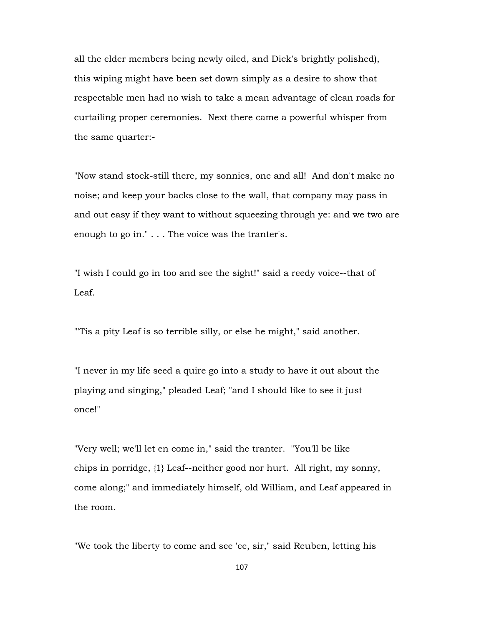all the elder members being newly oiled, and Dick's brightly polished), this wiping might have been set down simply as a desire to show that respectable men had no wish to take a mean advantage of clean roads for curtailing proper ceremonies. Next there came a powerful whisper from the same quarter:-

"Now stand stock-still there, my sonnies, one and all! And don't make no noise; and keep your backs close to the wall, that company may pass in and out easy if they want to without squeezing through ye: and we two are enough to go in." . . . The voice was the tranter's.

"I wish I could go in too and see the sight!" said a reedy voice--that of Leaf.

"'Tis a pity Leaf is so terrible silly, or else he might," said another.

"I never in my life seed a quire go into a study to have it out about the playing and singing," pleaded Leaf; "and I should like to see it just once!"

"Very well; we'll let en come in," said the tranter. "You'll be like chips in porridge, {1} Leaf--neither good nor hurt. All right, my sonny, come along;" and immediately himself, old William, and Leaf appeared in the room.

"We took the liberty to come and see 'ee, sir," said Reuben, letting his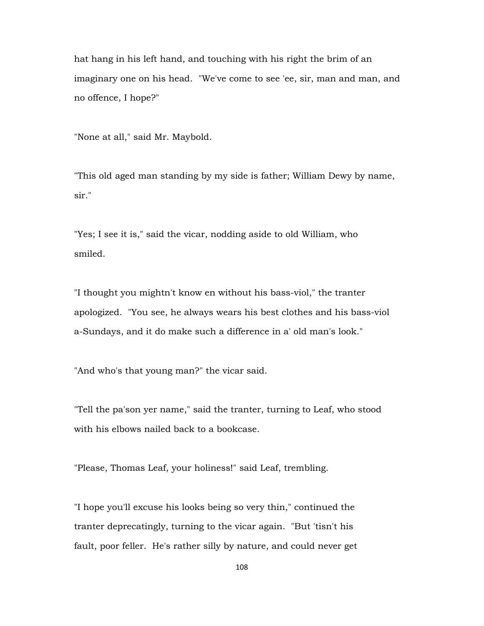hat hang in his left hand, and touching with his right the brim of an imaginary one on his head. "We've come to see 'ee, sir, man and man, and no offence, I hope?"

"None at all," said Mr. Maybold.

"This old aged man standing by my side is father; William Dewy by name, sir."

"Yes; I see it is," said the vicar, nodding aside to old William, who smiled.

"I thought you mightn't know en without his bass-viol," the tranter apologized. "You see, he always wears his best clothes and his bass-viol a-Sundays, and it do make such a difference in a' old man's look."

"And who's that young man?" the vicar said.

"Tell the pa'son yer name," said the tranter, turning to Leaf, who stood with his elbows nailed back to a bookcase.

"Please, Thomas Leaf, your holiness!" said Leaf, trembling.

"I hope you'll excuse his looks being so very thin," continued the tranter deprecatingly, turning to the vicar again. "But 'tisn't his fault, poor feller. He's rather silly by nature, and could never get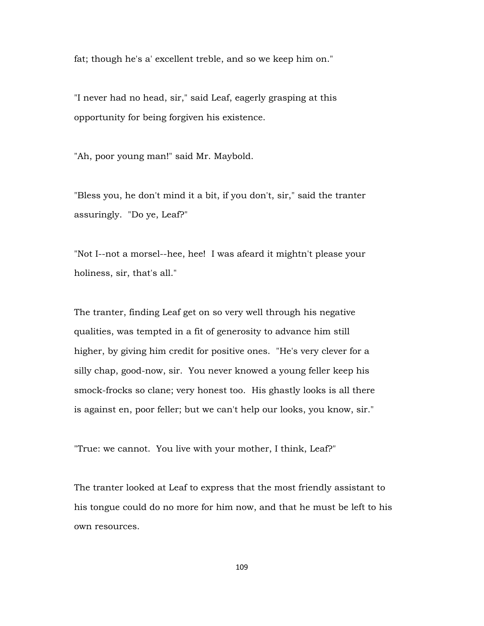fat; though he's a' excellent treble, and so we keep him on."

"I never had no head, sir," said Leaf, eagerly grasping at this opportunity for being forgiven his existence.

"Ah, poor young man!" said Mr. Maybold.

"Bless you, he don't mind it a bit, if you don't, sir," said the tranter assuringly. "Do ye, Leaf?"

"Not I--not a morsel--hee, hee! I was afeard it mightn't please your holiness, sir, that's all."

The tranter, finding Leaf get on so very well through his negative qualities, was tempted in a fit of generosity to advance him still higher, by giving him credit for positive ones. "He's very clever for a silly chap, good-now, sir. You never knowed a young feller keep his smock-frocks so clane; very honest too. His ghastly looks is all there is against en, poor feller; but we can't help our looks, you know, sir."

"True: we cannot. You live with your mother, I think, Leaf?"

The tranter looked at Leaf to express that the most friendly assistant to his tongue could do no more for him now, and that he must be left to his own resources.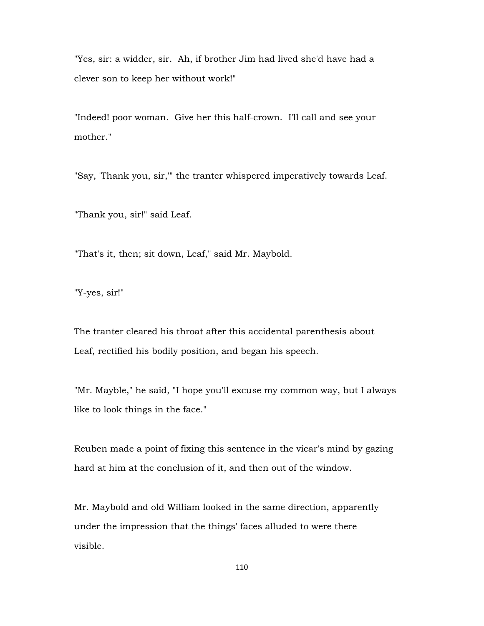"Yes, sir: a widder, sir. Ah, if brother Jim had lived she'd have had a clever son to keep her without work!"

"Indeed! poor woman. Give her this half-crown. I'll call and see your mother."

"Say, 'Thank you, sir,'" the tranter whispered imperatively towards Leaf.

"Thank you, sir!" said Leaf.

"That's it, then; sit down, Leaf," said Mr. Maybold.

"Y-yes, sir!"

The tranter cleared his throat after this accidental parenthesis about Leaf, rectified his bodily position, and began his speech.

"Mr. Mayble," he said, "I hope you'll excuse my common way, but I always like to look things in the face."

Reuben made a point of fixing this sentence in the vicar's mind by gazing hard at him at the conclusion of it, and then out of the window.

Mr. Maybold and old William looked in the same direction, apparently under the impression that the things' faces alluded to were there visible.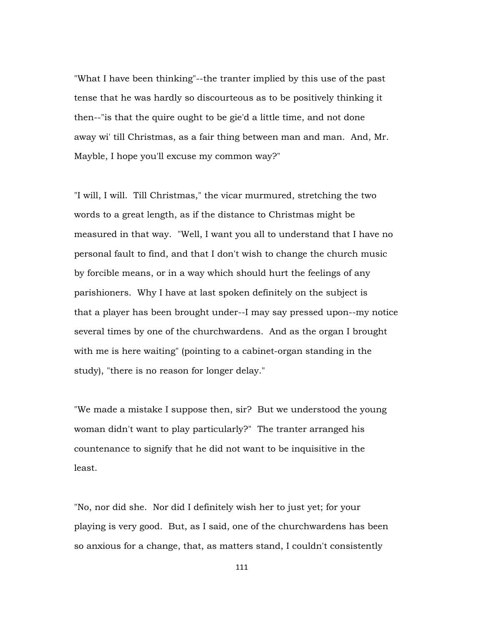"What I have been thinking"--the tranter implied by this use of the past tense that he was hardly so discourteous as to be positively thinking it then--"is that the quire ought to be gie'd a little time, and not done away wi' till Christmas, as a fair thing between man and man. And, Mr. Mayble, I hope you'll excuse my common way?"

"I will, I will. Till Christmas," the vicar murmured, stretching the two words to a great length, as if the distance to Christmas might be measured in that way. "Well, I want you all to understand that I have no personal fault to find, and that I don't wish to change the church music by forcible means, or in a way which should hurt the feelings of any parishioners. Why I have at last spoken definitely on the subject is that a player has been brought under--I may say pressed upon--my notice several times by one of the churchwardens. And as the organ I brought with me is here waiting" (pointing to a cabinet-organ standing in the study), "there is no reason for longer delay."

"We made a mistake I suppose then, sir? But we understood the young woman didn't want to play particularly?" The tranter arranged his countenance to signify that he did not want to be inquisitive in the least.

"No, nor did she. Nor did I definitely wish her to just yet; for your playing is very good. But, as I said, one of the churchwardens has been so anxious for a change, that, as matters stand, I couldn't consistently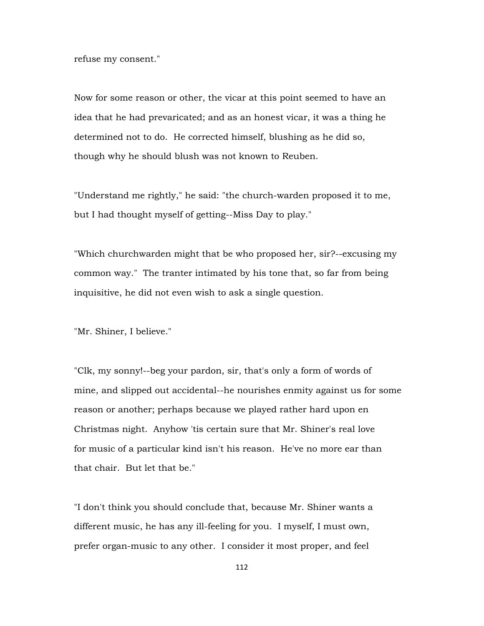refuse my consent."

Now for some reason or other, the vicar at this point seemed to have an idea that he had prevaricated; and as an honest vicar, it was a thing he determined not to do. He corrected himself, blushing as he did so, though why he should blush was not known to Reuben.

"Understand me rightly," he said: "the church-warden proposed it to me, but I had thought myself of getting--Miss Day to play."

"Which churchwarden might that be who proposed her, sir?--excusing my common way." The tranter intimated by his tone that, so far from being inquisitive, he did not even wish to ask a single question.

"Mr. Shiner, I believe."

"Clk, my sonny!--beg your pardon, sir, that's only a form of words of mine, and slipped out accidental--he nourishes enmity against us for some reason or another; perhaps because we played rather hard upon en Christmas night. Anyhow 'tis certain sure that Mr. Shiner's real love for music of a particular kind isn't his reason. He've no more ear than that chair. But let that be."

"I don't think you should conclude that, because Mr. Shiner wants a different music, he has any ill-feeling for you. I myself, I must own, prefer organ-music to any other. I consider it most proper, and feel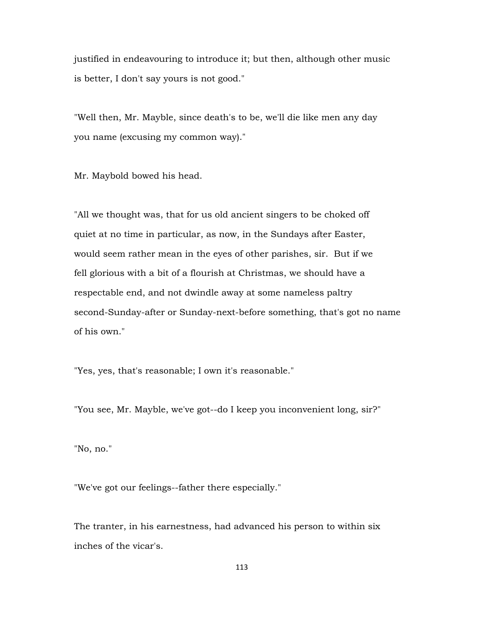justified in endeavouring to introduce it; but then, although other music is better, I don't say yours is not good."

"Well then, Mr. Mayble, since death's to be, we'll die like men any day you name (excusing my common way)."

Mr. Maybold bowed his head.

"All we thought was, that for us old ancient singers to be choked off quiet at no time in particular, as now, in the Sundays after Easter, would seem rather mean in the eyes of other parishes, sir. But if we fell glorious with a bit of a flourish at Christmas, we should have a respectable end, and not dwindle away at some nameless paltry second-Sunday-after or Sunday-next-before something, that's got no name of his own."

"Yes, yes, that's reasonable; I own it's reasonable."

"You see, Mr. Mayble, we've got--do I keep you inconvenient long, sir?"

"No, no."

"We've got our feelings--father there especially."

The tranter, in his earnestness, had advanced his person to within six inches of the vicar's.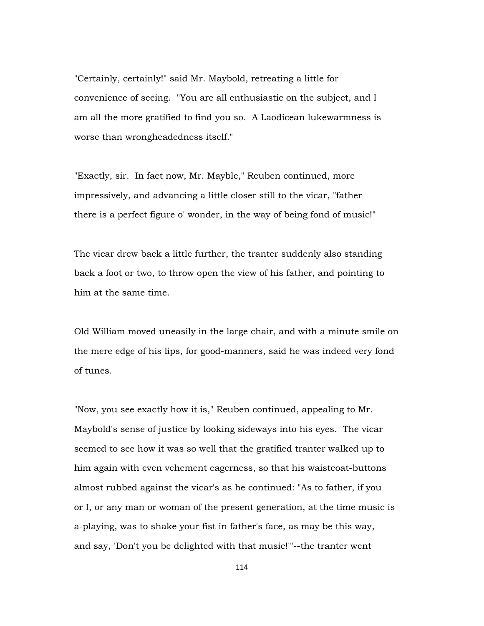"Certainly, certainly!" said Mr. Maybold, retreating a little for convenience of seeing. "You are all enthusiastic on the subject, and I am all the more gratified to find you so. A Laodicean lukewarmness is worse than wrongheadedness itself."

"Exactly, sir. In fact now, Mr. Mayble," Reuben continued, more impressively, and advancing a little closer still to the vicar, "father there is a perfect figure o' wonder, in the way of being fond of music!"

The vicar drew back a little further, the tranter suddenly also standing back a foot or two, to throw open the view of his father, and pointing to him at the same time.

Old William moved uneasily in the large chair, and with a minute smile on the mere edge of his lips, for good-manners, said he was indeed very fond of tunes.

"Now, you see exactly how it is," Reuben continued, appealing to Mr. Maybold's sense of justice by looking sideways into his eyes. The vicar seemed to see how it was so well that the gratified tranter walked up to him again with even vehement eagerness, so that his waistcoat-buttons almost rubbed against the vicar's as he continued: "As to father, if you or I, or any man or woman of the present generation, at the time music is a-playing, was to shake your fist in father's face, as may be this way, and say, 'Don't you be delighted with that music!'"--the tranter went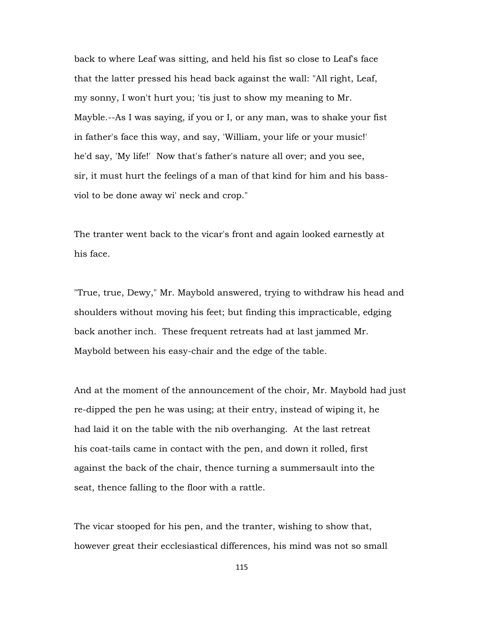back to where Leaf was sitting, and held his fist so close to Leaf's face that the latter pressed his head back against the wall: "All right, Leaf, my sonny, I won't hurt you; 'tis just to show my meaning to Mr. Mayble.--As I was saying, if you or I, or any man, was to shake your fist in father's face this way, and say, 'William, your life or your music!' he'd say, 'My life!' Now that's father's nature all over; and you see, sir, it must hurt the feelings of a man of that kind for him and his bassviol to be done away wi' neck and crop."

The tranter went back to the vicar's front and again looked earnestly at his face.

"True, true, Dewy," Mr. Maybold answered, trying to withdraw his head and shoulders without moving his feet; but finding this impracticable, edging back another inch. These frequent retreats had at last jammed Mr. Maybold between his easy-chair and the edge of the table.

And at the moment of the announcement of the choir, Mr. Maybold had just re-dipped the pen he was using; at their entry, instead of wiping it, he had laid it on the table with the nib overhanging. At the last retreat his coat-tails came in contact with the pen, and down it rolled, first against the back of the chair, thence turning a summersault into the seat, thence falling to the floor with a rattle.

The vicar stooped for his pen, and the tranter, wishing to show that, however great their ecclesiastical differences, his mind was not so small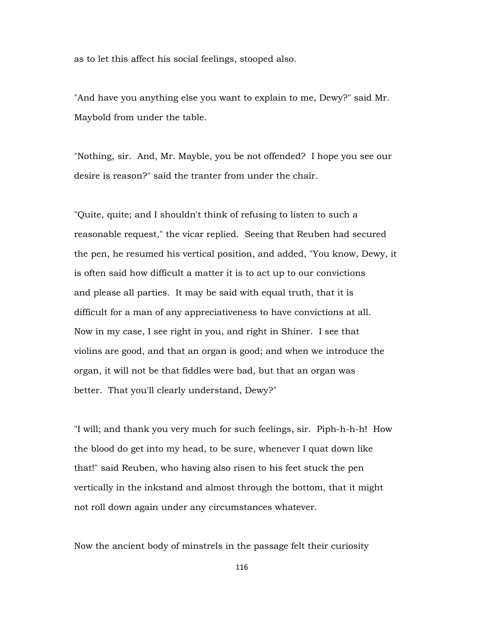as to let this affect his social feelings, stooped also.

"And have you anything else you want to explain to me, Dewy?" said Mr. Maybold from under the table.

"Nothing, sir. And, Mr. Mayble, you be not offended? I hope you see our desire is reason?" said the tranter from under the chair.

"Quite, quite; and I shouldn't think of refusing to listen to such a reasonable request," the vicar replied. Seeing that Reuben had secured the pen, he resumed his vertical position, and added, "You know, Dewy, it is often said how difficult a matter it is to act up to our convictions and please all parties. It may be said with equal truth, that it is difficult for a man of any appreciativeness to have convictions at all. Now in my case, I see right in you, and right in Shiner. I see that violins are good, and that an organ is good; and when we introduce the organ, it will not be that fiddles were bad, but that an organ was better. That you'll clearly understand, Dewy?"

"I will; and thank you very much for such feelings, sir. Piph-h-h-h! How the blood do get into my head, to be sure, whenever I quat down like that!" said Reuben, who having also risen to his feet stuck the pen vertically in the inkstand and almost through the bottom, that it might not roll down again under any circumstances whatever.

Now the ancient body of minstrels in the passage felt their curiosity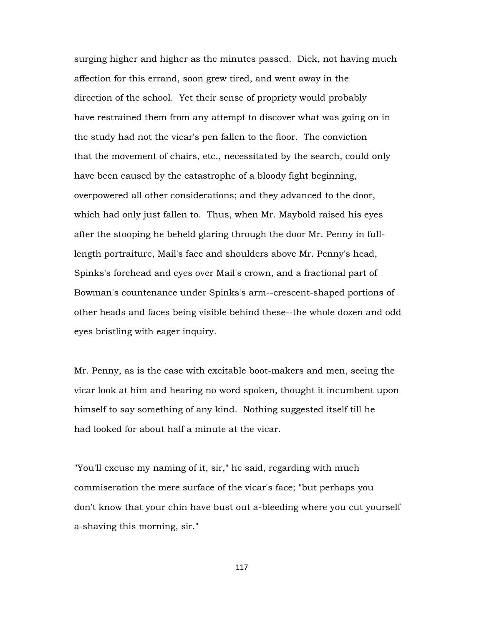surging higher and higher as the minutes passed. Dick, not having much affection for this errand, soon grew tired, and went away in the direction of the school. Yet their sense of propriety would probably have restrained them from any attempt to discover what was going on in the study had not the vicar's pen fallen to the floor. The conviction that the movement of chairs, etc., necessitated by the search, could only have been caused by the catastrophe of a bloody fight beginning, overpowered all other considerations; and they advanced to the door, which had only just fallen to. Thus, when Mr. Maybold raised his eyes after the stooping he beheld glaring through the door Mr. Penny in fulllength portraiture, Mail's face and shoulders above Mr. Penny's head, Spinks's forehead and eyes over Mail's crown, and a fractional part of Bowman's countenance under Spinks's arm--crescent-shaped portions of other heads and faces being visible behind these--the whole dozen and odd eyes bristling with eager inquiry.

Mr. Penny, as is the case with excitable boot-makers and men, seeing the vicar look at him and hearing no word spoken, thought it incumbent upon himself to say something of any kind. Nothing suggested itself till he had looked for about half a minute at the vicar.

"You'll excuse my naming of it, sir," he said, regarding with much commiseration the mere surface of the vicar's face; "but perhaps you don't know that your chin have bust out a-bleeding where you cut yourself a-shaving this morning, sir."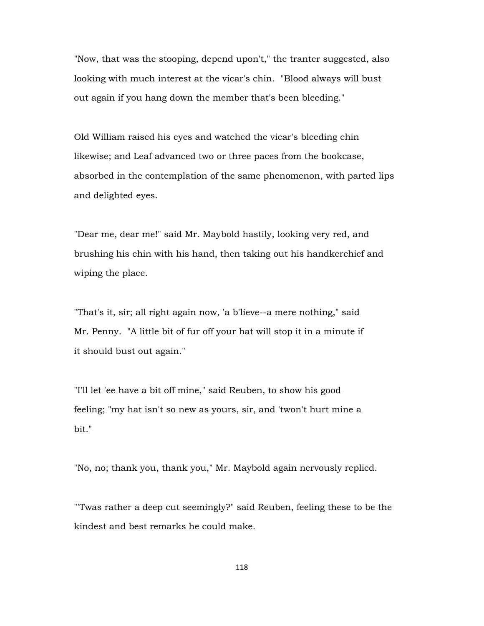"Now, that was the stooping, depend upon't," the tranter suggested, also looking with much interest at the vicar's chin. "Blood always will bust out again if you hang down the member that's been bleeding."

Old William raised his eyes and watched the vicar's bleeding chin likewise; and Leaf advanced two or three paces from the bookcase, absorbed in the contemplation of the same phenomenon, with parted lips and delighted eyes.

"Dear me, dear me!" said Mr. Maybold hastily, looking very red, and brushing his chin with his hand, then taking out his handkerchief and wiping the place.

"That's it, sir; all right again now, 'a b'lieve--a mere nothing," said Mr. Penny. "A little bit of fur off your hat will stop it in a minute if it should bust out again."

"I'll let 'ee have a bit off mine," said Reuben, to show his good feeling; "my hat isn't so new as yours, sir, and 'twon't hurt mine a bit."

"No, no; thank you, thank you," Mr. Maybold again nervously replied.

"'Twas rather a deep cut seemingly?" said Reuben, feeling these to be the kindest and best remarks he could make.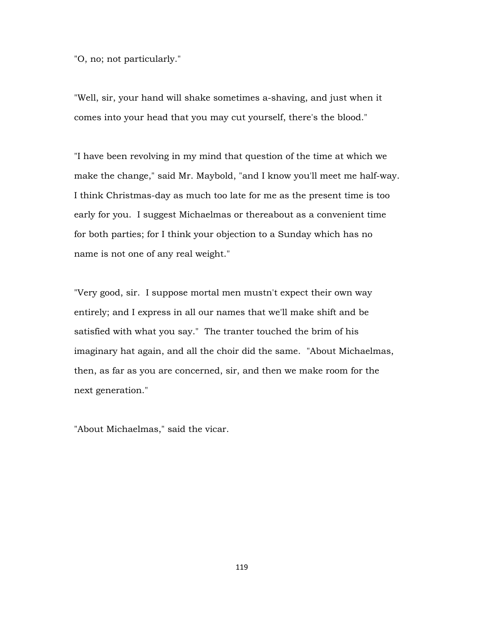"O, no; not particularly."

"Well, sir, your hand will shake sometimes a-shaving, and just when it comes into your head that you may cut yourself, there's the blood."

"I have been revolving in my mind that question of the time at which we make the change," said Mr. Maybold, "and I know you'll meet me half-way. I think Christmas-day as much too late for me as the present time is too early for you. I suggest Michaelmas or thereabout as a convenient time for both parties; for I think your objection to a Sunday which has no name is not one of any real weight."

"Very good, sir. I suppose mortal men mustn't expect their own way entirely; and I express in all our names that we'll make shift and be satisfied with what you say." The tranter touched the brim of his imaginary hat again, and all the choir did the same. "About Michaelmas, then, as far as you are concerned, sir, and then we make room for the next generation."

"About Michaelmas," said the vicar.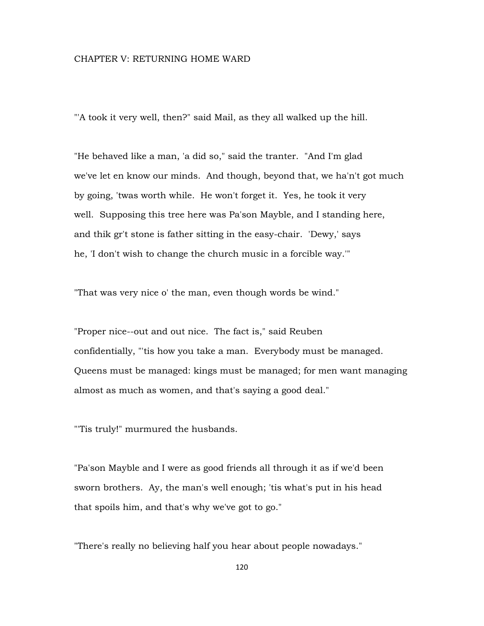## CHAPTER V: RETURNING HOME WARD

"'A took it very well, then?" said Mail, as they all walked up the hill.

"He behaved like a man, 'a did so," said the tranter. "And I'm glad we've let en know our minds. And though, beyond that, we ha'n't got much by going, 'twas worth while. He won't forget it. Yes, he took it very well. Supposing this tree here was Pa'son Mayble, and I standing here, and thik gr't stone is father sitting in the easy-chair. 'Dewy,' says he, 'I don't wish to change the church music in a forcible way.'"

"That was very nice o' the man, even though words be wind."

"Proper nice--out and out nice. The fact is," said Reuben confidentially, "'tis how you take a man. Everybody must be managed. Queens must be managed: kings must be managed; for men want managing almost as much as women, and that's saying a good deal."

"'Tis truly!" murmured the husbands.

"Pa'son Mayble and I were as good friends all through it as if we'd been sworn brothers. Ay, the man's well enough; 'tis what's put in his head that spoils him, and that's why we've got to go."

"There's really no believing half you hear about people nowadays."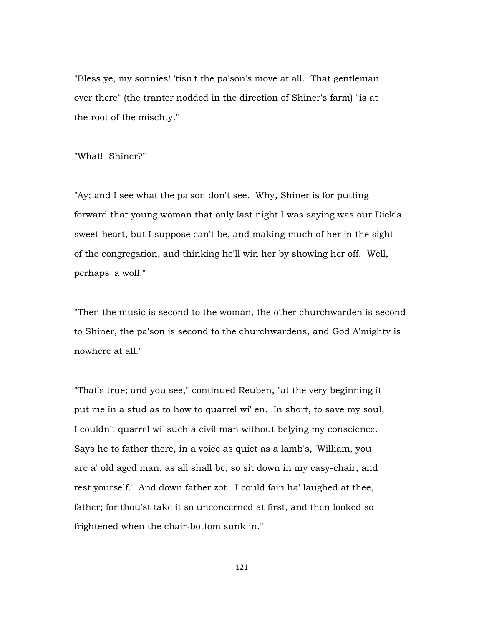"Bless ye, my sonnies! 'tisn't the pa'son's move at all. That gentleman over there" (the tranter nodded in the direction of Shiner's farm) "is at the root of the mischty."

"What! Shiner?"

"Ay; and I see what the pa'son don't see. Why, Shiner is for putting forward that young woman that only last night I was saying was our Dick's sweet-heart, but I suppose can't be, and making much of her in the sight of the congregation, and thinking he'll win her by showing her off. Well, perhaps 'a woll."

"Then the music is second to the woman, the other churchwarden is second to Shiner, the pa'son is second to the churchwardens, and God A'mighty is nowhere at all."

"That's true; and you see," continued Reuben, "at the very beginning it put me in a stud as to how to quarrel wi' en. In short, to save my soul, I couldn't quarrel wi' such a civil man without belying my conscience. Says he to father there, in a voice as quiet as a lamb's, 'William, you are a' old aged man, as all shall be, so sit down in my easy-chair, and rest yourself.' And down father zot. I could fain ha' laughed at thee, father; for thou'st take it so unconcerned at first, and then looked so frightened when the chair-bottom sunk in."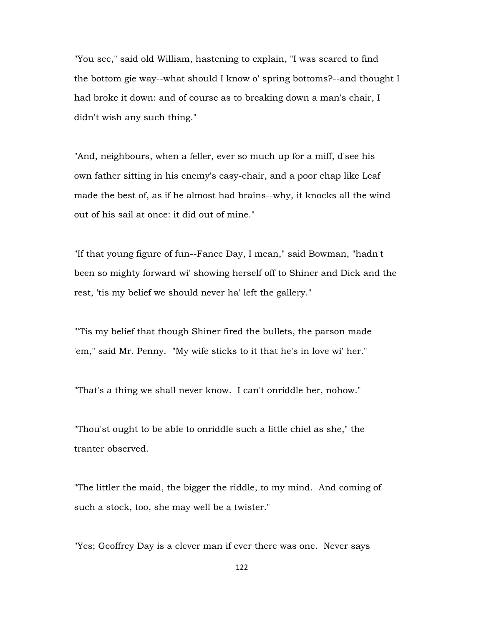"You see," said old William, hastening to explain, "I was scared to find the bottom gie way--what should I know o' spring bottoms?--and thought I had broke it down: and of course as to breaking down a man's chair, I didn't wish any such thing."

"And, neighbours, when a feller, ever so much up for a miff, d'see his own father sitting in his enemy's easy-chair, and a poor chap like Leaf made the best of, as if he almost had brains--why, it knocks all the wind out of his sail at once: it did out of mine."

"If that young figure of fun--Fance Day, I mean," said Bowman, "hadn't been so mighty forward wi' showing herself off to Shiner and Dick and the rest, 'tis my belief we should never ha' left the gallery."

"'Tis my belief that though Shiner fired the bullets, the parson made 'em," said Mr. Penny. "My wife sticks to it that he's in love wi' her."

"That's a thing we shall never know. I can't onriddle her, nohow."

"Thou'st ought to be able to onriddle such a little chiel as she," the tranter observed.

"The littler the maid, the bigger the riddle, to my mind. And coming of such a stock, too, she may well be a twister."

"Yes; Geoffrey Day is a clever man if ever there was one. Never says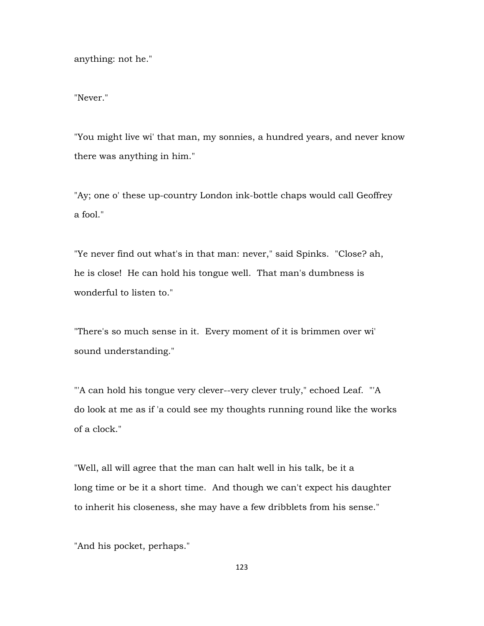anything: not he."

"Never."

"You might live wi' that man, my sonnies, a hundred years, and never know there was anything in him."

"Ay; one o' these up-country London ink-bottle chaps would call Geoffrey a fool."

"Ye never find out what's in that man: never," said Spinks. "Close? ah, he is close! He can hold his tongue well. That man's dumbness is wonderful to listen to."

"There's so much sense in it. Every moment of it is brimmen over wi' sound understanding."

"'A can hold his tongue very clever--very clever truly," echoed Leaf. "'A do look at me as if 'a could see my thoughts running round like the works of a clock."

"Well, all will agree that the man can halt well in his talk, be it a long time or be it a short time. And though we can't expect his daughter to inherit his closeness, she may have a few dribblets from his sense."

"And his pocket, perhaps."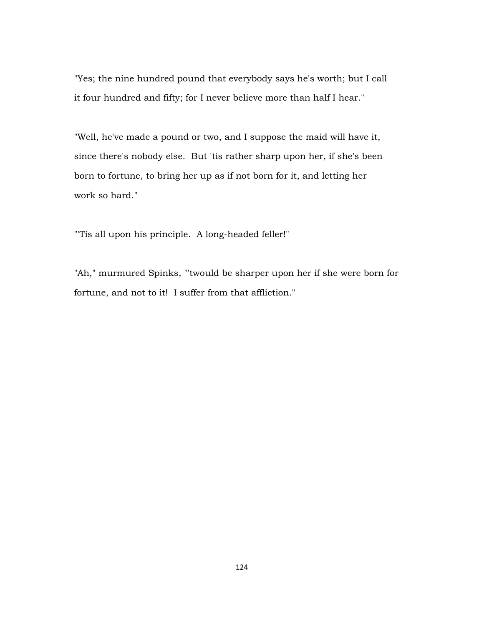"Yes; the nine hundred pound that everybody says he's worth; but I call it four hundred and fifty; for I never believe more than half I hear."

"Well, he've made a pound or two, and I suppose the maid will have it, since there's nobody else. But 'tis rather sharp upon her, if she's been born to fortune, to bring her up as if not born for it, and letting her work so hard."

"'Tis all upon his principle. A long-headed feller!"

"Ah," murmured Spinks, "'twould be sharper upon her if she were born for fortune, and not to it! I suffer from that affliction."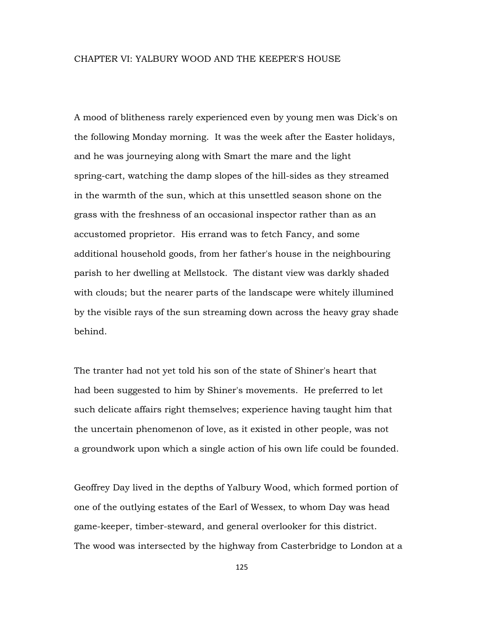## CHAPTER VI: YALBURY WOOD AND THE KEEPER'S HOUSE

A mood of blitheness rarely experienced even by young men was Dick's on the following Monday morning. It was the week after the Easter holidays, and he was journeying along with Smart the mare and the light spring-cart, watching the damp slopes of the hill-sides as they streamed in the warmth of the sun, which at this unsettled season shone on the grass with the freshness of an occasional inspector rather than as an accustomed proprietor. His errand was to fetch Fancy, and some additional household goods, from her father's house in the neighbouring parish to her dwelling at Mellstock. The distant view was darkly shaded with clouds; but the nearer parts of the landscape were whitely illumined by the visible rays of the sun streaming down across the heavy gray shade behind.

The tranter had not yet told his son of the state of Shiner's heart that had been suggested to him by Shiner's movements. He preferred to let such delicate affairs right themselves; experience having taught him that the uncertain phenomenon of love, as it existed in other people, was not a groundwork upon which a single action of his own life could be founded.

Geoffrey Day lived in the depths of Yalbury Wood, which formed portion of one of the outlying estates of the Earl of Wessex, to whom Day was head game-keeper, timber-steward, and general overlooker for this district. The wood was intersected by the highway from Casterbridge to London at a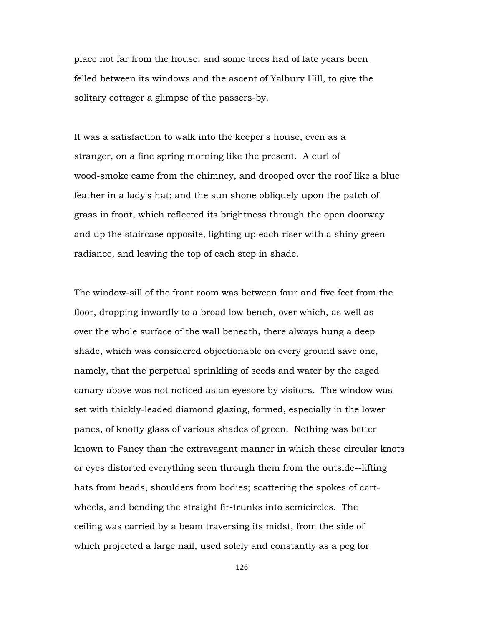place not far from the house, and some trees had of late years been felled between its windows and the ascent of Yalbury Hill, to give the solitary cottager a glimpse of the passers-by.

It was a satisfaction to walk into the keeper's house, even as a stranger, on a fine spring morning like the present. A curl of wood-smoke came from the chimney, and drooped over the roof like a blue feather in a lady's hat; and the sun shone obliquely upon the patch of grass in front, which reflected its brightness through the open doorway and up the staircase opposite, lighting up each riser with a shiny green radiance, and leaving the top of each step in shade.

The window-sill of the front room was between four and five feet from the floor, dropping inwardly to a broad low bench, over which, as well as over the whole surface of the wall beneath, there always hung a deep shade, which was considered objectionable on every ground save one, namely, that the perpetual sprinkling of seeds and water by the caged canary above was not noticed as an eyesore by visitors. The window was set with thickly-leaded diamond glazing, formed, especially in the lower panes, of knotty glass of various shades of green. Nothing was better known to Fancy than the extravagant manner in which these circular knots or eyes distorted everything seen through them from the outside--lifting hats from heads, shoulders from bodies; scattering the spokes of cartwheels, and bending the straight fir-trunks into semicircles. The ceiling was carried by a beam traversing its midst, from the side of which projected a large nail, used solely and constantly as a peg for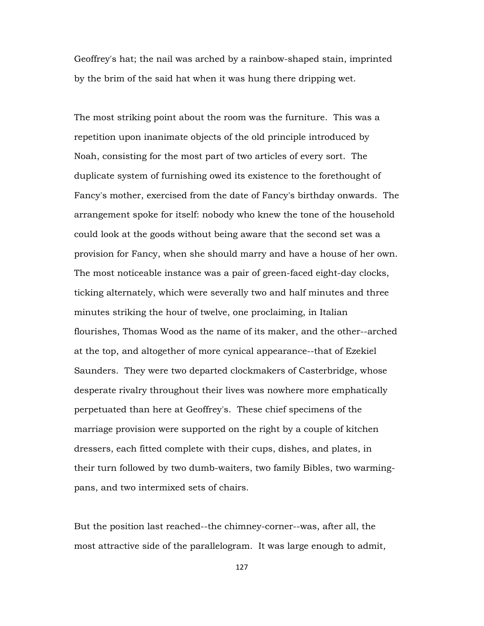Geoffrey's hat; the nail was arched by a rainbow-shaped stain, imprinted by the brim of the said hat when it was hung there dripping wet.

The most striking point about the room was the furniture. This was a repetition upon inanimate objects of the old principle introduced by Noah, consisting for the most part of two articles of every sort. The duplicate system of furnishing owed its existence to the forethought of Fancy's mother, exercised from the date of Fancy's birthday onwards. The arrangement spoke for itself: nobody who knew the tone of the household could look at the goods without being aware that the second set was a provision for Fancy, when she should marry and have a house of her own. The most noticeable instance was a pair of green-faced eight-day clocks, ticking alternately, which were severally two and half minutes and three minutes striking the hour of twelve, one proclaiming, in Italian flourishes, Thomas Wood as the name of its maker, and the other--arched at the top, and altogether of more cynical appearance--that of Ezekiel Saunders. They were two departed clockmakers of Casterbridge, whose desperate rivalry throughout their lives was nowhere more emphatically perpetuated than here at Geoffrey's. These chief specimens of the marriage provision were supported on the right by a couple of kitchen dressers, each fitted complete with their cups, dishes, and plates, in their turn followed by two dumb-waiters, two family Bibles, two warmingpans, and two intermixed sets of chairs.

But the position last reached--the chimney-corner--was, after all, the most attractive side of the parallelogram. It was large enough to admit,

127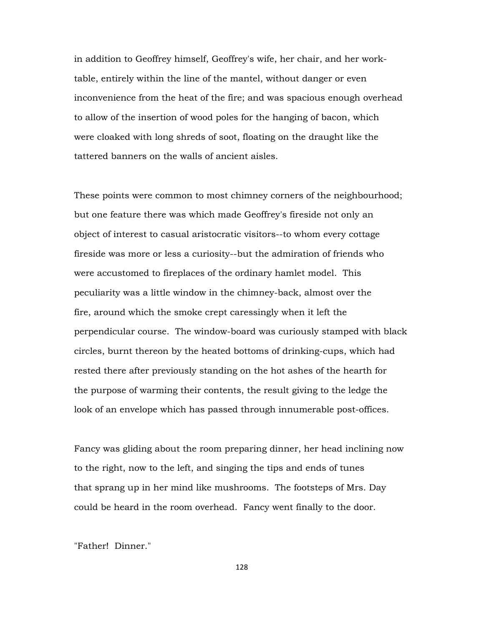in addition to Geoffrey himself, Geoffrey's wife, her chair, and her worktable, entirely within the line of the mantel, without danger or even inconvenience from the heat of the fire; and was spacious enough overhead to allow of the insertion of wood poles for the hanging of bacon, which were cloaked with long shreds of soot, floating on the draught like the tattered banners on the walls of ancient aisles.

These points were common to most chimney corners of the neighbourhood; but one feature there was which made Geoffrey's fireside not only an object of interest to casual aristocratic visitors--to whom every cottage fireside was more or less a curiosity--but the admiration of friends who were accustomed to fireplaces of the ordinary hamlet model. This peculiarity was a little window in the chimney-back, almost over the fire, around which the smoke crept caressingly when it left the perpendicular course. The window-board was curiously stamped with black circles, burnt thereon by the heated bottoms of drinking-cups, which had rested there after previously standing on the hot ashes of the hearth for the purpose of warming their contents, the result giving to the ledge the look of an envelope which has passed through innumerable post-offices.

Fancy was gliding about the room preparing dinner, her head inclining now to the right, now to the left, and singing the tips and ends of tunes that sprang up in her mind like mushrooms. The footsteps of Mrs. Day could be heard in the room overhead. Fancy went finally to the door.

"Father! Dinner."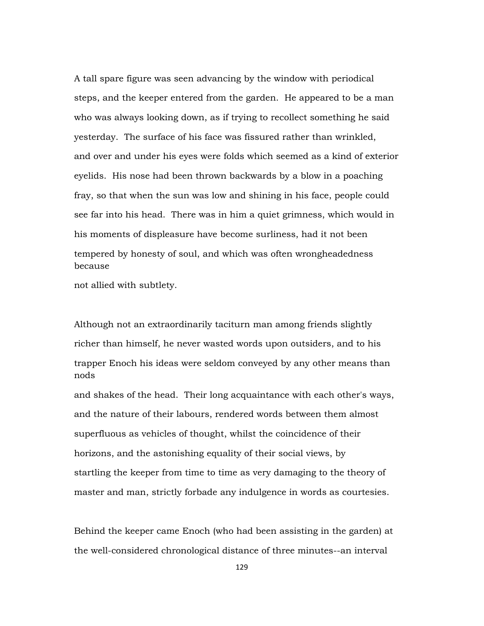A tall spare figure was seen advancing by the window with periodical steps, and the keeper entered from the garden. He appeared to be a man who was always looking down, as if trying to recollect something he said yesterday. The surface of his face was fissured rather than wrinkled, and over and under his eyes were folds which seemed as a kind of exterior eyelids. His nose had been thrown backwards by a blow in a poaching fray, so that when the sun was low and shining in his face, people could see far into his head. There was in him a quiet grimness, which would in his moments of displeasure have become surliness, had it not been tempered by honesty of soul, and which was often wrongheadedness because

not allied with subtlety.

Although not an extraordinarily taciturn man among friends slightly richer than himself, he never wasted words upon outsiders, and to his trapper Enoch his ideas were seldom conveyed by any other means than nods

and shakes of the head. Their long acquaintance with each other's ways, and the nature of their labours, rendered words between them almost superfluous as vehicles of thought, whilst the coincidence of their horizons, and the astonishing equality of their social views, by startling the keeper from time to time as very damaging to the theory of master and man, strictly forbade any indulgence in words as courtesies.

Behind the keeper came Enoch (who had been assisting in the garden) at the well-considered chronological distance of three minutes--an interval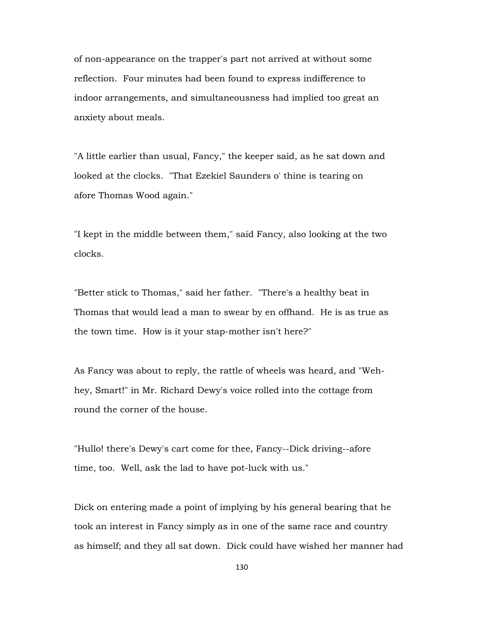of non-appearance on the trapper's part not arrived at without some reflection. Four minutes had been found to express indifference to indoor arrangements, and simultaneousness had implied too great an anxiety about meals.

"A little earlier than usual, Fancy," the keeper said, as he sat down and looked at the clocks. "That Ezekiel Saunders o' thine is tearing on afore Thomas Wood again."

"I kept in the middle between them," said Fancy, also looking at the two clocks.

"Better stick to Thomas," said her father. "There's a healthy beat in Thomas that would lead a man to swear by en offhand. He is as true as the town time. How is it your stap-mother isn't here?"

As Fancy was about to reply, the rattle of wheels was heard, and "Wehhey, Smart!" in Mr. Richard Dewy's voice rolled into the cottage from round the corner of the house.

"Hullo! there's Dewy's cart come for thee, Fancy--Dick driving--afore time, too. Well, ask the lad to have pot-luck with us."

Dick on entering made a point of implying by his general bearing that he took an interest in Fancy simply as in one of the same race and country as himself; and they all sat down. Dick could have wished her manner had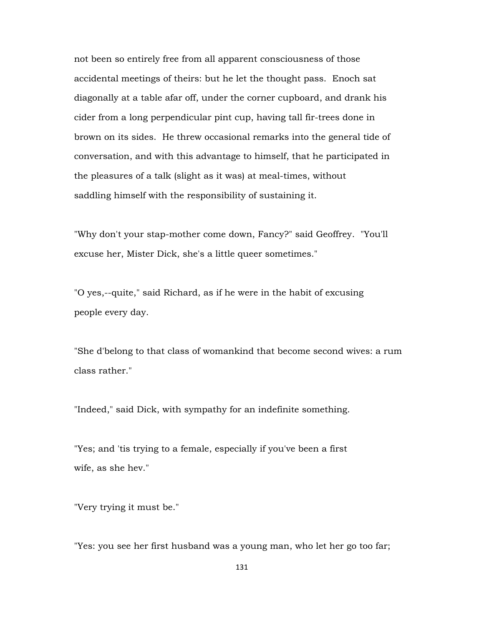not been so entirely free from all apparent consciousness of those accidental meetings of theirs: but he let the thought pass. Enoch sat diagonally at a table afar off, under the corner cupboard, and drank his cider from a long perpendicular pint cup, having tall fir-trees done in brown on its sides. He threw occasional remarks into the general tide of conversation, and with this advantage to himself, that he participated in the pleasures of a talk (slight as it was) at meal-times, without saddling himself with the responsibility of sustaining it.

"Why don't your stap-mother come down, Fancy?" said Geoffrey. "You'll excuse her, Mister Dick, she's a little queer sometimes."

"O yes,--quite," said Richard, as if he were in the habit of excusing people every day.

"She d'belong to that class of womankind that become second wives: a rum class rather."

"Indeed," said Dick, with sympathy for an indefinite something.

"Yes; and 'tis trying to a female, especially if you've been a first wife, as she hev."

"Very trying it must be."

"Yes: you see her first husband was a young man, who let her go too far;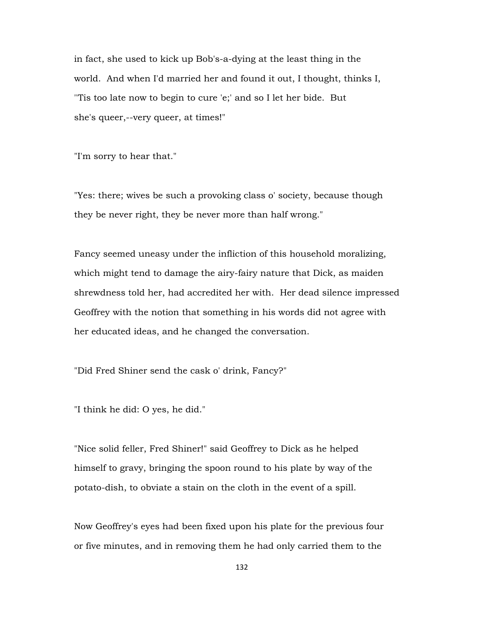in fact, she used to kick up Bob's-a-dying at the least thing in the world. And when I'd married her and found it out, I thought, thinks I, ''Tis too late now to begin to cure 'e;' and so I let her bide. But she's queer,--very queer, at times!"

"I'm sorry to hear that."

"Yes: there; wives be such a provoking class o' society, because though they be never right, they be never more than half wrong."

Fancy seemed uneasy under the infliction of this household moralizing, which might tend to damage the airy-fairy nature that Dick, as maiden shrewdness told her, had accredited her with. Her dead silence impressed Geoffrey with the notion that something in his words did not agree with her educated ideas, and he changed the conversation.

"Did Fred Shiner send the cask o' drink, Fancy?"

"I think he did: O yes, he did."

"Nice solid feller, Fred Shiner!" said Geoffrey to Dick as he helped himself to gravy, bringing the spoon round to his plate by way of the potato-dish, to obviate a stain on the cloth in the event of a spill.

Now Geoffrey's eyes had been fixed upon his plate for the previous four or five minutes, and in removing them he had only carried them to the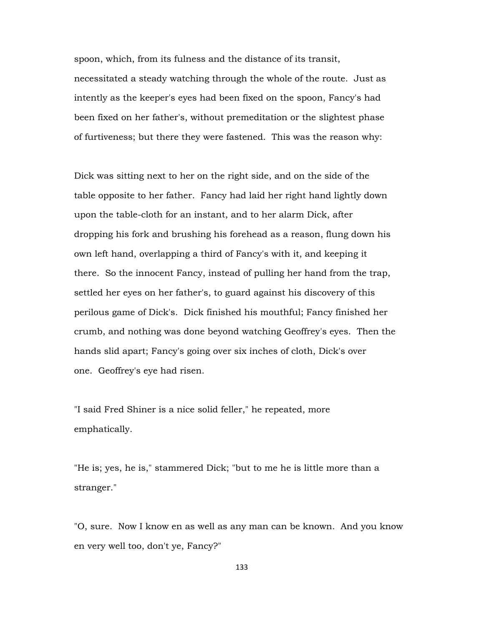spoon, which, from its fulness and the distance of its transit, necessitated a steady watching through the whole of the route. Just as intently as the keeper's eyes had been fixed on the spoon, Fancy's had been fixed on her father's, without premeditation or the slightest phase of furtiveness; but there they were fastened. This was the reason why:

Dick was sitting next to her on the right side, and on the side of the table opposite to her father. Fancy had laid her right hand lightly down upon the table-cloth for an instant, and to her alarm Dick, after dropping his fork and brushing his forehead as a reason, flung down his own left hand, overlapping a third of Fancy's with it, and keeping it there. So the innocent Fancy, instead of pulling her hand from the trap, settled her eyes on her father's, to guard against his discovery of this perilous game of Dick's. Dick finished his mouthful; Fancy finished her crumb, and nothing was done beyond watching Geoffrey's eyes. Then the hands slid apart; Fancy's going over six inches of cloth, Dick's over one. Geoffrey's eye had risen.

"I said Fred Shiner is a nice solid feller," he repeated, more emphatically.

"He is; yes, he is," stammered Dick; "but to me he is little more than a stranger."

"O, sure. Now I know en as well as any man can be known. And you know en very well too, don't ye, Fancy?"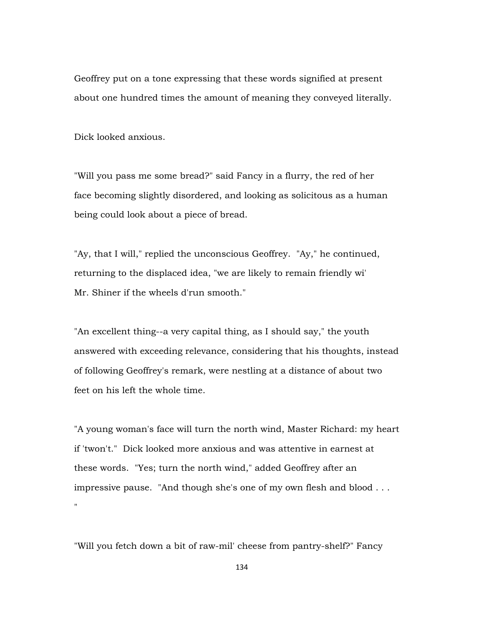Geoffrey put on a tone expressing that these words signified at present about one hundred times the amount of meaning they conveyed literally.

Dick looked anxious.

"Will you pass me some bread?" said Fancy in a flurry, the red of her face becoming slightly disordered, and looking as solicitous as a human being could look about a piece of bread.

"Ay, that I will," replied the unconscious Geoffrey. "Ay," he continued, returning to the displaced idea, "we are likely to remain friendly wi' Mr. Shiner if the wheels d'run smooth."

"An excellent thing--a very capital thing, as I should say," the youth answered with exceeding relevance, considering that his thoughts, instead of following Geoffrey's remark, were nestling at a distance of about two feet on his left the whole time.

"A young woman's face will turn the north wind, Master Richard: my heart if 'twon't." Dick looked more anxious and was attentive in earnest at these words. "Yes; turn the north wind," added Geoffrey after an impressive pause. "And though she's one of my own flesh and blood . . . "

"Will you fetch down a bit of raw-mil' cheese from pantry-shelf?" Fancy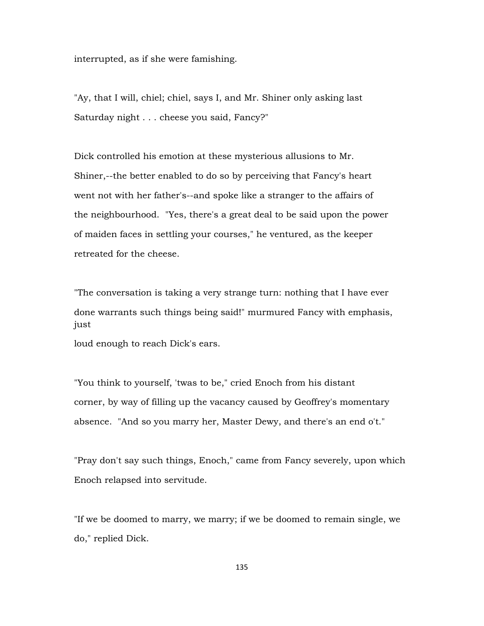interrupted, as if she were famishing.

"Ay, that I will, chiel; chiel, says I, and Mr. Shiner only asking last Saturday night . . . cheese you said, Fancy?"

Dick controlled his emotion at these mysterious allusions to Mr. Shiner,--the better enabled to do so by perceiving that Fancy's heart went not with her father's--and spoke like a stranger to the affairs of the neighbourhood. "Yes, there's a great deal to be said upon the power of maiden faces in settling your courses," he ventured, as the keeper retreated for the cheese.

"The conversation is taking a very strange turn: nothing that I have ever done warrants such things being said!" murmured Fancy with emphasis, just

loud enough to reach Dick's ears.

"You think to yourself, 'twas to be," cried Enoch from his distant corner, by way of filling up the vacancy caused by Geoffrey's momentary absence. "And so you marry her, Master Dewy, and there's an end o't."

"Pray don't say such things, Enoch," came from Fancy severely, upon which Enoch relapsed into servitude.

"If we be doomed to marry, we marry; if we be doomed to remain single, we do," replied Dick.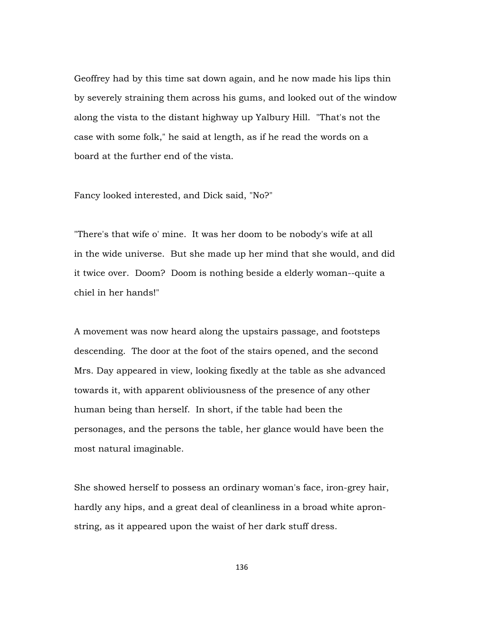Geoffrey had by this time sat down again, and he now made his lips thin by severely straining them across his gums, and looked out of the window along the vista to the distant highway up Yalbury Hill. "That's not the case with some folk," he said at length, as if he read the words on a board at the further end of the vista.

Fancy looked interested, and Dick said, "No?"

"There's that wife o' mine. It was her doom to be nobody's wife at all in the wide universe. But she made up her mind that she would, and did it twice over. Doom? Doom is nothing beside a elderly woman--quite a chiel in her hands!"

A movement was now heard along the upstairs passage, and footsteps descending. The door at the foot of the stairs opened, and the second Mrs. Day appeared in view, looking fixedly at the table as she advanced towards it, with apparent obliviousness of the presence of any other human being than herself. In short, if the table had been the personages, and the persons the table, her glance would have been the most natural imaginable.

She showed herself to possess an ordinary woman's face, iron-grey hair, hardly any hips, and a great deal of cleanliness in a broad white apronstring, as it appeared upon the waist of her dark stuff dress.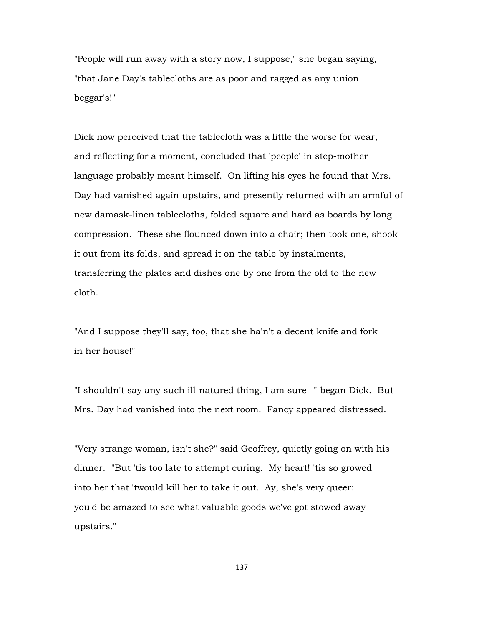"People will run away with a story now, I suppose," she began saying, "that Jane Day's tablecloths are as poor and ragged as any union beggar's!"

Dick now perceived that the tablecloth was a little the worse for wear, and reflecting for a moment, concluded that 'people' in step-mother language probably meant himself. On lifting his eyes he found that Mrs. Day had vanished again upstairs, and presently returned with an armful of new damask-linen tablecloths, folded square and hard as boards by long compression. These she flounced down into a chair; then took one, shook it out from its folds, and spread it on the table by instalments, transferring the plates and dishes one by one from the old to the new cloth.

"And I suppose they'll say, too, that she ha'n't a decent knife and fork in her house!"

"I shouldn't say any such ill-natured thing, I am sure--" began Dick. But Mrs. Day had vanished into the next room. Fancy appeared distressed.

"Very strange woman, isn't she?" said Geoffrey, quietly going on with his dinner. "But 'tis too late to attempt curing. My heart! 'tis so growed into her that 'twould kill her to take it out. Ay, she's very queer: you'd be amazed to see what valuable goods we've got stowed away upstairs."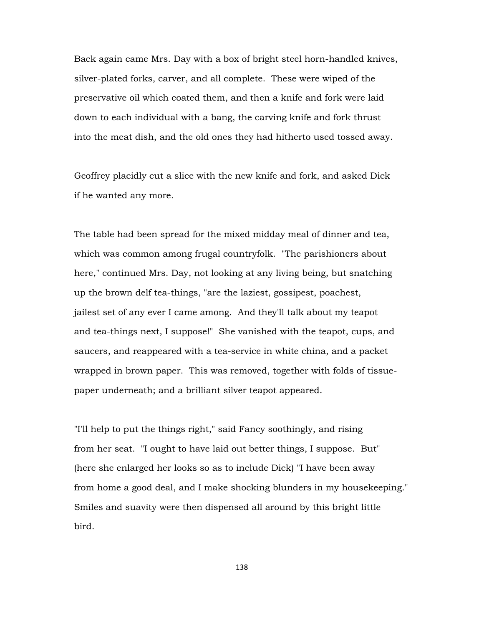Back again came Mrs. Day with a box of bright steel horn-handled knives, silver-plated forks, carver, and all complete. These were wiped of the preservative oil which coated them, and then a knife and fork were laid down to each individual with a bang, the carving knife and fork thrust into the meat dish, and the old ones they had hitherto used tossed away.

Geoffrey placidly cut a slice with the new knife and fork, and asked Dick if he wanted any more.

The table had been spread for the mixed midday meal of dinner and tea, which was common among frugal countryfolk. "The parishioners about here," continued Mrs. Day, not looking at any living being, but snatching up the brown delf tea-things, "are the laziest, gossipest, poachest, jailest set of any ever I came among. And they'll talk about my teapot and tea-things next, I suppose!" She vanished with the teapot, cups, and saucers, and reappeared with a tea-service in white china, and a packet wrapped in brown paper. This was removed, together with folds of tissuepaper underneath; and a brilliant silver teapot appeared.

"I'll help to put the things right," said Fancy soothingly, and rising from her seat. "I ought to have laid out better things, I suppose. But" (here she enlarged her looks so as to include Dick) "I have been away from home a good deal, and I make shocking blunders in my housekeeping." Smiles and suavity were then dispensed all around by this bright little bird.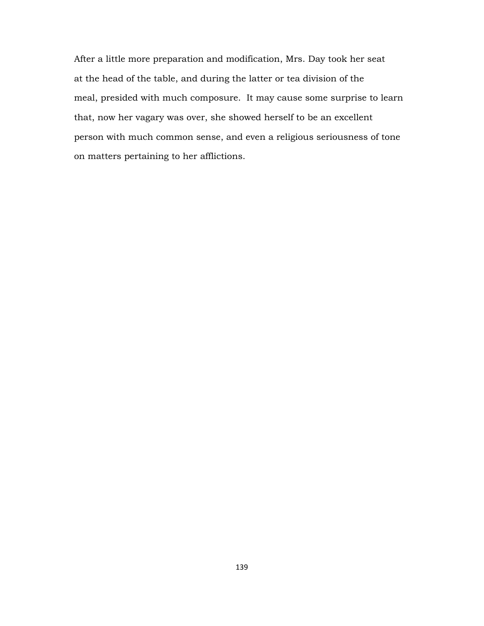After a little more preparation and modification, Mrs. Day took her seat at the head of the table, and during the latter or tea division of the meal, presided with much composure. It may cause some surprise to learn that, now her vagary was over, she showed herself to be an excellent person with much common sense, and even a religious seriousness of tone on matters pertaining to her afflictions.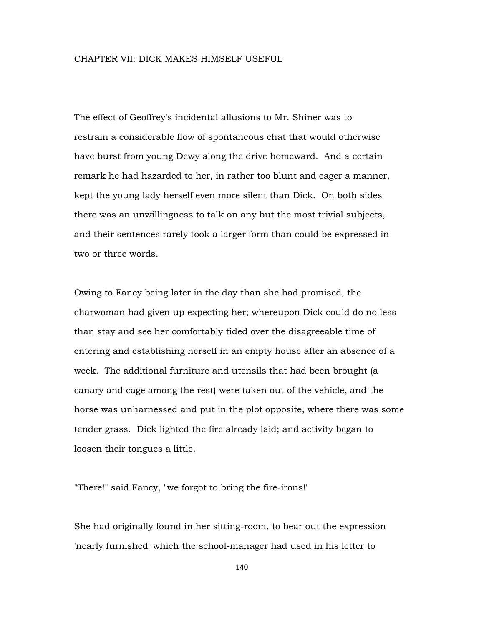## CHAPTER VII: DICK MAKES HIMSELF USEFUL

The effect of Geoffrey's incidental allusions to Mr. Shiner was to restrain a considerable flow of spontaneous chat that would otherwise have burst from young Dewy along the drive homeward. And a certain remark he had hazarded to her, in rather too blunt and eager a manner, kept the young lady herself even more silent than Dick. On both sides there was an unwillingness to talk on any but the most trivial subjects, and their sentences rarely took a larger form than could be expressed in two or three words.

Owing to Fancy being later in the day than she had promised, the charwoman had given up expecting her; whereupon Dick could do no less than stay and see her comfortably tided over the disagreeable time of entering and establishing herself in an empty house after an absence of a week. The additional furniture and utensils that had been brought (a canary and cage among the rest) were taken out of the vehicle, and the horse was unharnessed and put in the plot opposite, where there was some tender grass. Dick lighted the fire already laid; and activity began to loosen their tongues a little.

"There!" said Fancy, "we forgot to bring the fire-irons!"

She had originally found in her sitting-room, to bear out the expression 'nearly furnished' which the school-manager had used in his letter to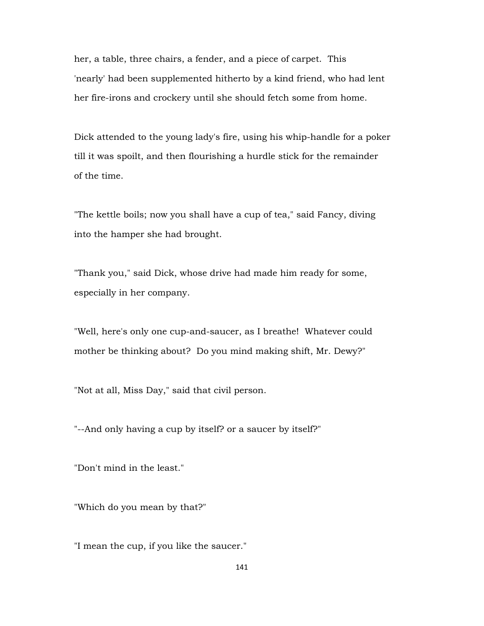her, a table, three chairs, a fender, and a piece of carpet. This 'nearly' had been supplemented hitherto by a kind friend, who had lent her fire-irons and crockery until she should fetch some from home.

Dick attended to the young lady's fire, using his whip-handle for a poker till it was spoilt, and then flourishing a hurdle stick for the remainder of the time.

"The kettle boils; now you shall have a cup of tea," said Fancy, diving into the hamper she had brought.

"Thank you," said Dick, whose drive had made him ready for some, especially in her company.

"Well, here's only one cup-and-saucer, as I breathe! Whatever could mother be thinking about? Do you mind making shift, Mr. Dewy?"

"Not at all, Miss Day," said that civil person.

"--And only having a cup by itself? or a saucer by itself?"

"Don't mind in the least."

"Which do you mean by that?"

"I mean the cup, if you like the saucer."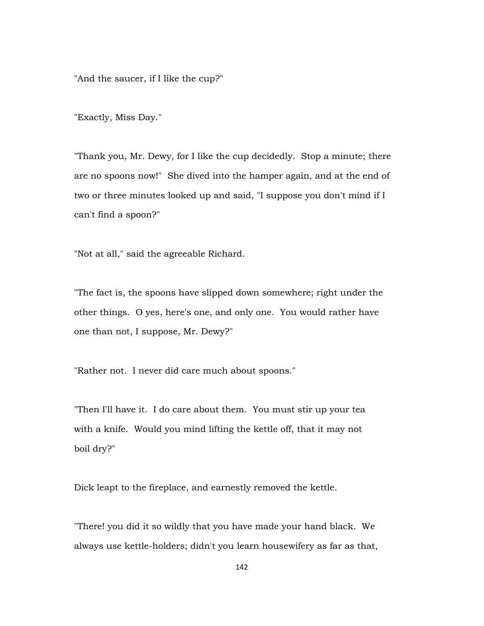"And the saucer, if I like the cup?"

"Exactly, Miss Day."

"Thank you, Mr. Dewy, for I like the cup decidedly. Stop a minute; there are no spoons now!" She dived into the hamper again, and at the end of two or three minutes looked up and said, "I suppose you don't mind if I can't find a spoon?"

"Not at all," said the agreeable Richard.

"The fact is, the spoons have slipped down somewhere; right under the other things. O yes, here's one, and only one. You would rather have one than not, I suppose, Mr. Dewy?"

"Rather not. I never did care much about spoons."

"Then I'll have it. I do care about them. You must stir up your tea with a knife. Would you mind lifting the kettle off, that it may not boil dry?"

Dick leapt to the fireplace, and earnestly removed the kettle.

"There! you did it so wildly that you have made your hand black. We always use kettle-holders; didn't you learn housewifery as far as that,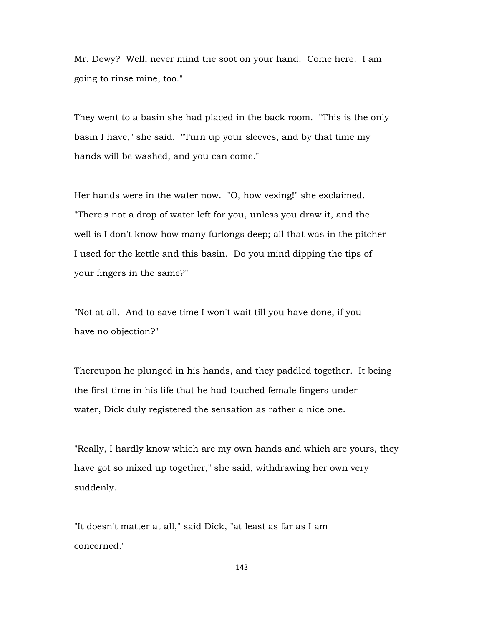Mr. Dewy? Well, never mind the soot on your hand. Come here. I am going to rinse mine, too."

They went to a basin she had placed in the back room. "This is the only basin I have," she said. "Turn up your sleeves, and by that time my hands will be washed, and you can come."

Her hands were in the water now. "O, how vexing!" she exclaimed. "There's not a drop of water left for you, unless you draw it, and the well is I don't know how many furlongs deep; all that was in the pitcher I used for the kettle and this basin. Do you mind dipping the tips of your fingers in the same?"

"Not at all. And to save time I won't wait till you have done, if you have no objection?"

Thereupon he plunged in his hands, and they paddled together. It being the first time in his life that he had touched female fingers under water, Dick duly registered the sensation as rather a nice one.

"Really, I hardly know which are my own hands and which are yours, they have got so mixed up together," she said, withdrawing her own very suddenly.

"It doesn't matter at all," said Dick, "at least as far as I am concerned."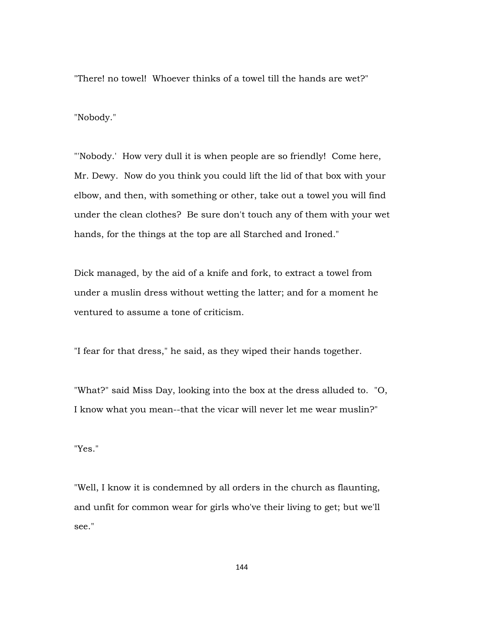"There! no towel! Whoever thinks of a towel till the hands are wet?"

"Nobody."

"'Nobody.' How very dull it is when people are so friendly! Come here, Mr. Dewy. Now do you think you could lift the lid of that box with your elbow, and then, with something or other, take out a towel you will find under the clean clothes? Be sure don't touch any of them with your wet hands, for the things at the top are all Starched and Ironed."

Dick managed, by the aid of a knife and fork, to extract a towel from under a muslin dress without wetting the latter; and for a moment he ventured to assume a tone of criticism.

"I fear for that dress," he said, as they wiped their hands together.

"What?" said Miss Day, looking into the box at the dress alluded to. "O, I know what you mean--that the vicar will never let me wear muslin?"

"Yes."

"Well, I know it is condemned by all orders in the church as flaunting, and unfit for common wear for girls who've their living to get; but we'll see."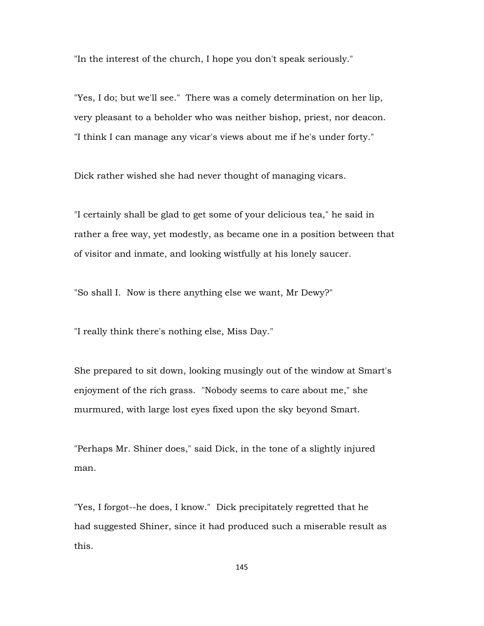"In the interest of the church, I hope you don't speak seriously."

"Yes, I do; but we'll see." There was a comely determination on her lip, very pleasant to a beholder who was neither bishop, priest, nor deacon. "I think I can manage any vicar's views about me if he's under forty."

Dick rather wished she had never thought of managing vicars.

"I certainly shall be glad to get some of your delicious tea," he said in rather a free way, yet modestly, as became one in a position between that of visitor and inmate, and looking wistfully at his lonely saucer.

"So shall I. Now is there anything else we want, Mr Dewy?"

"I really think there's nothing else, Miss Day."

She prepared to sit down, looking musingly out of the window at Smart's enjoyment of the rich grass. "Nobody seems to care about me," she murmured, with large lost eyes fixed upon the sky beyond Smart.

"Perhaps Mr. Shiner does," said Dick, in the tone of a slightly injured man.

"Yes, I forgot--he does, I know." Dick precipitately regretted that he had suggested Shiner, since it had produced such a miserable result as this.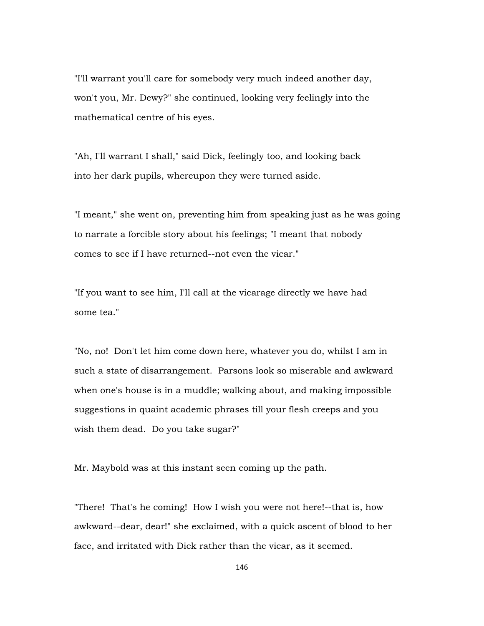"I'll warrant you'll care for somebody very much indeed another day, won't you, Mr. Dewy?" she continued, looking very feelingly into the mathematical centre of his eyes.

"Ah, I'll warrant I shall," said Dick, feelingly too, and looking back into her dark pupils, whereupon they were turned aside.

"I meant," she went on, preventing him from speaking just as he was going to narrate a forcible story about his feelings; "I meant that nobody comes to see if I have returned--not even the vicar."

"If you want to see him, I'll call at the vicarage directly we have had some tea."

"No, no! Don't let him come down here, whatever you do, whilst I am in such a state of disarrangement. Parsons look so miserable and awkward when one's house is in a muddle; walking about, and making impossible suggestions in quaint academic phrases till your flesh creeps and you wish them dead. Do you take sugar?"

Mr. Maybold was at this instant seen coming up the path.

"There! That's he coming! How I wish you were not here!--that is, how awkward--dear, dear!" she exclaimed, with a quick ascent of blood to her face, and irritated with Dick rather than the vicar, as it seemed.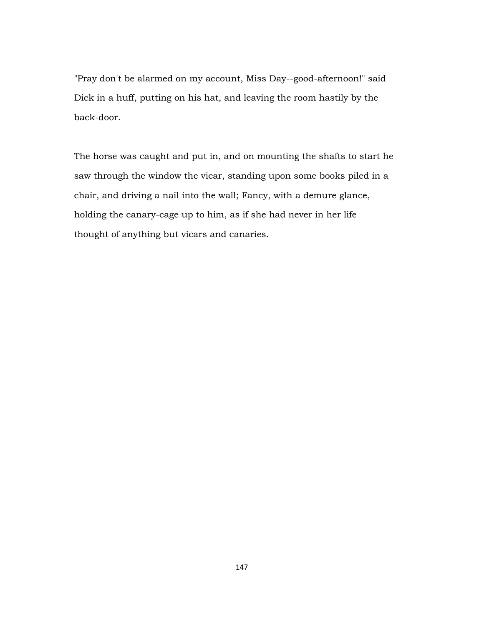"Pray don't be alarmed on my account, Miss Day--good-afternoon!" said Dick in a huff, putting on his hat, and leaving the room hastily by the back-door.

The horse was caught and put in, and on mounting the shafts to start he saw through the window the vicar, standing upon some books piled in a chair, and driving a nail into the wall; Fancy, with a demure glance, holding the canary-cage up to him, as if she had never in her life thought of anything but vicars and canaries.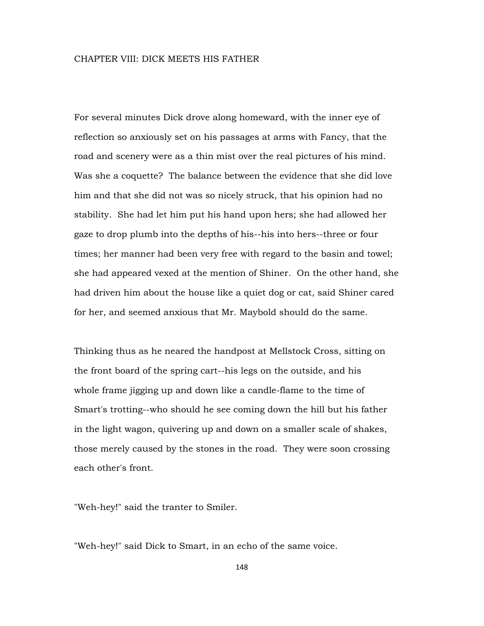For several minutes Dick drove along homeward, with the inner eye of reflection so anxiously set on his passages at arms with Fancy, that the road and scenery were as a thin mist over the real pictures of his mind. Was she a coquette? The balance between the evidence that she did love him and that she did not was so nicely struck, that his opinion had no stability. She had let him put his hand upon hers; she had allowed her gaze to drop plumb into the depths of his--his into hers--three or four times; her manner had been very free with regard to the basin and towel; she had appeared vexed at the mention of Shiner. On the other hand, she had driven him about the house like a quiet dog or cat, said Shiner cared for her, and seemed anxious that Mr. Maybold should do the same.

Thinking thus as he neared the handpost at Mellstock Cross, sitting on the front board of the spring cart--his legs on the outside, and his whole frame jigging up and down like a candle-flame to the time of Smart's trotting--who should he see coming down the hill but his father in the light wagon, quivering up and down on a smaller scale of shakes, those merely caused by the stones in the road. They were soon crossing each other's front.

"Weh-hey!" said the tranter to Smiler.

"Weh-hey!" said Dick to Smart, in an echo of the same voice.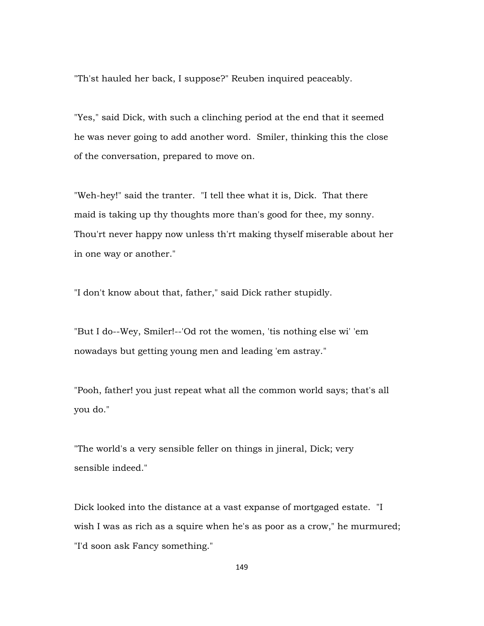"Th'st hauled her back, I suppose?" Reuben inquired peaceably.

"Yes," said Dick, with such a clinching period at the end that it seemed he was never going to add another word. Smiler, thinking this the close of the conversation, prepared to move on.

"Weh-hey!" said the tranter. "I tell thee what it is, Dick. That there maid is taking up thy thoughts more than's good for thee, my sonny. Thou'rt never happy now unless th'rt making thyself miserable about her in one way or another."

"I don't know about that, father," said Dick rather stupidly.

"But I do--Wey, Smiler!--'Od rot the women, 'tis nothing else wi' 'em nowadays but getting young men and leading 'em astray."

"Pooh, father! you just repeat what all the common world says; that's all you do."

"The world's a very sensible feller on things in jineral, Dick; very sensible indeed."

Dick looked into the distance at a vast expanse of mortgaged estate. "I wish I was as rich as a squire when he's as poor as a crow," he murmured; "I'd soon ask Fancy something."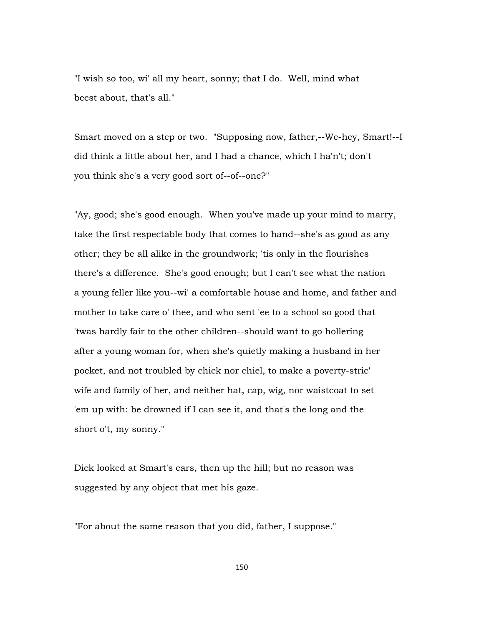"I wish so too, wi' all my heart, sonny; that I do. Well, mind what beest about, that's all."

Smart moved on a step or two. "Supposing now, father,--We-hey, Smart!--I did think a little about her, and I had a chance, which I ha'n't; don't you think she's a very good sort of--of--one?"

"Ay, good; she's good enough. When you've made up your mind to marry, take the first respectable body that comes to hand--she's as good as any other; they be all alike in the groundwork; 'tis only in the flourishes there's a difference. She's good enough; but I can't see what the nation a young feller like you--wi' a comfortable house and home, and father and mother to take care o' thee, and who sent 'ee to a school so good that 'twas hardly fair to the other children--should want to go hollering after a young woman for, when she's quietly making a husband in her pocket, and not troubled by chick nor chiel, to make a poverty-stric' wife and family of her, and neither hat, cap, wig, nor waistcoat to set 'em up with: be drowned if I can see it, and that's the long and the short o't, my sonny."

Dick looked at Smart's ears, then up the hill; but no reason was suggested by any object that met his gaze.

"For about the same reason that you did, father, I suppose."

150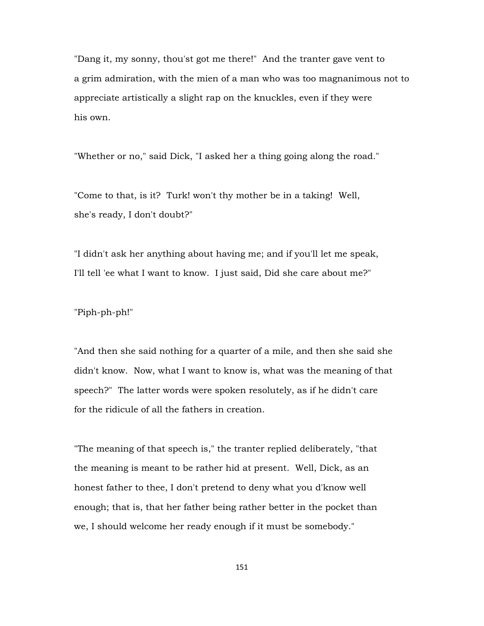"Dang it, my sonny, thou'st got me there!" And the tranter gave vent to a grim admiration, with the mien of a man who was too magnanimous not to appreciate artistically a slight rap on the knuckles, even if they were his own.

"Whether or no," said Dick, "I asked her a thing going along the road."

"Come to that, is it? Turk! won't thy mother be in a taking! Well, she's ready, I don't doubt?"

"I didn't ask her anything about having me; and if you'll let me speak, I'll tell 'ee what I want to know. I just said, Did she care about me?"

"Piph-ph-ph!"

"And then she said nothing for a quarter of a mile, and then she said she didn't know. Now, what I want to know is, what was the meaning of that speech?" The latter words were spoken resolutely, as if he didn't care for the ridicule of all the fathers in creation.

"The meaning of that speech is," the tranter replied deliberately, "that the meaning is meant to be rather hid at present. Well, Dick, as an honest father to thee, I don't pretend to deny what you d'know well enough; that is, that her father being rather better in the pocket than we, I should welcome her ready enough if it must be somebody."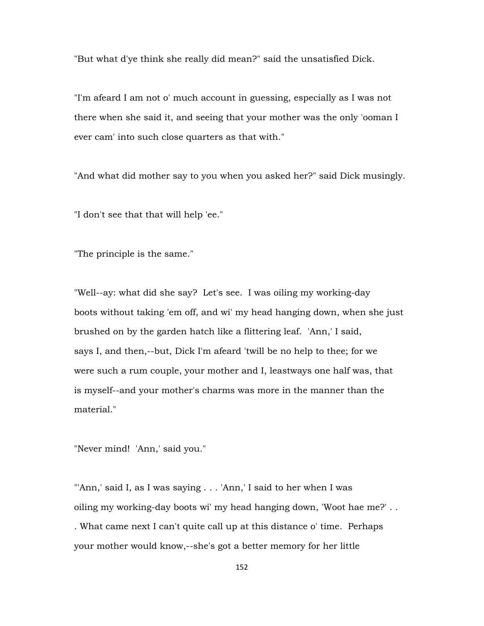"But what d'ye think she really did mean?" said the unsatisfied Dick.

"I'm afeard I am not o' much account in guessing, especially as I was not there when she said it, and seeing that your mother was the only 'ooman I ever cam' into such close quarters as that with."

"And what did mother say to you when you asked her?" said Dick musingly.

"I don't see that that will help 'ee."

"The principle is the same."

"Well--ay: what did she say? Let's see. I was oiling my working-day boots without taking 'em off, and wi' my head hanging down, when she just brushed on by the garden hatch like a flittering leaf. 'Ann,' I said, says I, and then,--but, Dick I'm afeard 'twill be no help to thee; for we were such a rum couple, your mother and I, leastways one half was, that is myself--and your mother's charms was more in the manner than the material."

"Never mind! 'Ann,' said you."

"'Ann,' said I, as I was saying . . . 'Ann,' I said to her when I was oiling my working-day boots wi' my head hanging down, 'Woot hae me?' . . . What came next I can't quite call up at this distance o' time. Perhaps your mother would know,--she's got a better memory for her little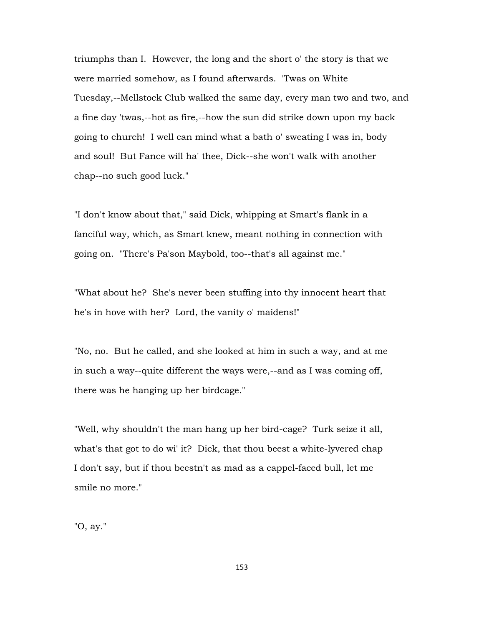triumphs than I. However, the long and the short o' the story is that we were married somehow, as I found afterwards. 'Twas on White Tuesday,--Mellstock Club walked the same day, every man two and two, and a fine day 'twas,--hot as fire,--how the sun did strike down upon my back going to church! I well can mind what a bath o' sweating I was in, body and soul! But Fance will ha' thee, Dick--she won't walk with another chap--no such good luck."

"I don't know about that," said Dick, whipping at Smart's flank in a fanciful way, which, as Smart knew, meant nothing in connection with going on. "There's Pa'son Maybold, too--that's all against me."

"What about he? She's never been stuffing into thy innocent heart that he's in hove with her? Lord, the vanity o' maidens!"

"No, no. But he called, and she looked at him in such a way, and at me in such a way--quite different the ways were,--and as I was coming off, there was he hanging up her birdcage."

"Well, why shouldn't the man hang up her bird-cage? Turk seize it all, what's that got to do wi' it? Dick, that thou beest a white-lyvered chap I don't say, but if thou beestn't as mad as a cappel-faced bull, let me smile no more."

"O, ay."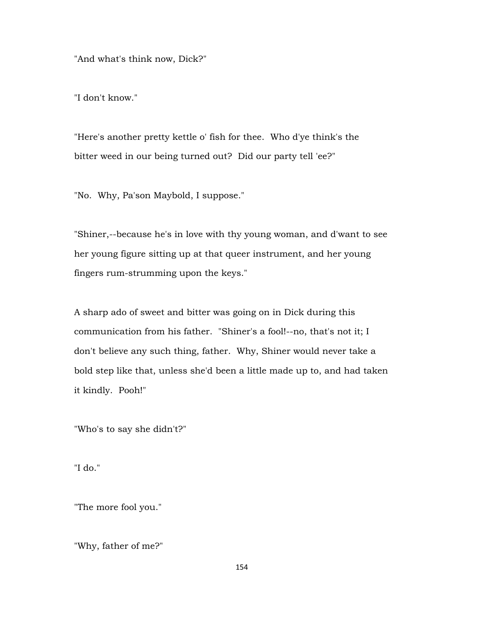"And what's think now, Dick?"

"I don't know."

"Here's another pretty kettle o' fish for thee. Who d'ye think's the bitter weed in our being turned out? Did our party tell 'ee?"

"No. Why, Pa'son Maybold, I suppose."

"Shiner,--because he's in love with thy young woman, and d'want to see her young figure sitting up at that queer instrument, and her young fingers rum-strumming upon the keys."

A sharp ado of sweet and bitter was going on in Dick during this communication from his father. "Shiner's a fool!--no, that's not it; I don't believe any such thing, father. Why, Shiner would never take a bold step like that, unless she'd been a little made up to, and had taken it kindly. Pooh!"

"Who's to say she didn't?"

"I do."

"The more fool you."

"Why, father of me?"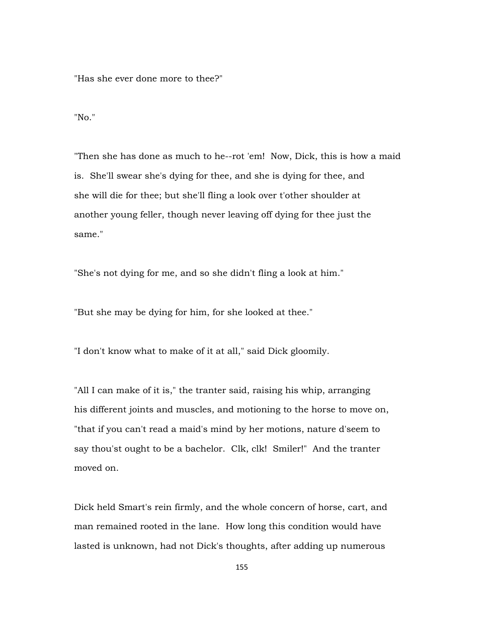"Has she ever done more to thee?"

"No."

"Then she has done as much to he--rot 'em! Now, Dick, this is how a maid is. She'll swear she's dying for thee, and she is dying for thee, and she will die for thee; but she'll fling a look over t'other shoulder at another young feller, though never leaving off dying for thee just the same."

"She's not dying for me, and so she didn't fling a look at him."

"But she may be dying for him, for she looked at thee."

"I don't know what to make of it at all," said Dick gloomily.

"All I can make of it is," the tranter said, raising his whip, arranging his different joints and muscles, and motioning to the horse to move on, "that if you can't read a maid's mind by her motions, nature d'seem to say thou'st ought to be a bachelor. Clk, clk! Smiler!" And the tranter moved on.

Dick held Smart's rein firmly, and the whole concern of horse, cart, and man remained rooted in the lane. How long this condition would have lasted is unknown, had not Dick's thoughts, after adding up numerous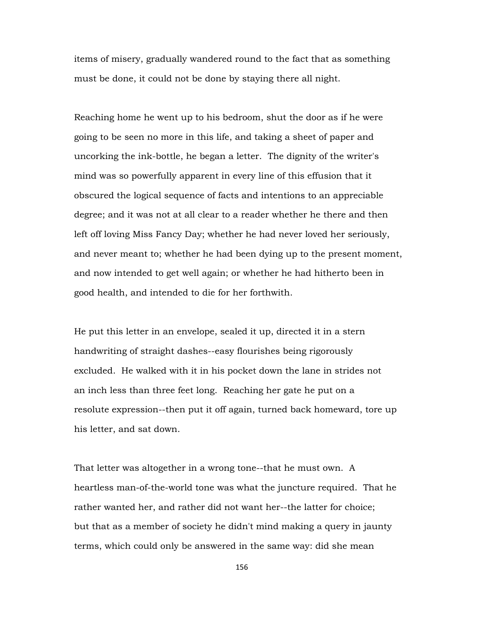items of misery, gradually wandered round to the fact that as something must be done, it could not be done by staying there all night.

Reaching home he went up to his bedroom, shut the door as if he were going to be seen no more in this life, and taking a sheet of paper and uncorking the ink-bottle, he began a letter. The dignity of the writer's mind was so powerfully apparent in every line of this effusion that it obscured the logical sequence of facts and intentions to an appreciable degree; and it was not at all clear to a reader whether he there and then left off loving Miss Fancy Day; whether he had never loved her seriously, and never meant to; whether he had been dying up to the present moment, and now intended to get well again; or whether he had hitherto been in good health, and intended to die for her forthwith.

He put this letter in an envelope, sealed it up, directed it in a stern handwriting of straight dashes--easy flourishes being rigorously excluded. He walked with it in his pocket down the lane in strides not an inch less than three feet long. Reaching her gate he put on a resolute expression--then put it off again, turned back homeward, tore up his letter, and sat down.

That letter was altogether in a wrong tone--that he must own. A heartless man-of-the-world tone was what the juncture required. That he rather wanted her, and rather did not want her--the latter for choice; but that as a member of society he didn't mind making a query in jaunty terms, which could only be answered in the same way: did she mean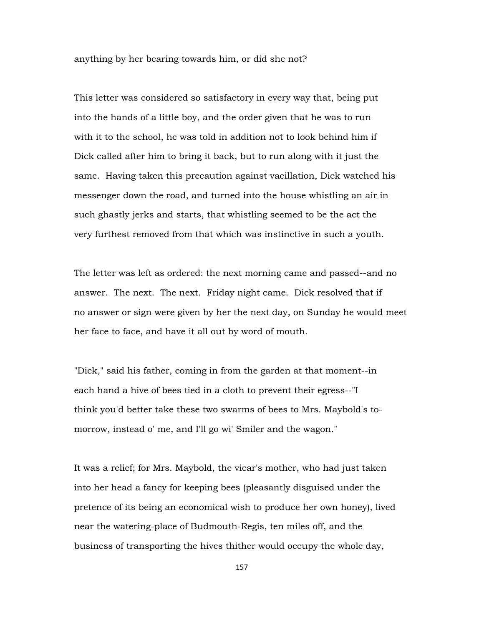anything by her bearing towards him, or did she not?

This letter was considered so satisfactory in every way that, being put into the hands of a little boy, and the order given that he was to run with it to the school, he was told in addition not to look behind him if Dick called after him to bring it back, but to run along with it just the same. Having taken this precaution against vacillation, Dick watched his messenger down the road, and turned into the house whistling an air in such ghastly jerks and starts, that whistling seemed to be the act the very furthest removed from that which was instinctive in such a youth.

The letter was left as ordered: the next morning came and passed--and no answer. The next. The next. Friday night came. Dick resolved that if no answer or sign were given by her the next day, on Sunday he would meet her face to face, and have it all out by word of mouth.

"Dick," said his father, coming in from the garden at that moment--in each hand a hive of bees tied in a cloth to prevent their egress--"I think you'd better take these two swarms of bees to Mrs. Maybold's tomorrow, instead o' me, and I'll go wi' Smiler and the wagon."

It was a relief; for Mrs. Maybold, the vicar's mother, who had just taken into her head a fancy for keeping bees (pleasantly disguised under the pretence of its being an economical wish to produce her own honey), lived near the watering-place of Budmouth-Regis, ten miles off, and the business of transporting the hives thither would occupy the whole day,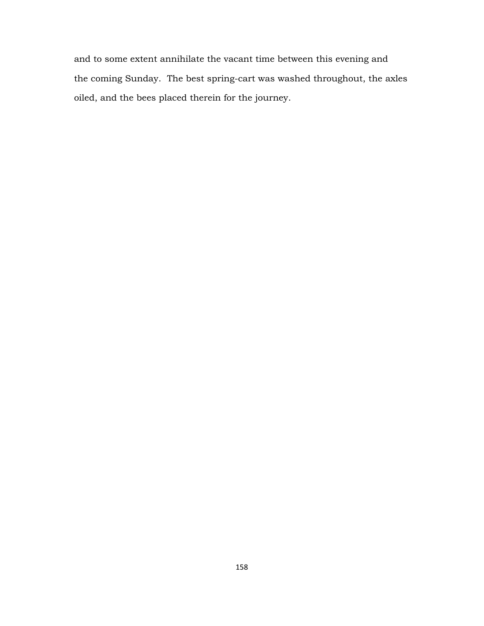and to some extent annihilate the vacant time between this evening and the coming Sunday. The best spring-cart was washed throughout, the axles oiled, and the bees placed therein for the journey.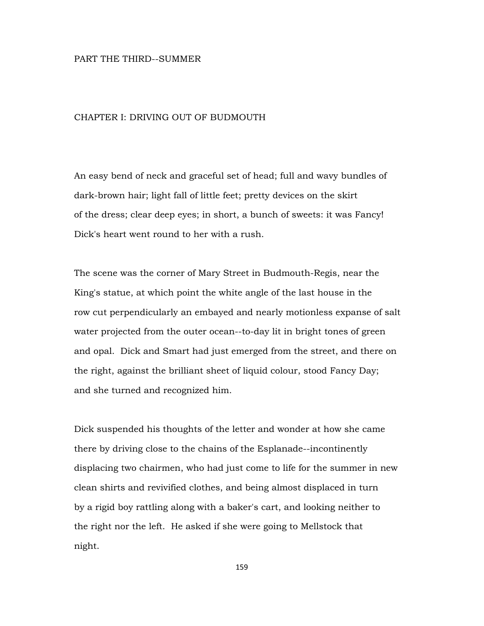## PART THE THIRD--SUMMER

## CHAPTER I: DRIVING OUT OF BUDMOUTH

An easy bend of neck and graceful set of head; full and wavy bundles of dark-brown hair; light fall of little feet; pretty devices on the skirt of the dress; clear deep eyes; in short, a bunch of sweets: it was Fancy! Dick's heart went round to her with a rush.

The scene was the corner of Mary Street in Budmouth-Regis, near the King's statue, at which point the white angle of the last house in the row cut perpendicularly an embayed and nearly motionless expanse of salt water projected from the outer ocean--to-day lit in bright tones of green and opal. Dick and Smart had just emerged from the street, and there on the right, against the brilliant sheet of liquid colour, stood Fancy Day; and she turned and recognized him.

Dick suspended his thoughts of the letter and wonder at how she came there by driving close to the chains of the Esplanade--incontinently displacing two chairmen, who had just come to life for the summer in new clean shirts and revivified clothes, and being almost displaced in turn by a rigid boy rattling along with a baker's cart, and looking neither to the right nor the left. He asked if she were going to Mellstock that night.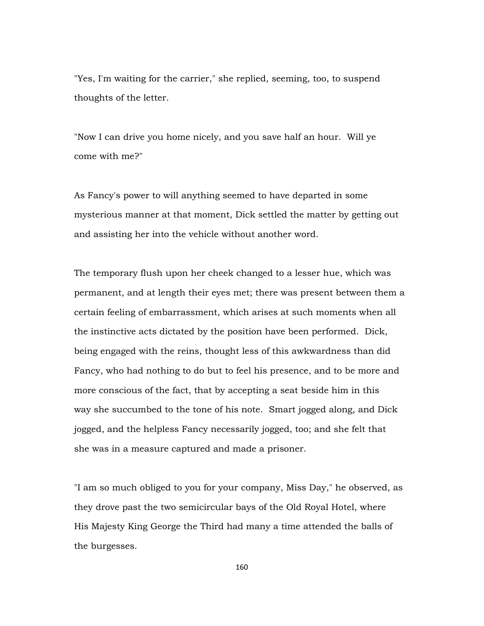"Yes, I'm waiting for the carrier," she replied, seeming, too, to suspend thoughts of the letter.

"Now I can drive you home nicely, and you save half an hour. Will ye come with me?"

As Fancy's power to will anything seemed to have departed in some mysterious manner at that moment, Dick settled the matter by getting out and assisting her into the vehicle without another word.

The temporary flush upon her cheek changed to a lesser hue, which was permanent, and at length their eyes met; there was present between them a certain feeling of embarrassment, which arises at such moments when all the instinctive acts dictated by the position have been performed. Dick, being engaged with the reins, thought less of this awkwardness than did Fancy, who had nothing to do but to feel his presence, and to be more and more conscious of the fact, that by accepting a seat beside him in this way she succumbed to the tone of his note. Smart jogged along, and Dick jogged, and the helpless Fancy necessarily jogged, too; and she felt that she was in a measure captured and made a prisoner.

"I am so much obliged to you for your company, Miss Day," he observed, as they drove past the two semicircular bays of the Old Royal Hotel, where His Majesty King George the Third had many a time attended the balls of the burgesses.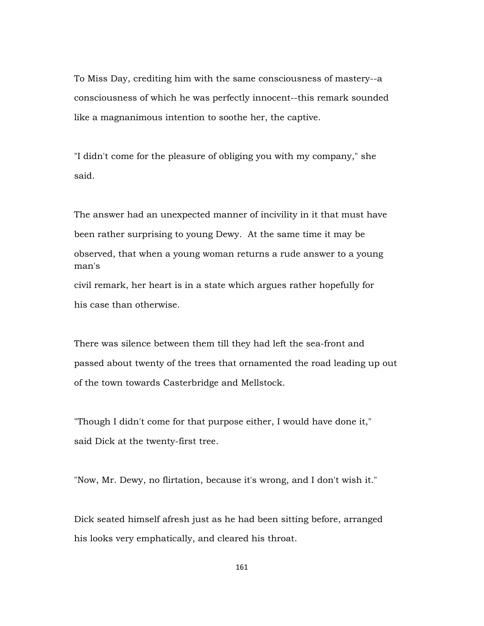To Miss Day, crediting him with the same consciousness of mastery--a consciousness of which he was perfectly innocent--this remark sounded like a magnanimous intention to soothe her, the captive.

"I didn't come for the pleasure of obliging you with my company," she said.

The answer had an unexpected manner of incivility in it that must have been rather surprising to young Dewy. At the same time it may be observed, that when a young woman returns a rude answer to a young man's civil remark, her heart is in a state which argues rather hopefully for

There was silence between them till they had left the sea-front and passed about twenty of the trees that ornamented the road leading up out

of the town towards Casterbridge and Mellstock.

his case than otherwise.

"Though I didn't come for that purpose either, I would have done it," said Dick at the twenty-first tree.

"Now, Mr. Dewy, no flirtation, because it's wrong, and I don't wish it."

Dick seated himself afresh just as he had been sitting before, arranged his looks very emphatically, and cleared his throat.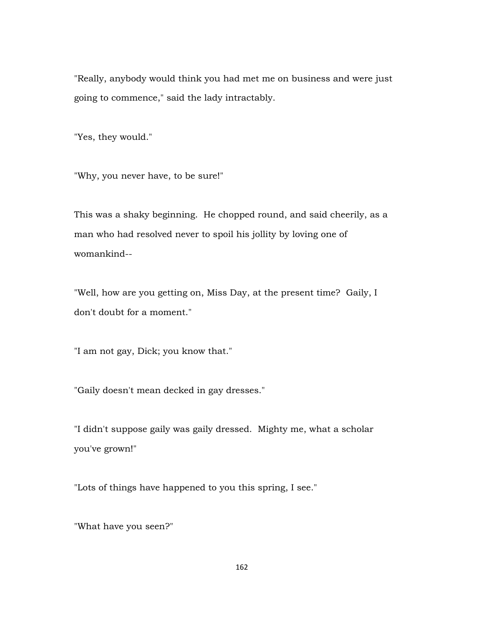"Really, anybody would think you had met me on business and were just going to commence," said the lady intractably.

"Yes, they would."

"Why, you never have, to be sure!"

This was a shaky beginning. He chopped round, and said cheerily, as a man who had resolved never to spoil his jollity by loving one of womankind--

"Well, how are you getting on, Miss Day, at the present time? Gaily, I don't doubt for a moment."

"I am not gay, Dick; you know that."

"Gaily doesn't mean decked in gay dresses."

"I didn't suppose gaily was gaily dressed. Mighty me, what a scholar you've grown!"

"Lots of things have happened to you this spring, I see."

"What have you seen?"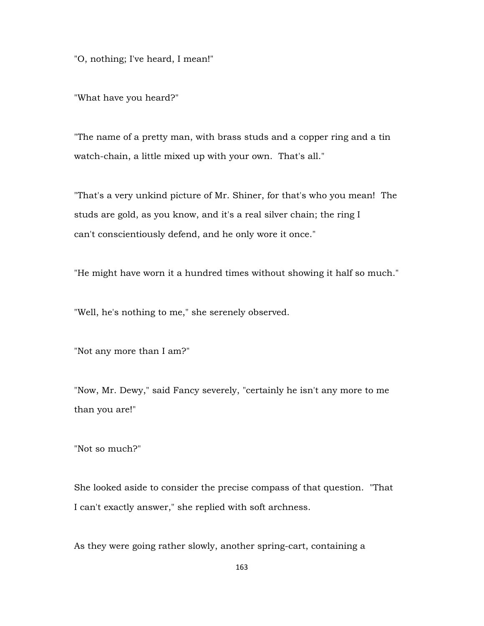"O, nothing; I've heard, I mean!"

"What have you heard?"

"The name of a pretty man, with brass studs and a copper ring and a tin watch-chain, a little mixed up with your own. That's all."

"That's a very unkind picture of Mr. Shiner, for that's who you mean! The studs are gold, as you know, and it's a real silver chain; the ring I can't conscientiously defend, and he only wore it once."

"He might have worn it a hundred times without showing it half so much."

"Well, he's nothing to me," she serenely observed.

"Not any more than I am?"

"Now, Mr. Dewy," said Fancy severely, "certainly he isn't any more to me than you are!"

"Not so much?"

She looked aside to consider the precise compass of that question. "That I can't exactly answer," she replied with soft archness.

As they were going rather slowly, another spring-cart, containing a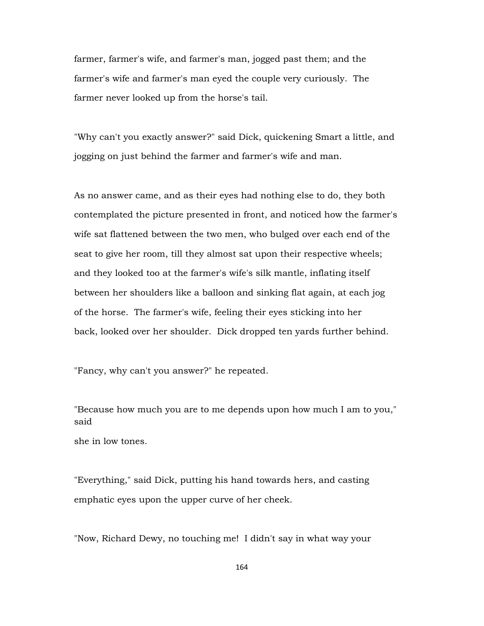farmer, farmer's wife, and farmer's man, jogged past them; and the farmer's wife and farmer's man eyed the couple very curiously. The farmer never looked up from the horse's tail.

"Why can't you exactly answer?" said Dick, quickening Smart a little, and jogging on just behind the farmer and farmer's wife and man.

As no answer came, and as their eyes had nothing else to do, they both contemplated the picture presented in front, and noticed how the farmer's wife sat flattened between the two men, who bulged over each end of the seat to give her room, till they almost sat upon their respective wheels; and they looked too at the farmer's wife's silk mantle, inflating itself between her shoulders like a balloon and sinking flat again, at each jog of the horse. The farmer's wife, feeling their eyes sticking into her back, looked over her shoulder. Dick dropped ten yards further behind.

"Fancy, why can't you answer?" he repeated.

"Because how much you are to me depends upon how much I am to you," said

she in low tones.

"Everything," said Dick, putting his hand towards hers, and casting emphatic eyes upon the upper curve of her cheek.

"Now, Richard Dewy, no touching me! I didn't say in what way your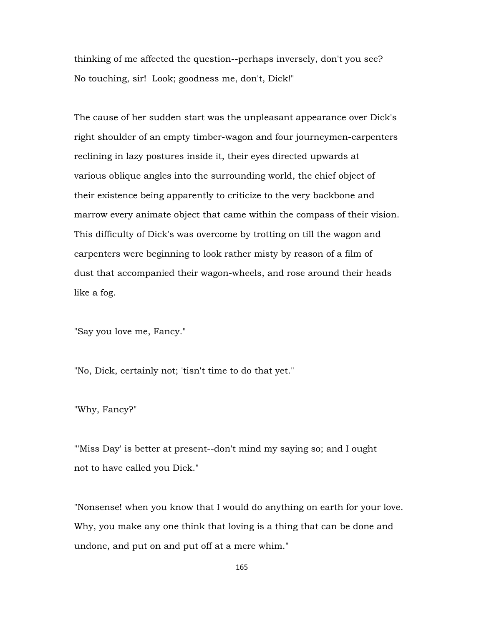thinking of me affected the question--perhaps inversely, don't you see? No touching, sir! Look; goodness me, don't, Dick!"

The cause of her sudden start was the unpleasant appearance over Dick's right shoulder of an empty timber-wagon and four journeymen-carpenters reclining in lazy postures inside it, their eyes directed upwards at various oblique angles into the surrounding world, the chief object of their existence being apparently to criticize to the very backbone and marrow every animate object that came within the compass of their vision. This difficulty of Dick's was overcome by trotting on till the wagon and carpenters were beginning to look rather misty by reason of a film of dust that accompanied their wagon-wheels, and rose around their heads like a fog.

"Say you love me, Fancy."

"No, Dick, certainly not; 'tisn't time to do that yet."

"Why, Fancy?"

"'Miss Day' is better at present--don't mind my saying so; and I ought not to have called you Dick."

"Nonsense! when you know that I would do anything on earth for your love. Why, you make any one think that loving is a thing that can be done and undone, and put on and put off at a mere whim."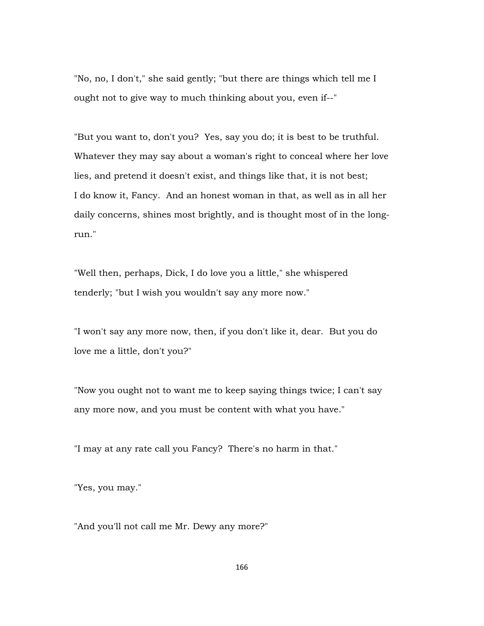"No, no, I don't," she said gently; "but there are things which tell me I ought not to give way to much thinking about you, even if--"

"But you want to, don't you? Yes, say you do; it is best to be truthful. Whatever they may say about a woman's right to conceal where her love lies, and pretend it doesn't exist, and things like that, it is not best; I do know it, Fancy. And an honest woman in that, as well as in all her daily concerns, shines most brightly, and is thought most of in the longrun."

"Well then, perhaps, Dick, I do love you a little," she whispered tenderly; "but I wish you wouldn't say any more now."

"I won't say any more now, then, if you don't like it, dear. But you do love me a little, don't you?"

"Now you ought not to want me to keep saying things twice; I can't say any more now, and you must be content with what you have."

"I may at any rate call you Fancy? There's no harm in that."

"Yes, you may."

"And you'll not call me Mr. Dewy any more?"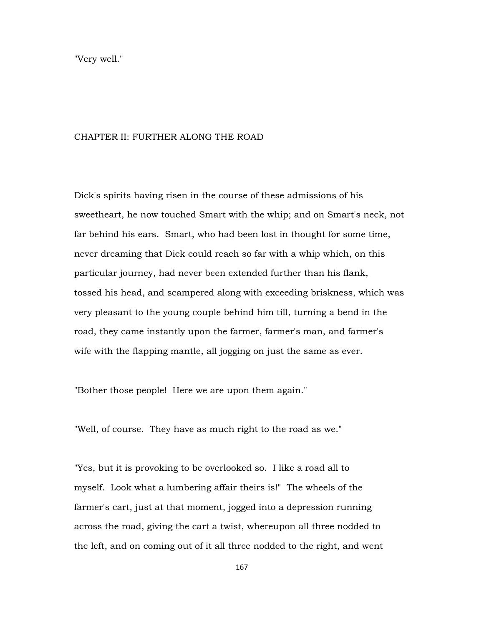"Very well."

## CHAPTER II: FURTHER ALONG THE ROAD

Dick's spirits having risen in the course of these admissions of his sweetheart, he now touched Smart with the whip; and on Smart's neck, not far behind his ears. Smart, who had been lost in thought for some time, never dreaming that Dick could reach so far with a whip which, on this particular journey, had never been extended further than his flank, tossed his head, and scampered along with exceeding briskness, which was very pleasant to the young couple behind him till, turning a bend in the road, they came instantly upon the farmer, farmer's man, and farmer's wife with the flapping mantle, all jogging on just the same as ever.

"Bother those people! Here we are upon them again."

"Well, of course. They have as much right to the road as we."

"Yes, but it is provoking to be overlooked so. I like a road all to myself. Look what a lumbering affair theirs is!" The wheels of the farmer's cart, just at that moment, jogged into a depression running across the road, giving the cart a twist, whereupon all three nodded to the left, and on coming out of it all three nodded to the right, and went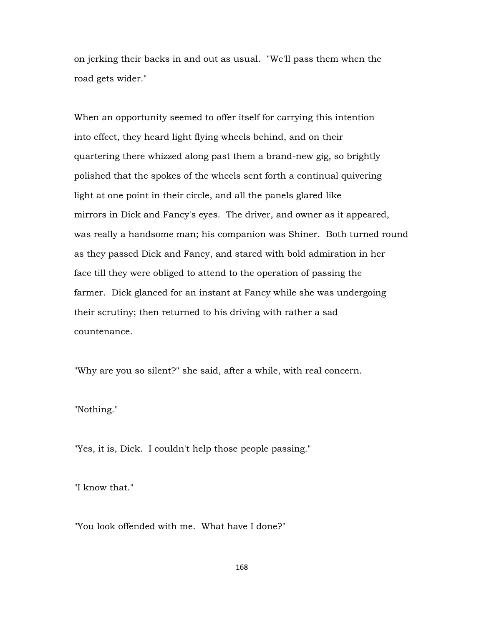on jerking their backs in and out as usual. "We'll pass them when the road gets wider."

When an opportunity seemed to offer itself for carrying this intention into effect, they heard light flying wheels behind, and on their quartering there whizzed along past them a brand-new gig, so brightly polished that the spokes of the wheels sent forth a continual quivering light at one point in their circle, and all the panels glared like mirrors in Dick and Fancy's eyes. The driver, and owner as it appeared, was really a handsome man; his companion was Shiner. Both turned round as they passed Dick and Fancy, and stared with bold admiration in her face till they were obliged to attend to the operation of passing the farmer. Dick glanced for an instant at Fancy while she was undergoing their scrutiny; then returned to his driving with rather a sad countenance.

"Why are you so silent?" she said, after a while, with real concern.

"Nothing."

"Yes, it is, Dick. I couldn't help those people passing."

"I know that."

"You look offended with me. What have I done?"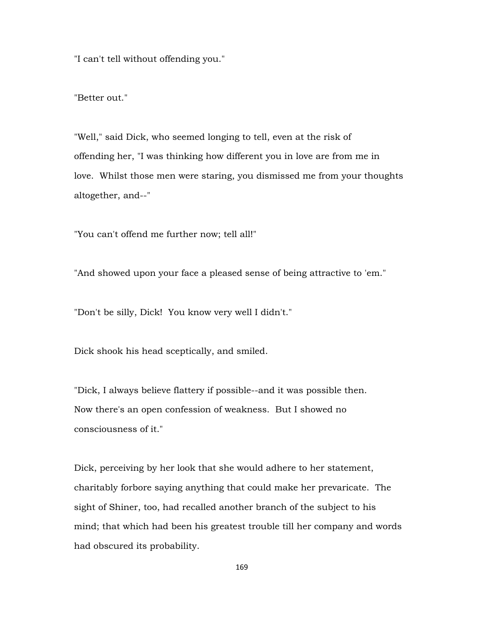"I can't tell without offending you."

"Better out."

"Well," said Dick, who seemed longing to tell, even at the risk of offending her, "I was thinking how different you in love are from me in love. Whilst those men were staring, you dismissed me from your thoughts altogether, and--"

"You can't offend me further now; tell all!"

"And showed upon your face a pleased sense of being attractive to 'em."

"Don't be silly, Dick! You know very well I didn't."

Dick shook his head sceptically, and smiled.

"Dick, I always believe flattery if possible--and it was possible then. Now there's an open confession of weakness. But I showed no consciousness of it."

Dick, perceiving by her look that she would adhere to her statement, charitably forbore saying anything that could make her prevaricate. The sight of Shiner, too, had recalled another branch of the subject to his mind; that which had been his greatest trouble till her company and words had obscured its probability.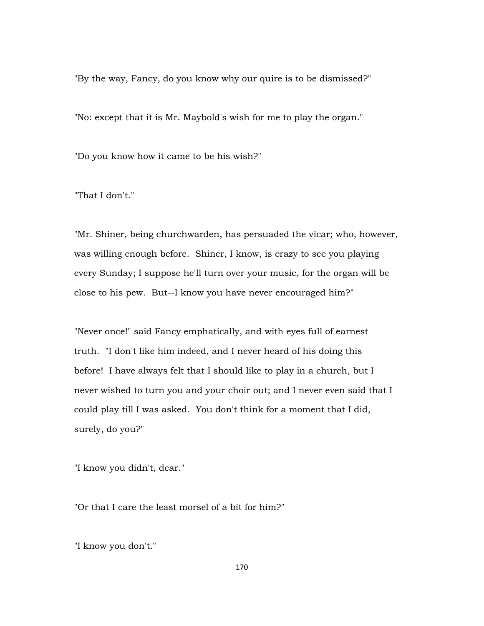"By the way, Fancy, do you know why our quire is to be dismissed?"

"No: except that it is Mr. Maybold's wish for me to play the organ."

"Do you know how it came to be his wish?"

"That I don't."

"Mr. Shiner, being churchwarden, has persuaded the vicar; who, however, was willing enough before. Shiner, I know, is crazy to see you playing every Sunday; I suppose he'll turn over your music, for the organ will be close to his pew. But--I know you have never encouraged him?"

"Never once!" said Fancy emphatically, and with eyes full of earnest truth. "I don't like him indeed, and I never heard of his doing this before! I have always felt that I should like to play in a church, but I never wished to turn you and your choir out; and I never even said that I could play till I was asked. You don't think for a moment that I did, surely, do you?"

"I know you didn't, dear."

"Or that I care the least morsel of a bit for him?"

"I know you don't."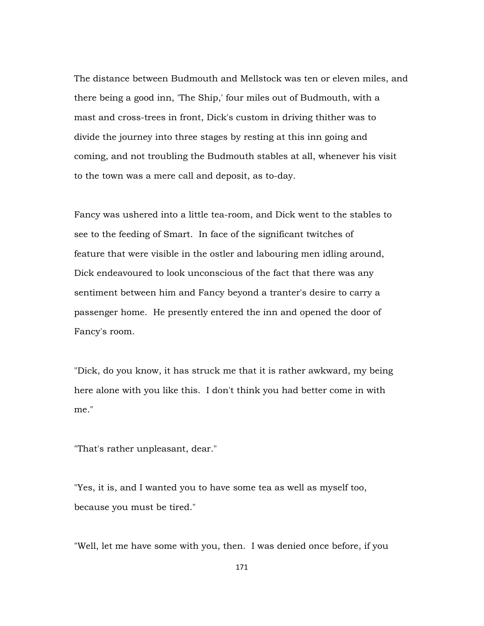The distance between Budmouth and Mellstock was ten or eleven miles, and there being a good inn, 'The Ship,' four miles out of Budmouth, with a mast and cross-trees in front, Dick's custom in driving thither was to divide the journey into three stages by resting at this inn going and coming, and not troubling the Budmouth stables at all, whenever his visit to the town was a mere call and deposit, as to-day.

Fancy was ushered into a little tea-room, and Dick went to the stables to see to the feeding of Smart. In face of the significant twitches of feature that were visible in the ostler and labouring men idling around, Dick endeavoured to look unconscious of the fact that there was any sentiment between him and Fancy beyond a tranter's desire to carry a passenger home. He presently entered the inn and opened the door of Fancy's room.

"Dick, do you know, it has struck me that it is rather awkward, my being here alone with you like this. I don't think you had better come in with me."

"That's rather unpleasant, dear."

"Yes, it is, and I wanted you to have some tea as well as myself too, because you must be tired."

"Well, let me have some with you, then. I was denied once before, if you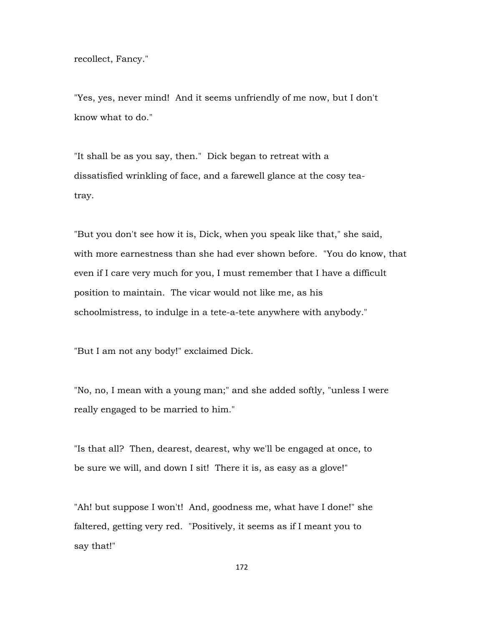recollect, Fancy."

"Yes, yes, never mind! And it seems unfriendly of me now, but I don't know what to do."

"It shall be as you say, then." Dick began to retreat with a dissatisfied wrinkling of face, and a farewell glance at the cosy teatray.

"But you don't see how it is, Dick, when you speak like that," she said, with more earnestness than she had ever shown before. "You do know, that even if I care very much for you, I must remember that I have a difficult position to maintain. The vicar would not like me, as his schoolmistress, to indulge in a tete-a-tete anywhere with anybody."

"But I am not any body!" exclaimed Dick.

"No, no, I mean with a young man;" and she added softly, "unless I were really engaged to be married to him."

"Is that all? Then, dearest, dearest, why we'll be engaged at once, to be sure we will, and down I sit! There it is, as easy as a glove!"

"Ah! but suppose I won't! And, goodness me, what have I done!" she faltered, getting very red. "Positively, it seems as if I meant you to say that!"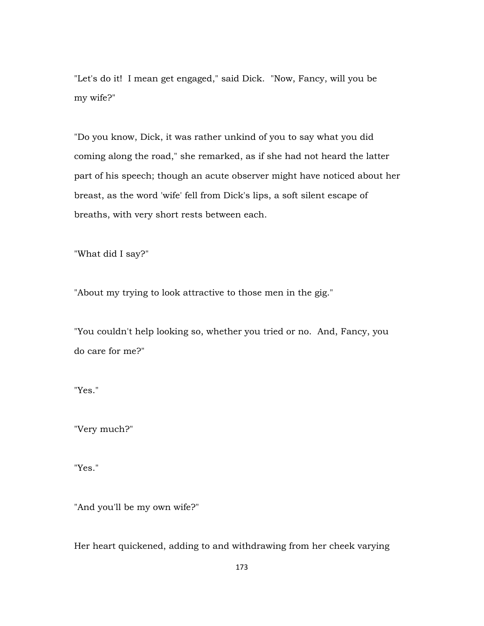"Let's do it! I mean get engaged," said Dick. "Now, Fancy, will you be my wife?"

"Do you know, Dick, it was rather unkind of you to say what you did coming along the road," she remarked, as if she had not heard the latter part of his speech; though an acute observer might have noticed about her breast, as the word 'wife' fell from Dick's lips, a soft silent escape of breaths, with very short rests between each.

"What did I say?"

"About my trying to look attractive to those men in the gig."

"You couldn't help looking so, whether you tried or no. And, Fancy, you do care for me?"

"Yes."

"Very much?"

"Yes."

"And you'll be my own wife?"

Her heart quickened, adding to and withdrawing from her cheek varying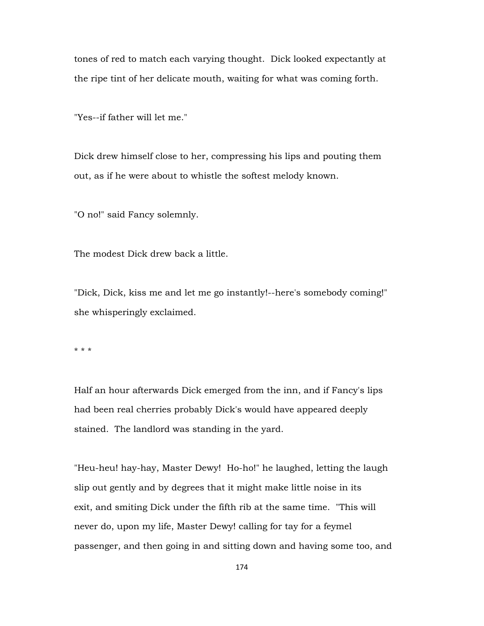tones of red to match each varying thought. Dick looked expectantly at the ripe tint of her delicate mouth, waiting for what was coming forth.

"Yes--if father will let me."

Dick drew himself close to her, compressing his lips and pouting them out, as if he were about to whistle the softest melody known.

"O no!" said Fancy solemnly.

The modest Dick drew back a little.

"Dick, Dick, kiss me and let me go instantly!--here's somebody coming!" she whisperingly exclaimed.

\* \* \*

Half an hour afterwards Dick emerged from the inn, and if Fancy's lips had been real cherries probably Dick's would have appeared deeply stained. The landlord was standing in the yard.

"Heu-heu! hay-hay, Master Dewy! Ho-ho!" he laughed, letting the laugh slip out gently and by degrees that it might make little noise in its exit, and smiting Dick under the fifth rib at the same time. "This will never do, upon my life, Master Dewy! calling for tay for a feymel passenger, and then going in and sitting down and having some too, and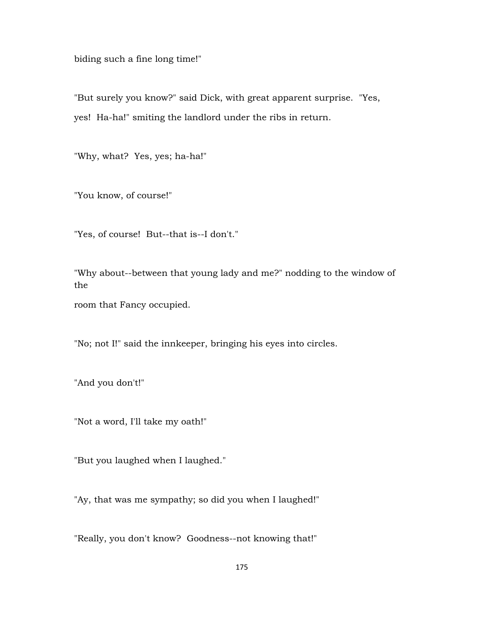biding such a fine long time!"

"But surely you know?" said Dick, with great apparent surprise. "Yes, yes! Ha-ha!" smiting the landlord under the ribs in return.

"Why, what? Yes, yes; ha-ha!"

"You know, of course!"

"Yes, of course! But--that is--I don't."

"Why about--between that young lady and me?" nodding to the window of the

room that Fancy occupied.

"No; not I!" said the innkeeper, bringing his eyes into circles.

"And you don't!"

"Not a word, I'll take my oath!"

"But you laughed when I laughed."

"Ay, that was me sympathy; so did you when I laughed!"

"Really, you don't know? Goodness--not knowing that!"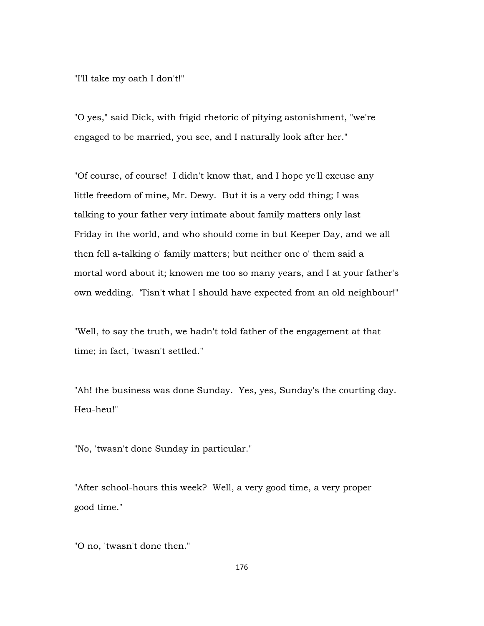"I'll take my oath I don't!"

"O yes," said Dick, with frigid rhetoric of pitying astonishment, "we're engaged to be married, you see, and I naturally look after her."

"Of course, of course! I didn't know that, and I hope ye'll excuse any little freedom of mine, Mr. Dewy. But it is a very odd thing; I was talking to your father very intimate about family matters only last Friday in the world, and who should come in but Keeper Day, and we all then fell a-talking o' family matters; but neither one o' them said a mortal word about it; knowen me too so many years, and I at your father's own wedding. 'Tisn't what I should have expected from an old neighbour!"

"Well, to say the truth, we hadn't told father of the engagement at that time; in fact, 'twasn't settled."

"Ah! the business was done Sunday. Yes, yes, Sunday's the courting day. Heu-heu!"

"No, 'twasn't done Sunday in particular."

"After school-hours this week? Well, a very good time, a very proper good time."

"O no, 'twasn't done then."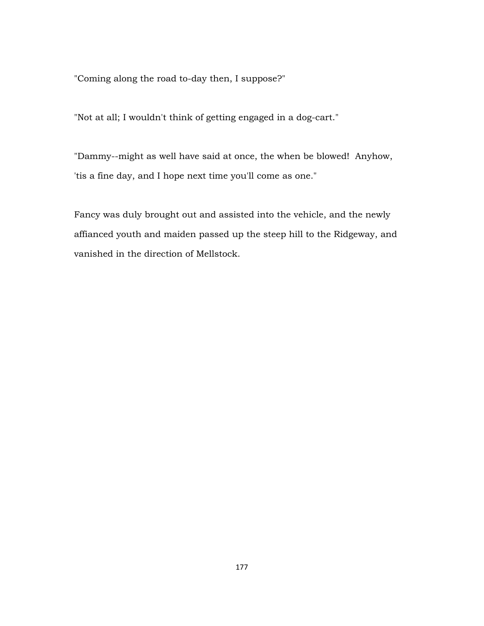"Coming along the road to-day then, I suppose?"

"Not at all; I wouldn't think of getting engaged in a dog-cart."

"Dammy--might as well have said at once, the when be blowed! Anyhow, 'tis a fine day, and I hope next time you'll come as one."

Fancy was duly brought out and assisted into the vehicle, and the newly affianced youth and maiden passed up the steep hill to the Ridgeway, and vanished in the direction of Mellstock.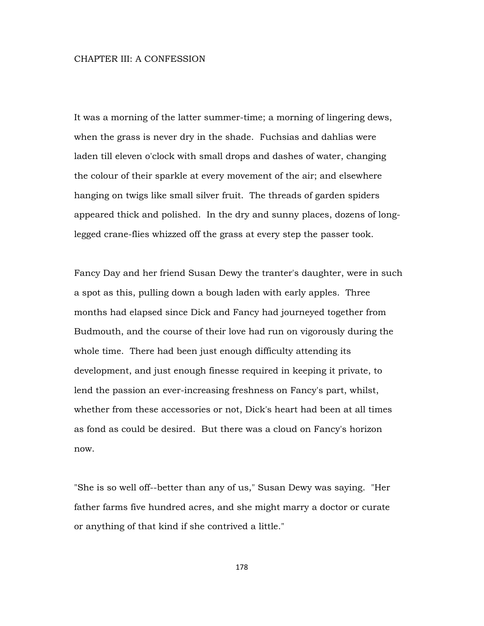## CHAPTER III: A CONFESSION

It was a morning of the latter summer-time; a morning of lingering dews, when the grass is never dry in the shade. Fuchsias and dahlias were laden till eleven o'clock with small drops and dashes of water, changing the colour of their sparkle at every movement of the air; and elsewhere hanging on twigs like small silver fruit. The threads of garden spiders appeared thick and polished. In the dry and sunny places, dozens of longlegged crane-flies whizzed off the grass at every step the passer took.

Fancy Day and her friend Susan Dewy the tranter's daughter, were in such a spot as this, pulling down a bough laden with early apples. Three months had elapsed since Dick and Fancy had journeyed together from Budmouth, and the course of their love had run on vigorously during the whole time. There had been just enough difficulty attending its development, and just enough finesse required in keeping it private, to lend the passion an ever-increasing freshness on Fancy's part, whilst, whether from these accessories or not, Dick's heart had been at all times as fond as could be desired. But there was a cloud on Fancy's horizon now.

"She is so well off--better than any of us," Susan Dewy was saying. "Her father farms five hundred acres, and she might marry a doctor or curate or anything of that kind if she contrived a little."

178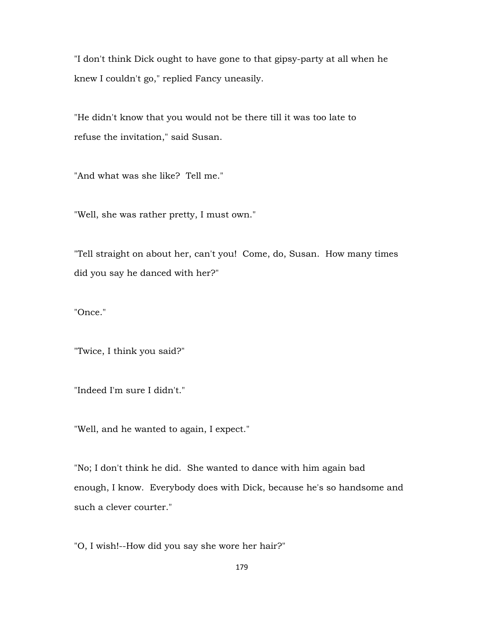"I don't think Dick ought to have gone to that gipsy-party at all when he knew I couldn't go," replied Fancy uneasily.

"He didn't know that you would not be there till it was too late to refuse the invitation," said Susan.

"And what was she like? Tell me."

"Well, she was rather pretty, I must own."

"Tell straight on about her, can't you! Come, do, Susan. How many times did you say he danced with her?"

"Once."

"Twice, I think you said?"

"Indeed I'm sure I didn't."

"Well, and he wanted to again, I expect."

"No; I don't think he did. She wanted to dance with him again bad enough, I know. Everybody does with Dick, because he's so handsome and such a clever courter."

"O, I wish!--How did you say she wore her hair?"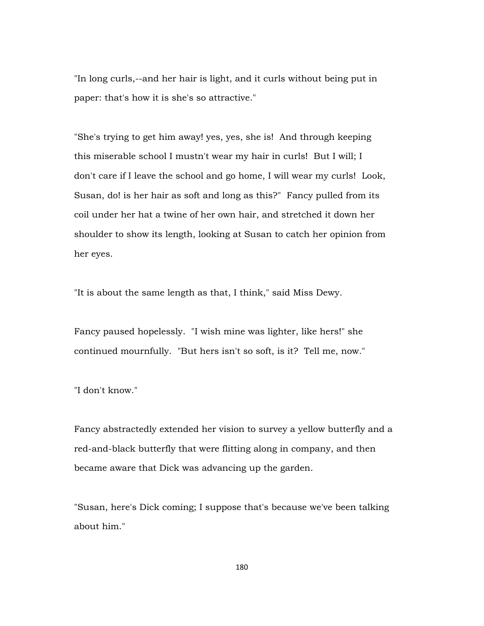"In long curls,--and her hair is light, and it curls without being put in paper: that's how it is she's so attractive."

"She's trying to get him away! yes, yes, she is! And through keeping this miserable school I mustn't wear my hair in curls! But I will; I don't care if I leave the school and go home, I will wear my curls! Look, Susan, do! is her hair as soft and long as this?" Fancy pulled from its coil under her hat a twine of her own hair, and stretched it down her shoulder to show its length, looking at Susan to catch her opinion from her eyes.

"It is about the same length as that, I think," said Miss Dewy.

Fancy paused hopelessly. "I wish mine was lighter, like hers!" she continued mournfully. "But hers isn't so soft, is it? Tell me, now."

"I don't know."

Fancy abstractedly extended her vision to survey a yellow butterfly and a red-and-black butterfly that were flitting along in company, and then became aware that Dick was advancing up the garden.

"Susan, here's Dick coming; I suppose that's because we've been talking about him."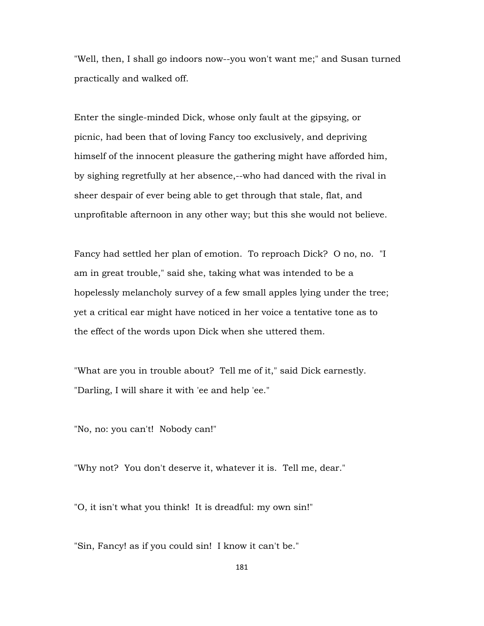"Well, then, I shall go indoors now--you won't want me;" and Susan turned practically and walked off.

Enter the single-minded Dick, whose only fault at the gipsying, or picnic, had been that of loving Fancy too exclusively, and depriving himself of the innocent pleasure the gathering might have afforded him, by sighing regretfully at her absence,--who had danced with the rival in sheer despair of ever being able to get through that stale, flat, and unprofitable afternoon in any other way; but this she would not believe.

Fancy had settled her plan of emotion. To reproach Dick? O no, no. "I am in great trouble," said she, taking what was intended to be a hopelessly melancholy survey of a few small apples lying under the tree; yet a critical ear might have noticed in her voice a tentative tone as to the effect of the words upon Dick when she uttered them.

"What are you in trouble about? Tell me of it," said Dick earnestly. "Darling, I will share it with 'ee and help 'ee."

"No, no: you can't! Nobody can!"

"Why not? You don't deserve it, whatever it is. Tell me, dear."

"O, it isn't what you think! It is dreadful: my own sin!"

"Sin, Fancy! as if you could sin! I know it can't be."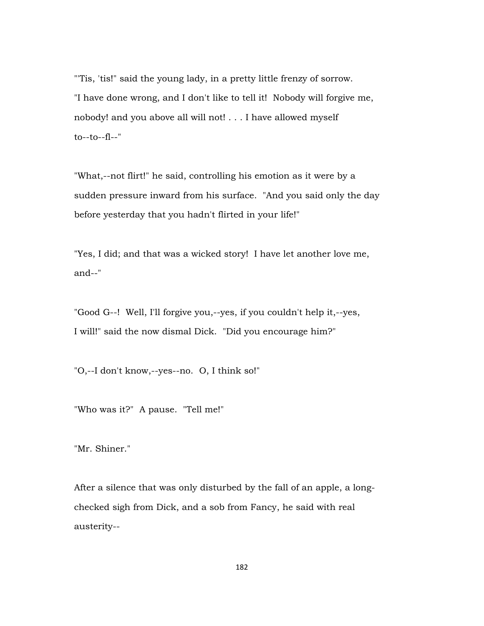"'Tis, 'tis!" said the young lady, in a pretty little frenzy of sorrow. "I have done wrong, and I don't like to tell it! Nobody will forgive me, nobody! and you above all will not! . . . I have allowed myself to--to--fl--"

"What,--not flirt!" he said, controlling his emotion as it were by a sudden pressure inward from his surface. "And you said only the day before yesterday that you hadn't flirted in your life!"

"Yes, I did; and that was a wicked story! I have let another love me, and--"

"Good G--! Well, I'll forgive you,--yes, if you couldn't help it,--yes, I will!" said the now dismal Dick. "Did you encourage him?"

"O,--I don't know,--yes--no. O, I think so!"

"Who was it?" A pause. "Tell me!"

"Mr. Shiner."

After a silence that was only disturbed by the fall of an apple, a longchecked sigh from Dick, and a sob from Fancy, he said with real austerity--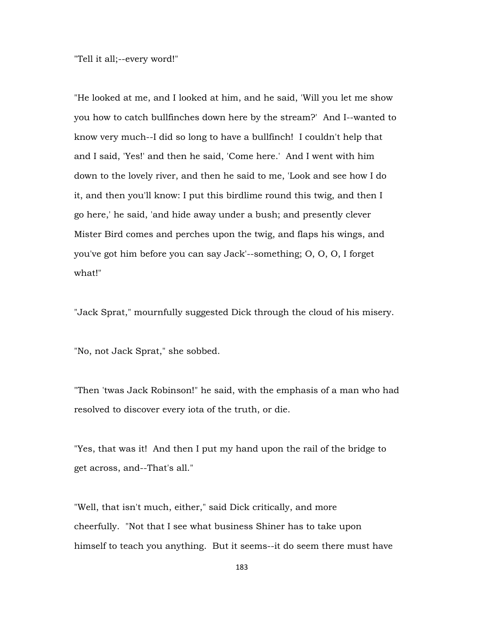"Tell it all;--every word!"

"He looked at me, and I looked at him, and he said, 'Will you let me show you how to catch bullfinches down here by the stream?' And I--wanted to know very much--I did so long to have a bullfinch! I couldn't help that and I said, 'Yes!' and then he said, 'Come here.' And I went with him down to the lovely river, and then he said to me, 'Look and see how I do it, and then you'll know: I put this birdlime round this twig, and then I go here,' he said, 'and hide away under a bush; and presently clever Mister Bird comes and perches upon the twig, and flaps his wings, and you've got him before you can say Jack'--something; O, O, O, I forget what!"

"Jack Sprat," mournfully suggested Dick through the cloud of his misery.

"No, not Jack Sprat," she sobbed.

"Then 'twas Jack Robinson!" he said, with the emphasis of a man who had resolved to discover every iota of the truth, or die.

"Yes, that was it! And then I put my hand upon the rail of the bridge to get across, and--That's all."

"Well, that isn't much, either," said Dick critically, and more cheerfully. "Not that I see what business Shiner has to take upon himself to teach you anything. But it seems--it do seem there must have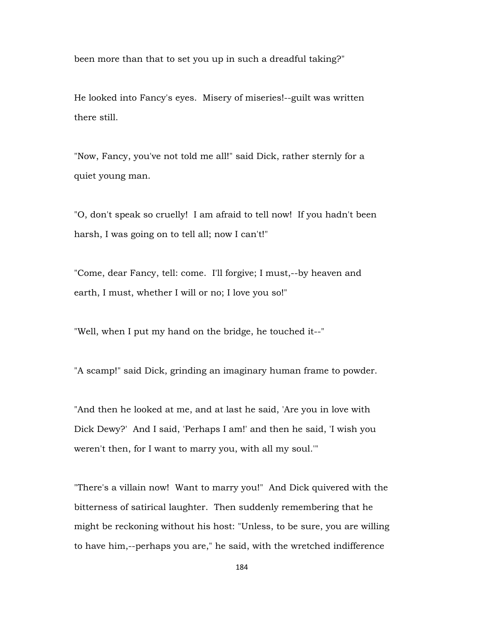been more than that to set you up in such a dreadful taking?"

He looked into Fancy's eyes. Misery of miseries!--guilt was written there still.

"Now, Fancy, you've not told me all!" said Dick, rather sternly for a quiet young man.

"O, don't speak so cruelly! I am afraid to tell now! If you hadn't been harsh, I was going on to tell all; now I can't!"

"Come, dear Fancy, tell: come. I'll forgive; I must,--by heaven and earth, I must, whether I will or no; I love you so!"

"Well, when I put my hand on the bridge, he touched it--"

"A scamp!" said Dick, grinding an imaginary human frame to powder.

"And then he looked at me, and at last he said, 'Are you in love with Dick Dewy?' And I said, 'Perhaps I am!' and then he said, 'I wish you weren't then, for I want to marry you, with all my soul.'"

"There's a villain now! Want to marry you!" And Dick quivered with the bitterness of satirical laughter. Then suddenly remembering that he might be reckoning without his host: "Unless, to be sure, you are willing to have him,--perhaps you are," he said, with the wretched indifference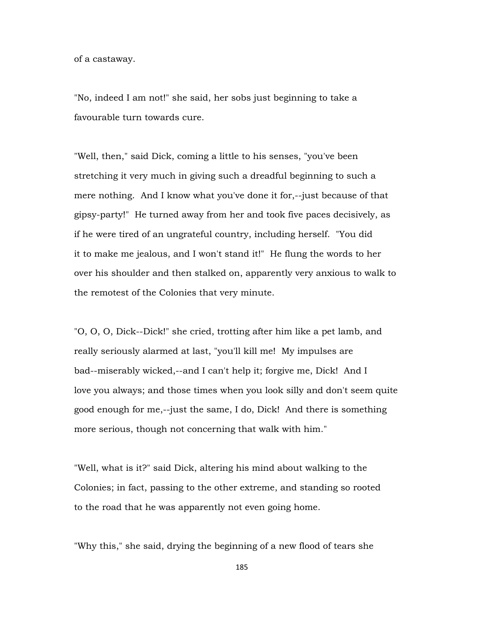of a castaway.

"No, indeed I am not!" she said, her sobs just beginning to take a favourable turn towards cure.

"Well, then," said Dick, coming a little to his senses, "you've been stretching it very much in giving such a dreadful beginning to such a mere nothing. And I know what you've done it for,--just because of that gipsy-party!" He turned away from her and took five paces decisively, as if he were tired of an ungrateful country, including herself. "You did it to make me jealous, and I won't stand it!" He flung the words to her over his shoulder and then stalked on, apparently very anxious to walk to the remotest of the Colonies that very minute.

"O, O, O, Dick--Dick!" she cried, trotting after him like a pet lamb, and really seriously alarmed at last, "you'll kill me! My impulses are bad--miserably wicked,--and I can't help it; forgive me, Dick! And I love you always; and those times when you look silly and don't seem quite good enough for me,--just the same, I do, Dick! And there is something more serious, though not concerning that walk with him."

"Well, what is it?" said Dick, altering his mind about walking to the Colonies; in fact, passing to the other extreme, and standing so rooted to the road that he was apparently not even going home.

"Why this," she said, drying the beginning of a new flood of tears she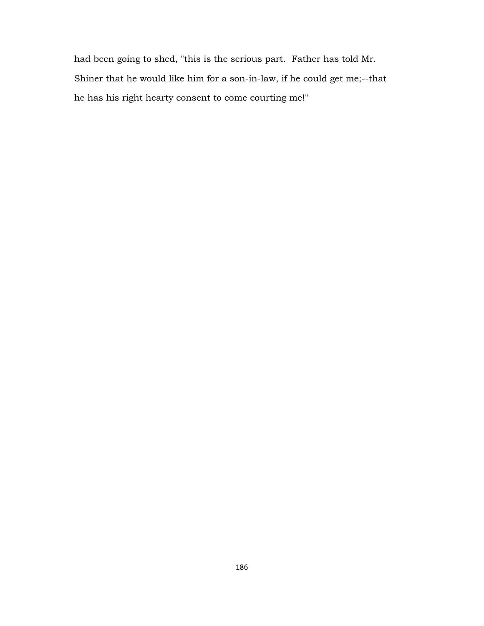had been going to shed, "this is the serious part. Father has told Mr. Shiner that he would like him for a son-in-law, if he could get me;--that he has his right hearty consent to come courting me!"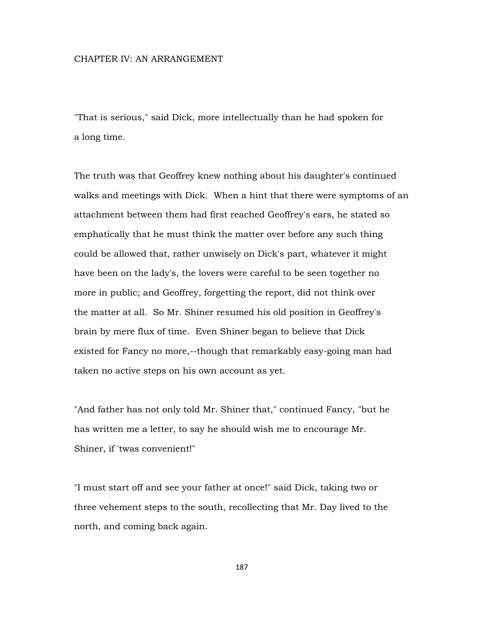## CHAPTER IV: AN ARRANGEMENT

"That is serious," said Dick, more intellectually than he had spoken for a long time.

The truth was that Geoffrey knew nothing about his daughter's continued walks and meetings with Dick. When a hint that there were symptoms of an attachment between them had first reached Geoffrey's ears, he stated so emphatically that he must think the matter over before any such thing could be allowed that, rather unwisely on Dick's part, whatever it might have been on the lady's, the lovers were careful to be seen together no more in public; and Geoffrey, forgetting the report, did not think over the matter at all. So Mr. Shiner resumed his old position in Geoffrey's brain by mere flux of time. Even Shiner began to believe that Dick existed for Fancy no more,--though that remarkably easy-going man had taken no active steps on his own account as yet.

"And father has not only told Mr. Shiner that," continued Fancy, "but he has written me a letter, to say he should wish me to encourage Mr. Shiner, if 'twas convenient!"

"I must start off and see your father at once!" said Dick, taking two or three vehement steps to the south, recollecting that Mr. Day lived to the north, and coming back again.

187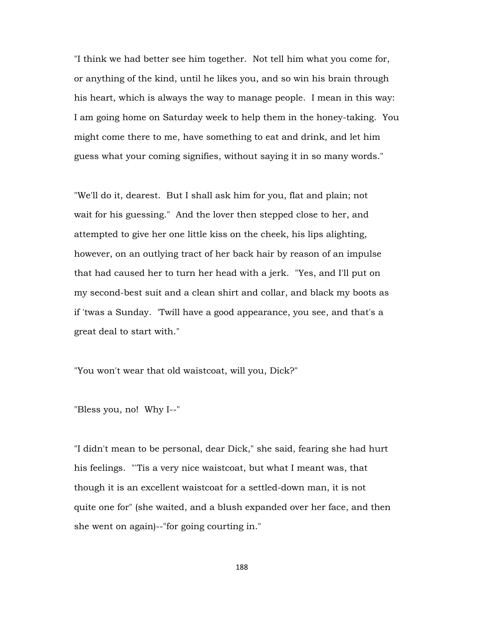"I think we had better see him together. Not tell him what you come for, or anything of the kind, until he likes you, and so win his brain through his heart, which is always the way to manage people. I mean in this way: I am going home on Saturday week to help them in the honey-taking. You might come there to me, have something to eat and drink, and let him guess what your coming signifies, without saying it in so many words."

"We'll do it, dearest. But I shall ask him for you, flat and plain; not wait for his guessing." And the lover then stepped close to her, and attempted to give her one little kiss on the cheek, his lips alighting, however, on an outlying tract of her back hair by reason of an impulse that had caused her to turn her head with a jerk. "Yes, and I'll put on my second-best suit and a clean shirt and collar, and black my boots as if 'twas a Sunday. 'Twill have a good appearance, you see, and that's a great deal to start with."

"You won't wear that old waistcoat, will you, Dick?"

"Bless you, no! Why I--"

"I didn't mean to be personal, dear Dick," she said, fearing she had hurt his feelings. "'Tis a very nice waistcoat, but what I meant was, that though it is an excellent waistcoat for a settled-down man, it is not quite one for" (she waited, and a blush expanded over her face, and then she went on again)--"for going courting in."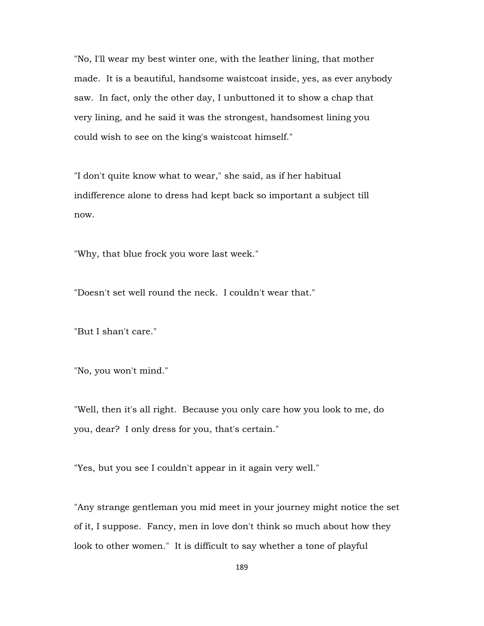"No, I'll wear my best winter one, with the leather lining, that mother made. It is a beautiful, handsome waistcoat inside, yes, as ever anybody saw. In fact, only the other day, I unbuttoned it to show a chap that very lining, and he said it was the strongest, handsomest lining you could wish to see on the king's waistcoat himself."

"I don't quite know what to wear," she said, as if her habitual indifference alone to dress had kept back so important a subject till now.

"Why, that blue frock you wore last week."

"Doesn't set well round the neck. I couldn't wear that."

"But I shan't care."

"No, you won't mind."

"Well, then it's all right. Because you only care how you look to me, do you, dear? I only dress for you, that's certain."

"Yes, but you see I couldn't appear in it again very well."

"Any strange gentleman you mid meet in your journey might notice the set of it, I suppose. Fancy, men in love don't think so much about how they look to other women." It is difficult to say whether a tone of playful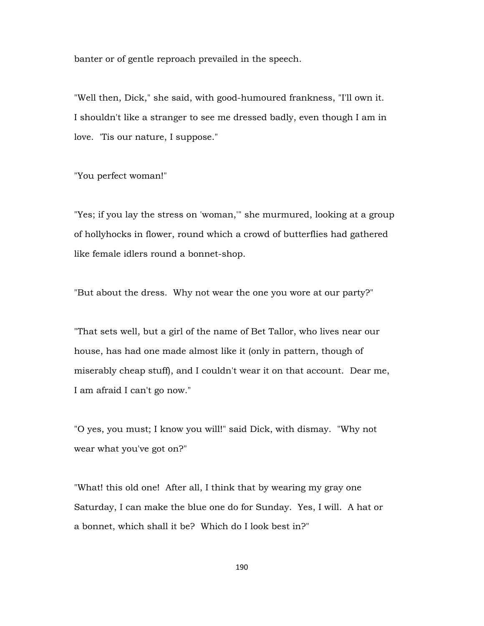banter or of gentle reproach prevailed in the speech.

"Well then, Dick," she said, with good-humoured frankness, "I'll own it. I shouldn't like a stranger to see me dressed badly, even though I am in love. 'Tis our nature, I suppose."

"You perfect woman!"

"Yes; if you lay the stress on 'woman,'" she murmured, looking at a group of hollyhocks in flower, round which a crowd of butterflies had gathered like female idlers round a bonnet-shop.

"But about the dress. Why not wear the one you wore at our party?"

"That sets well, but a girl of the name of Bet Tallor, who lives near our house, has had one made almost like it (only in pattern, though of miserably cheap stuff), and I couldn't wear it on that account. Dear me, I am afraid I can't go now."

"O yes, you must; I know you will!" said Dick, with dismay. "Why not wear what you've got on?"

"What! this old one! After all, I think that by wearing my gray one Saturday, I can make the blue one do for Sunday. Yes, I will. A hat or a bonnet, which shall it be? Which do I look best in?"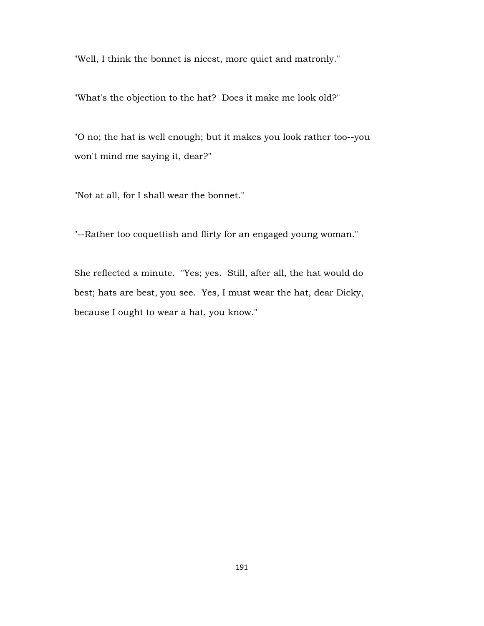"Well, I think the bonnet is nicest, more quiet and matronly."

"What's the objection to the hat? Does it make me look old?"

"O no; the hat is well enough; but it makes you look rather too--you won't mind me saying it, dear?"

"Not at all, for I shall wear the bonnet."

"--Rather too coquettish and flirty for an engaged young woman."

She reflected a minute. "Yes; yes. Still, after all, the hat would do best; hats are best, you see. Yes, I must wear the hat, dear Dicky, because I ought to wear a hat, you know."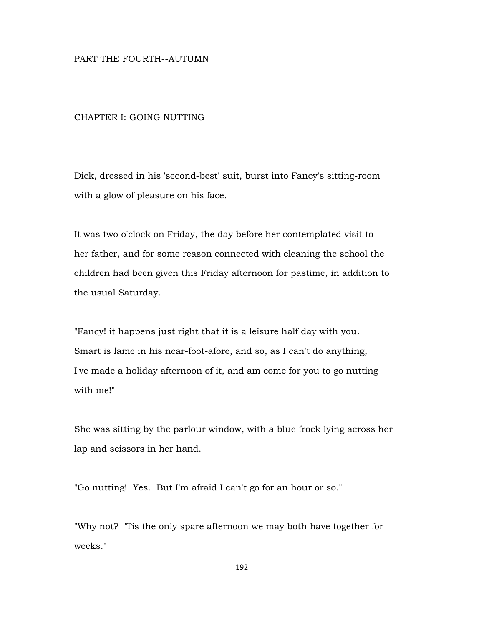## PART THE FOURTH--AUTUMN

## CHAPTER I: GOING NUTTING

Dick, dressed in his 'second-best' suit, burst into Fancy's sitting-room with a glow of pleasure on his face.

It was two o'clock on Friday, the day before her contemplated visit to her father, and for some reason connected with cleaning the school the children had been given this Friday afternoon for pastime, in addition to the usual Saturday.

"Fancy! it happens just right that it is a leisure half day with you. Smart is lame in his near-foot-afore, and so, as I can't do anything, I've made a holiday afternoon of it, and am come for you to go nutting with me!"

She was sitting by the parlour window, with a blue frock lying across her lap and scissors in her hand.

"Go nutting! Yes. But I'm afraid I can't go for an hour or so."

"Why not? 'Tis the only spare afternoon we may both have together for weeks."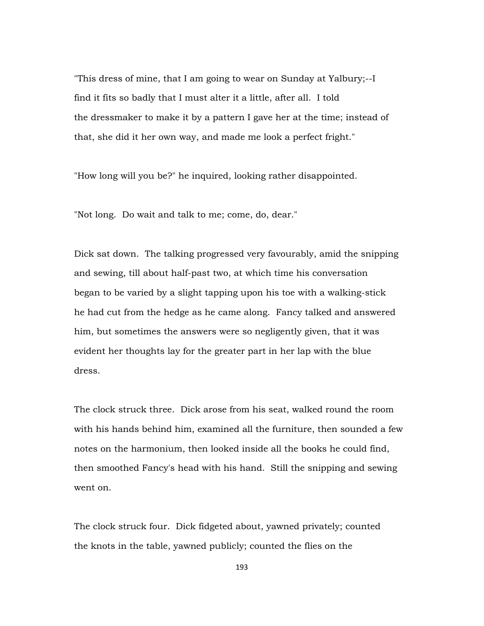"This dress of mine, that I am going to wear on Sunday at Yalbury;--I find it fits so badly that I must alter it a little, after all. I told the dressmaker to make it by a pattern I gave her at the time; instead of that, she did it her own way, and made me look a perfect fright."

"How long will you be?" he inquired, looking rather disappointed.

"Not long. Do wait and talk to me; come, do, dear."

Dick sat down. The talking progressed very favourably, amid the snipping and sewing, till about half-past two, at which time his conversation began to be varied by a slight tapping upon his toe with a walking-stick he had cut from the hedge as he came along. Fancy talked and answered him, but sometimes the answers were so negligently given, that it was evident her thoughts lay for the greater part in her lap with the blue dress.

The clock struck three. Dick arose from his seat, walked round the room with his hands behind him, examined all the furniture, then sounded a few notes on the harmonium, then looked inside all the books he could find, then smoothed Fancy's head with his hand. Still the snipping and sewing went on.

The clock struck four. Dick fidgeted about, yawned privately; counted the knots in the table, yawned publicly; counted the flies on the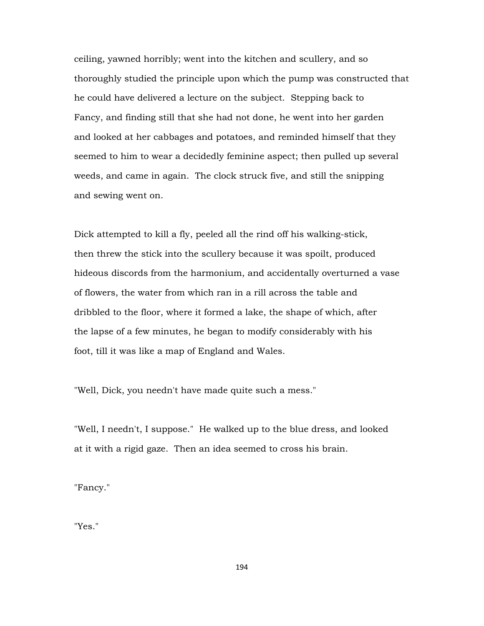ceiling, yawned horribly; went into the kitchen and scullery, and so thoroughly studied the principle upon which the pump was constructed that he could have delivered a lecture on the subject. Stepping back to Fancy, and finding still that she had not done, he went into her garden and looked at her cabbages and potatoes, and reminded himself that they seemed to him to wear a decidedly feminine aspect; then pulled up several weeds, and came in again. The clock struck five, and still the snipping and sewing went on.

Dick attempted to kill a fly, peeled all the rind off his walking-stick, then threw the stick into the scullery because it was spoilt, produced hideous discords from the harmonium, and accidentally overturned a vase of flowers, the water from which ran in a rill across the table and dribbled to the floor, where it formed a lake, the shape of which, after the lapse of a few minutes, he began to modify considerably with his foot, till it was like a map of England and Wales.

"Well, Dick, you needn't have made quite such a mess."

"Well, I needn't, I suppose." He walked up to the blue dress, and looked at it with a rigid gaze. Then an idea seemed to cross his brain.

"Fancy."

"Yes."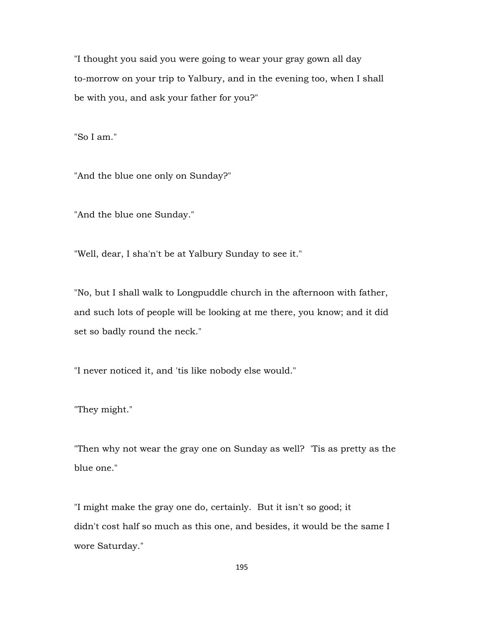"I thought you said you were going to wear your gray gown all day to-morrow on your trip to Yalbury, and in the evening too, when I shall be with you, and ask your father for you?"

"So I am."

"And the blue one only on Sunday?"

"And the blue one Sunday."

"Well, dear, I sha'n't be at Yalbury Sunday to see it."

"No, but I shall walk to Longpuddle church in the afternoon with father, and such lots of people will be looking at me there, you know; and it did set so badly round the neck."

"I never noticed it, and 'tis like nobody else would."

"They might."

"Then why not wear the gray one on Sunday as well? 'Tis as pretty as the blue one."

"I might make the gray one do, certainly. But it isn't so good; it didn't cost half so much as this one, and besides, it would be the same I wore Saturday."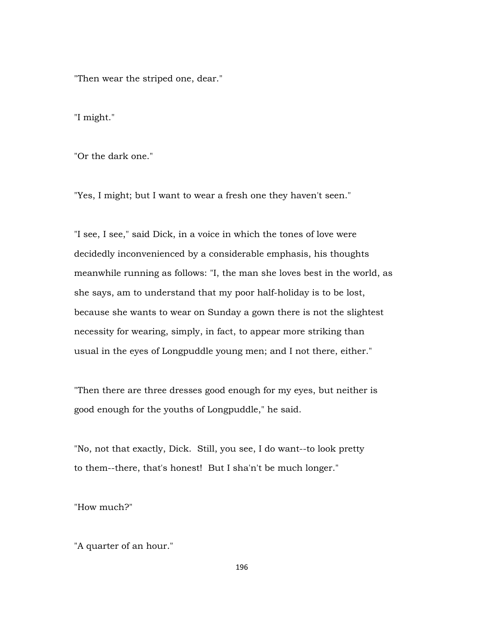"Then wear the striped one, dear."

"I might."

"Or the dark one."

"Yes, I might; but I want to wear a fresh one they haven't seen."

"I see, I see," said Dick, in a voice in which the tones of love were decidedly inconvenienced by a considerable emphasis, his thoughts meanwhile running as follows: "I, the man she loves best in the world, as she says, am to understand that my poor half-holiday is to be lost, because she wants to wear on Sunday a gown there is not the slightest necessity for wearing, simply, in fact, to appear more striking than usual in the eyes of Longpuddle young men; and I not there, either."

"Then there are three dresses good enough for my eyes, but neither is good enough for the youths of Longpuddle," he said.

"No, not that exactly, Dick. Still, you see, I do want--to look pretty to them--there, that's honest! But I sha'n't be much longer."

"How much?"

"A quarter of an hour."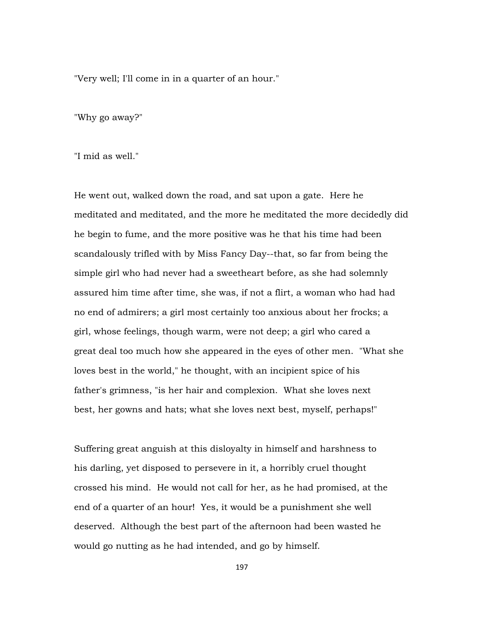"Very well; I'll come in in a quarter of an hour."

"Why go away?"

"I mid as well."

He went out, walked down the road, and sat upon a gate. Here he meditated and meditated, and the more he meditated the more decidedly did he begin to fume, and the more positive was he that his time had been scandalously trifled with by Miss Fancy Day--that, so far from being the simple girl who had never had a sweetheart before, as she had solemnly assured him time after time, she was, if not a flirt, a woman who had had no end of admirers; a girl most certainly too anxious about her frocks; a girl, whose feelings, though warm, were not deep; a girl who cared a great deal too much how she appeared in the eyes of other men. "What she loves best in the world," he thought, with an incipient spice of his father's grimness, "is her hair and complexion. What she loves next best, her gowns and hats; what she loves next best, myself, perhaps!"

Suffering great anguish at this disloyalty in himself and harshness to his darling, yet disposed to persevere in it, a horribly cruel thought crossed his mind. He would not call for her, as he had promised, at the end of a quarter of an hour! Yes, it would be a punishment she well deserved. Although the best part of the afternoon had been wasted he would go nutting as he had intended, and go by himself.

197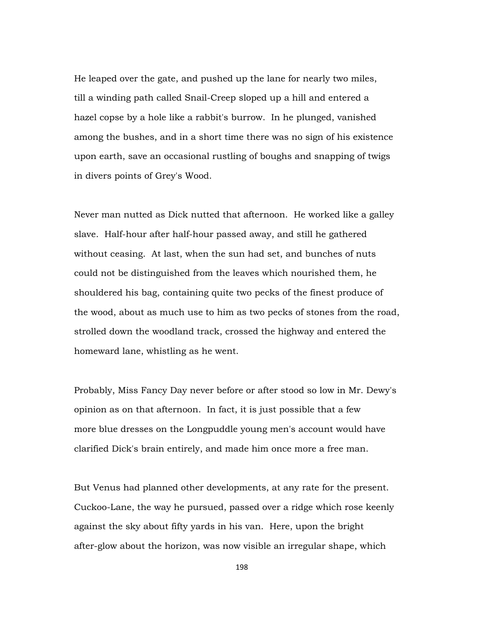He leaped over the gate, and pushed up the lane for nearly two miles, till a winding path called Snail-Creep sloped up a hill and entered a hazel copse by a hole like a rabbit's burrow. In he plunged, vanished among the bushes, and in a short time there was no sign of his existence upon earth, save an occasional rustling of boughs and snapping of twigs in divers points of Grey's Wood.

Never man nutted as Dick nutted that afternoon. He worked like a galley slave. Half-hour after half-hour passed away, and still he gathered without ceasing. At last, when the sun had set, and bunches of nuts could not be distinguished from the leaves which nourished them, he shouldered his bag, containing quite two pecks of the finest produce of the wood, about as much use to him as two pecks of stones from the road, strolled down the woodland track, crossed the highway and entered the homeward lane, whistling as he went.

Probably, Miss Fancy Day never before or after stood so low in Mr. Dewy's opinion as on that afternoon. In fact, it is just possible that a few more blue dresses on the Longpuddle young men's account would have clarified Dick's brain entirely, and made him once more a free man.

But Venus had planned other developments, at any rate for the present. Cuckoo-Lane, the way he pursued, passed over a ridge which rose keenly against the sky about fifty yards in his van. Here, upon the bright after-glow about the horizon, was now visible an irregular shape, which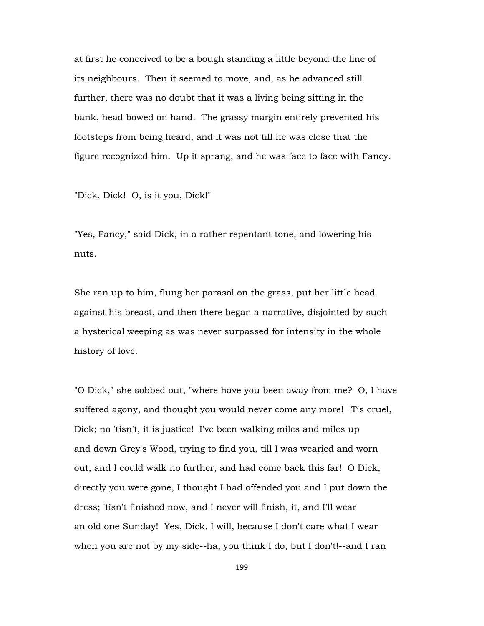at first he conceived to be a bough standing a little beyond the line of its neighbours. Then it seemed to move, and, as he advanced still further, there was no doubt that it was a living being sitting in the bank, head bowed on hand. The grassy margin entirely prevented his footsteps from being heard, and it was not till he was close that the figure recognized him. Up it sprang, and he was face to face with Fancy.

"Dick, Dick! O, is it you, Dick!"

"Yes, Fancy," said Dick, in a rather repentant tone, and lowering his nuts.

She ran up to him, flung her parasol on the grass, put her little head against his breast, and then there began a narrative, disjointed by such a hysterical weeping as was never surpassed for intensity in the whole history of love.

"O Dick," she sobbed out, "where have you been away from me? O, I have suffered agony, and thought you would never come any more! 'Tis cruel, Dick; no 'tisn't, it is justice! I've been walking miles and miles up and down Grey's Wood, trying to find you, till I was wearied and worn out, and I could walk no further, and had come back this far! O Dick, directly you were gone, I thought I had offended you and I put down the dress; 'tisn't finished now, and I never will finish, it, and I'll wear an old one Sunday! Yes, Dick, I will, because I don't care what I wear when you are not by my side--ha, you think I do, but I don't!--and I ran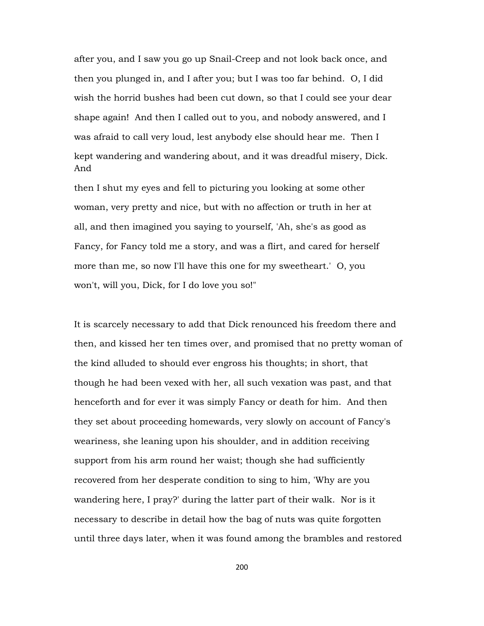after you, and I saw you go up Snail-Creep and not look back once, and then you plunged in, and I after you; but I was too far behind. O, I did wish the horrid bushes had been cut down, so that I could see your dear shape again! And then I called out to you, and nobody answered, and I was afraid to call very loud, lest anybody else should hear me. Then I kept wandering and wandering about, and it was dreadful misery, Dick. And

then I shut my eyes and fell to picturing you looking at some other woman, very pretty and nice, but with no affection or truth in her at all, and then imagined you saying to yourself, 'Ah, she's as good as Fancy, for Fancy told me a story, and was a flirt, and cared for herself more than me, so now I'll have this one for my sweetheart.' O, you won't, will you, Dick, for I do love you so!"

It is scarcely necessary to add that Dick renounced his freedom there and then, and kissed her ten times over, and promised that no pretty woman of the kind alluded to should ever engross his thoughts; in short, that though he had been vexed with her, all such vexation was past, and that henceforth and for ever it was simply Fancy or death for him. And then they set about proceeding homewards, very slowly on account of Fancy's weariness, she leaning upon his shoulder, and in addition receiving support from his arm round her waist; though she had sufficiently recovered from her desperate condition to sing to him, 'Why are you wandering here, I pray?' during the latter part of their walk. Nor is it necessary to describe in detail how the bag of nuts was quite forgotten until three days later, when it was found among the brambles and restored

200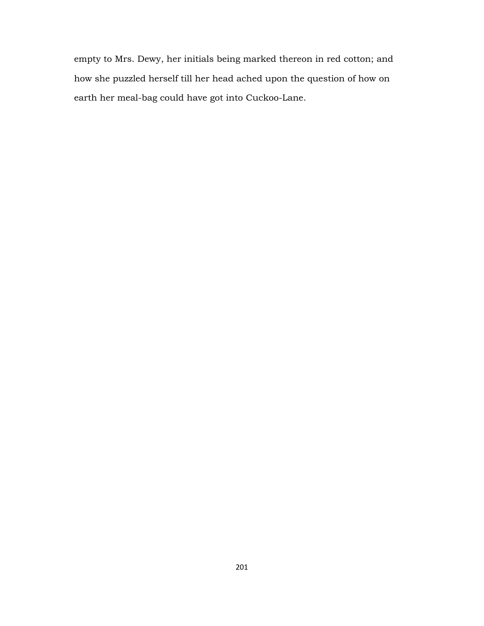empty to Mrs. Dewy, her initials being marked thereon in red cotton; and how she puzzled herself till her head ached upon the question of how on earth her meal-bag could have got into Cuckoo-Lane.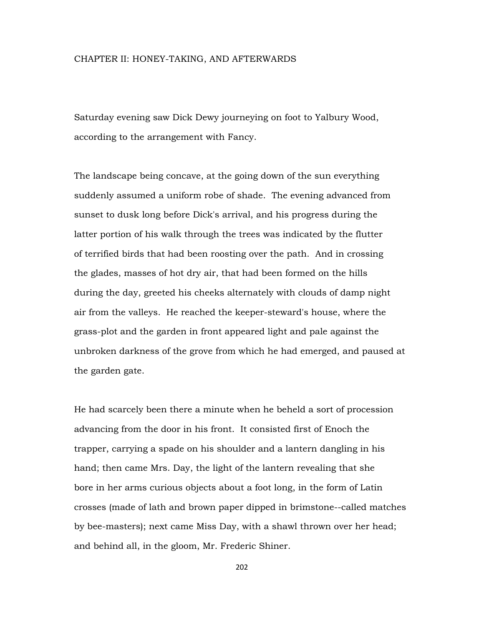## CHAPTER II: HONEY-TAKING, AND AFTERWARDS

Saturday evening saw Dick Dewy journeying on foot to Yalbury Wood, according to the arrangement with Fancy.

The landscape being concave, at the going down of the sun everything suddenly assumed a uniform robe of shade. The evening advanced from sunset to dusk long before Dick's arrival, and his progress during the latter portion of his walk through the trees was indicated by the flutter of terrified birds that had been roosting over the path. And in crossing the glades, masses of hot dry air, that had been formed on the hills during the day, greeted his cheeks alternately with clouds of damp night air from the valleys. He reached the keeper-steward's house, where the grass-plot and the garden in front appeared light and pale against the unbroken darkness of the grove from which he had emerged, and paused at the garden gate.

He had scarcely been there a minute when he beheld a sort of procession advancing from the door in his front. It consisted first of Enoch the trapper, carrying a spade on his shoulder and a lantern dangling in his hand; then came Mrs. Day, the light of the lantern revealing that she bore in her arms curious objects about a foot long, in the form of Latin crosses (made of lath and brown paper dipped in brimstone--called matches by bee-masters); next came Miss Day, with a shawl thrown over her head; and behind all, in the gloom, Mr. Frederic Shiner.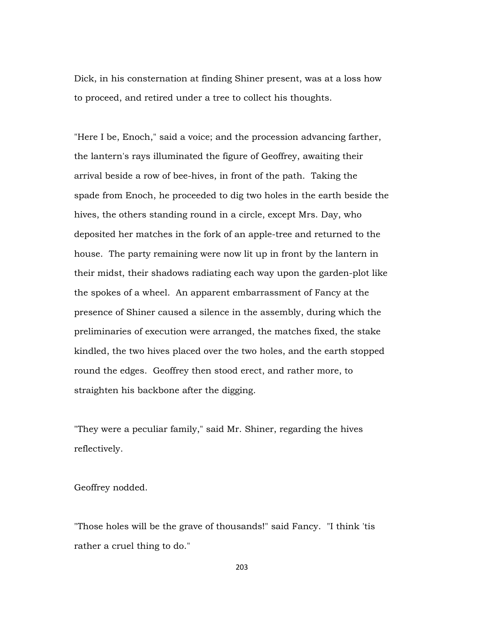Dick, in his consternation at finding Shiner present, was at a loss how to proceed, and retired under a tree to collect his thoughts.

"Here I be, Enoch," said a voice; and the procession advancing farther, the lantern's rays illuminated the figure of Geoffrey, awaiting their arrival beside a row of bee-hives, in front of the path. Taking the spade from Enoch, he proceeded to dig two holes in the earth beside the hives, the others standing round in a circle, except Mrs. Day, who deposited her matches in the fork of an apple-tree and returned to the house. The party remaining were now lit up in front by the lantern in their midst, their shadows radiating each way upon the garden-plot like the spokes of a wheel. An apparent embarrassment of Fancy at the presence of Shiner caused a silence in the assembly, during which the preliminaries of execution were arranged, the matches fixed, the stake kindled, the two hives placed over the two holes, and the earth stopped round the edges. Geoffrey then stood erect, and rather more, to straighten his backbone after the digging.

"They were a peculiar family," said Mr. Shiner, regarding the hives reflectively.

Geoffrey nodded.

"Those holes will be the grave of thousands!" said Fancy. "I think 'tis rather a cruel thing to do."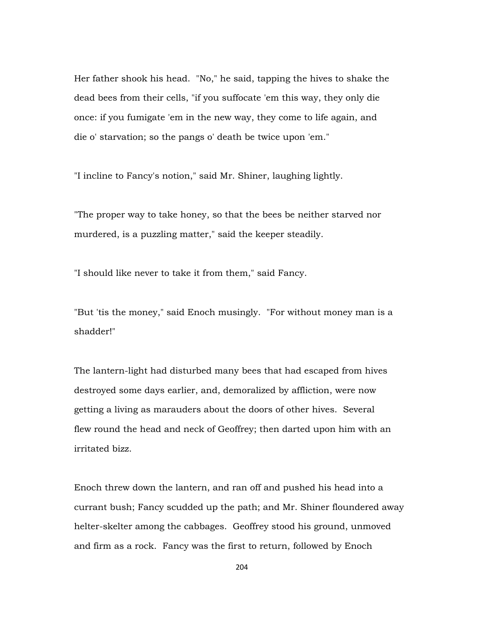Her father shook his head. "No," he said, tapping the hives to shake the dead bees from their cells, "if you suffocate 'em this way, they only die once: if you fumigate 'em in the new way, they come to life again, and die o' starvation; so the pangs o' death be twice upon 'em."

"I incline to Fancy's notion," said Mr. Shiner, laughing lightly.

"The proper way to take honey, so that the bees be neither starved nor murdered, is a puzzling matter," said the keeper steadily.

"I should like never to take it from them," said Fancy.

"But 'tis the money," said Enoch musingly. "For without money man is a shadder!"

The lantern-light had disturbed many bees that had escaped from hives destroyed some days earlier, and, demoralized by affliction, were now getting a living as marauders about the doors of other hives. Several flew round the head and neck of Geoffrey; then darted upon him with an irritated bizz.

Enoch threw down the lantern, and ran off and pushed his head into a currant bush; Fancy scudded up the path; and Mr. Shiner floundered away helter-skelter among the cabbages. Geoffrey stood his ground, unmoved and firm as a rock. Fancy was the first to return, followed by Enoch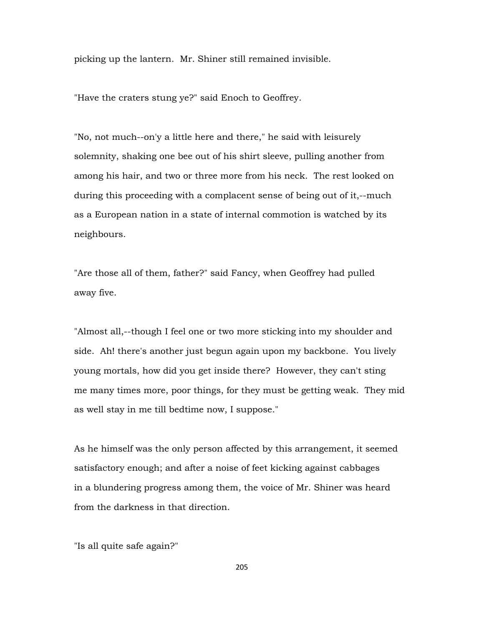picking up the lantern. Mr. Shiner still remained invisible.

"Have the craters stung ye?" said Enoch to Geoffrey.

"No, not much--on'y a little here and there," he said with leisurely solemnity, shaking one bee out of his shirt sleeve, pulling another from among his hair, and two or three more from his neck. The rest looked on during this proceeding with a complacent sense of being out of it,--much as a European nation in a state of internal commotion is watched by its neighbours.

"Are those all of them, father?" said Fancy, when Geoffrey had pulled away five.

"Almost all,--though I feel one or two more sticking into my shoulder and side. Ah! there's another just begun again upon my backbone. You lively young mortals, how did you get inside there? However, they can't sting me many times more, poor things, for they must be getting weak. They mid as well stay in me till bedtime now, I suppose."

As he himself was the only person affected by this arrangement, it seemed satisfactory enough; and after a noise of feet kicking against cabbages in a blundering progress among them, the voice of Mr. Shiner was heard from the darkness in that direction.

"Is all quite safe again?"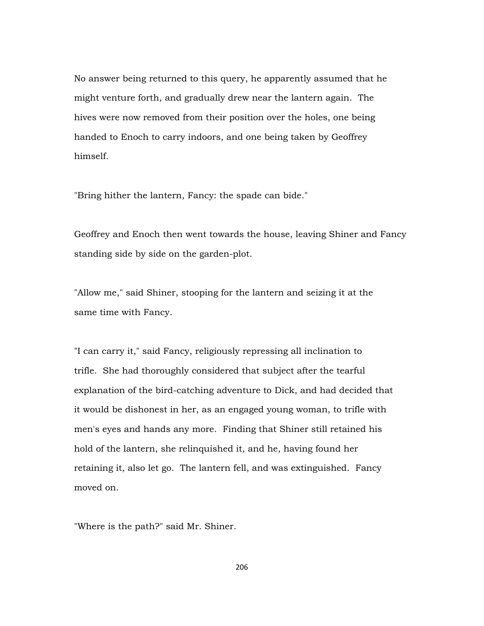No answer being returned to this query, he apparently assumed that he might venture forth, and gradually drew near the lantern again. The hives were now removed from their position over the holes, one being handed to Enoch to carry indoors, and one being taken by Geoffrey himself.

"Bring hither the lantern, Fancy: the spade can bide."

Geoffrey and Enoch then went towards the house, leaving Shiner and Fancy standing side by side on the garden-plot.

"Allow me," said Shiner, stooping for the lantern and seizing it at the same time with Fancy.

"I can carry it," said Fancy, religiously repressing all inclination to trifle. She had thoroughly considered that subject after the tearful explanation of the bird-catching adventure to Dick, and had decided that it would be dishonest in her, as an engaged young woman, to trifle with men's eyes and hands any more. Finding that Shiner still retained his hold of the lantern, she relinquished it, and he, having found her retaining it, also let go. The lantern fell, and was extinguished. Fancy moved on.

"Where is the path?" said Mr. Shiner.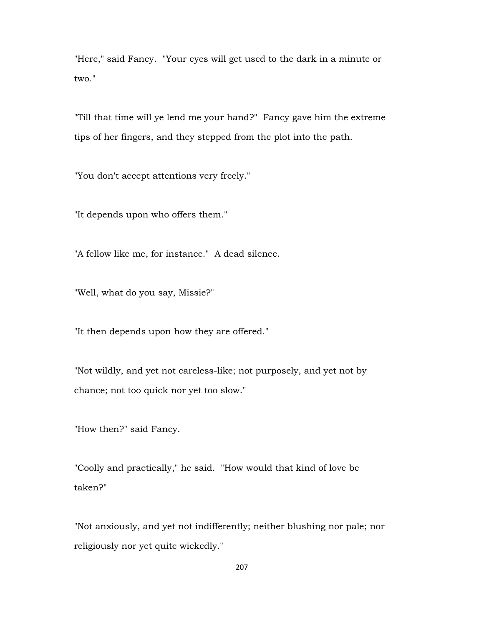"Here," said Fancy. "Your eyes will get used to the dark in a minute or two."

"Till that time will ye lend me your hand?" Fancy gave him the extreme tips of her fingers, and they stepped from the plot into the path.

"You don't accept attentions very freely."

"It depends upon who offers them."

"A fellow like me, for instance." A dead silence.

"Well, what do you say, Missie?"

"It then depends upon how they are offered."

"Not wildly, and yet not careless-like; not purposely, and yet not by chance; not too quick nor yet too slow."

"How then?" said Fancy.

"Coolly and practically," he said. "How would that kind of love be taken?"

"Not anxiously, and yet not indifferently; neither blushing nor pale; nor religiously nor yet quite wickedly."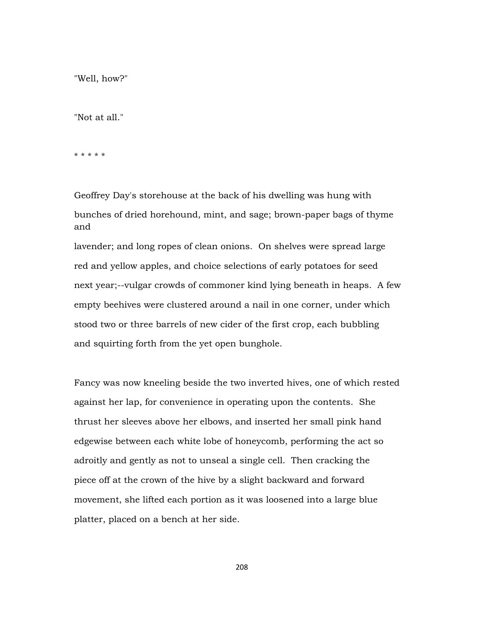"Well, how?"

"Not at all."

\* \* \* \* \*

Geoffrey Day's storehouse at the back of his dwelling was hung with bunches of dried horehound, mint, and sage; brown-paper bags of thyme and

lavender; and long ropes of clean onions. On shelves were spread large red and yellow apples, and choice selections of early potatoes for seed next year;--vulgar crowds of commoner kind lying beneath in heaps. A few empty beehives were clustered around a nail in one corner, under which stood two or three barrels of new cider of the first crop, each bubbling and squirting forth from the yet open bunghole.

Fancy was now kneeling beside the two inverted hives, one of which rested against her lap, for convenience in operating upon the contents. She thrust her sleeves above her elbows, and inserted her small pink hand edgewise between each white lobe of honeycomb, performing the act so adroitly and gently as not to unseal a single cell. Then cracking the piece off at the crown of the hive by a slight backward and forward movement, she lifted each portion as it was loosened into a large blue platter, placed on a bench at her side.

208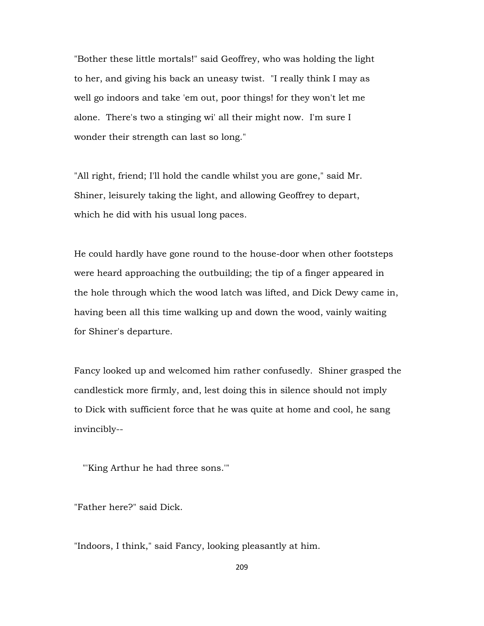"Bother these little mortals!" said Geoffrey, who was holding the light to her, and giving his back an uneasy twist. "I really think I may as well go indoors and take 'em out, poor things! for they won't let me alone. There's two a stinging wi' all their might now. I'm sure I wonder their strength can last so long."

"All right, friend; I'll hold the candle whilst you are gone," said Mr. Shiner, leisurely taking the light, and allowing Geoffrey to depart, which he did with his usual long paces.

He could hardly have gone round to the house-door when other footsteps were heard approaching the outbuilding; the tip of a finger appeared in the hole through which the wood latch was lifted, and Dick Dewy came in, having been all this time walking up and down the wood, vainly waiting for Shiner's departure.

Fancy looked up and welcomed him rather confusedly. Shiner grasped the candlestick more firmly, and, lest doing this in silence should not imply to Dick with sufficient force that he was quite at home and cool, he sang invincibly--

"'King Arthur he had three sons.'"

"Father here?" said Dick.

"Indoors, I think," said Fancy, looking pleasantly at him.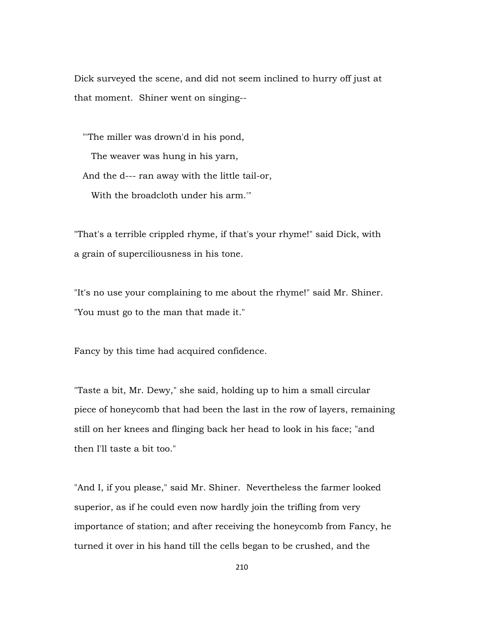Dick surveyed the scene, and did not seem inclined to hurry off just at that moment. Shiner went on singing--

 "'The miller was drown'd in his pond, The weaver was hung in his yarn, And the d--- ran away with the little tail-or, With the broadcloth under his arm.'"

"That's a terrible crippled rhyme, if that's your rhyme!" said Dick, with a grain of superciliousness in his tone.

"It's no use your complaining to me about the rhyme!" said Mr. Shiner. "You must go to the man that made it."

Fancy by this time had acquired confidence.

"Taste a bit, Mr. Dewy," she said, holding up to him a small circular piece of honeycomb that had been the last in the row of layers, remaining still on her knees and flinging back her head to look in his face; "and then I'll taste a bit too."

"And I, if you please," said Mr. Shiner. Nevertheless the farmer looked superior, as if he could even now hardly join the trifling from very importance of station; and after receiving the honeycomb from Fancy, he turned it over in his hand till the cells began to be crushed, and the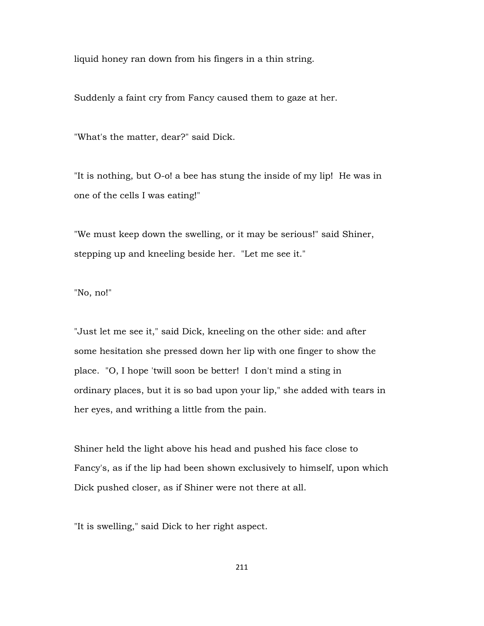liquid honey ran down from his fingers in a thin string.

Suddenly a faint cry from Fancy caused them to gaze at her.

"What's the matter, dear?" said Dick.

"It is nothing, but O-o! a bee has stung the inside of my lip! He was in one of the cells I was eating!"

"We must keep down the swelling, or it may be serious!" said Shiner, stepping up and kneeling beside her. "Let me see it."

"No, no!"

"Just let me see it," said Dick, kneeling on the other side: and after some hesitation she pressed down her lip with one finger to show the place. "O, I hope 'twill soon be better! I don't mind a sting in ordinary places, but it is so bad upon your lip," she added with tears in her eyes, and writhing a little from the pain.

Shiner held the light above his head and pushed his face close to Fancy's, as if the lip had been shown exclusively to himself, upon which Dick pushed closer, as if Shiner were not there at all.

"It is swelling," said Dick to her right aspect.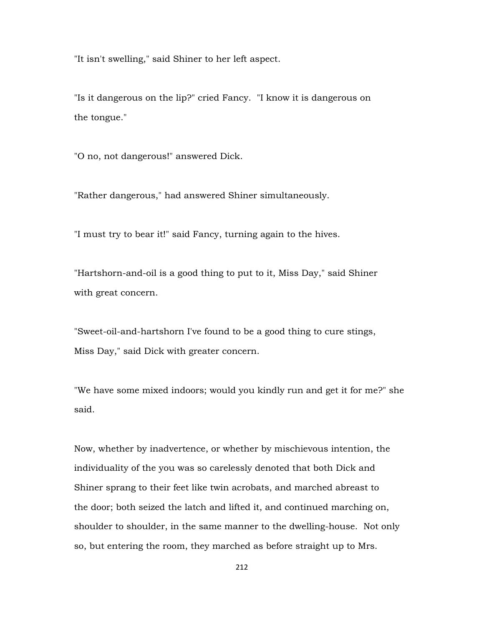"It isn't swelling," said Shiner to her left aspect.

"Is it dangerous on the lip?" cried Fancy. "I know it is dangerous on the tongue."

"O no, not dangerous!" answered Dick.

"Rather dangerous," had answered Shiner simultaneously.

"I must try to bear it!" said Fancy, turning again to the hives.

"Hartshorn-and-oil is a good thing to put to it, Miss Day," said Shiner with great concern.

"Sweet-oil-and-hartshorn I've found to be a good thing to cure stings, Miss Day," said Dick with greater concern.

"We have some mixed indoors; would you kindly run and get it for me?" she said.

Now, whether by inadvertence, or whether by mischievous intention, the individuality of the you was so carelessly denoted that both Dick and Shiner sprang to their feet like twin acrobats, and marched abreast to the door; both seized the latch and lifted it, and continued marching on, shoulder to shoulder, in the same manner to the dwelling-house. Not only so, but entering the room, they marched as before straight up to Mrs.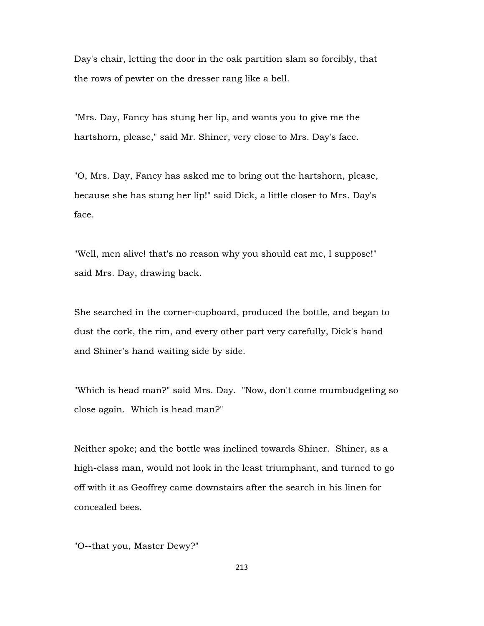Day's chair, letting the door in the oak partition slam so forcibly, that the rows of pewter on the dresser rang like a bell.

"Mrs. Day, Fancy has stung her lip, and wants you to give me the hartshorn, please," said Mr. Shiner, very close to Mrs. Day's face.

"O, Mrs. Day, Fancy has asked me to bring out the hartshorn, please, because she has stung her lip!" said Dick, a little closer to Mrs. Day's face.

"Well, men alive! that's no reason why you should eat me, I suppose!" said Mrs. Day, drawing back.

She searched in the corner-cupboard, produced the bottle, and began to dust the cork, the rim, and every other part very carefully, Dick's hand and Shiner's hand waiting side by side.

"Which is head man?" said Mrs. Day. "Now, don't come mumbudgeting so close again. Which is head man?"

Neither spoke; and the bottle was inclined towards Shiner. Shiner, as a high-class man, would not look in the least triumphant, and turned to go off with it as Geoffrey came downstairs after the search in his linen for concealed bees.

"O--that you, Master Dewy?"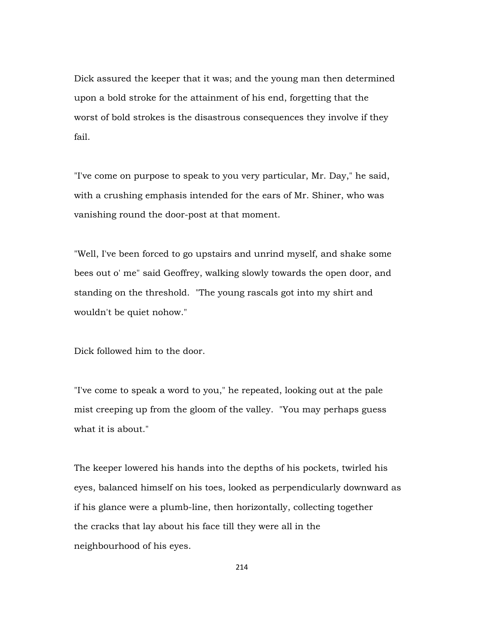Dick assured the keeper that it was; and the young man then determined upon a bold stroke for the attainment of his end, forgetting that the worst of bold strokes is the disastrous consequences they involve if they fail.

"I've come on purpose to speak to you very particular, Mr. Day," he said, with a crushing emphasis intended for the ears of Mr. Shiner, who was vanishing round the door-post at that moment.

"Well, I've been forced to go upstairs and unrind myself, and shake some bees out o' me" said Geoffrey, walking slowly towards the open door, and standing on the threshold. "The young rascals got into my shirt and wouldn't be quiet nohow."

Dick followed him to the door.

"I've come to speak a word to you," he repeated, looking out at the pale mist creeping up from the gloom of the valley. "You may perhaps guess what it is about."

The keeper lowered his hands into the depths of his pockets, twirled his eyes, balanced himself on his toes, looked as perpendicularly downward as if his glance were a plumb-line, then horizontally, collecting together the cracks that lay about his face till they were all in the neighbourhood of his eyes.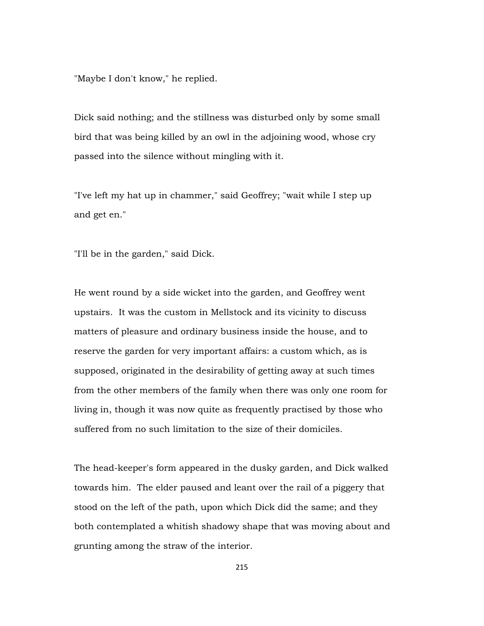"Maybe I don't know," he replied.

Dick said nothing; and the stillness was disturbed only by some small bird that was being killed by an owl in the adjoining wood, whose cry passed into the silence without mingling with it.

"I've left my hat up in chammer," said Geoffrey; "wait while I step up and get en."

"I'll be in the garden," said Dick.

He went round by a side wicket into the garden, and Geoffrey went upstairs. It was the custom in Mellstock and its vicinity to discuss matters of pleasure and ordinary business inside the house, and to reserve the garden for very important affairs: a custom which, as is supposed, originated in the desirability of getting away at such times from the other members of the family when there was only one room for living in, though it was now quite as frequently practised by those who suffered from no such limitation to the size of their domiciles.

The head-keeper's form appeared in the dusky garden, and Dick walked towards him. The elder paused and leant over the rail of a piggery that stood on the left of the path, upon which Dick did the same; and they both contemplated a whitish shadowy shape that was moving about and grunting among the straw of the interior.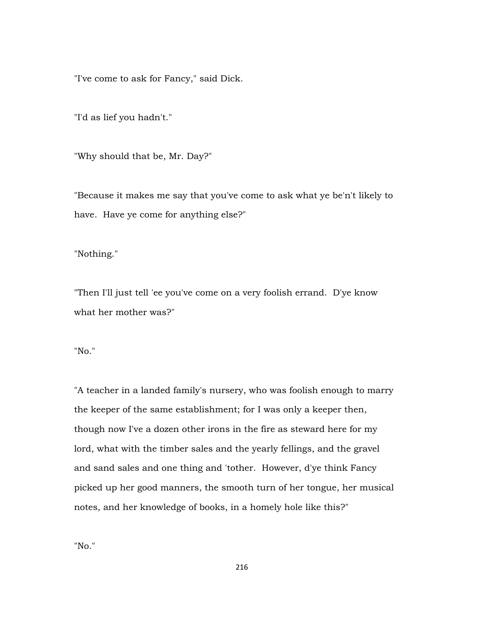"I've come to ask for Fancy," said Dick.

"I'd as lief you hadn't."

"Why should that be, Mr. Day?"

"Because it makes me say that you've come to ask what ye be'n't likely to have. Have ye come for anything else?"

"Nothing."

"Then I'll just tell 'ee you've come on a very foolish errand. D'ye know what her mother was?"

"No."

"A teacher in a landed family's nursery, who was foolish enough to marry the keeper of the same establishment; for I was only a keeper then, though now I've a dozen other irons in the fire as steward here for my lord, what with the timber sales and the yearly fellings, and the gravel and sand sales and one thing and 'tother. However, d'ye think Fancy picked up her good manners, the smooth turn of her tongue, her musical notes, and her knowledge of books, in a homely hole like this?"

"No."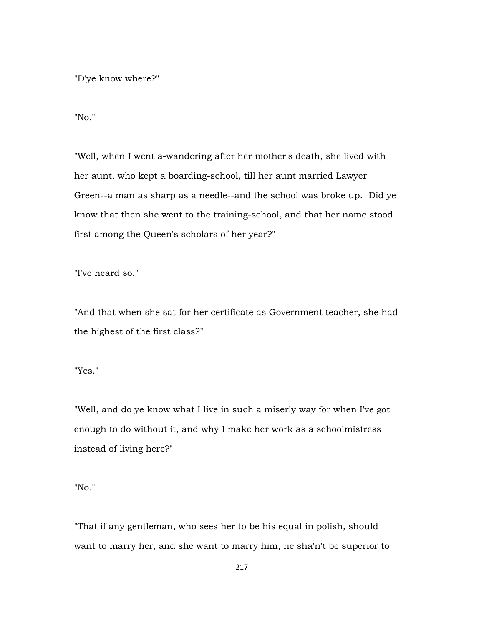"D'ye know where?"

"No."

"Well, when I went a-wandering after her mother's death, she lived with her aunt, who kept a boarding-school, till her aunt married Lawyer Green--a man as sharp as a needle--and the school was broke up. Did ye know that then she went to the training-school, and that her name stood first among the Queen's scholars of her year?"

"I've heard so."

"And that when she sat for her certificate as Government teacher, she had the highest of the first class?"

"Yes."

"Well, and do ye know what I live in such a miserly way for when I've got enough to do without it, and why I make her work as a schoolmistress instead of living here?"

"No."

"That if any gentleman, who sees her to be his equal in polish, should want to marry her, and she want to marry him, he sha'n't be superior to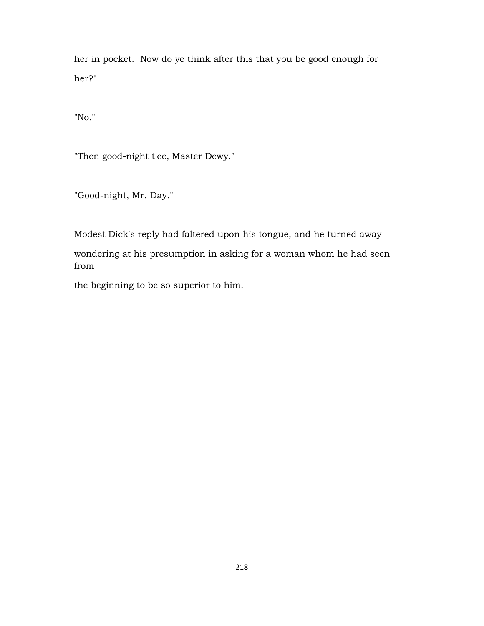her in pocket. Now do ye think after this that you be good enough for her?"

"No."

"Then good-night t'ee, Master Dewy."

"Good-night, Mr. Day."

Modest Dick's reply had faltered upon his tongue, and he turned away

wondering at his presumption in asking for a woman whom he had seen from

the beginning to be so superior to him.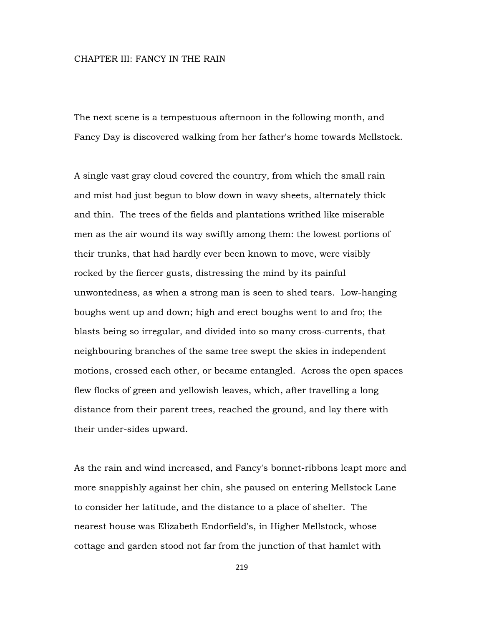# CHAPTER III: FANCY IN THE RAIN

The next scene is a tempestuous afternoon in the following month, and Fancy Day is discovered walking from her father's home towards Mellstock.

A single vast gray cloud covered the country, from which the small rain and mist had just begun to blow down in wavy sheets, alternately thick and thin. The trees of the fields and plantations writhed like miserable men as the air wound its way swiftly among them: the lowest portions of their trunks, that had hardly ever been known to move, were visibly rocked by the fiercer gusts, distressing the mind by its painful unwontedness, as when a strong man is seen to shed tears. Low-hanging boughs went up and down; high and erect boughs went to and fro; the blasts being so irregular, and divided into so many cross-currents, that neighbouring branches of the same tree swept the skies in independent motions, crossed each other, or became entangled. Across the open spaces flew flocks of green and yellowish leaves, which, after travelling a long distance from their parent trees, reached the ground, and lay there with their under-sides upward.

As the rain and wind increased, and Fancy's bonnet-ribbons leapt more and more snappishly against her chin, she paused on entering Mellstock Lane to consider her latitude, and the distance to a place of shelter. The nearest house was Elizabeth Endorfield's, in Higher Mellstock, whose cottage and garden stood not far from the junction of that hamlet with

219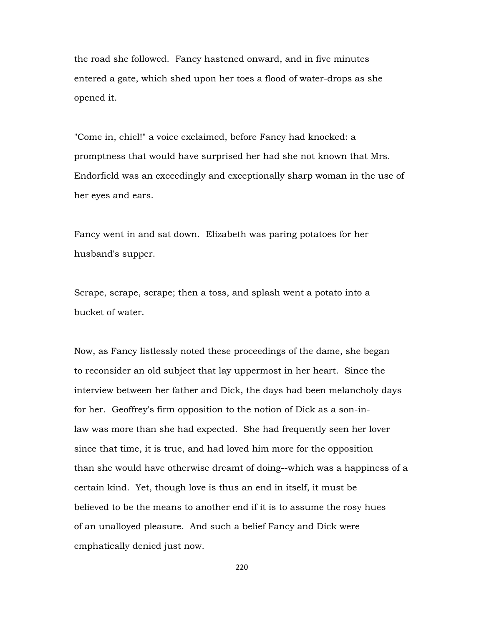the road she followed. Fancy hastened onward, and in five minutes entered a gate, which shed upon her toes a flood of water-drops as she opened it.

"Come in, chiel!" a voice exclaimed, before Fancy had knocked: a promptness that would have surprised her had she not known that Mrs. Endorfield was an exceedingly and exceptionally sharp woman in the use of her eyes and ears.

Fancy went in and sat down. Elizabeth was paring potatoes for her husband's supper.

Scrape, scrape, scrape; then a toss, and splash went a potato into a bucket of water.

Now, as Fancy listlessly noted these proceedings of the dame, she began to reconsider an old subject that lay uppermost in her heart. Since the interview between her father and Dick, the days had been melancholy days for her. Geoffrey's firm opposition to the notion of Dick as a son-inlaw was more than she had expected. She had frequently seen her lover since that time, it is true, and had loved him more for the opposition than she would have otherwise dreamt of doing--which was a happiness of a certain kind. Yet, though love is thus an end in itself, it must be believed to be the means to another end if it is to assume the rosy hues of an unalloyed pleasure. And such a belief Fancy and Dick were emphatically denied just now.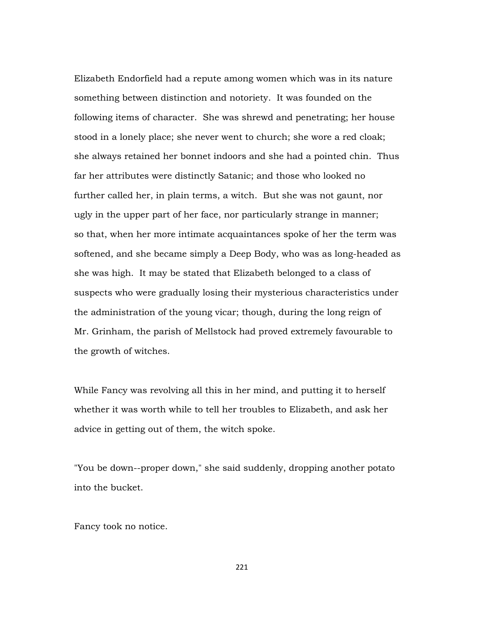Elizabeth Endorfield had a repute among women which was in its nature something between distinction and notoriety. It was founded on the following items of character. She was shrewd and penetrating; her house stood in a lonely place; she never went to church; she wore a red cloak; she always retained her bonnet indoors and she had a pointed chin. Thus far her attributes were distinctly Satanic; and those who looked no further called her, in plain terms, a witch. But she was not gaunt, nor ugly in the upper part of her face, nor particularly strange in manner; so that, when her more intimate acquaintances spoke of her the term was softened, and she became simply a Deep Body, who was as long-headed as she was high. It may be stated that Elizabeth belonged to a class of suspects who were gradually losing their mysterious characteristics under the administration of the young vicar; though, during the long reign of Mr. Grinham, the parish of Mellstock had proved extremely favourable to the growth of witches.

While Fancy was revolving all this in her mind, and putting it to herself whether it was worth while to tell her troubles to Elizabeth, and ask her advice in getting out of them, the witch spoke.

"You be down--proper down," she said suddenly, dropping another potato into the bucket.

Fancy took no notice.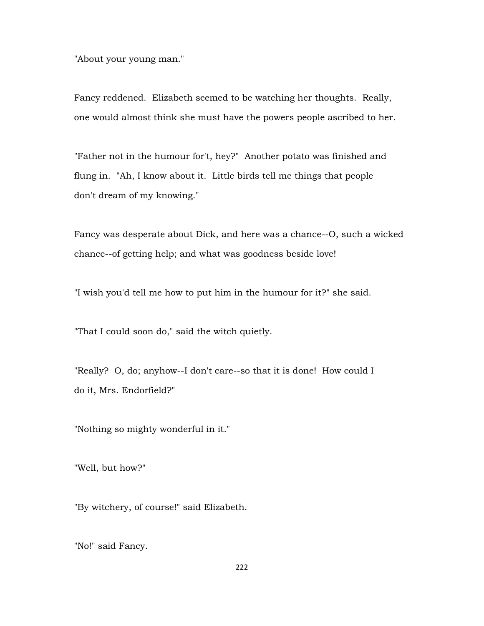"About your young man."

Fancy reddened. Elizabeth seemed to be watching her thoughts. Really, one would almost think she must have the powers people ascribed to her.

"Father not in the humour for't, hey?" Another potato was finished and flung in. "Ah, I know about it. Little birds tell me things that people don't dream of my knowing."

Fancy was desperate about Dick, and here was a chance--O, such a wicked chance--of getting help; and what was goodness beside love!

"I wish you'd tell me how to put him in the humour for it?" she said.

"That I could soon do," said the witch quietly.

"Really? O, do; anyhow--I don't care--so that it is done! How could I do it, Mrs. Endorfield?"

"Nothing so mighty wonderful in it."

"Well, but how?"

"By witchery, of course!" said Elizabeth.

"No!" said Fancy.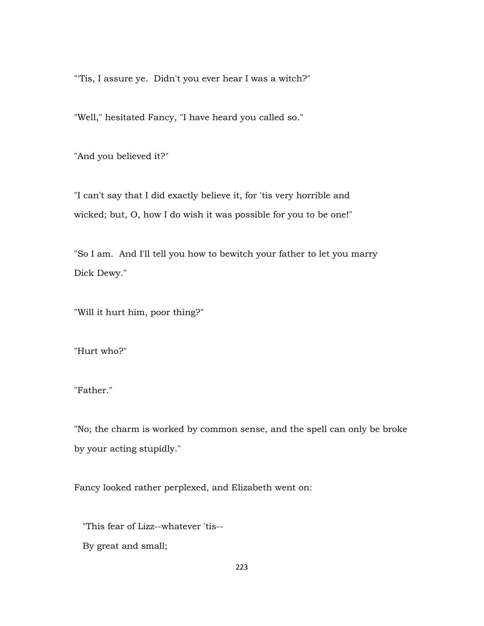"'Tis, I assure ye. Didn't you ever hear I was a witch?"

"Well," hesitated Fancy, "I have heard you called so."

"And you believed it?"

"I can't say that I did exactly believe it, for 'tis very horrible and wicked; but, O, how I do wish it was possible for you to be one!"

"So I am. And I'll tell you how to bewitch your father to let you marry Dick Dewy."

"Will it hurt him, poor thing?"

"Hurt who?"

"Father."

"No; the charm is worked by common sense, and the spell can only be broke by your acting stupidly."

Fancy looked rather perplexed, and Elizabeth went on:

"This fear of Lizz--whatever 'tis--

By great and small;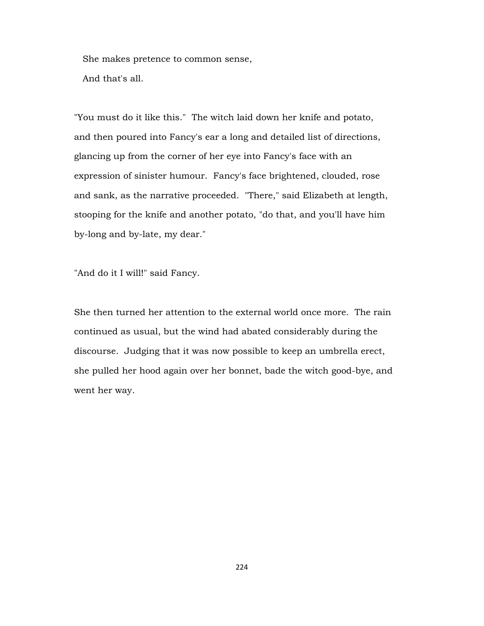She makes pretence to common sense, And that's all.

"You must do it like this." The witch laid down her knife and potato, and then poured into Fancy's ear a long and detailed list of directions, glancing up from the corner of her eye into Fancy's face with an expression of sinister humour. Fancy's face brightened, clouded, rose and sank, as the narrative proceeded. "There," said Elizabeth at length, stooping for the knife and another potato, "do that, and you'll have him by-long and by-late, my dear."

"And do it I will!" said Fancy.

She then turned her attention to the external world once more. The rain continued as usual, but the wind had abated considerably during the discourse. Judging that it was now possible to keep an umbrella erect, she pulled her hood again over her bonnet, bade the witch good-bye, and went her way.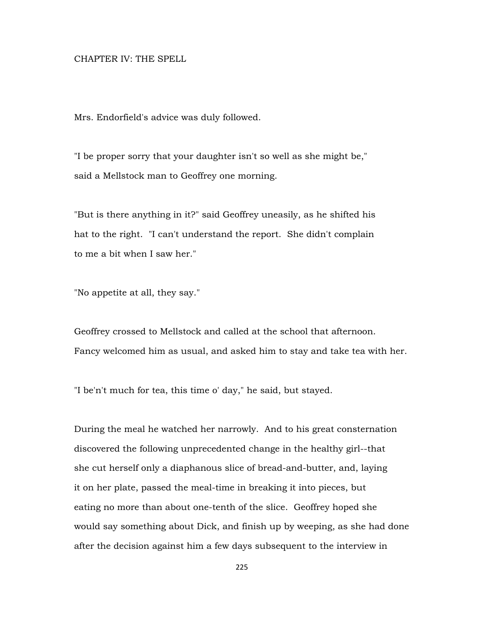### CHAPTER IV: THE SPELL

Mrs. Endorfield's advice was duly followed.

"I be proper sorry that your daughter isn't so well as she might be," said a Mellstock man to Geoffrey one morning.

"But is there anything in it?" said Geoffrey uneasily, as he shifted his hat to the right. "I can't understand the report. She didn't complain to me a bit when I saw her."

"No appetite at all, they say."

Geoffrey crossed to Mellstock and called at the school that afternoon. Fancy welcomed him as usual, and asked him to stay and take tea with her.

"I be'n't much for tea, this time o' day," he said, but stayed.

During the meal he watched her narrowly. And to his great consternation discovered the following unprecedented change in the healthy girl--that she cut herself only a diaphanous slice of bread-and-butter, and, laying it on her plate, passed the meal-time in breaking it into pieces, but eating no more than about one-tenth of the slice. Geoffrey hoped she would say something about Dick, and finish up by weeping, as she had done after the decision against him a few days subsequent to the interview in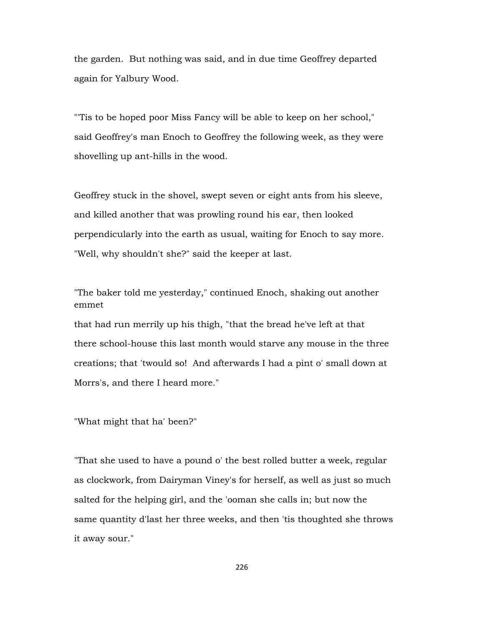the garden. But nothing was said, and in due time Geoffrey departed again for Yalbury Wood.

"'Tis to be hoped poor Miss Fancy will be able to keep on her school," said Geoffrey's man Enoch to Geoffrey the following week, as they were shovelling up ant-hills in the wood.

Geoffrey stuck in the shovel, swept seven or eight ants from his sleeve, and killed another that was prowling round his ear, then looked perpendicularly into the earth as usual, waiting for Enoch to say more. "Well, why shouldn't she?" said the keeper at last.

"The baker told me yesterday," continued Enoch, shaking out another emmet

that had run merrily up his thigh, "that the bread he've left at that there school-house this last month would starve any mouse in the three creations; that 'twould so! And afterwards I had a pint o' small down at Morrs's, and there I heard more."

"What might that ha' been?"

"That she used to have a pound o' the best rolled butter a week, regular as clockwork, from Dairyman Viney's for herself, as well as just so much salted for the helping girl, and the 'ooman she calls in; but now the same quantity d'last her three weeks, and then 'tis thoughted she throws it away sour."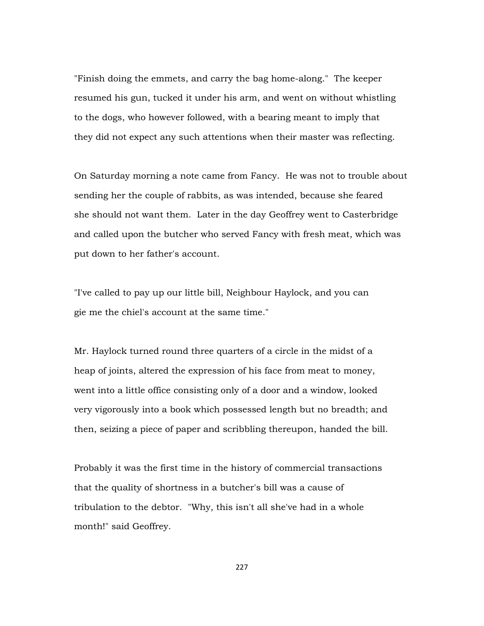"Finish doing the emmets, and carry the bag home-along." The keeper resumed his gun, tucked it under his arm, and went on without whistling to the dogs, who however followed, with a bearing meant to imply that they did not expect any such attentions when their master was reflecting.

On Saturday morning a note came from Fancy. He was not to trouble about sending her the couple of rabbits, as was intended, because she feared she should not want them. Later in the day Geoffrey went to Casterbridge and called upon the butcher who served Fancy with fresh meat, which was put down to her father's account.

"I've called to pay up our little bill, Neighbour Haylock, and you can gie me the chiel's account at the same time."

Mr. Haylock turned round three quarters of a circle in the midst of a heap of joints, altered the expression of his face from meat to money, went into a little office consisting only of a door and a window, looked very vigorously into a book which possessed length but no breadth; and then, seizing a piece of paper and scribbling thereupon, handed the bill.

Probably it was the first time in the history of commercial transactions that the quality of shortness in a butcher's bill was a cause of tribulation to the debtor. "Why, this isn't all she've had in a whole month!" said Geoffrey.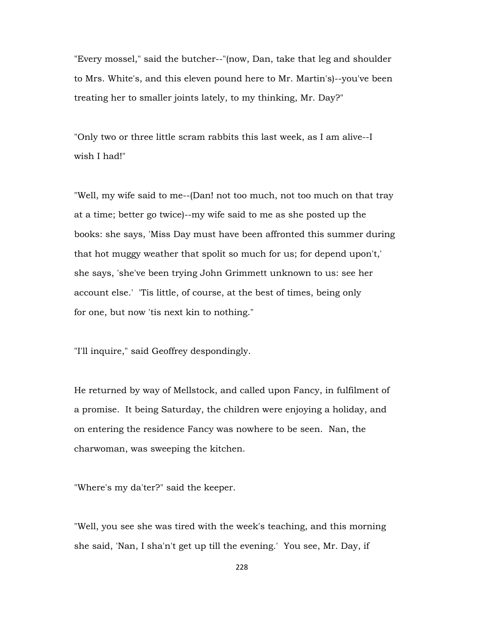"Every mossel," said the butcher--"(now, Dan, take that leg and shoulder to Mrs. White's, and this eleven pound here to Mr. Martin's)--you've been treating her to smaller joints lately, to my thinking, Mr. Day?"

"Only two or three little scram rabbits this last week, as I am alive--I wish I had!"

"Well, my wife said to me--(Dan! not too much, not too much on that tray at a time; better go twice)--my wife said to me as she posted up the books: she says, 'Miss Day must have been affronted this summer during that hot muggy weather that spolit so much for us; for depend upon't,' she says, 'she've been trying John Grimmett unknown to us: see her account else.' 'Tis little, of course, at the best of times, being only for one, but now 'tis next kin to nothing."

"I'll inquire," said Geoffrey despondingly.

He returned by way of Mellstock, and called upon Fancy, in fulfilment of a promise. It being Saturday, the children were enjoying a holiday, and on entering the residence Fancy was nowhere to be seen. Nan, the charwoman, was sweeping the kitchen.

"Where's my da'ter?" said the keeper.

"Well, you see she was tired with the week's teaching, and this morning she said, 'Nan, I sha'n't get up till the evening.' You see, Mr. Day, if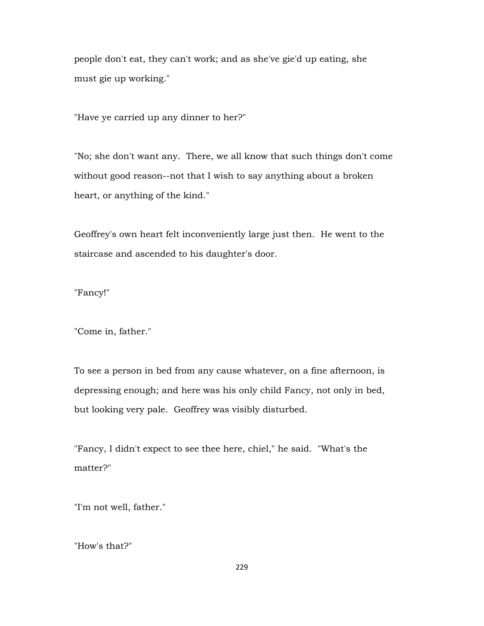people don't eat, they can't work; and as she've gie'd up eating, she must gie up working."

"Have ye carried up any dinner to her?"

"No; she don't want any. There, we all know that such things don't come without good reason--not that I wish to say anything about a broken heart, or anything of the kind."

Geoffrey's own heart felt inconveniently large just then. He went to the staircase and ascended to his daughter's door.

"Fancy!"

"Come in, father."

To see a person in bed from any cause whatever, on a fine afternoon, is depressing enough; and here was his only child Fancy, not only in bed, but looking very pale. Geoffrey was visibly disturbed.

"Fancy, I didn't expect to see thee here, chiel," he said. "What's the matter?"

"I'm not well, father."

"How's that?"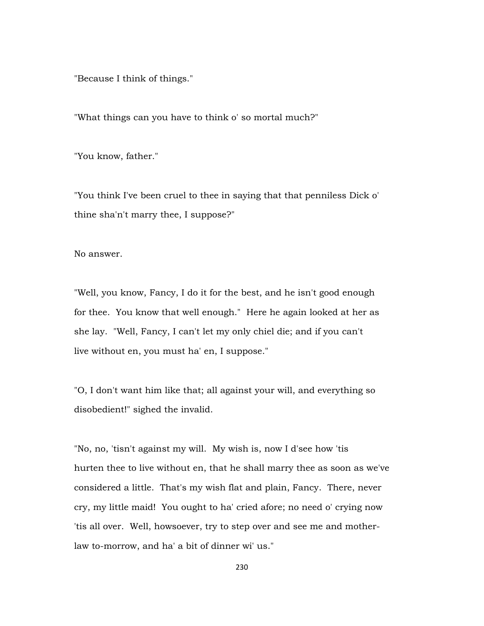"Because I think of things."

"What things can you have to think o' so mortal much?"

"You know, father."

"You think I've been cruel to thee in saying that that penniless Dick o' thine sha'n't marry thee, I suppose?"

No answer.

"Well, you know, Fancy, I do it for the best, and he isn't good enough for thee. You know that well enough." Here he again looked at her as she lay. "Well, Fancy, I can't let my only chiel die; and if you can't live without en, you must ha' en, I suppose."

"O, I don't want him like that; all against your will, and everything so disobedient!" sighed the invalid.

"No, no, 'tisn't against my will. My wish is, now I d'see how 'tis hurten thee to live without en, that he shall marry thee as soon as we've considered a little. That's my wish flat and plain, Fancy. There, never cry, my little maid! You ought to ha' cried afore; no need o' crying now 'tis all over. Well, howsoever, try to step over and see me and motherlaw to-morrow, and ha' a bit of dinner wi' us."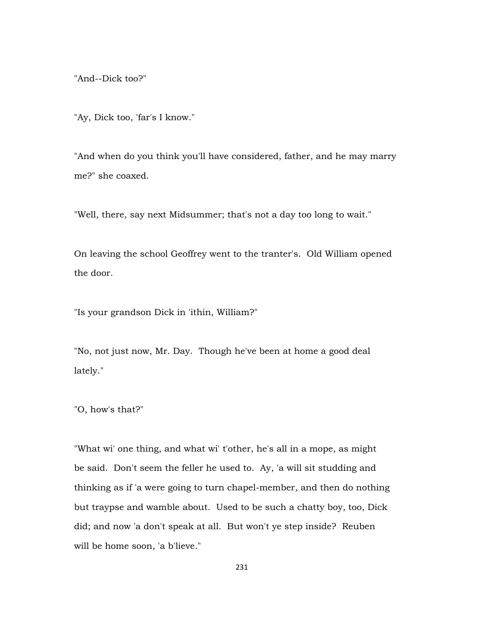"And--Dick too?"

"Ay, Dick too, 'far's I know."

"And when do you think you'll have considered, father, and he may marry me?" she coaxed.

"Well, there, say next Midsummer; that's not a day too long to wait."

On leaving the school Geoffrey went to the tranter's. Old William opened the door.

"Is your grandson Dick in 'ithin, William?"

"No, not just now, Mr. Day. Though he've been at home a good deal lately."

"O, how's that?"

"What wi' one thing, and what wi' t'other, he's all in a mope, as might be said. Don't seem the feller he used to. Ay, 'a will sit studding and thinking as if 'a were going to turn chapel-member, and then do nothing but traypse and wamble about. Used to be such a chatty boy, too, Dick did; and now 'a don't speak at all. But won't ye step inside? Reuben will be home soon, 'a b'lieve."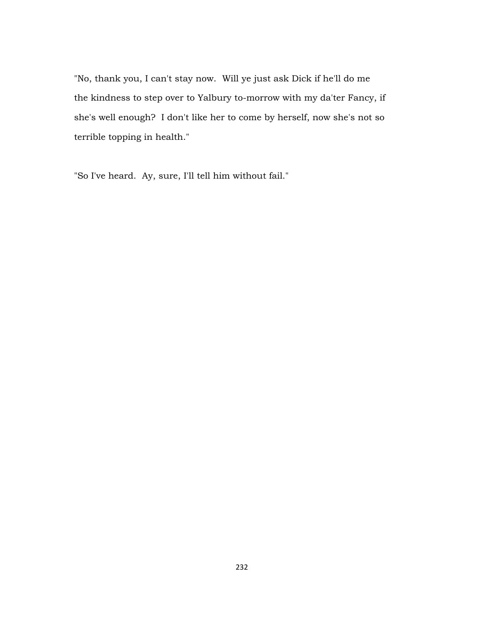"No, thank you, I can't stay now. Will ye just ask Dick if he'll do me the kindness to step over to Yalbury to-morrow with my da'ter Fancy, if she's well enough? I don't like her to come by herself, now she's not so terrible topping in health."

"So I've heard. Ay, sure, I'll tell him without fail."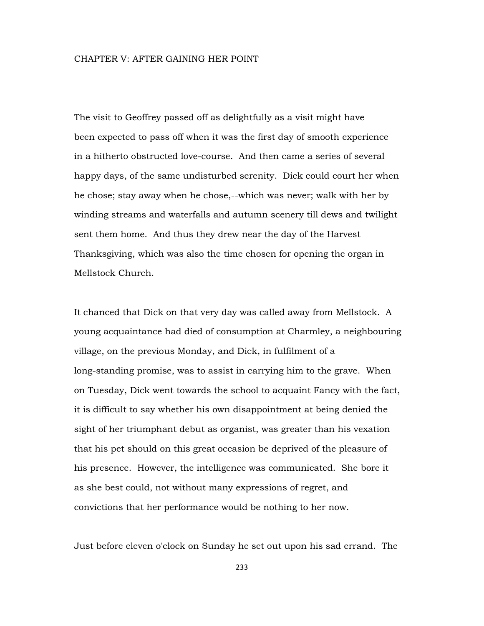# CHAPTER V: AFTER GAINING HER POINT

The visit to Geoffrey passed off as delightfully as a visit might have been expected to pass off when it was the first day of smooth experience in a hitherto obstructed love-course. And then came a series of several happy days, of the same undisturbed serenity. Dick could court her when he chose; stay away when he chose,--which was never; walk with her by winding streams and waterfalls and autumn scenery till dews and twilight sent them home. And thus they drew near the day of the Harvest Thanksgiving, which was also the time chosen for opening the organ in Mellstock Church.

It chanced that Dick on that very day was called away from Mellstock. A young acquaintance had died of consumption at Charmley, a neighbouring village, on the previous Monday, and Dick, in fulfilment of a long-standing promise, was to assist in carrying him to the grave. When on Tuesday, Dick went towards the school to acquaint Fancy with the fact, it is difficult to say whether his own disappointment at being denied the sight of her triumphant debut as organist, was greater than his vexation that his pet should on this great occasion be deprived of the pleasure of his presence. However, the intelligence was communicated. She bore it as she best could, not without many expressions of regret, and convictions that her performance would be nothing to her now.

Just before eleven o'clock on Sunday he set out upon his sad errand. The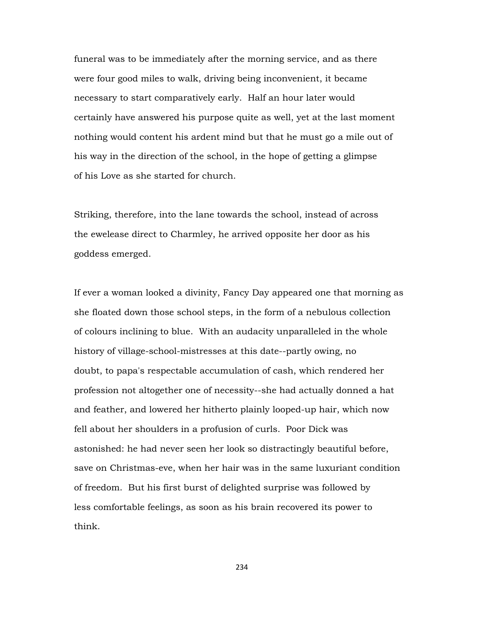funeral was to be immediately after the morning service, and as there were four good miles to walk, driving being inconvenient, it became necessary to start comparatively early. Half an hour later would certainly have answered his purpose quite as well, yet at the last moment nothing would content his ardent mind but that he must go a mile out of his way in the direction of the school, in the hope of getting a glimpse of his Love as she started for church.

Striking, therefore, into the lane towards the school, instead of across the ewelease direct to Charmley, he arrived opposite her door as his goddess emerged.

If ever a woman looked a divinity, Fancy Day appeared one that morning as she floated down those school steps, in the form of a nebulous collection of colours inclining to blue. With an audacity unparalleled in the whole history of village-school-mistresses at this date--partly owing, no doubt, to papa's respectable accumulation of cash, which rendered her profession not altogether one of necessity--she had actually donned a hat and feather, and lowered her hitherto plainly looped-up hair, which now fell about her shoulders in a profusion of curls. Poor Dick was astonished: he had never seen her look so distractingly beautiful before, save on Christmas-eve, when her hair was in the same luxuriant condition of freedom. But his first burst of delighted surprise was followed by less comfortable feelings, as soon as his brain recovered its power to think.

234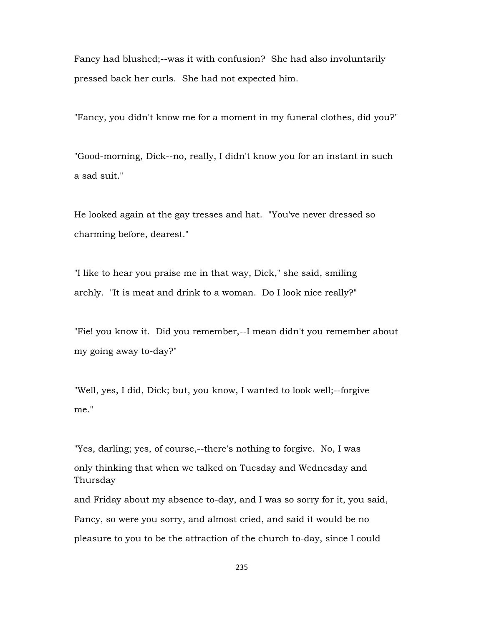Fancy had blushed;--was it with confusion? She had also involuntarily pressed back her curls. She had not expected him.

"Fancy, you didn't know me for a moment in my funeral clothes, did you?"

"Good-morning, Dick--no, really, I didn't know you for an instant in such a sad suit."

He looked again at the gay tresses and hat. "You've never dressed so charming before, dearest."

"I like to hear you praise me in that way, Dick," she said, smiling archly. "It is meat and drink to a woman. Do I look nice really?"

"Fie! you know it. Did you remember,--I mean didn't you remember about my going away to-day?"

"Well, yes, I did, Dick; but, you know, I wanted to look well;--forgive me."

"Yes, darling; yes, of course,--there's nothing to forgive. No, I was only thinking that when we talked on Tuesday and Wednesday and Thursday and Friday about my absence to-day, and I was so sorry for it, you said,

Fancy, so were you sorry, and almost cried, and said it would be no pleasure to you to be the attraction of the church to-day, since I could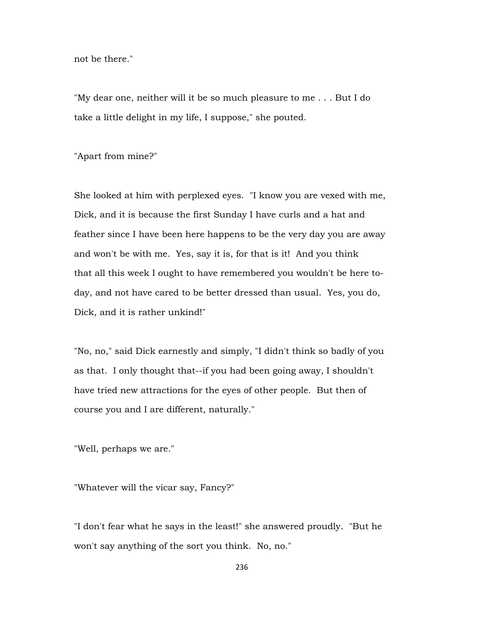not be there."

"My dear one, neither will it be so much pleasure to me . . . But I do take a little delight in my life, I suppose," she pouted.

"Apart from mine?"

She looked at him with perplexed eyes. "I know you are vexed with me, Dick, and it is because the first Sunday I have curls and a hat and feather since I have been here happens to be the very day you are away and won't be with me. Yes, say it is, for that is it! And you think that all this week I ought to have remembered you wouldn't be here today, and not have cared to be better dressed than usual. Yes, you do, Dick, and it is rather unkind!"

"No, no," said Dick earnestly and simply, "I didn't think so badly of you as that. I only thought that--if you had been going away, I shouldn't have tried new attractions for the eyes of other people. But then of course you and I are different, naturally."

"Well, perhaps we are."

"Whatever will the vicar say, Fancy?"

"I don't fear what he says in the least!" she answered proudly. "But he won't say anything of the sort you think. No, no."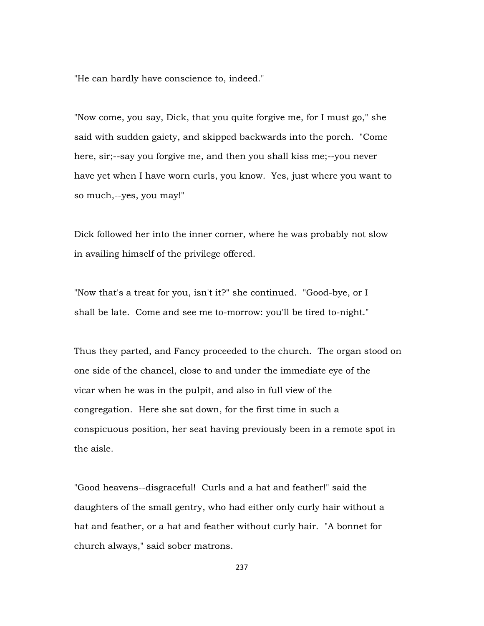"He can hardly have conscience to, indeed."

"Now come, you say, Dick, that you quite forgive me, for I must go," she said with sudden gaiety, and skipped backwards into the porch. "Come here, sir;--say you forgive me, and then you shall kiss me;--you never have yet when I have worn curls, you know. Yes, just where you want to so much,--yes, you may!"

Dick followed her into the inner corner, where he was probably not slow in availing himself of the privilege offered.

"Now that's a treat for you, isn't it?" she continued. "Good-bye, or I shall be late. Come and see me to-morrow: you'll be tired to-night."

Thus they parted, and Fancy proceeded to the church. The organ stood on one side of the chancel, close to and under the immediate eye of the vicar when he was in the pulpit, and also in full view of the congregation. Here she sat down, for the first time in such a conspicuous position, her seat having previously been in a remote spot in the aisle.

"Good heavens--disgraceful! Curls and a hat and feather!" said the daughters of the small gentry, who had either only curly hair without a hat and feather, or a hat and feather without curly hair. "A bonnet for church always," said sober matrons.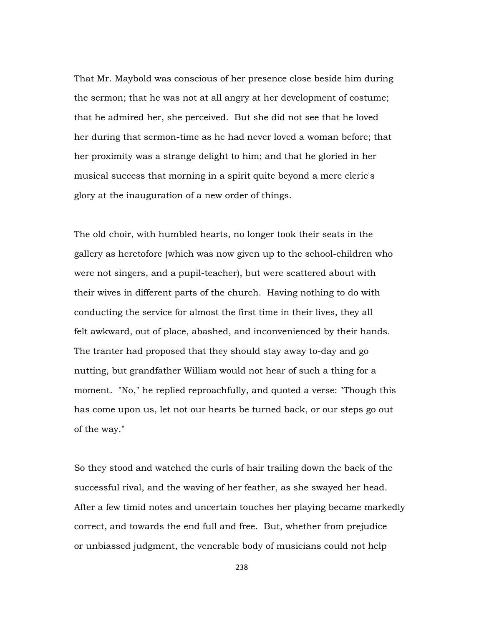That Mr. Maybold was conscious of her presence close beside him during the sermon; that he was not at all angry at her development of costume; that he admired her, she perceived. But she did not see that he loved her during that sermon-time as he had never loved a woman before; that her proximity was a strange delight to him; and that he gloried in her musical success that morning in a spirit quite beyond a mere cleric's glory at the inauguration of a new order of things.

The old choir, with humbled hearts, no longer took their seats in the gallery as heretofore (which was now given up to the school-children who were not singers, and a pupil-teacher), but were scattered about with their wives in different parts of the church. Having nothing to do with conducting the service for almost the first time in their lives, they all felt awkward, out of place, abashed, and inconvenienced by their hands. The tranter had proposed that they should stay away to-day and go nutting, but grandfather William would not hear of such a thing for a moment. "No," he replied reproachfully, and quoted a verse: "Though this has come upon us, let not our hearts be turned back, or our steps go out of the way."

So they stood and watched the curls of hair trailing down the back of the successful rival, and the waving of her feather, as she swayed her head. After a few timid notes and uncertain touches her playing became markedly correct, and towards the end full and free. But, whether from prejudice or unbiassed judgment, the venerable body of musicians could not help

238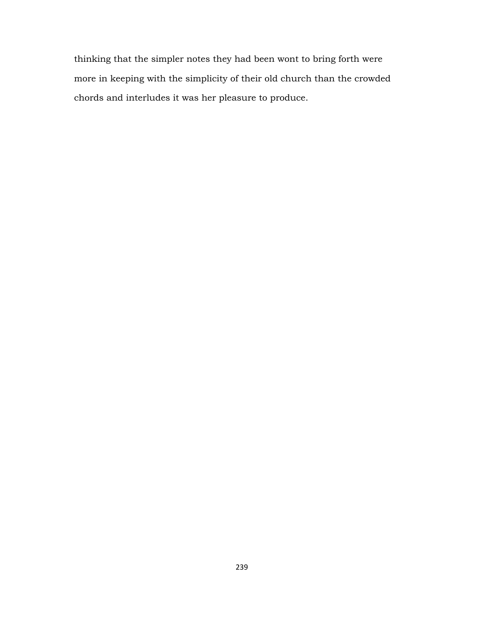thinking that the simpler notes they had been wont to bring forth were more in keeping with the simplicity of their old church than the crowded chords and interludes it was her pleasure to produce.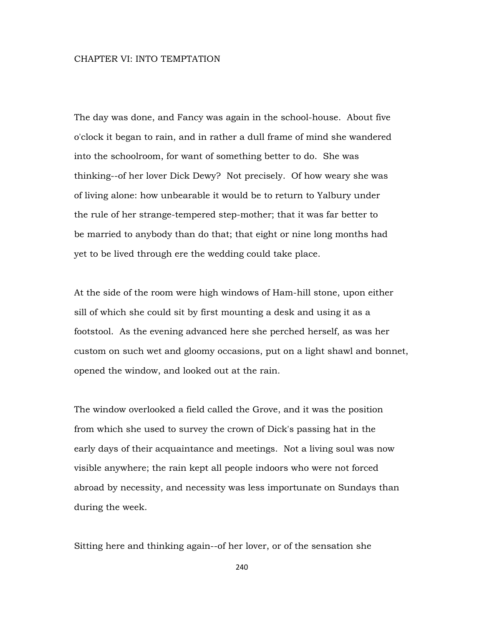## CHAPTER VI: INTO TEMPTATION

The day was done, and Fancy was again in the school-house. About five o'clock it began to rain, and in rather a dull frame of mind she wandered into the schoolroom, for want of something better to do. She was thinking--of her lover Dick Dewy? Not precisely. Of how weary she was of living alone: how unbearable it would be to return to Yalbury under the rule of her strange-tempered step-mother; that it was far better to be married to anybody than do that; that eight or nine long months had yet to be lived through ere the wedding could take place.

At the side of the room were high windows of Ham-hill stone, upon either sill of which she could sit by first mounting a desk and using it as a footstool. As the evening advanced here she perched herself, as was her custom on such wet and gloomy occasions, put on a light shawl and bonnet, opened the window, and looked out at the rain.

The window overlooked a field called the Grove, and it was the position from which she used to survey the crown of Dick's passing hat in the early days of their acquaintance and meetings. Not a living soul was now visible anywhere; the rain kept all people indoors who were not forced abroad by necessity, and necessity was less importunate on Sundays than during the week.

Sitting here and thinking again--of her lover, or of the sensation she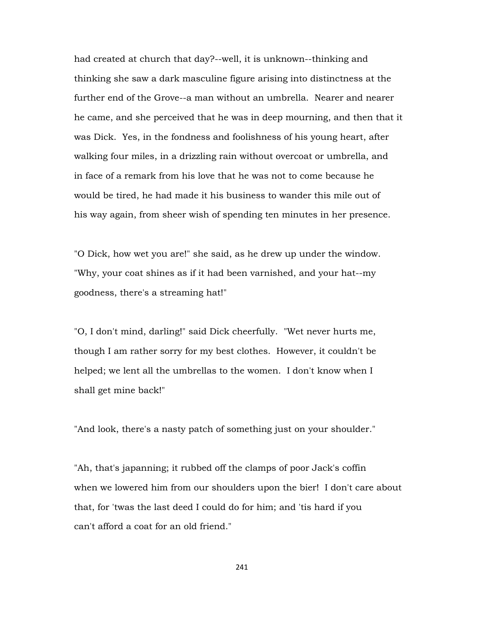had created at church that day?--well, it is unknown--thinking and thinking she saw a dark masculine figure arising into distinctness at the further end of the Grove--a man without an umbrella. Nearer and nearer he came, and she perceived that he was in deep mourning, and then that it was Dick. Yes, in the fondness and foolishness of his young heart, after walking four miles, in a drizzling rain without overcoat or umbrella, and in face of a remark from his love that he was not to come because he would be tired, he had made it his business to wander this mile out of his way again, from sheer wish of spending ten minutes in her presence.

"O Dick, how wet you are!" she said, as he drew up under the window. "Why, your coat shines as if it had been varnished, and your hat--my goodness, there's a streaming hat!"

"O, I don't mind, darling!" said Dick cheerfully. "Wet never hurts me, though I am rather sorry for my best clothes. However, it couldn't be helped; we lent all the umbrellas to the women. I don't know when I shall get mine back!"

"And look, there's a nasty patch of something just on your shoulder."

"Ah, that's japanning; it rubbed off the clamps of poor Jack's coffin when we lowered him from our shoulders upon the bier! I don't care about that, for 'twas the last deed I could do for him; and 'tis hard if you can't afford a coat for an old friend."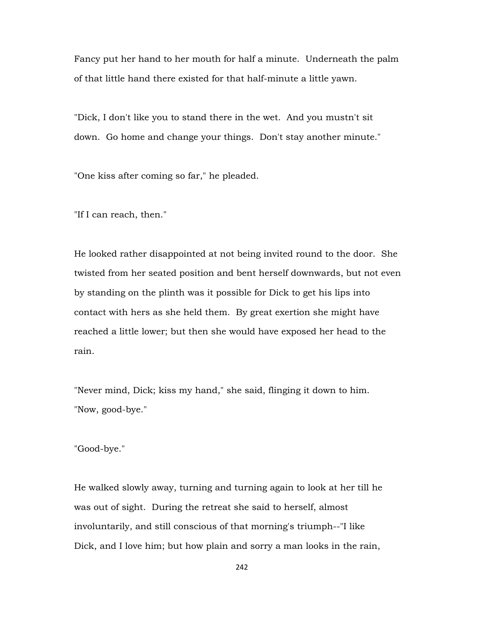Fancy put her hand to her mouth for half a minute. Underneath the palm of that little hand there existed for that half-minute a little yawn.

"Dick, I don't like you to stand there in the wet. And you mustn't sit down. Go home and change your things. Don't stay another minute."

"One kiss after coming so far," he pleaded.

"If I can reach, then."

He looked rather disappointed at not being invited round to the door. She twisted from her seated position and bent herself downwards, but not even by standing on the plinth was it possible for Dick to get his lips into contact with hers as she held them. By great exertion she might have reached a little lower; but then she would have exposed her head to the rain.

"Never mind, Dick; kiss my hand," she said, flinging it down to him. "Now, good-bye."

"Good-bye."

He walked slowly away, turning and turning again to look at her till he was out of sight. During the retreat she said to herself, almost involuntarily, and still conscious of that morning's triumph--"I like Dick, and I love him; but how plain and sorry a man looks in the rain,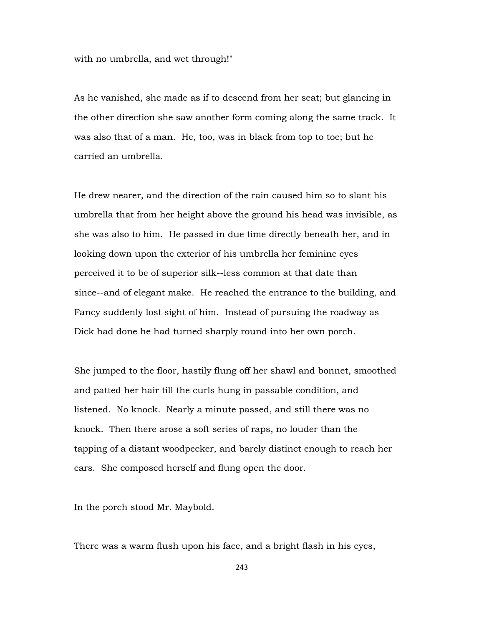with no umbrella, and wet through!"

As he vanished, she made as if to descend from her seat; but glancing in the other direction she saw another form coming along the same track. It was also that of a man. He, too, was in black from top to toe; but he carried an umbrella.

He drew nearer, and the direction of the rain caused him so to slant his umbrella that from her height above the ground his head was invisible, as she was also to him. He passed in due time directly beneath her, and in looking down upon the exterior of his umbrella her feminine eyes perceived it to be of superior silk--less common at that date than since--and of elegant make. He reached the entrance to the building, and Fancy suddenly lost sight of him. Instead of pursuing the roadway as Dick had done he had turned sharply round into her own porch.

She jumped to the floor, hastily flung off her shawl and bonnet, smoothed and patted her hair till the curls hung in passable condition, and listened. No knock. Nearly a minute passed, and still there was no knock. Then there arose a soft series of raps, no louder than the tapping of a distant woodpecker, and barely distinct enough to reach her ears. She composed herself and flung open the door.

In the porch stood Mr. Maybold.

There was a warm flush upon his face, and a bright flash in his eyes,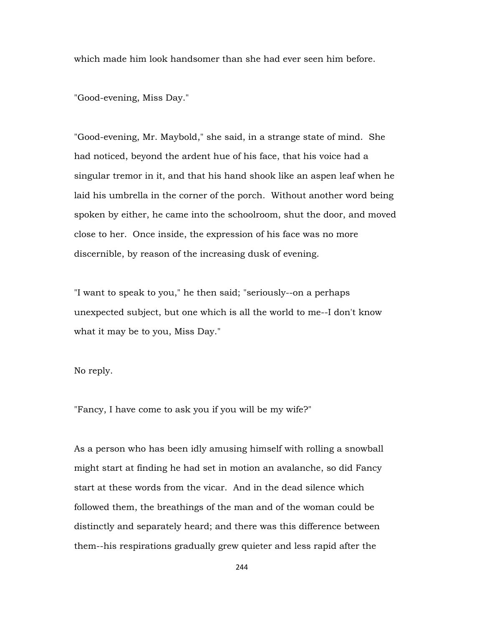which made him look handsomer than she had ever seen him before.

"Good-evening, Miss Day."

"Good-evening, Mr. Maybold," she said, in a strange state of mind. She had noticed, beyond the ardent hue of his face, that his voice had a singular tremor in it, and that his hand shook like an aspen leaf when he laid his umbrella in the corner of the porch. Without another word being spoken by either, he came into the schoolroom, shut the door, and moved close to her. Once inside, the expression of his face was no more discernible, by reason of the increasing dusk of evening.

"I want to speak to you," he then said; "seriously--on a perhaps unexpected subject, but one which is all the world to me--I don't know what it may be to you, Miss Day."

No reply.

"Fancy, I have come to ask you if you will be my wife?"

As a person who has been idly amusing himself with rolling a snowball might start at finding he had set in motion an avalanche, so did Fancy start at these words from the vicar. And in the dead silence which followed them, the breathings of the man and of the woman could be distinctly and separately heard; and there was this difference between them--his respirations gradually grew quieter and less rapid after the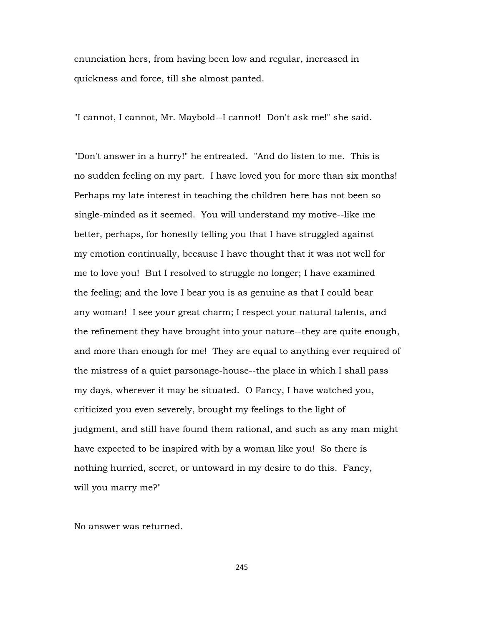enunciation hers, from having been low and regular, increased in quickness and force, till she almost panted.

"I cannot, I cannot, Mr. Maybold--I cannot! Don't ask me!" she said.

"Don't answer in a hurry!" he entreated. "And do listen to me. This is no sudden feeling on my part. I have loved you for more than six months! Perhaps my late interest in teaching the children here has not been so single-minded as it seemed. You will understand my motive--like me better, perhaps, for honestly telling you that I have struggled against my emotion continually, because I have thought that it was not well for me to love you! But I resolved to struggle no longer; I have examined the feeling; and the love I bear you is as genuine as that I could bear any woman! I see your great charm; I respect your natural talents, and the refinement they have brought into your nature--they are quite enough, and more than enough for me! They are equal to anything ever required of the mistress of a quiet parsonage-house--the place in which I shall pass my days, wherever it may be situated. O Fancy, I have watched you, criticized you even severely, brought my feelings to the light of judgment, and still have found them rational, and such as any man might have expected to be inspired with by a woman like you! So there is nothing hurried, secret, or untoward in my desire to do this. Fancy, will you marry me?"

No answer was returned.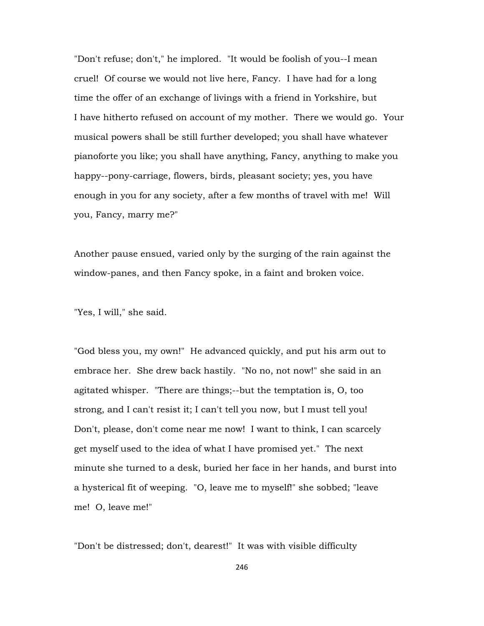"Don't refuse; don't," he implored. "It would be foolish of you--I mean cruel! Of course we would not live here, Fancy. I have had for a long time the offer of an exchange of livings with a friend in Yorkshire, but I have hitherto refused on account of my mother. There we would go. Your musical powers shall be still further developed; you shall have whatever pianoforte you like; you shall have anything, Fancy, anything to make you happy--pony-carriage, flowers, birds, pleasant society; yes, you have enough in you for any society, after a few months of travel with me! Will you, Fancy, marry me?"

Another pause ensued, varied only by the surging of the rain against the window-panes, and then Fancy spoke, in a faint and broken voice.

"Yes, I will," she said.

"God bless you, my own!" He advanced quickly, and put his arm out to embrace her. She drew back hastily. "No no, not now!" she said in an agitated whisper. "There are things;--but the temptation is, O, too strong, and I can't resist it; I can't tell you now, but I must tell you! Don't, please, don't come near me now! I want to think, I can scarcely get myself used to the idea of what I have promised yet." The next minute she turned to a desk, buried her face in her hands, and burst into a hysterical fit of weeping. "O, leave me to myself!" she sobbed; "leave me! O, leave me!"

"Don't be distressed; don't, dearest!" It was with visible difficulty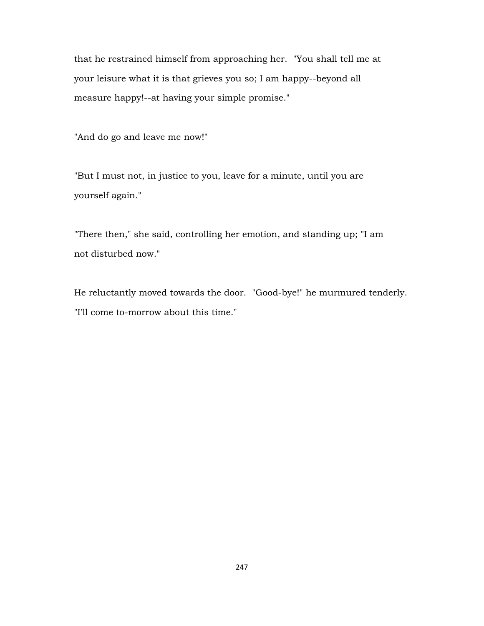that he restrained himself from approaching her. "You shall tell me at your leisure what it is that grieves you so; I am happy--beyond all measure happy!--at having your simple promise."

"And do go and leave me now!"

"But I must not, in justice to you, leave for a minute, until you are yourself again."

"There then," she said, controlling her emotion, and standing up; "I am not disturbed now."

He reluctantly moved towards the door. "Good-bye!" he murmured tenderly. "I'll come to-morrow about this time."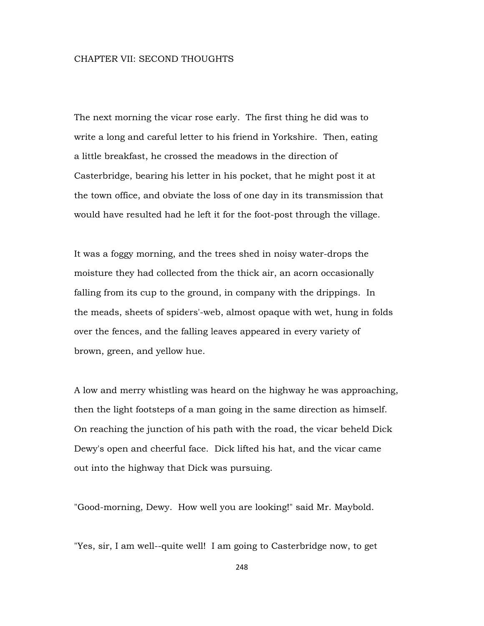## CHAPTER VII: SECOND THOUGHTS

The next morning the vicar rose early. The first thing he did was to write a long and careful letter to his friend in Yorkshire. Then, eating a little breakfast, he crossed the meadows in the direction of Casterbridge, bearing his letter in his pocket, that he might post it at the town office, and obviate the loss of one day in its transmission that would have resulted had he left it for the foot-post through the village.

It was a foggy morning, and the trees shed in noisy water-drops the moisture they had collected from the thick air, an acorn occasionally falling from its cup to the ground, in company with the drippings. In the meads, sheets of spiders'-web, almost opaque with wet, hung in folds over the fences, and the falling leaves appeared in every variety of brown, green, and yellow hue.

A low and merry whistling was heard on the highway he was approaching, then the light footsteps of a man going in the same direction as himself. On reaching the junction of his path with the road, the vicar beheld Dick Dewy's open and cheerful face. Dick lifted his hat, and the vicar came out into the highway that Dick was pursuing.

"Good-morning, Dewy. How well you are looking!" said Mr. Maybold.

"Yes, sir, I am well--quite well! I am going to Casterbridge now, to get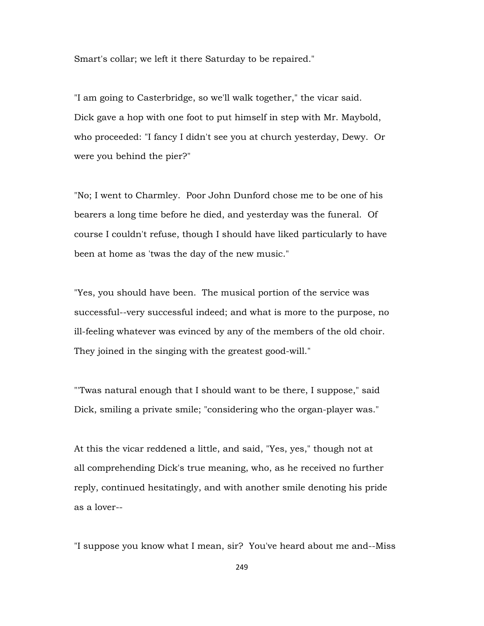Smart's collar; we left it there Saturday to be repaired."

"I am going to Casterbridge, so we'll walk together," the vicar said. Dick gave a hop with one foot to put himself in step with Mr. Maybold, who proceeded: "I fancy I didn't see you at church yesterday, Dewy. Or were you behind the pier?"

"No; I went to Charmley. Poor John Dunford chose me to be one of his bearers a long time before he died, and yesterday was the funeral. Of course I couldn't refuse, though I should have liked particularly to have been at home as 'twas the day of the new music."

"Yes, you should have been. The musical portion of the service was successful--very successful indeed; and what is more to the purpose, no ill-feeling whatever was evinced by any of the members of the old choir. They joined in the singing with the greatest good-will."

"'Twas natural enough that I should want to be there, I suppose," said Dick, smiling a private smile; "considering who the organ-player was."

At this the vicar reddened a little, and said, "Yes, yes," though not at all comprehending Dick's true meaning, who, as he received no further reply, continued hesitatingly, and with another smile denoting his pride as a lover--

"I suppose you know what I mean, sir? You've heard about me and--Miss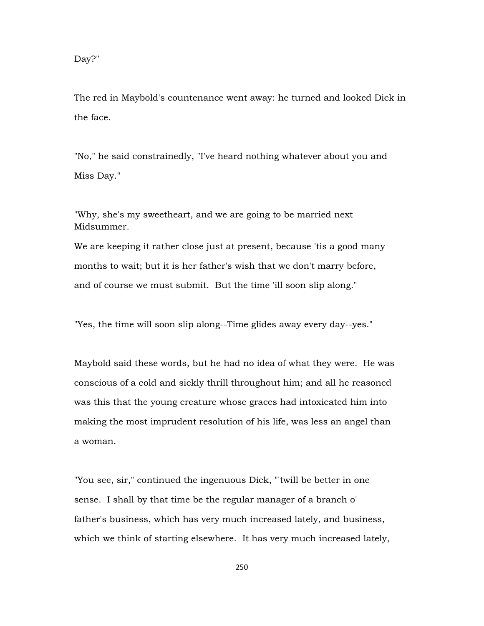Day?"

The red in Maybold's countenance went away: he turned and looked Dick in the face.

"No," he said constrainedly, "I've heard nothing whatever about you and Miss Day."

"Why, she's my sweetheart, and we are going to be married next Midsummer.

We are keeping it rather close just at present, because 'tis a good many months to wait; but it is her father's wish that we don't marry before, and of course we must submit. But the time 'ill soon slip along."

"Yes, the time will soon slip along--Time glides away every day--yes."

Maybold said these words, but he had no idea of what they were. He was conscious of a cold and sickly thrill throughout him; and all he reasoned was this that the young creature whose graces had intoxicated him into making the most imprudent resolution of his life, was less an angel than a woman.

"You see, sir," continued the ingenuous Dick, "'twill be better in one sense. I shall by that time be the regular manager of a branch o' father's business, which has very much increased lately, and business, which we think of starting elsewhere. It has very much increased lately,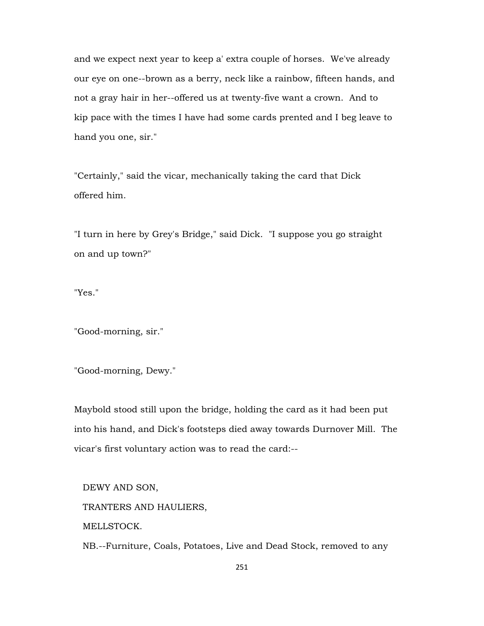and we expect next year to keep a' extra couple of horses. We've already our eye on one--brown as a berry, neck like a rainbow, fifteen hands, and not a gray hair in her--offered us at twenty-five want a crown. And to kip pace with the times I have had some cards prented and I beg leave to hand you one, sir."

"Certainly," said the vicar, mechanically taking the card that Dick offered him.

"I turn in here by Grey's Bridge," said Dick. "I suppose you go straight on and up town?"

"Yes."

"Good-morning, sir."

"Good-morning, Dewy."

Maybold stood still upon the bridge, holding the card as it had been put into his hand, and Dick's footsteps died away towards Durnover Mill. The vicar's first voluntary action was to read the card:--

 DEWY AND SON, TRANTERS AND HAULIERS, MELLSTOCK.

NB.--Furniture, Coals, Potatoes, Live and Dead Stock, removed to any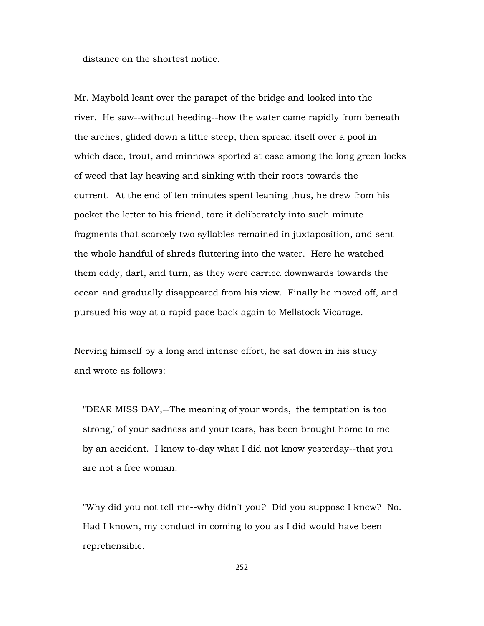distance on the shortest notice.

Mr. Maybold leant over the parapet of the bridge and looked into the river. He saw--without heeding--how the water came rapidly from beneath the arches, glided down a little steep, then spread itself over a pool in which dace, trout, and minnows sported at ease among the long green locks of weed that lay heaving and sinking with their roots towards the current. At the end of ten minutes spent leaning thus, he drew from his pocket the letter to his friend, tore it deliberately into such minute fragments that scarcely two syllables remained in juxtaposition, and sent the whole handful of shreds fluttering into the water. Here he watched them eddy, dart, and turn, as they were carried downwards towards the ocean and gradually disappeared from his view. Finally he moved off, and pursued his way at a rapid pace back again to Mellstock Vicarage.

Nerving himself by a long and intense effort, he sat down in his study and wrote as follows:

 "DEAR MISS DAY,--The meaning of your words, 'the temptation is too strong,' of your sadness and your tears, has been brought home to me by an accident. I know to-day what I did not know yesterday--that you are not a free woman.

 "Why did you not tell me--why didn't you? Did you suppose I knew? No. Had I known, my conduct in coming to you as I did would have been reprehensible.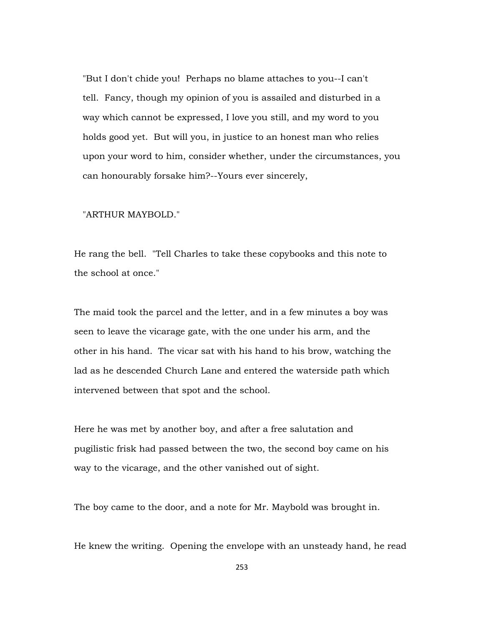"But I don't chide you! Perhaps no blame attaches to you--I can't tell. Fancy, though my opinion of you is assailed and disturbed in a way which cannot be expressed, I love you still, and my word to you holds good yet. But will you, in justice to an honest man who relies upon your word to him, consider whether, under the circumstances, you can honourably forsake him?--Yours ever sincerely,

## "ARTHUR MAYBOLD."

He rang the bell. "Tell Charles to take these copybooks and this note to the school at once."

The maid took the parcel and the letter, and in a few minutes a boy was seen to leave the vicarage gate, with the one under his arm, and the other in his hand. The vicar sat with his hand to his brow, watching the lad as he descended Church Lane and entered the waterside path which intervened between that spot and the school.

Here he was met by another boy, and after a free salutation and pugilistic frisk had passed between the two, the second boy came on his way to the vicarage, and the other vanished out of sight.

The boy came to the door, and a note for Mr. Maybold was brought in.

He knew the writing. Opening the envelope with an unsteady hand, he read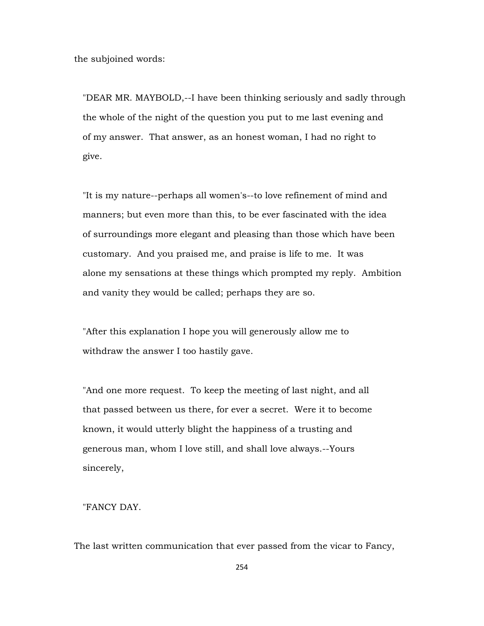the subjoined words:

 "DEAR MR. MAYBOLD,--I have been thinking seriously and sadly through the whole of the night of the question you put to me last evening and of my answer. That answer, as an honest woman, I had no right to give.

 "It is my nature--perhaps all women's--to love refinement of mind and manners; but even more than this, to be ever fascinated with the idea of surroundings more elegant and pleasing than those which have been customary. And you praised me, and praise is life to me. It was alone my sensations at these things which prompted my reply. Ambition and vanity they would be called; perhaps they are so.

 "After this explanation I hope you will generously allow me to withdraw the answer I too hastily gave.

 "And one more request. To keep the meeting of last night, and all that passed between us there, for ever a secret. Were it to become known, it would utterly blight the happiness of a trusting and generous man, whom I love still, and shall love always.--Yours sincerely,

"FANCY DAY.

The last written communication that ever passed from the vicar to Fancy,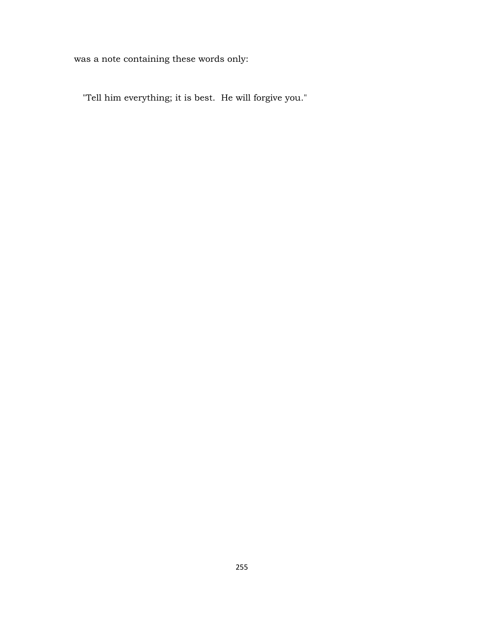was a note containing these words only:

"Tell him everything; it is best. He will forgive you."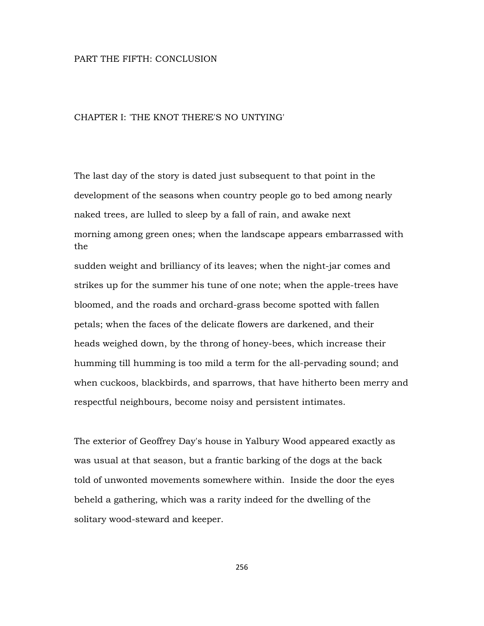## PART THE FIFTH: CONCLUSION

## CHAPTER I: 'THE KNOT THERE'S NO UNTYING'

The last day of the story is dated just subsequent to that point in the development of the seasons when country people go to bed among nearly naked trees, are lulled to sleep by a fall of rain, and awake next morning among green ones; when the landscape appears embarrassed with the

sudden weight and brilliancy of its leaves; when the night-jar comes and strikes up for the summer his tune of one note; when the apple-trees have bloomed, and the roads and orchard-grass become spotted with fallen petals; when the faces of the delicate flowers are darkened, and their heads weighed down, by the throng of honey-bees, which increase their humming till humming is too mild a term for the all-pervading sound; and when cuckoos, blackbirds, and sparrows, that have hitherto been merry and respectful neighbours, become noisy and persistent intimates.

The exterior of Geoffrey Day's house in Yalbury Wood appeared exactly as was usual at that season, but a frantic barking of the dogs at the back told of unwonted movements somewhere within. Inside the door the eyes beheld a gathering, which was a rarity indeed for the dwelling of the solitary wood-steward and keeper.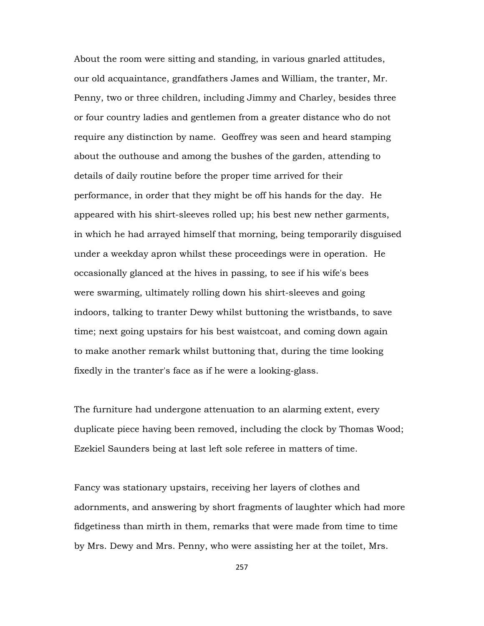About the room were sitting and standing, in various gnarled attitudes, our old acquaintance, grandfathers James and William, the tranter, Mr. Penny, two or three children, including Jimmy and Charley, besides three or four country ladies and gentlemen from a greater distance who do not require any distinction by name. Geoffrey was seen and heard stamping about the outhouse and among the bushes of the garden, attending to details of daily routine before the proper time arrived for their performance, in order that they might be off his hands for the day. He appeared with his shirt-sleeves rolled up; his best new nether garments, in which he had arrayed himself that morning, being temporarily disguised under a weekday apron whilst these proceedings were in operation. He occasionally glanced at the hives in passing, to see if his wife's bees were swarming, ultimately rolling down his shirt-sleeves and going indoors, talking to tranter Dewy whilst buttoning the wristbands, to save time; next going upstairs for his best waistcoat, and coming down again to make another remark whilst buttoning that, during the time looking fixedly in the tranter's face as if he were a looking-glass.

The furniture had undergone attenuation to an alarming extent, every duplicate piece having been removed, including the clock by Thomas Wood; Ezekiel Saunders being at last left sole referee in matters of time.

Fancy was stationary upstairs, receiving her layers of clothes and adornments, and answering by short fragments of laughter which had more fidgetiness than mirth in them, remarks that were made from time to time by Mrs. Dewy and Mrs. Penny, who were assisting her at the toilet, Mrs.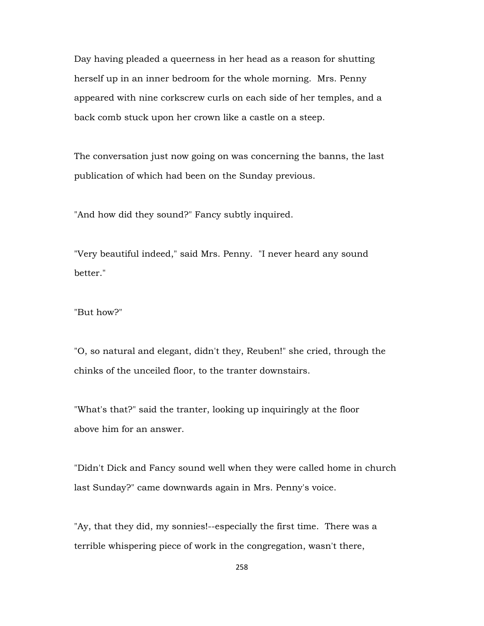Day having pleaded a queerness in her head as a reason for shutting herself up in an inner bedroom for the whole morning. Mrs. Penny appeared with nine corkscrew curls on each side of her temples, and a back comb stuck upon her crown like a castle on a steep.

The conversation just now going on was concerning the banns, the last publication of which had been on the Sunday previous.

"And how did they sound?" Fancy subtly inquired.

"Very beautiful indeed," said Mrs. Penny. "I never heard any sound better."

## "But how?"

"O, so natural and elegant, didn't they, Reuben!" she cried, through the chinks of the unceiled floor, to the tranter downstairs.

"What's that?" said the tranter, looking up inquiringly at the floor above him for an answer.

"Didn't Dick and Fancy sound well when they were called home in church last Sunday?" came downwards again in Mrs. Penny's voice.

"Ay, that they did, my sonnies!--especially the first time. There was a terrible whispering piece of work in the congregation, wasn't there,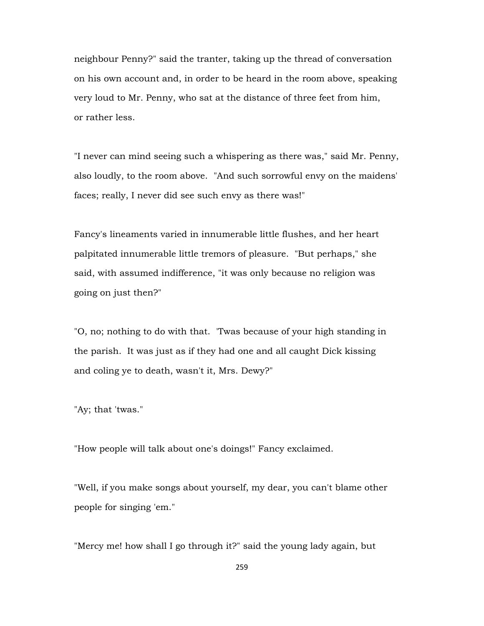neighbour Penny?" said the tranter, taking up the thread of conversation on his own account and, in order to be heard in the room above, speaking very loud to Mr. Penny, who sat at the distance of three feet from him, or rather less.

"I never can mind seeing such a whispering as there was," said Mr. Penny, also loudly, to the room above. "And such sorrowful envy on the maidens' faces; really, I never did see such envy as there was!"

Fancy's lineaments varied in innumerable little flushes, and her heart palpitated innumerable little tremors of pleasure. "But perhaps," she said, with assumed indifference, "it was only because no religion was going on just then?"

"O, no; nothing to do with that. 'Twas because of your high standing in the parish. It was just as if they had one and all caught Dick kissing and coling ye to death, wasn't it, Mrs. Dewy?"

"Ay; that 'twas."

"How people will talk about one's doings!" Fancy exclaimed.

"Well, if you make songs about yourself, my dear, you can't blame other people for singing 'em."

"Mercy me! how shall I go through it?" said the young lady again, but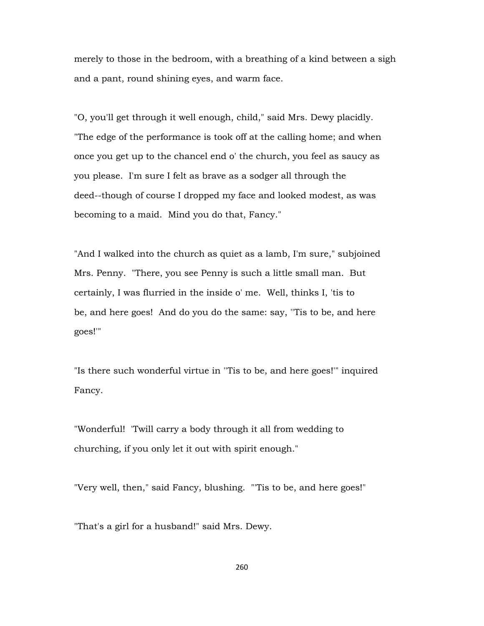merely to those in the bedroom, with a breathing of a kind between a sigh and a pant, round shining eyes, and warm face.

"O, you'll get through it well enough, child," said Mrs. Dewy placidly. "The edge of the performance is took off at the calling home; and when once you get up to the chancel end o' the church, you feel as saucy as you please. I'm sure I felt as brave as a sodger all through the deed--though of course I dropped my face and looked modest, as was becoming to a maid. Mind you do that, Fancy."

"And I walked into the church as quiet as a lamb, I'm sure," subjoined Mrs. Penny. "There, you see Penny is such a little small man. But certainly, I was flurried in the inside o' me. Well, thinks I, 'tis to be, and here goes! And do you do the same: say, ''Tis to be, and here goes!'"

"Is there such wonderful virtue in ''Tis to be, and here goes!'" inquired Fancy.

"Wonderful! 'Twill carry a body through it all from wedding to churching, if you only let it out with spirit enough."

"Very well, then," said Fancy, blushing. "'Tis to be, and here goes!"

"That's a girl for a husband!" said Mrs. Dewy.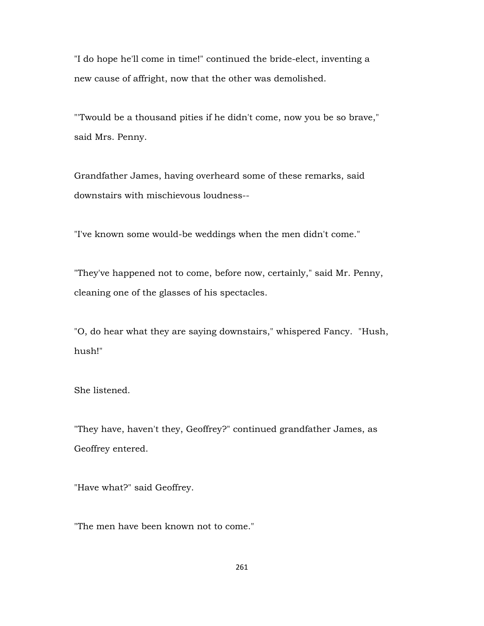"I do hope he'll come in time!" continued the bride-elect, inventing a new cause of affright, now that the other was demolished.

"'Twould be a thousand pities if he didn't come, now you be so brave," said Mrs. Penny.

Grandfather James, having overheard some of these remarks, said downstairs with mischievous loudness--

"I've known some would-be weddings when the men didn't come."

"They've happened not to come, before now, certainly," said Mr. Penny, cleaning one of the glasses of his spectacles.

"O, do hear what they are saying downstairs," whispered Fancy. "Hush, hush!"

She listened.

"They have, haven't they, Geoffrey?" continued grandfather James, as Geoffrey entered.

"Have what?" said Geoffrey.

"The men have been known not to come."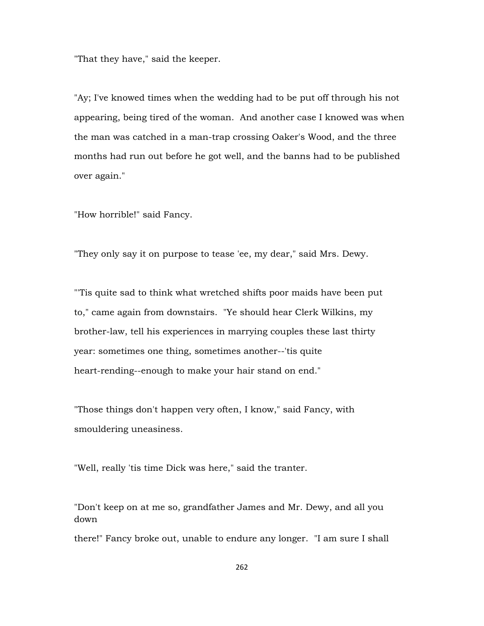"That they have," said the keeper.

"Ay; I've knowed times when the wedding had to be put off through his not appearing, being tired of the woman. And another case I knowed was when the man was catched in a man-trap crossing Oaker's Wood, and the three months had run out before he got well, and the banns had to be published over again."

"How horrible!" said Fancy.

"They only say it on purpose to tease 'ee, my dear," said Mrs. Dewy.

"'Tis quite sad to think what wretched shifts poor maids have been put to," came again from downstairs. "Ye should hear Clerk Wilkins, my brother-law, tell his experiences in marrying couples these last thirty year: sometimes one thing, sometimes another--'tis quite heart-rending--enough to make your hair stand on end."

"Those things don't happen very often, I know," said Fancy, with smouldering uneasiness.

"Well, really 'tis time Dick was here," said the tranter.

"Don't keep on at me so, grandfather James and Mr. Dewy, and all you down

there!" Fancy broke out, unable to endure any longer. "I am sure I shall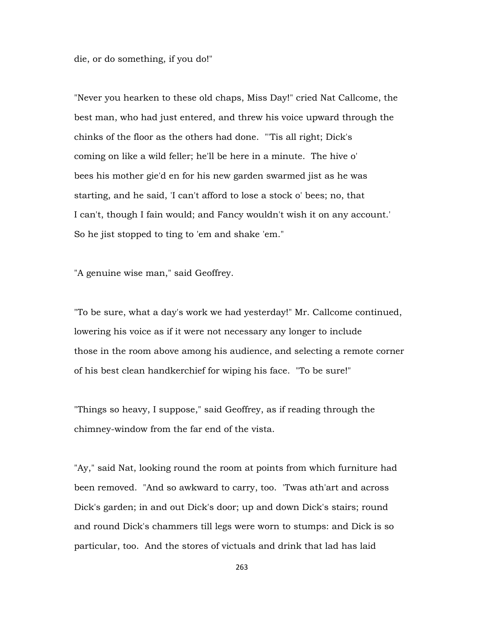die, or do something, if you do!"

"Never you hearken to these old chaps, Miss Day!" cried Nat Callcome, the best man, who had just entered, and threw his voice upward through the chinks of the floor as the others had done. "'Tis all right; Dick's coming on like a wild feller; he'll be here in a minute. The hive o' bees his mother gie'd en for his new garden swarmed jist as he was starting, and he said, 'I can't afford to lose a stock o' bees; no, that I can't, though I fain would; and Fancy wouldn't wish it on any account.' So he jist stopped to ting to 'em and shake 'em."

"A genuine wise man," said Geoffrey.

"To be sure, what a day's work we had yesterday!" Mr. Callcome continued, lowering his voice as if it were not necessary any longer to include those in the room above among his audience, and selecting a remote corner of his best clean handkerchief for wiping his face. "To be sure!"

"Things so heavy, I suppose," said Geoffrey, as if reading through the chimney-window from the far end of the vista.

"Ay," said Nat, looking round the room at points from which furniture had been removed. "And so awkward to carry, too. 'Twas ath'art and across Dick's garden; in and out Dick's door; up and down Dick's stairs; round and round Dick's chammers till legs were worn to stumps: and Dick is so particular, too. And the stores of victuals and drink that lad has laid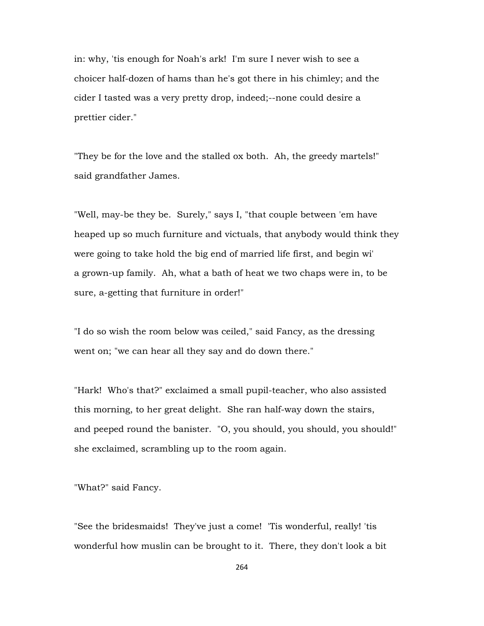in: why, 'tis enough for Noah's ark! I'm sure I never wish to see a choicer half-dozen of hams than he's got there in his chimley; and the cider I tasted was a very pretty drop, indeed;--none could desire a prettier cider."

"They be for the love and the stalled ox both. Ah, the greedy martels!" said grandfather James.

"Well, may-be they be. Surely," says I, "that couple between 'em have heaped up so much furniture and victuals, that anybody would think they were going to take hold the big end of married life first, and begin wi' a grown-up family. Ah, what a bath of heat we two chaps were in, to be sure, a-getting that furniture in order!"

"I do so wish the room below was ceiled," said Fancy, as the dressing went on; "we can hear all they say and do down there."

"Hark! Who's that?" exclaimed a small pupil-teacher, who also assisted this morning, to her great delight. She ran half-way down the stairs, and peeped round the banister. "O, you should, you should, you should!" she exclaimed, scrambling up to the room again.

"What?" said Fancy.

"See the bridesmaids! They've just a come! 'Tis wonderful, really! 'tis wonderful how muslin can be brought to it. There, they don't look a bit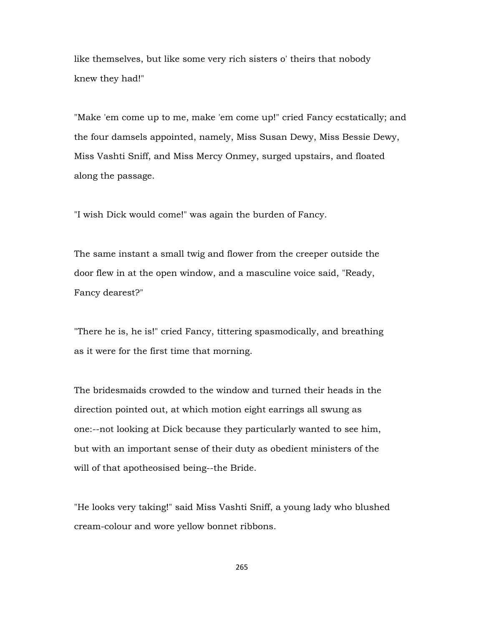like themselves, but like some very rich sisters o' theirs that nobody knew they had!"

"Make 'em come up to me, make 'em come up!" cried Fancy ecstatically; and the four damsels appointed, namely, Miss Susan Dewy, Miss Bessie Dewy, Miss Vashti Sniff, and Miss Mercy Onmey, surged upstairs, and floated along the passage.

"I wish Dick would come!" was again the burden of Fancy.

The same instant a small twig and flower from the creeper outside the door flew in at the open window, and a masculine voice said, "Ready, Fancy dearest?"

"There he is, he is!" cried Fancy, tittering spasmodically, and breathing as it were for the first time that morning.

The bridesmaids crowded to the window and turned their heads in the direction pointed out, at which motion eight earrings all swung as one:--not looking at Dick because they particularly wanted to see him, but with an important sense of their duty as obedient ministers of the will of that apotheosised being--the Bride.

"He looks very taking!" said Miss Vashti Sniff, a young lady who blushed cream-colour and wore yellow bonnet ribbons.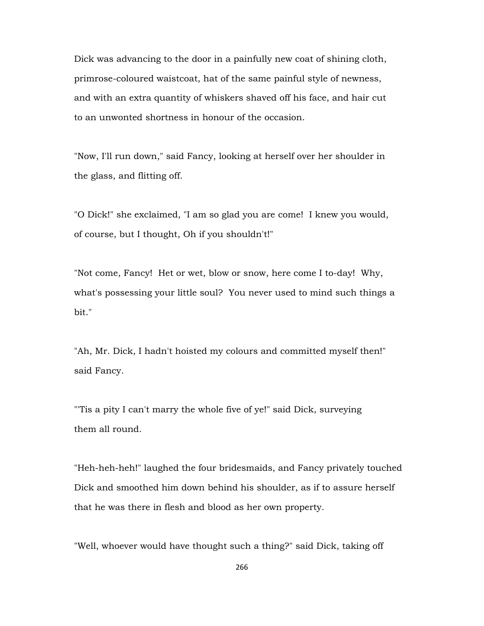Dick was advancing to the door in a painfully new coat of shining cloth, primrose-coloured waistcoat, hat of the same painful style of newness, and with an extra quantity of whiskers shaved off his face, and hair cut to an unwonted shortness in honour of the occasion.

"Now, I'll run down," said Fancy, looking at herself over her shoulder in the glass, and flitting off.

"O Dick!" she exclaimed, "I am so glad you are come! I knew you would, of course, but I thought, Oh if you shouldn't!"

"Not come, Fancy! Het or wet, blow or snow, here come I to-day! Why, what's possessing your little soul? You never used to mind such things a bit."

"Ah, Mr. Dick, I hadn't hoisted my colours and committed myself then!" said Fancy.

"'Tis a pity I can't marry the whole five of ye!" said Dick, surveying them all round.

"Heh-heh-heh!" laughed the four bridesmaids, and Fancy privately touched Dick and smoothed him down behind his shoulder, as if to assure herself that he was there in flesh and blood as her own property.

"Well, whoever would have thought such a thing?" said Dick, taking off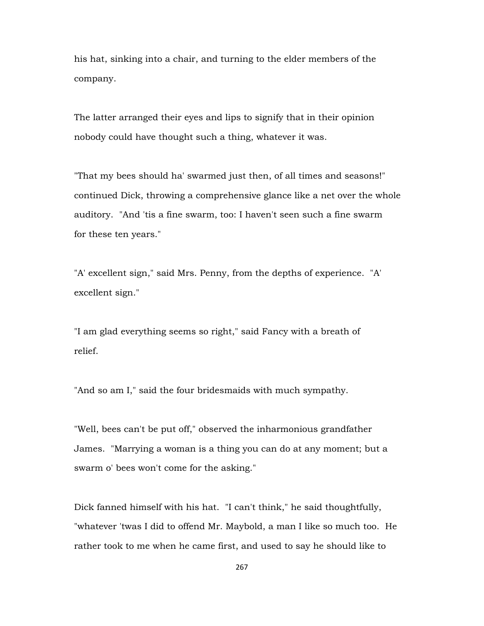his hat, sinking into a chair, and turning to the elder members of the company.

The latter arranged their eyes and lips to signify that in their opinion nobody could have thought such a thing, whatever it was.

"That my bees should ha' swarmed just then, of all times and seasons!" continued Dick, throwing a comprehensive glance like a net over the whole auditory. "And 'tis a fine swarm, too: I haven't seen such a fine swarm for these ten years."

"A' excellent sign," said Mrs. Penny, from the depths of experience. "A' excellent sign."

"I am glad everything seems so right," said Fancy with a breath of relief.

"And so am I," said the four bridesmaids with much sympathy.

"Well, bees can't be put off," observed the inharmonious grandfather James. "Marrying a woman is a thing you can do at any moment; but a swarm o' bees won't come for the asking."

Dick fanned himself with his hat. "I can't think," he said thoughtfully, "whatever 'twas I did to offend Mr. Maybold, a man I like so much too. He rather took to me when he came first, and used to say he should like to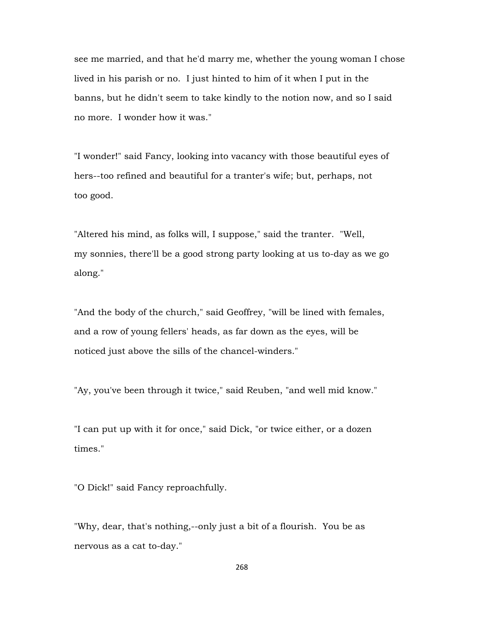see me married, and that he'd marry me, whether the young woman I chose lived in his parish or no. I just hinted to him of it when I put in the banns, but he didn't seem to take kindly to the notion now, and so I said no more. I wonder how it was."

"I wonder!" said Fancy, looking into vacancy with those beautiful eyes of hers--too refined and beautiful for a tranter's wife; but, perhaps, not too good.

"Altered his mind, as folks will, I suppose," said the tranter. "Well, my sonnies, there'll be a good strong party looking at us to-day as we go along."

"And the body of the church," said Geoffrey, "will be lined with females, and a row of young fellers' heads, as far down as the eyes, will be noticed just above the sills of the chancel-winders."

"Ay, you've been through it twice," said Reuben, "and well mid know."

"I can put up with it for once," said Dick, "or twice either, or a dozen times."

"O Dick!" said Fancy reproachfully.

"Why, dear, that's nothing,--only just a bit of a flourish. You be as nervous as a cat to-day."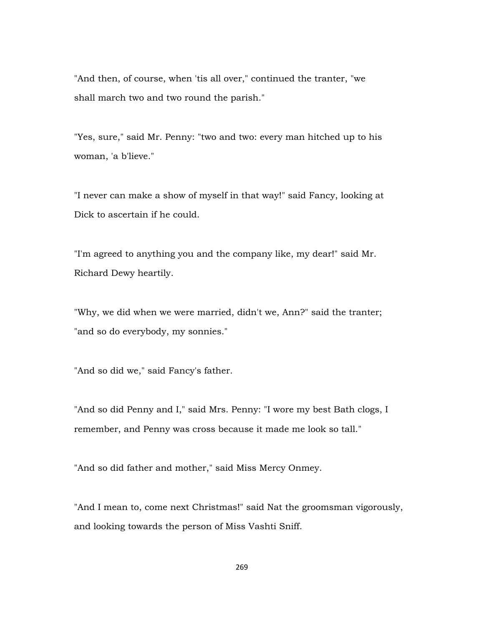"And then, of course, when 'tis all over," continued the tranter, "we shall march two and two round the parish."

"Yes, sure," said Mr. Penny: "two and two: every man hitched up to his woman, 'a b'lieve."

"I never can make a show of myself in that way!" said Fancy, looking at Dick to ascertain if he could.

"I'm agreed to anything you and the company like, my dear!" said Mr. Richard Dewy heartily.

"Why, we did when we were married, didn't we, Ann?" said the tranter; "and so do everybody, my sonnies."

"And so did we," said Fancy's father.

"And so did Penny and I," said Mrs. Penny: "I wore my best Bath clogs, I remember, and Penny was cross because it made me look so tall."

"And so did father and mother," said Miss Mercy Onmey.

"And I mean to, come next Christmas!" said Nat the groomsman vigorously, and looking towards the person of Miss Vashti Sniff.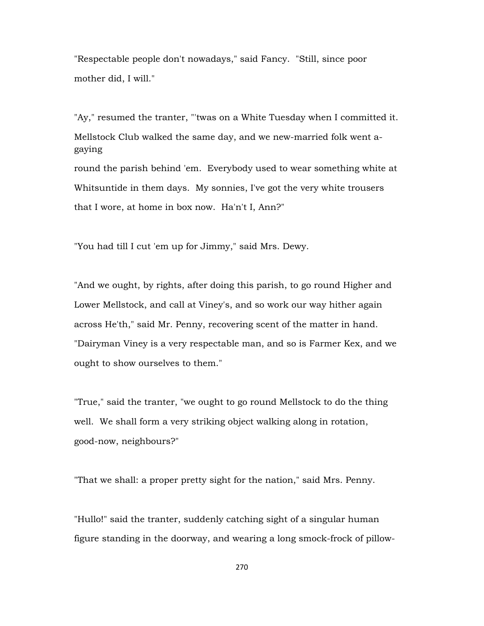"Respectable people don't nowadays," said Fancy. "Still, since poor mother did, I will."

"Ay," resumed the tranter, "'twas on a White Tuesday when I committed it. Mellstock Club walked the same day, and we new-married folk went agaying round the parish behind 'em. Everybody used to wear something white at Whitsuntide in them days. My sonnies, I've got the very white trousers that I wore, at home in box now. Ha'n't I, Ann?"

"You had till I cut 'em up for Jimmy," said Mrs. Dewy.

"And we ought, by rights, after doing this parish, to go round Higher and Lower Mellstock, and call at Viney's, and so work our way hither again across He'th," said Mr. Penny, recovering scent of the matter in hand. "Dairyman Viney is a very respectable man, and so is Farmer Kex, and we ought to show ourselves to them."

"True," said the tranter, "we ought to go round Mellstock to do the thing well. We shall form a very striking object walking along in rotation, good-now, neighbours?"

"That we shall: a proper pretty sight for the nation," said Mrs. Penny.

"Hullo!" said the tranter, suddenly catching sight of a singular human figure standing in the doorway, and wearing a long smock-frock of pillow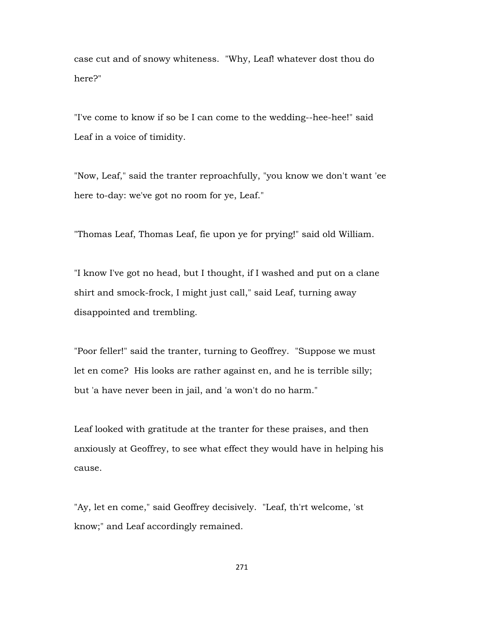case cut and of snowy whiteness. "Why, Leaf! whatever dost thou do here?"

"I've come to know if so be I can come to the wedding--hee-hee!" said Leaf in a voice of timidity.

"Now, Leaf," said the tranter reproachfully, "you know we don't want 'ee here to-day: we've got no room for ye, Leaf."

"Thomas Leaf, Thomas Leaf, fie upon ye for prying!" said old William.

"I know I've got no head, but I thought, if I washed and put on a clane shirt and smock-frock, I might just call," said Leaf, turning away disappointed and trembling.

"Poor feller!" said the tranter, turning to Geoffrey. "Suppose we must let en come? His looks are rather against en, and he is terrible silly; but 'a have never been in jail, and 'a won't do no harm."

Leaf looked with gratitude at the tranter for these praises, and then anxiously at Geoffrey, to see what effect they would have in helping his cause.

"Ay, let en come," said Geoffrey decisively. "Leaf, th'rt welcome, 'st know;" and Leaf accordingly remained.

271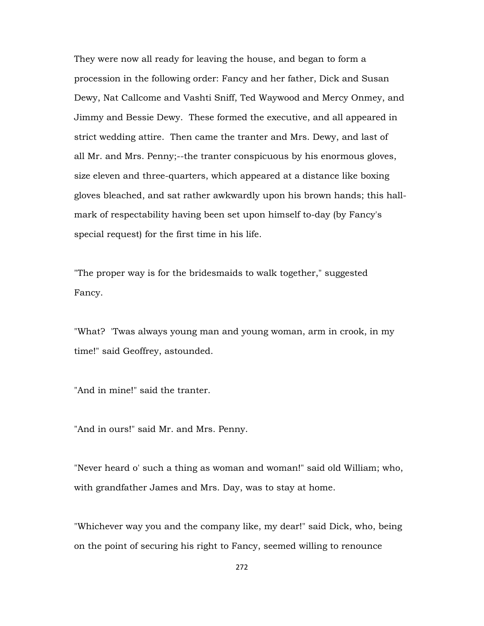They were now all ready for leaving the house, and began to form a procession in the following order: Fancy and her father, Dick and Susan Dewy, Nat Callcome and Vashti Sniff, Ted Waywood and Mercy Onmey, and Jimmy and Bessie Dewy. These formed the executive, and all appeared in strict wedding attire. Then came the tranter and Mrs. Dewy, and last of all Mr. and Mrs. Penny;--the tranter conspicuous by his enormous gloves, size eleven and three-quarters, which appeared at a distance like boxing gloves bleached, and sat rather awkwardly upon his brown hands; this hallmark of respectability having been set upon himself to-day (by Fancy's special request) for the first time in his life.

"The proper way is for the bridesmaids to walk together," suggested Fancy.

"What? 'Twas always young man and young woman, arm in crook, in my time!" said Geoffrey, astounded.

"And in mine!" said the tranter.

"And in ours!" said Mr. and Mrs. Penny.

"Never heard o' such a thing as woman and woman!" said old William; who, with grandfather James and Mrs. Day, was to stay at home.

"Whichever way you and the company like, my dear!" said Dick, who, being on the point of securing his right to Fancy, seemed willing to renounce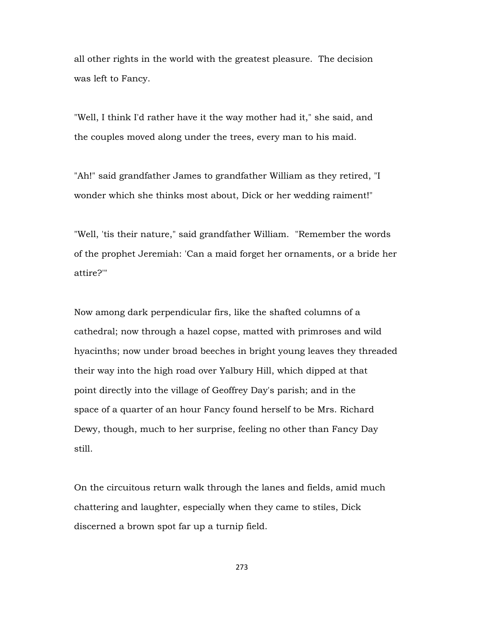all other rights in the world with the greatest pleasure. The decision was left to Fancy.

"Well, I think I'd rather have it the way mother had it," she said, and the couples moved along under the trees, every man to his maid.

"Ah!" said grandfather James to grandfather William as they retired, "I wonder which she thinks most about, Dick or her wedding raiment!"

"Well, 'tis their nature," said grandfather William. "Remember the words of the prophet Jeremiah: 'Can a maid forget her ornaments, or a bride her attire?'"

Now among dark perpendicular firs, like the shafted columns of a cathedral; now through a hazel copse, matted with primroses and wild hyacinths; now under broad beeches in bright young leaves they threaded their way into the high road over Yalbury Hill, which dipped at that point directly into the village of Geoffrey Day's parish; and in the space of a quarter of an hour Fancy found herself to be Mrs. Richard Dewy, though, much to her surprise, feeling no other than Fancy Day still.

On the circuitous return walk through the lanes and fields, amid much chattering and laughter, especially when they came to stiles, Dick discerned a brown spot far up a turnip field.

273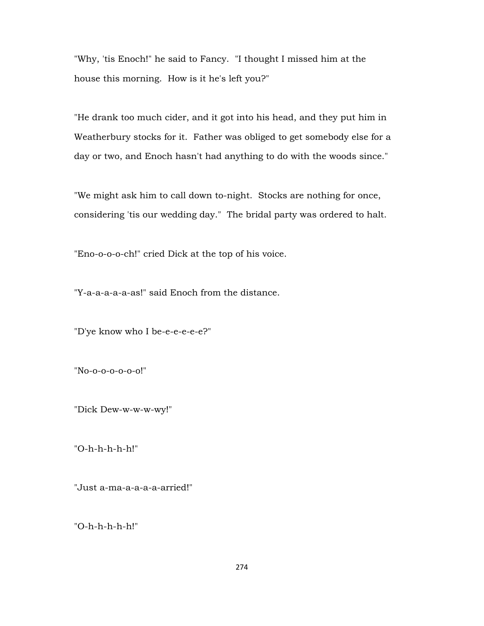"Why, 'tis Enoch!" he said to Fancy. "I thought I missed him at the house this morning. How is it he's left you?"

"He drank too much cider, and it got into his head, and they put him in Weatherbury stocks for it. Father was obliged to get somebody else for a day or two, and Enoch hasn't had anything to do with the woods since."

"We might ask him to call down to-night. Stocks are nothing for once, considering 'tis our wedding day." The bridal party was ordered to halt.

"Eno-o-o-o-ch!" cried Dick at the top of his voice.

"Y-a-a-a-a-a-as!" said Enoch from the distance.

"D'ye know who I be-e-e-e-e-e?"

"No-o-o-o-o-o-o!"

"Dick Dew-w-w-w-wy!"

"O-h-h-h-h-h!"

"Just a-ma-a-a-a-a-arried!"

"O-h-h-h-h-h!"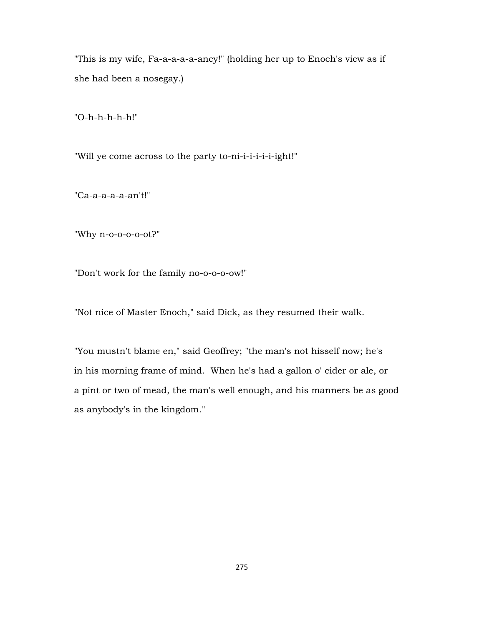"This is my wife, Fa-a-a-a-a-ancy!" (holding her up to Enoch's view as if she had been a nosegay.)

"O-h-h-h-h-h!"

"Will ye come across to the party to-ni-i-i-i-i-i-ight!"

"Ca-a-a-a-a-an't!"

"Why n-o-o-o-o-ot?"

"Don't work for the family no-o-o-o-ow!"

"Not nice of Master Enoch," said Dick, as they resumed their walk.

"You mustn't blame en," said Geoffrey; "the man's not hisself now; he's in his morning frame of mind. When he's had a gallon o' cider or ale, or a pint or two of mead, the man's well enough, and his manners be as good as anybody's in the kingdom."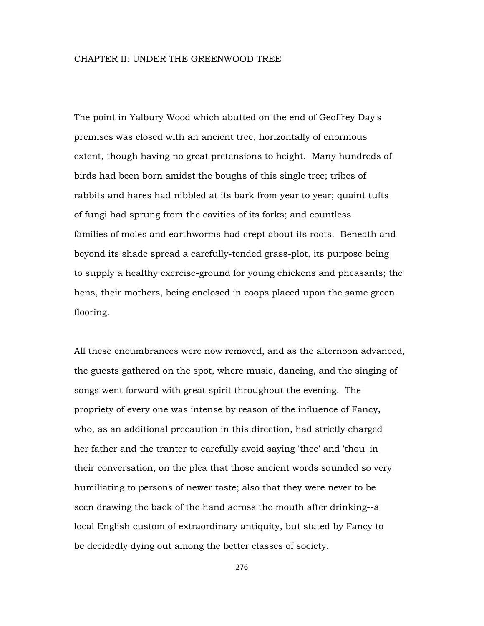The point in Yalbury Wood which abutted on the end of Geoffrey Day's premises was closed with an ancient tree, horizontally of enormous extent, though having no great pretensions to height. Many hundreds of birds had been born amidst the boughs of this single tree; tribes of rabbits and hares had nibbled at its bark from year to year; quaint tufts of fungi had sprung from the cavities of its forks; and countless families of moles and earthworms had crept about its roots. Beneath and beyond its shade spread a carefully-tended grass-plot, its purpose being to supply a healthy exercise-ground for young chickens and pheasants; the hens, their mothers, being enclosed in coops placed upon the same green flooring.

All these encumbrances were now removed, and as the afternoon advanced, the guests gathered on the spot, where music, dancing, and the singing of songs went forward with great spirit throughout the evening. The propriety of every one was intense by reason of the influence of Fancy, who, as an additional precaution in this direction, had strictly charged her father and the tranter to carefully avoid saying 'thee' and 'thou' in their conversation, on the plea that those ancient words sounded so very humiliating to persons of newer taste; also that they were never to be seen drawing the back of the hand across the mouth after drinking--a local English custom of extraordinary antiquity, but stated by Fancy to be decidedly dying out among the better classes of society.

276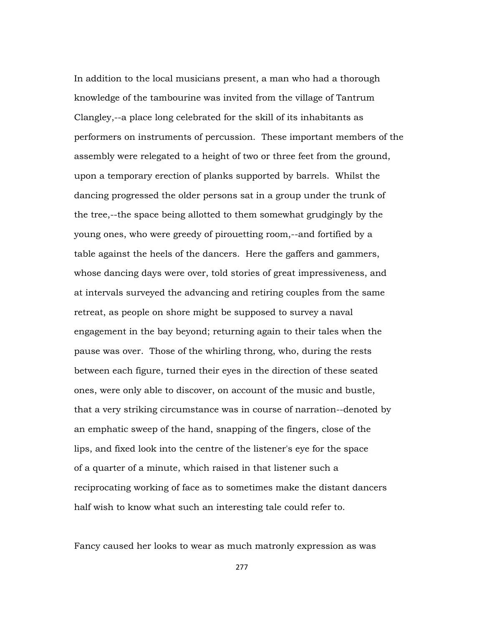In addition to the local musicians present, a man who had a thorough knowledge of the tambourine was invited from the village of Tantrum Clangley,--a place long celebrated for the skill of its inhabitants as performers on instruments of percussion. These important members of the assembly were relegated to a height of two or three feet from the ground, upon a temporary erection of planks supported by barrels. Whilst the dancing progressed the older persons sat in a group under the trunk of the tree,--the space being allotted to them somewhat grudgingly by the young ones, who were greedy of pirouetting room,--and fortified by a table against the heels of the dancers. Here the gaffers and gammers, whose dancing days were over, told stories of great impressiveness, and at intervals surveyed the advancing and retiring couples from the same retreat, as people on shore might be supposed to survey a naval engagement in the bay beyond; returning again to their tales when the pause was over. Those of the whirling throng, who, during the rests between each figure, turned their eyes in the direction of these seated ones, were only able to discover, on account of the music and bustle, that a very striking circumstance was in course of narration--denoted by an emphatic sweep of the hand, snapping of the fingers, close of the lips, and fixed look into the centre of the listener's eye for the space of a quarter of a minute, which raised in that listener such a reciprocating working of face as to sometimes make the distant dancers half wish to know what such an interesting tale could refer to.

Fancy caused her looks to wear as much matronly expression as was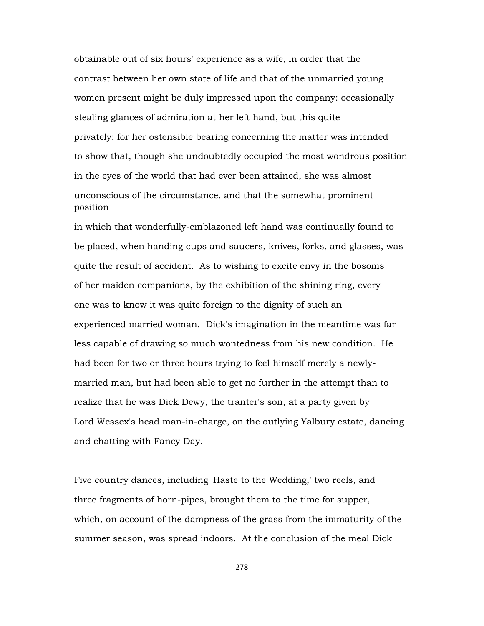obtainable out of six hours' experience as a wife, in order that the contrast between her own state of life and that of the unmarried young women present might be duly impressed upon the company: occasionally stealing glances of admiration at her left hand, but this quite privately; for her ostensible bearing concerning the matter was intended to show that, though she undoubtedly occupied the most wondrous position in the eyes of the world that had ever been attained, she was almost unconscious of the circumstance, and that the somewhat prominent position

in which that wonderfully-emblazoned left hand was continually found to be placed, when handing cups and saucers, knives, forks, and glasses, was quite the result of accident. As to wishing to excite envy in the bosoms of her maiden companions, by the exhibition of the shining ring, every one was to know it was quite foreign to the dignity of such an experienced married woman. Dick's imagination in the meantime was far less capable of drawing so much wontedness from his new condition. He had been for two or three hours trying to feel himself merely a newlymarried man, but had been able to get no further in the attempt than to realize that he was Dick Dewy, the tranter's son, at a party given by Lord Wessex's head man-in-charge, on the outlying Yalbury estate, dancing and chatting with Fancy Day.

Five country dances, including 'Haste to the Wedding,' two reels, and three fragments of horn-pipes, brought them to the time for supper, which, on account of the dampness of the grass from the immaturity of the summer season, was spread indoors. At the conclusion of the meal Dick

278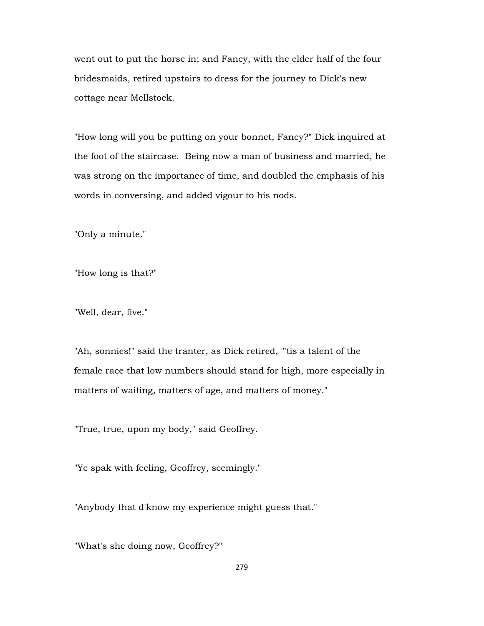went out to put the horse in; and Fancy, with the elder half of the four bridesmaids, retired upstairs to dress for the journey to Dick's new cottage near Mellstock.

"How long will you be putting on your bonnet, Fancy?" Dick inquired at the foot of the staircase. Being now a man of business and married, he was strong on the importance of time, and doubled the emphasis of his words in conversing, and added vigour to his nods.

"Only a minute."

"How long is that?"

"Well, dear, five."

"Ah, sonnies!" said the tranter, as Dick retired, "'tis a talent of the female race that low numbers should stand for high, more especially in matters of waiting, matters of age, and matters of money."

"True, true, upon my body," said Geoffrey.

"Ye spak with feeling, Geoffrey, seemingly."

"Anybody that d'know my experience might guess that."

"What's she doing now, Geoffrey?"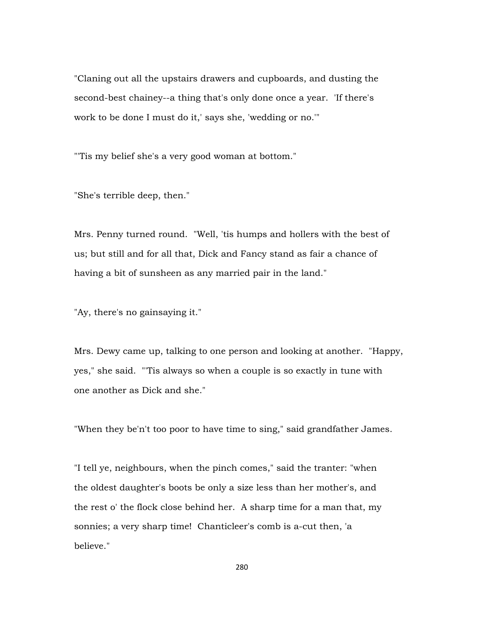"Claning out all the upstairs drawers and cupboards, and dusting the second-best chainey--a thing that's only done once a year. 'If there's work to be done I must do it,' says she, 'wedding or no.'"

"'Tis my belief she's a very good woman at bottom."

"She's terrible deep, then."

Mrs. Penny turned round. "Well, 'tis humps and hollers with the best of us; but still and for all that, Dick and Fancy stand as fair a chance of having a bit of sunsheen as any married pair in the land."

"Ay, there's no gainsaying it."

Mrs. Dewy came up, talking to one person and looking at another. "Happy, yes," she said. "'Tis always so when a couple is so exactly in tune with one another as Dick and she."

"When they be'n't too poor to have time to sing," said grandfather James.

"I tell ye, neighbours, when the pinch comes," said the tranter: "when the oldest daughter's boots be only a size less than her mother's, and the rest o' the flock close behind her. A sharp time for a man that, my sonnies; a very sharp time! Chanticleer's comb is a-cut then, 'a believe."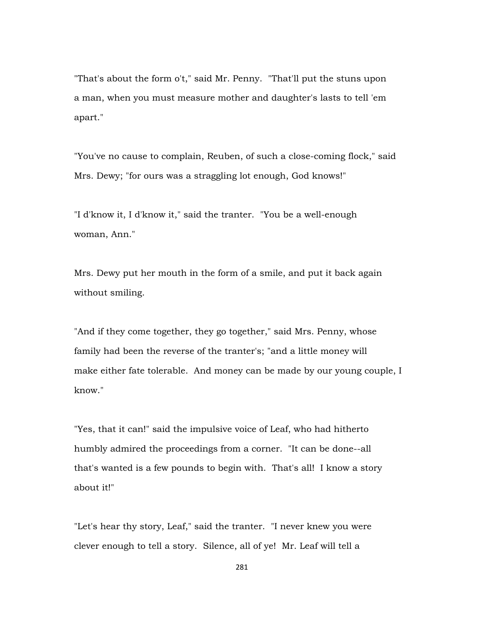"That's about the form o't," said Mr. Penny. "That'll put the stuns upon a man, when you must measure mother and daughter's lasts to tell 'em apart."

"You've no cause to complain, Reuben, of such a close-coming flock," said Mrs. Dewy; "for ours was a straggling lot enough, God knows!"

"I d'know it, I d'know it," said the tranter. "You be a well-enough woman, Ann."

Mrs. Dewy put her mouth in the form of a smile, and put it back again without smiling.

"And if they come together, they go together," said Mrs. Penny, whose family had been the reverse of the tranter's; "and a little money will make either fate tolerable. And money can be made by our young couple, I know."

"Yes, that it can!" said the impulsive voice of Leaf, who had hitherto humbly admired the proceedings from a corner. "It can be done--all that's wanted is a few pounds to begin with. That's all! I know a story about it!"

"Let's hear thy story, Leaf," said the tranter. "I never knew you were clever enough to tell a story. Silence, all of ye! Mr. Leaf will tell a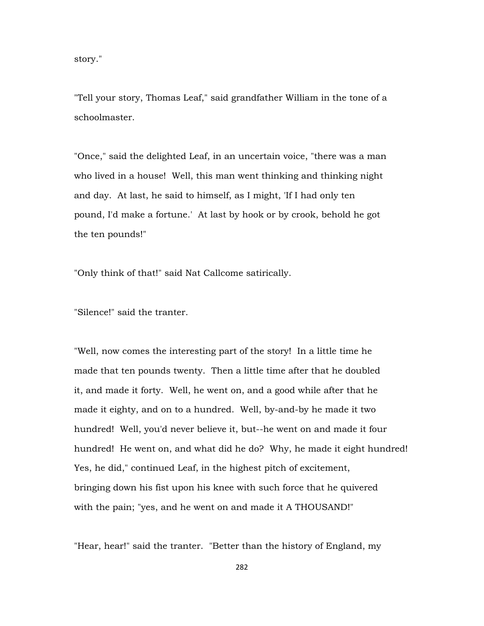story."

"Tell your story, Thomas Leaf," said grandfather William in the tone of a schoolmaster.

"Once," said the delighted Leaf, in an uncertain voice, "there was a man who lived in a house! Well, this man went thinking and thinking night and day. At last, he said to himself, as I might, 'If I had only ten pound, I'd make a fortune.' At last by hook or by crook, behold he got the ten pounds!"

"Only think of that!" said Nat Callcome satirically.

"Silence!" said the tranter.

"Well, now comes the interesting part of the story! In a little time he made that ten pounds twenty. Then a little time after that he doubled it, and made it forty. Well, he went on, and a good while after that he made it eighty, and on to a hundred. Well, by-and-by he made it two hundred! Well, you'd never believe it, but--he went on and made it four hundred! He went on, and what did he do? Why, he made it eight hundred! Yes, he did," continued Leaf, in the highest pitch of excitement, bringing down his fist upon his knee with such force that he quivered with the pain; "yes, and he went on and made it A THOUSAND!"

"Hear, hear!" said the tranter. "Better than the history of England, my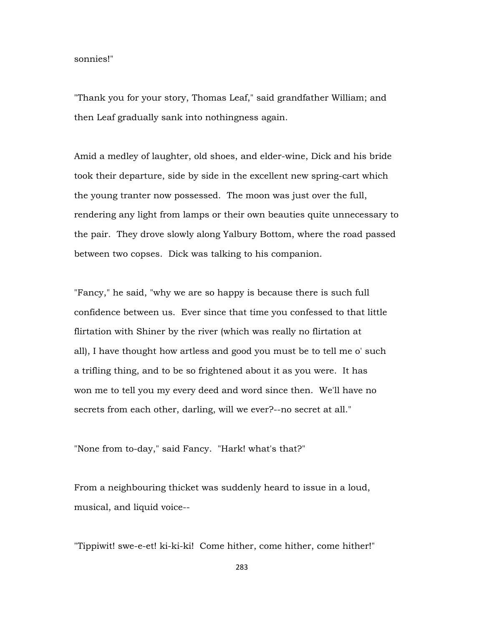sonnies!"

"Thank you for your story, Thomas Leaf," said grandfather William; and then Leaf gradually sank into nothingness again.

Amid a medley of laughter, old shoes, and elder-wine, Dick and his bride took their departure, side by side in the excellent new spring-cart which the young tranter now possessed. The moon was just over the full, rendering any light from lamps or their own beauties quite unnecessary to the pair. They drove slowly along Yalbury Bottom, where the road passed between two copses. Dick was talking to his companion.

"Fancy," he said, "why we are so happy is because there is such full confidence between us. Ever since that time you confessed to that little flirtation with Shiner by the river (which was really no flirtation at all), I have thought how artless and good you must be to tell me o' such a trifling thing, and to be so frightened about it as you were. It has won me to tell you my every deed and word since then. We'll have no secrets from each other, darling, will we ever?--no secret at all."

"None from to-day," said Fancy. "Hark! what's that?"

From a neighbouring thicket was suddenly heard to issue in a loud, musical, and liquid voice--

"Tippiwit! swe-e-et! ki-ki-ki! Come hither, come hither, come hither!"